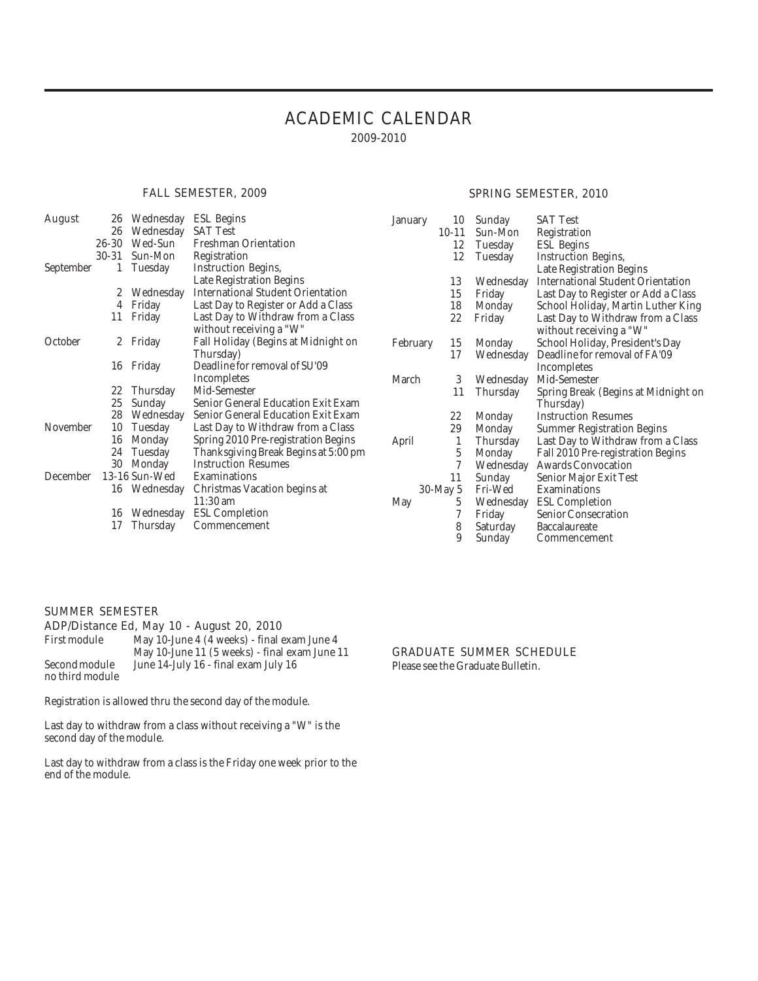#### ACADEMIC CALENDAR 2009-2010

#### FALL SEMESTER, 2009

#### SPRING SEMESTER, 2010

| August    | 26           | Wednesday       | ESL Begins                                                   | January  | 10        | Sunday    | <b>SAT Test</b>                                              |
|-----------|--------------|-----------------|--------------------------------------------------------------|----------|-----------|-----------|--------------------------------------------------------------|
|           | 26           | Wednesday       | <b>SAT Test</b>                                              |          | $10 - 11$ | Sun-Mon   | Registration                                                 |
|           | 26-30        | Wed-Sun         | <b>Freshman Orientation</b>                                  |          | 12        | Tuesday   | <b>ESL</b> Begins                                            |
|           | 30-31        | Sun-Mon         | Registration                                                 |          | 12        | Tuesday   | <b>Instruction Begins,</b>                                   |
| September |              | Tuesday         | <b>Instruction Begins,</b>                                   |          |           |           | Late Registration Begins                                     |
|           |              |                 | Late Registration Begins                                     |          | 13        | Wednesday | <b>International Student Orientation</b>                     |
|           | 2            | Wednesday       | <b>International Student Orientation</b>                     |          | 15        | Friday    | Last Day to Register or Add a Class                          |
|           | 4            | Friday          | Last Day to Register or Add a Class                          |          | 18        | Monday    | School Holiday, Martin Luther King                           |
|           | 11           | Friday          | Last Day to Withdraw from a Class<br>without receiving a "W" |          | 22        | Friday    | Last Day to Withdraw from a Class<br>without receiving a "W" |
| October   | $\mathbf{2}$ | Friday          | Fall Holiday (Begins at Midnight on                          | February | 15        | Monday    | School Holiday, President's Day                              |
|           |              |                 | Thursday)                                                    |          | 17        | Wednesday | Deadline for removal of FA'09                                |
|           | 16           | Friday          | Deadline for removal of SU'09                                |          |           |           | <b>Incompletes</b>                                           |
|           |              |                 | Incompletes                                                  | March    | 3         | Wednesday | Mid-Semester                                                 |
|           | 22           | <b>Thursday</b> | Mid-Semester                                                 |          | 11        | Thursday  | Spring Break (Begins at Midnight on                          |
|           | 25           | Sunday          | Senior General Education Exit Exam                           |          |           |           | Thursday)                                                    |
|           | 28           | Wednesday       | Senior General Education Exit Exam                           |          | 22        | Monday    | <b>Instruction Resumes</b>                                   |
| November  | 10           | Tuesday         | Last Day to Withdraw from a Class                            |          | 29        | Monday    | <b>Summer Registration Begins</b>                            |
|           | 16           | Monday          | Spring 2010 Pre-registration Begins                          | April    |           | Thursday  | Last Day to Withdraw from a Class                            |
|           | 24           | Tuesday         | Thanksgiving Break Begins at 5:00 pm                         |          | 5         | Monday    | Fall 2010 Pre-registration Begins                            |
|           | 30           | Monday          | <b>Instruction Resumes</b>                                   |          |           | Wednesday | <b>Awards Convocation</b>                                    |
| December  |              | 13-16 Sun-Wed   | Examinations                                                 |          | 11        | Sunday    | Senior Major Exit Test                                       |
|           | 16           | Wednesday       | Christmas Vacation begins at                                 |          | 30-May 5  | Fri-Wed   | Examinations                                                 |
|           |              |                 | $11:30$ am                                                   | May      | 5         | Wednesday | <b>ESL Completion</b>                                        |
|           | 16           | Wednesday       | <b>ESL Completion</b>                                        |          |           | Friday    | <b>Senior Consecration</b>                                   |
|           | 17           | Thursday        | Commencement                                                 |          | 8         | Saturday  | Baccalaureate                                                |
|           |              |                 |                                                              |          | 9         | Sunday    | Commencement                                                 |

#### SUMMER SEMESTER

### ADP/Distance Ed, May 10 - August 20, 2010

May 10-June 4 (4 weeks) - final exam June 4 May 10-June 11 (5 weeks) - final exam June 11 Second module June 14-July 16 - final exam July 16 no third module

Registration is allowed thru the second day of the module.

Last day to withdraw from a class without receiving a "W" is the second day of the module.

Last day to withdraw from a class is the Friday one week prior to the end of the module.

#### GRADUATE SUMMER SCHEDULE

Please see the Graduate Bulletin.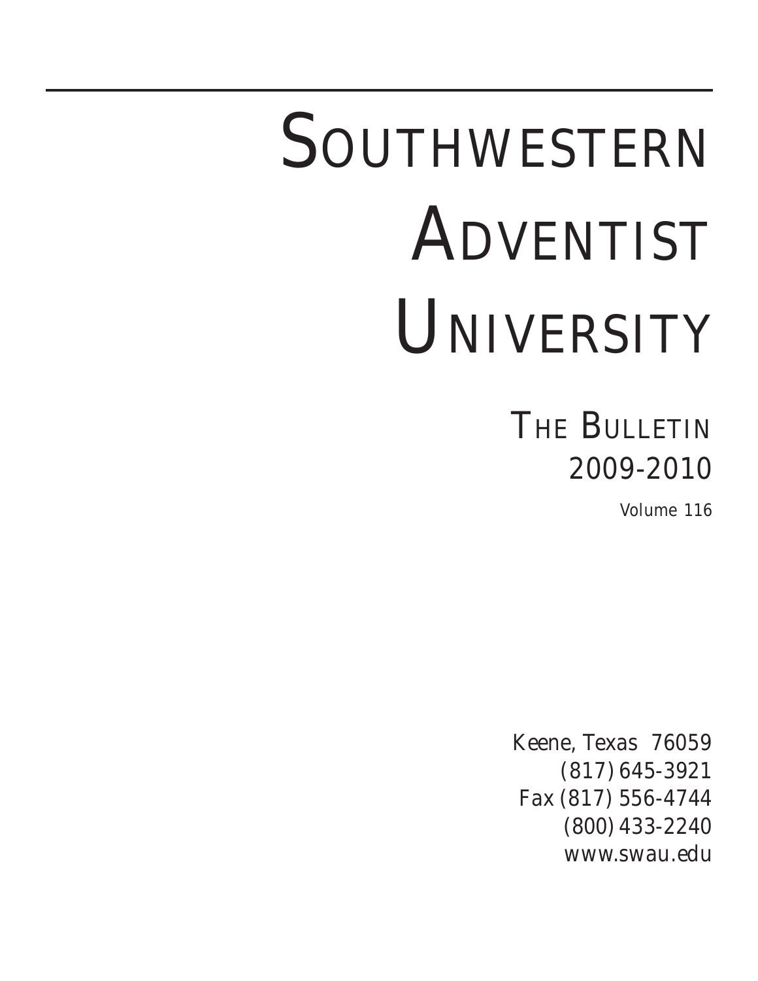# SOUTHWESTERN ADVENTIST UNIVERSITY

### **THE BULLETIN** 2009-2010

Volume 116

Keene, Texas 76059 (817) 645-3921 Fax (817) 556-4744 (800) 433-2240 www.swau.edu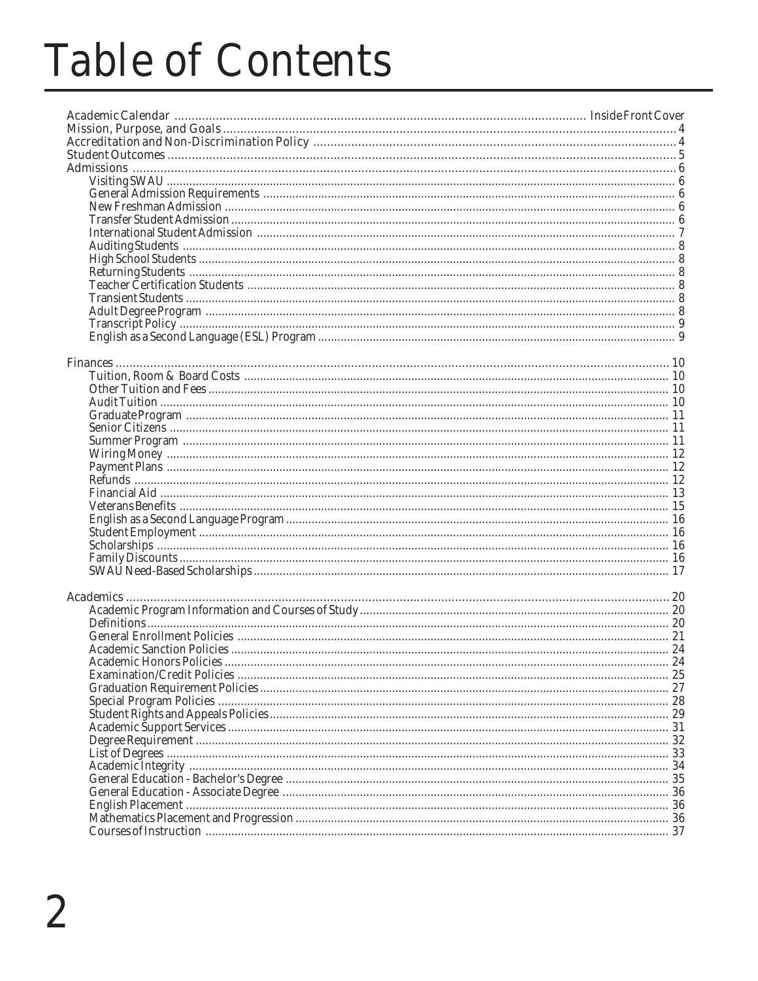# **Table of Contents**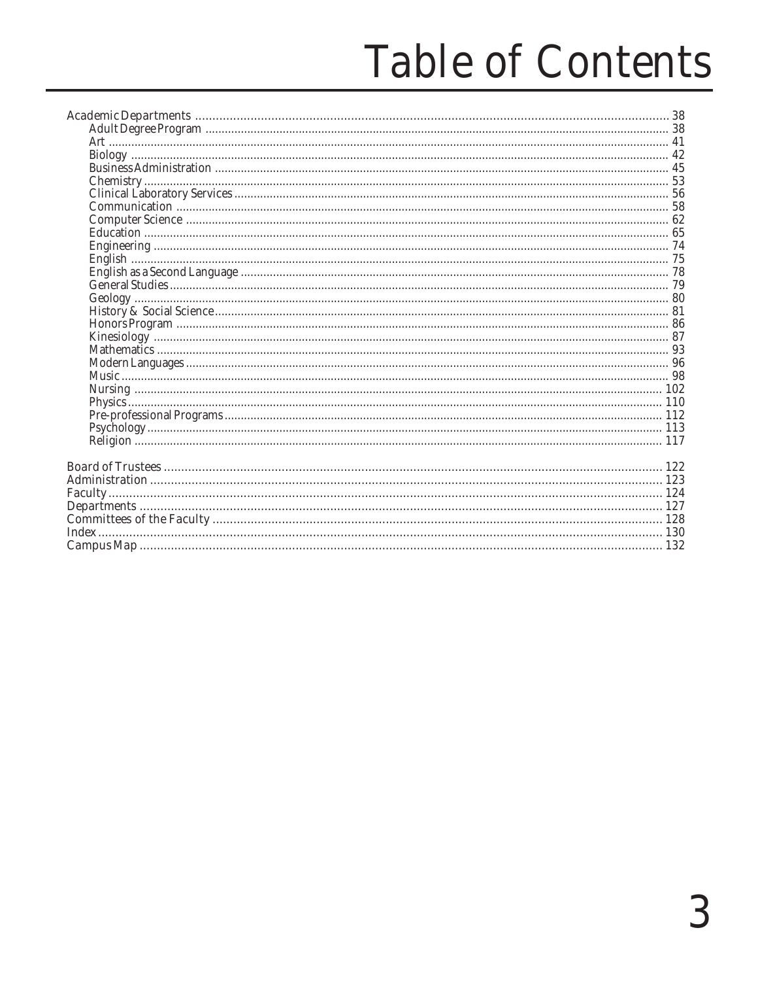# **Table of Contents**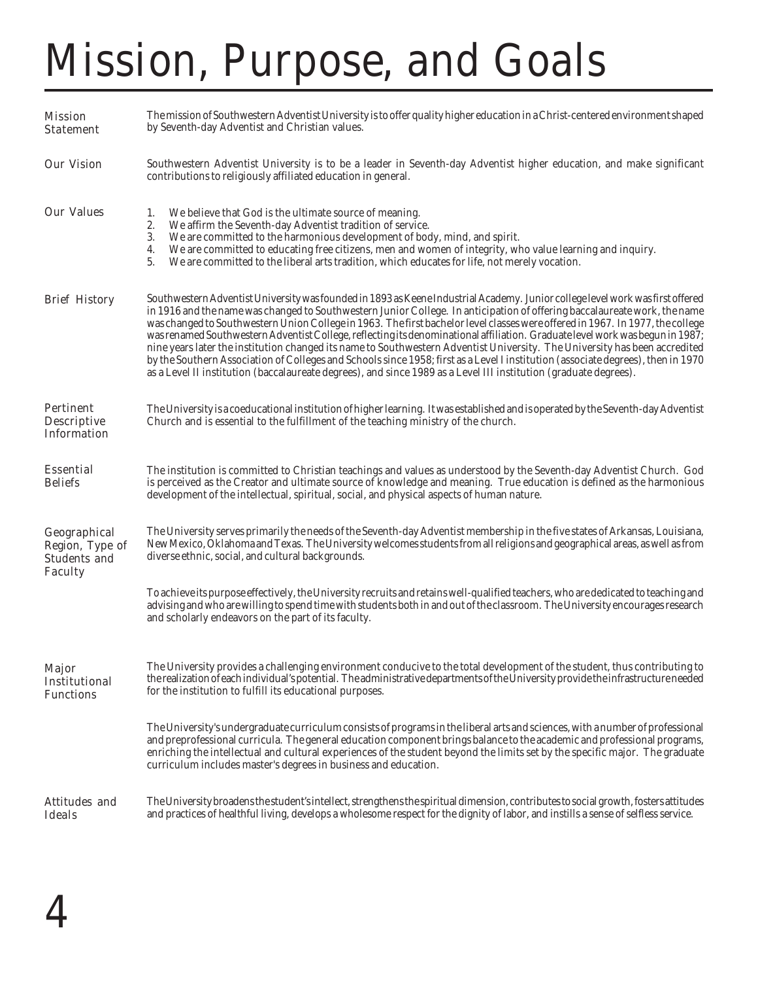# Mission, Purpose, and Goals

| <b>Mission</b><br><b>Statement</b>                                       | The mission of Southwestern Adventist University is to offer quality higher education in a Christ-centered environment shaped<br>by Seventh-day Adventist and Christian values.                                                                                                                                                                                                                                                                                                                                                                                                                                                                                                                                                                                                                                                                                                                                      |
|--------------------------------------------------------------------------|----------------------------------------------------------------------------------------------------------------------------------------------------------------------------------------------------------------------------------------------------------------------------------------------------------------------------------------------------------------------------------------------------------------------------------------------------------------------------------------------------------------------------------------------------------------------------------------------------------------------------------------------------------------------------------------------------------------------------------------------------------------------------------------------------------------------------------------------------------------------------------------------------------------------|
| <b>Our Vision</b>                                                        | Southwestern Adventist University is to be a leader in Seventh-day Adventist higher education, and make significant<br>contributions to religiously affiliated education in general.                                                                                                                                                                                                                                                                                                                                                                                                                                                                                                                                                                                                                                                                                                                                 |
| <b>Our Values</b>                                                        | We believe that God is the ultimate source of meaning.<br>1.<br>2.<br>We affirm the Seventh-day Adventist tradition of service.<br>3.<br>We are committed to the harmonious development of body, mind, and spirit.<br>We are committed to educating free citizens, men and women of integrity, who value learning and inquiry.<br>4.<br>5.<br>We are committed to the liberal arts tradition, which educates for life, not merely vocation.                                                                                                                                                                                                                                                                                                                                                                                                                                                                          |
| <b>Brief History</b>                                                     | Southwestern Adventist University was founded in 1893 as Keene Industrial Academy. Junior college level work was first offered<br>in 1916 and the name was changed to Southwestern Junior College. In anticipation of offering baccalaureate work, the name<br>was changed to Southwestern Union College in 1963. The first bachelor level classes were offered in 1967. In 1977, the college<br>was renamed Southwestern Adventist College, reflecting its denominational affiliation. Graduate level work was begun in 1987;<br>nine years later the institution changed its name to Southwestern Adventist University. The University has been accredited<br>by the Southern Association of Colleges and Schools since 1958; first as a Level I institution (associate degrees), then in 1970<br>as a Level II institution (baccalaureate degrees), and since 1989 as a Level III institution (graduate degrees). |
| <b>Pertinent</b><br><b>Descriptive</b><br><b>Information</b>             | The University is a coeducational institution of higher learning. It was established and is operated by the Seventh-day Adventist<br>Church and is essential to the fulfillment of the teaching ministry of the church.                                                                                                                                                                                                                                                                                                                                                                                                                                                                                                                                                                                                                                                                                              |
| <b>Essential</b><br><b>Beliefs</b>                                       | The institution is committed to Christian teachings and values as understood by the Seventh-day Adventist Church. God<br>is perceived as the Creator and ultimate source of knowledge and meaning. True education is defined as the harmonious<br>development of the intellectual, spiritual, social, and physical aspects of human nature.                                                                                                                                                                                                                                                                                                                                                                                                                                                                                                                                                                          |
| Geographical<br>Region, Type of<br><b>Students and</b><br><b>Faculty</b> | The University serves primarily the needs of the Seventh-day Adventist membership in the five states of Arkansas, Louisiana,<br>New Mexico, Oklahoma and Texas. The University welcomes students from all religions and geographical areas, as well as from<br>diverse ethnic, social, and cultural backgrounds.                                                                                                                                                                                                                                                                                                                                                                                                                                                                                                                                                                                                     |
|                                                                          | To achieve its purpose effectively, the University recruits and retains well-qualified teachers, who are dedicated to teaching and<br>advising and who are willing to spend time with students both in and out of the classroom. The University encourages research<br>and scholarly endeavors on the part of its faculty.                                                                                                                                                                                                                                                                                                                                                                                                                                                                                                                                                                                           |
| <b>Major</b><br><b>Institutional</b><br><b>Functions</b>                 | The University provides a challenging environment conducive to the total development of the student, thus contributing to<br>the realization of each individual's potential. The administrative departments of the University provide the infrastructure needed<br>for the institution to fulfill its educational purposes.                                                                                                                                                                                                                                                                                                                                                                                                                                                                                                                                                                                          |
|                                                                          | The University's undergraduate curriculum consists of programs in the liberal arts and sciences, with a number of professional<br>and preprofessional curricula. The general education component brings balance to the academic and professional programs,<br>enriching the intellectual and cultural experiences of the student beyond the limits set by the specific major. The graduate<br>curriculum includes master's degrees in business and education.                                                                                                                                                                                                                                                                                                                                                                                                                                                        |
| <b>Attitudes and</b><br><b>Ideals</b>                                    | The University broadens the student's intellect, strengthens the spiritual dimension, contributes to social growth, fosters attitudes<br>and practices of healthful living, develops a wholesome respect for the dignity of labor, and instills a sense of selfless service.                                                                                                                                                                                                                                                                                                                                                                                                                                                                                                                                                                                                                                         |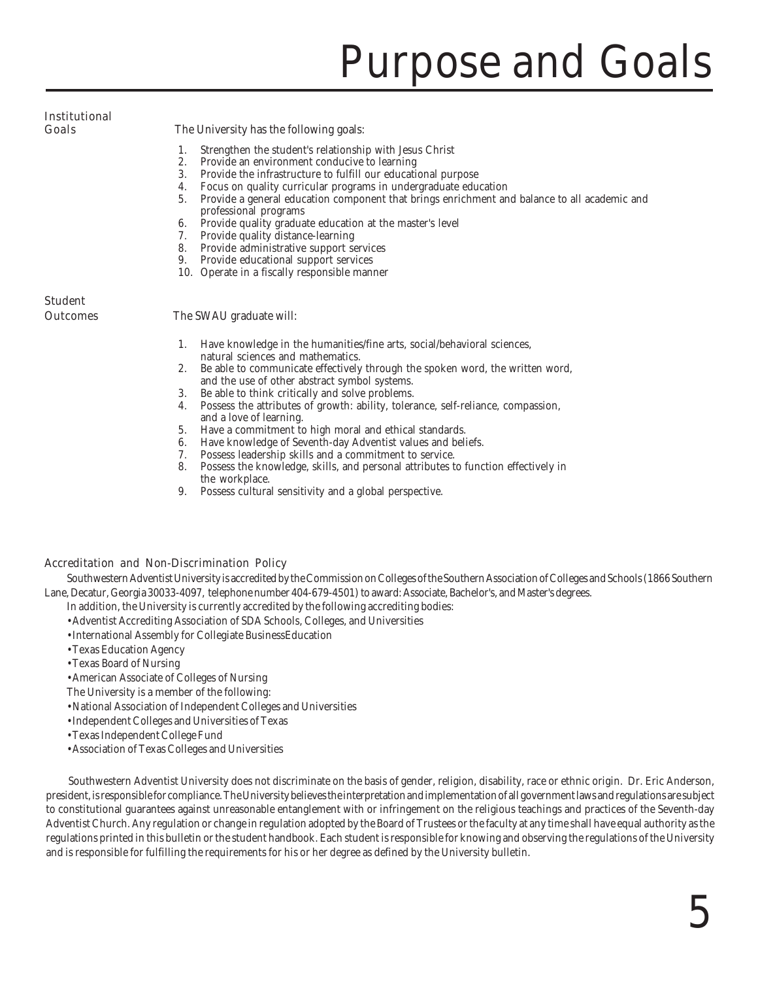# Purpose and Goals

### Institutional

Goals The University has the following goals:

- 1. Strengthen the student's relationship with Jesus Christ<br>2. Provide an environment conducive to learning
- Provide an environment conducive to learning
- 3. Provide the infrastructure to fulfill our educational purpose
- 4. Focus on quality curricular programs in undergraduate education<br>5. Provide a general education component that brings enrichment an
- 5. Provide a general education component that brings enrichment and balance to all academic and professional programs
- 6. Provide quality graduate education at the master's level
- 7. Provide quality distance-learning
- 8. Provide administrative support services
- 9. Provide educational support services
- 10. Operate in a fiscally responsible manner

### Student

#### **Outcomes** The SWAU graduate will:

- 1. Have knowledge in the humanities/fine arts, social/behavioral sciences, natural sciences and mathematics.
- 2. Be able to communicate effectively through the spoken word, the written word, and the use of other abstract symbol systems.
- 3. Be able to think critically and solve problems.
- 4. Possess the attributes of growth: ability, tolerance, self-reliance, compassion, and a love of learning.
- 5. Have a commitment to high moral and ethical standards.
- 6. Have knowledge of Seventh-day Adventist values and beliefs.<br>7. Possess leadership skills and a commitment to service.
- Possess leadership skills and a commitment to service.
- 8. Possess the knowledge, skills, and personal attributes to function effectively in the workplace.
- 9. Possess cultural sensitivity and a global perspective.

#### Accreditation and Non-Discrimination Policy

Southwestern Adventist University is accredited by the Commission on Colleges of the Southern Association of Colleges and Schools (1866 Southern Lane, Decatur, Georgia 30033-4097, telephone number 404-679-4501) to award: Associate, Bachelor's, and Master's degrees.

In addition, the University is currently accredited by the following accrediting bodies:

- •Adventist Accrediting Association of SDA Schools, Colleges, and Universities
- •International Assembly for Collegiate BusinessEducation
- •Texas Education Agency
- •Texas Board of Nursing
- •American Associate of Colleges of Nursing
- The University is a member of the following:
- •National Association of Independent Colleges and Universities
- •Independent Colleges and Universities of Texas
- •Texas Independent College Fund
- •Association of Texas Colleges and Universities

Southwestern Adventist University does not discriminate on the basis of gender, religion, disability, race or ethnic origin. Dr. Eric Anderson, president, is responsible for compliance. The University believes the interpretation and implementation of all government laws and regulations are subject to constitutional guarantees against unreasonable entanglement with or infringement on the religious teachings and practices of the Seventh-day Adventist Church. Any regulation or change in regulation adopted by the Board of Trustees or the faculty at any time shall have equal authority as the regulations printed in this bulletin or the student handbook. Each student is responsible for knowing and observing the regulations of the University and is responsible for fulfilling the requirements for his or her degree as defined by the University bulletin.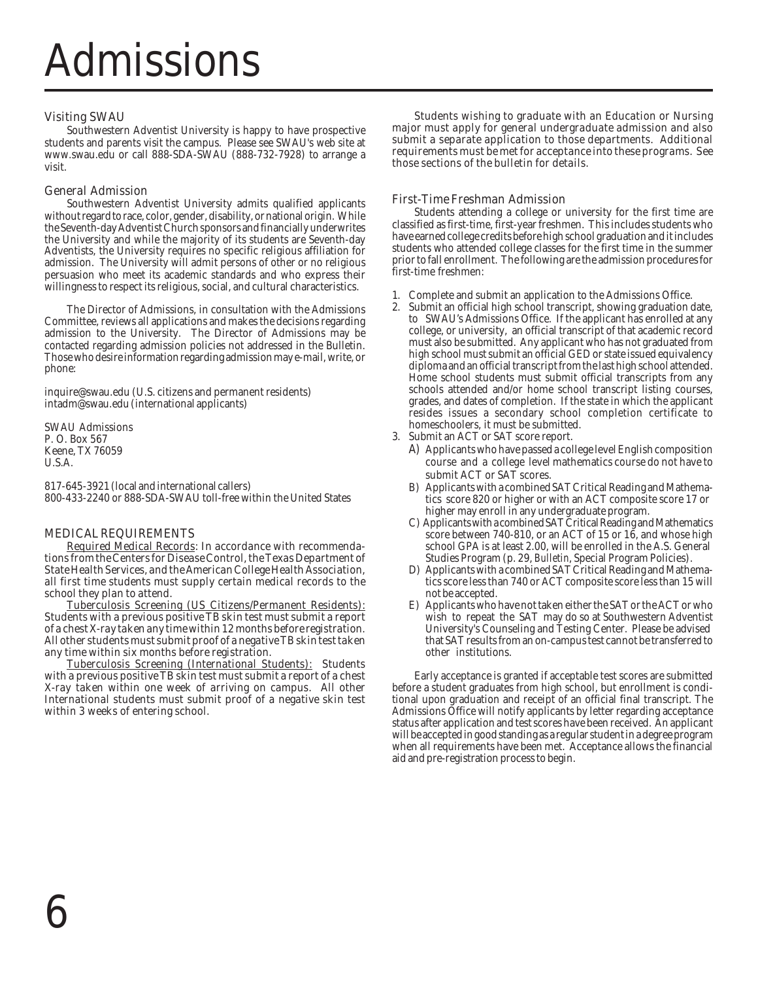#### Visiting SWAU

Southwestern Adventist University is happy to have prospective students and parents visit the campus. Please see SWAU's web site at www.swau.edu or call 888-SDA-SWAU (888-732-7928) to arrange a visit.

#### General Admission

Southwestern Adventist University admits qualified applicants without regard to race, color, gender, disability, or national origin. While the Seventh-day Adventist Church sponsors and financially underwrites the University and while the majority of its students are Seventh-day Adventists, the University requires no specific religious affiliation for admission. The University will admit persons of other or no religious persuasion who meet its academic standards and who express their willingness to respect its religious, social, and cultural characteristics.

The Director of Admissions, in consultation with the Admissions Committee, reviews all applications and makes the decisions regarding admission to the University. The Director of Admissions may be contacted regarding admission policies not addressed in the Bulletin. Those who desire information regarding admission may e-mail, write, or phone:

inquire@swau.edu (U.S. citizens and permanent residents) intadm@swau.edu (international applicants)

SWAU Admissions P. O. Box 567 Keene, TX 76059 U.S.A.

817-645-3921 (local and international callers) 800-433-2240 or 888-SDA-SWAU toll-free within the United States

#### MEDICAL REQUIREMENTS

Required Medical Records: In accordance with recommendations from the Centers for Disease Control, the Texas Department of State Health Services, and the American College Health Association, all first time students must supply certain medical records to the school they plan to attend.

Tuberculosis Screening (US Citizens/Permanent Residents): Students with a previous positive TB skin test must submit a report of a chest X-ray taken any time within 12 months before registration. All other students must submit proof of a negative TB skin test taken any time within six months before registration.

Tuberculosis Screening (International Students): Students with a previous positive TB skin test must submit a report of a chest X-ray taken within one week of arriving on campus. All other International students must submit proof of a negative skin test within 3 weeks of entering school.

Students wishing to graduate with an Education or Nursing major must apply for general undergraduate admission and also submit a separate application to those departments. Additional requirements must be met for acceptance into these programs. See those sections of the bulletin for details.

#### First-Time Freshman Admission

Students attending a college or university for the first time are classified as first-time, first-year freshmen. This includes students who have earned college credits before high school graduation and it includes students who attended college classes for the first time in the summer prior to fall enrollment. The following are the admission procedures for first-time freshmen:

- 1. Complete and submit an application to the Admissions Office.<br>2. Submit an official high school transcript, showing graduation c
- Submit an official high school transcript, showing graduation date, to SWAU's Admissions Office. If the applicant has enrolled at any college, or university, an official transcript of that academic record must also be submitted. Any applicant who has not graduated from high school must submit an official GED or state issued equivalency diploma and an official transcript from the last high school attended. Home school students must submit official transcripts from any schools attended and/or home school transcript listing courses, grades, and dates of completion. If the state in which the applicant resides issues a secondary school completion certificate to homeschoolers, it must be submitted.
- 3. Submit an ACT or SAT score report.
	- A) Applicants who have passed a college level English composition course and a college level mathematics course do not have to submit ACT or SAT scores.
	- B) Applicants with a combined SAT Critical Reading and Mathematics score 820 or higher or with an ACT composite score 17 or higher may enroll in any undergraduate program.
	- C) Applicants with a combined SAT Critical Reading and Mathematics score between 740-810, or an ACT of 15 or 16, and whose high school GPA is at least 2.00, will be enrolled in the A.S. General Studies Program (p. 29, *Bulletin*, Special Program Policies).
	- D) Applicants with a combined SAT Critical Reading and Mathematics score less than 740 or ACT composite score less than 15 will not be accepted.
	- E) Applicants who have not taken either the SAT or the ACT or who wish to repeat the SAT may do so at Southwestern Adventist University's Counseling and Testing Center. Please be advised that SAT results from an on-campus test cannot be transferred to other institutions.

Early acceptance is granted if acceptable test scores are submitted before a student graduates from high school, but enrollment is conditional upon graduation and receipt of an official final transcript. The Admissions Office will notify applicants by letter regarding acceptance status after application and test scores have been received. An applicant will be accepted in good standing as a regular student in a degree program when all requirements have been met. Acceptance allows the financial aid and pre-registration process to begin.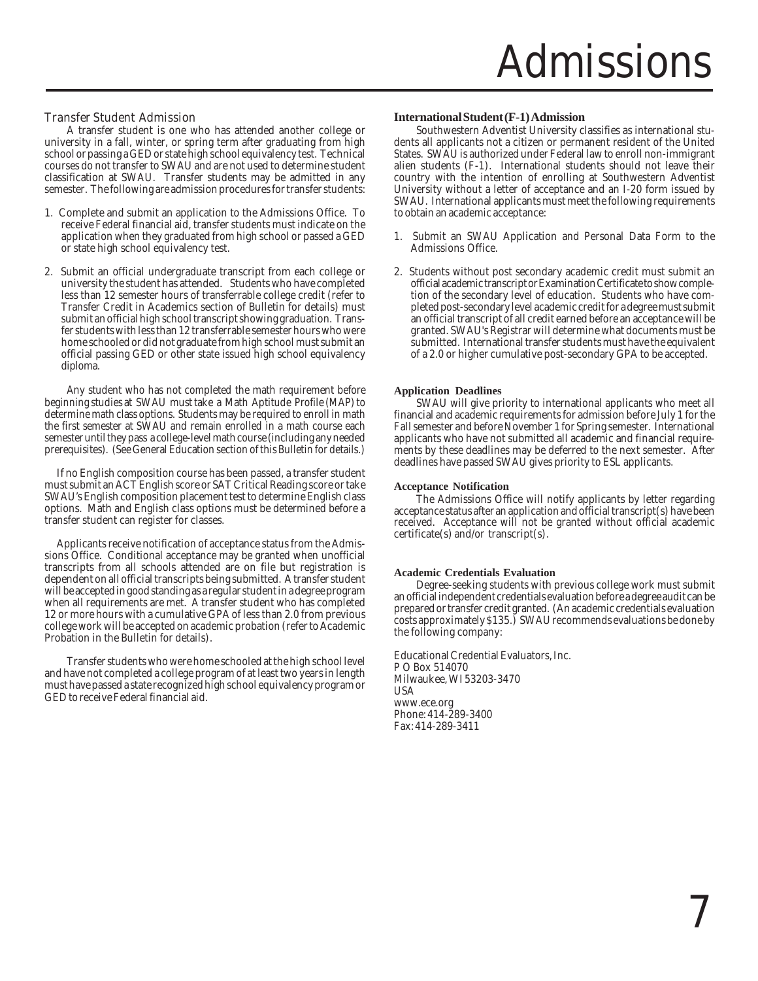#### Transfer Student Admission

A transfer student is one who has attended another college or university in a fall, winter, or spring term after graduating from high school or passing a GED or state high school equivalency test. Technical courses do not transfer to SWAU and are not used to determine student classification at SWAU. Transfer students may be admitted in any semester. The following are admission procedures for transfer students:

- 1. Complete and submit an application to the Admissions Office. To receive Federal financial aid, transfer students must indicate on the application when they graduated from high school or passed a GED or state high school equivalency test.
- 2. Submit an official undergraduate transcript from each college or university the student has attended. Students who have completed less than 12 semester hours of transferrable college credit (refer to Transfer Credit in Academics section of Bulletin for details) must submit an official high school transcript showing graduation. Transfer students with less than 12 transferrable semester hours who were home schooled or did not graduate from high school must submit an official passing GED or other state issued high school equivalency diploma.

Any student who has not completed the math requirement before beginning studies at SWAU must take a Math Aptitude Profile (MAP) to determine math class options. Students may be required to enroll in math the first semester at SWAU and remain enrolled in a math course each semester until they pass a college-level math course (including any needed prerequisites). (See General Education section of this Bulletin for details.)

If no English composition course has been passed, a transfer student must submit an ACT English score or SAT Critical Reading score or take SWAU's English composition placement test to determine English class options. Math and English class options must be determined before a transfer student can register for classes.

 Applicants receive notification of acceptance status from the Admissions Office. Conditional acceptance may be granted when unofficial transcripts from all schools attended are on file but registration is dependent on all official transcripts being submitted. A transfer student will be accepted in good standing as a regular student in a degree program when all requirements are met. A transfer student who has completed 12 or more hours with a cumulative GPA of less than 2.0 from previous college work will be accepted on academic probation (refer to Academic Probation in the Bulletin for details).

Transfer students who were home schooled at the high school level and have not completed a college program of at least two years in length must have passed a state recognized high school equivalency program or GED to receive Federal financial aid.

#### **International Student (F-1) Admission**

Southwestern Adventist University classifies as international students all applicants not a citizen or permanent resident of the United States. SWAU is authorized under Federal law to enroll non-immigrant alien students (F-1). International students should not leave their country with the intention of enrolling at Southwestern Adventist University without a letter of acceptance and an I-20 form issued by SWAU. International applicants must meet the following requirements to obtain an academic acceptance:

- 1. Submit an SWAU Application and Personal Data Form to the Admissions Office.
- 2. Students without post secondary academic credit must submit an official academic transcript or Examination Certificate to show completion of the secondary level of education. Students who have completed post-secondary level academic credit for a degree must submit an official transcript of all credit earned before an acceptance will be granted. SWAU's Registrar will determine what documents must be submitted. International transfer students must have the equivalent of a 2.0 or higher cumulative post-secondary GPA to be accepted.

#### **Application Deadlines**

SWAU will give priority to international applicants who meet all financial and academic requirements for admission before July 1 for the Fall semester and before November 1 for Spring semester. International applicants who have not submitted all academic and financial requirements by these deadlines may be deferred to the next semester. After deadlines have passed SWAU gives priority to ESL applicants.

#### **Acceptance Notification**

The Admissions Office will notify applicants by letter regarding acceptance status after an application and official transcript(s) have been received. Acceptance will not be granted without official academic certificate(s) and/or transcript(s).

#### **Academic Credentials Evaluation**

Degree-seeking students with previous college work must submit an official independent credentials evaluation before a degree audit can be prepared or transfer credit granted. (An academic credentials evaluation costs approximately \$135.) SWAU recommends evaluations be done by the following company:

Educational Credential Evaluators, Inc. P O Box 514070 Milwaukee, WI 53203-3470 USA www.ece.org Phone: 414-289-3400 Fax: 414-289-3411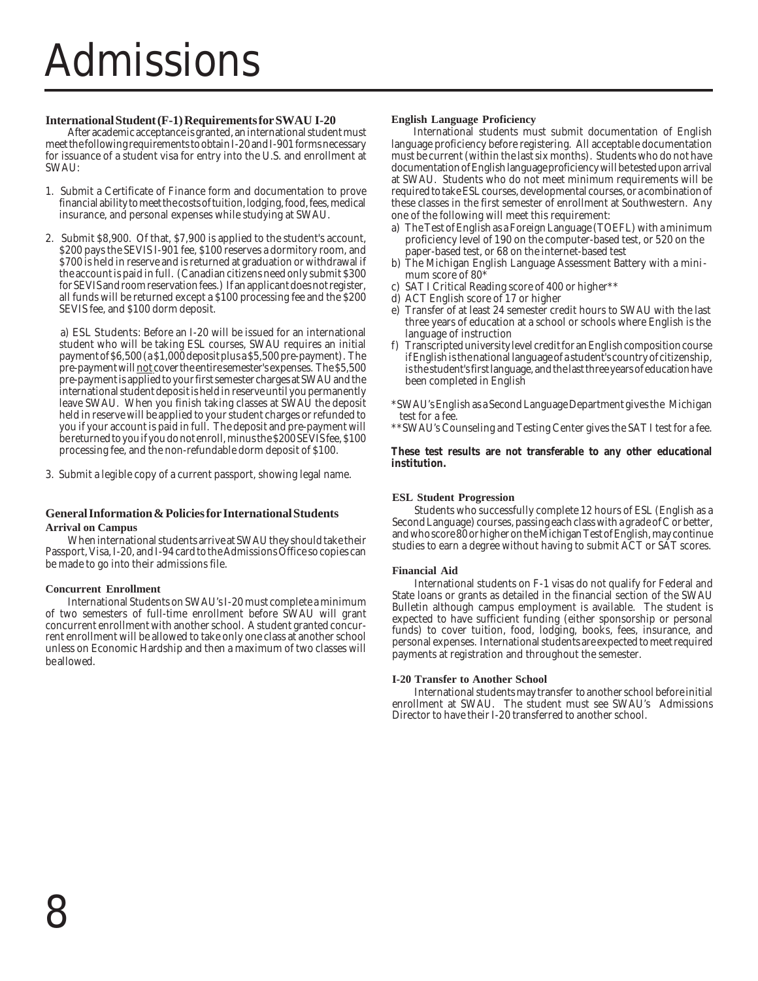## Admissions

#### **International Student (F-1) Requirements for SWAU I-20**

After academic acceptance is granted, an international student must meet the following requirements to obtain I-20 and I-901 forms necessary for issuance of a student visa for entry into the U.S. and enrollment at SWAU:

- 1. Submit a Certificate of Finance form and documentation to prove financial ability to meet the costs of tuition, lodging, food, fees, medical insurance, and personal expenses while studying at SWAU.
- 2. Submit \$8,900. Of that, \$7,900 is applied to the student's account, \$200 pays the SEVIS I-901 fee, \$100 reserves a dormitory room, and \$700 is held in reserve and is returned at graduation or withdrawal if the account is paid in full. (Canadian citizens need only submit \$300 for SEVIS and room reservation fees.) If an applicant does not register, all funds will be returned except a \$100 processing fee and the \$200 SEVIS fee, and \$100 dorm deposit.

a) ESL Students: Before an I-20 will be issued for an international student who will be taking ESL courses, SWAU requires an initial payment of \$6,500 (a \$1,000 deposit plus a \$5,500 pre-payment). The pre-payment will **not** cover the entire semester's expenses. The \$5,500 pre-payment is applied to your first semester charges at SWAU and the international student deposit is held in reserve until you permanently leave SWAU. When you finish taking classes at SWAU the deposit held in reserve will be applied to your student charges or refunded to you if your account is paid in full. The deposit and pre-payment will be returned to you if you do not enroll, minus the \$200 SEVIS fee, \$100 processing fee, and the non-refundable dorm deposit of \$100.

3. Submit a legible copy of a current passport, showing legal name.

#### **General Information & Policies for International Students Arrival on Campus**

When international students arrive at SWAU they should take their Passport, Visa, I-20, and I-94 card to the Admissions Office so copies can be made to go into their admissions file.

#### **Concurrent Enrollment**

International Students on SWAU's I-20 must complete a minimum of two semesters of full-time enrollment before SWAU will grant concurrent enrollment with another school. A student granted concurrent enrollment will be allowed to take only one class at another school unless on Economic Hardship and then a maximum of two classes will be allowed.

#### **English Language Proficiency**

International students must submit documentation of English language proficiency before registering. All acceptable documentation must be current (within the last six months). Students who do not have documentation of English language proficiency will be tested upon arrival at SWAU. Students who do not meet minimum requirements will be required to take ESL courses, developmental courses, or a combination of these classes in the first semester of enrollment at Southwestern. Any one of the following will meet this requirement:

- a) The Test of English as a Foreign Language (TOEFL) with a minimum proficiency level of 190 on the computer-based test, or 520 on the paper-based test, or 68 on the internet-based test
- b) The Michigan English Language Assessment Battery with a minimum score of 80<sup>\*</sup>
- SAT I Critical Reading score of 400 or higher\*\*
- d) ACT English score of 17 or higher
- e) Transfer of at least 24 semester credit hours to SWAU with the last three years of education at a school or schools where English is the language of instruction
- f) Transcripted university level credit for an English composition course if English is the national language of a student's country of citizenship, is the student's first language, and the last three years of education have been completed in English

\*SWAU's English as a Second Language Department gives the Michigan test for a fee.

\*\*SWAU's Counseling and Testing Center gives the SAT I test for a fee.

**These test results are not transferable to any other educational institution.**

#### **ESL Student Progression**

Students who successfully complete 12 hours of ESL (English as a Second Language) courses, passing each class with a grade of C or better, and who score 80 or higher on the Michigan Test of English, may continue studies to earn a degree without having to submit ACT or SAT scores.

#### **Financial Aid**

International students on F-1 visas do not qualify for Federal and State loans or grants as detailed in the financial section of the SWAU Bulletin although campus employment is available. The student is expected to have sufficient funding (either sponsorship or personal funds) to cover tuition, food, lodging, books, fees, insurance, and personal expenses. International students are expected to meet required payments at registration and throughout the semester.

#### **I-20 Transfer to Another School**

International students may transfer to another school before initial enrollment at SWAU. The student must see SWAU's Admissions Director to have their I-20 transferred to another school.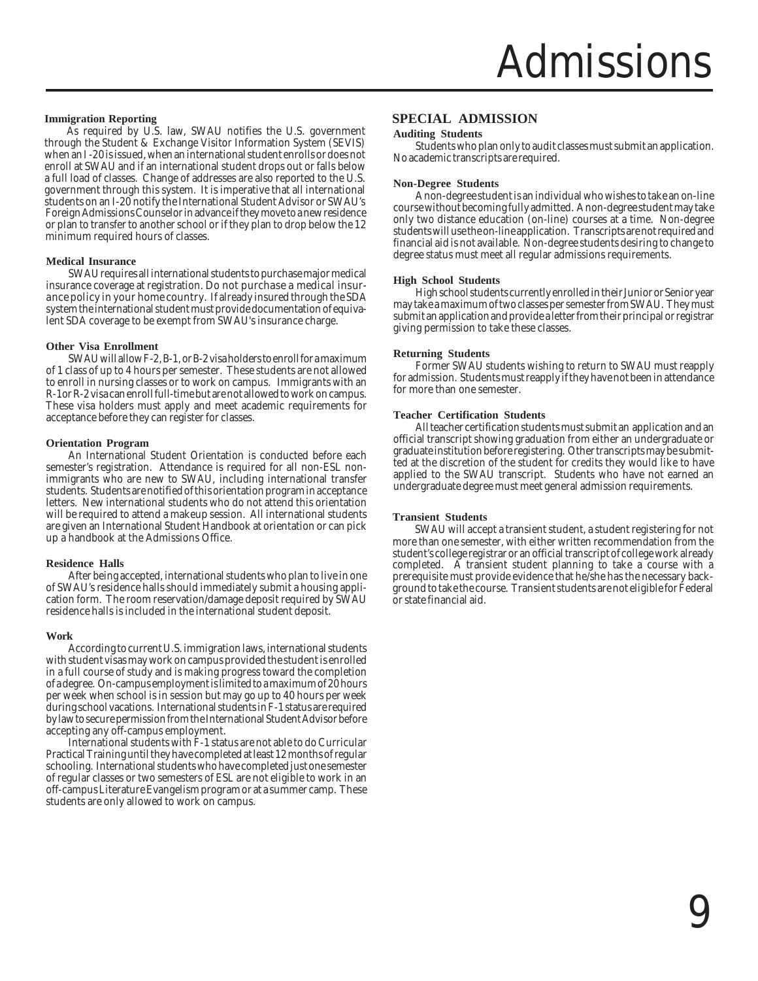#### **Immigration Reporting**

As required by U.S. law, SWAU notifies the U.S. government through the Student & Exchange Visitor Information System (SEVIS) when an I -20 is issued, when an international student enrolls or does not enroll at SWAU and if an international student drops out or falls below a full load of classes. Change of addresses are also reported to the U.S. government through this system. It is imperative that all international students on an I-20 notify the International Student Advisor or SWAU's Foreign Admissions Counselor in advance if they move to a new residence or plan to transfer to another school or if they plan to drop below the 12 minimum required hours of classes.

#### **Medical Insurance**

SWAU requires all international students to purchase major medical insurance coverage at registration. Do not purchase a medical insurance policy in your home country. If already insured through the SDA system the international student must provide documentation of equivalent SDA coverage to be exempt from SWAU's insurance charge.

#### **Other Visa Enrollment**

SWAU will allow F-2, B-1, or B-2 visa holders to enroll for a maximum of 1 class of up to 4 hours per semester. These students are not allowed to enroll in nursing classes or to work on campus. Immigrants with an R-1or R-2 visa can enroll full-time but are not allowed to work on campus. These visa holders must apply and meet academic requirements for acceptance before they can register for classes.

#### **Orientation Program**

An International Student Orientation is conducted before each semester's registration. Attendance is required for all non-ESL nonimmigrants who are new to SWAU, including international transfer students. Students are notified of this orientation program in acceptance letters. New international students who do not attend this orientation will be required to attend a makeup session. All international students are given an International Student Handbook at orientation or can pick up a handbook at the Admissions Office.

#### **Residence Halls**

After being accepted, international students who plan to live in one of SWAU's residence halls should immediately submit a housing application form. The room reservation/damage deposit required by SWAU residence halls is included in the international student deposit.

#### **Work**

According to current U.S. immigration laws, international students with student visas may work on campus provided the student is enrolled in a full course of study and is making progress toward the completion of a degree. On-campus employment is limited to a maximum of 20 hours per week when school is in session but may go up to 40 hours per week during school vacations. International students in F-1 status are required by law to secure permission from the International Student Advisor before accepting any off-campus employment.

International students with F-1 status are not able to do Curricular Practical Training until they have completed at least 12 months of regular schooling. International students who have completed just one semester of regular classes or two semesters of ESL are not eligible to work in an off-campus Literature Evangelism program or at a summer camp. These students are only allowed to work on campus.

#### **SPECIAL ADMISSION**

#### **Auditing Students**

Students who plan only to audit classes must submit an application. No academic transcripts are required.

#### **Non-Degree Students**

A non-degree student is an individual who wishes to take an on-line course without becoming fully admitted. A non-degree student may take only two distance education (on-line) courses at a time. Non-degree students will use the on-line application. Transcripts are not required and financial aid is not available. Non-degree students desiring to change to degree status must meet all regular admissions requirements.

#### **High School Students**

High school students currently enrolled in their Junior or Senior year may take a maximum of two classes per semester from SWAU. They must submit an application and provide a letter from their principal or registrar giving permission to take these classes.

#### **Returning Students**

Former SWAU students wishing to return to SWAU must reapply for admission. Students must reapply if they have not been in attendance for more than one semester.

#### **Teacher Certification Students**

All teacher certification students must submit an application and an official transcript showing graduation from either an undergraduate or graduate institution before registering. Other transcripts may be submitted at the discretion of the student for credits they would like to have applied to the SWAU transcript. Students who have not earned an undergraduate degree must meet general admission requirements.

#### **Transient Students**

SWAU will accept a transient student, a student registering for not more than one semester, with either written recommendation from the student's college registrar or an official transcript of college work already completed. A transient student planning to take a course with a prerequisite must provide evidence that he/she has the necessary background to take the course. Transient students are not eligible for Federal or state financial aid.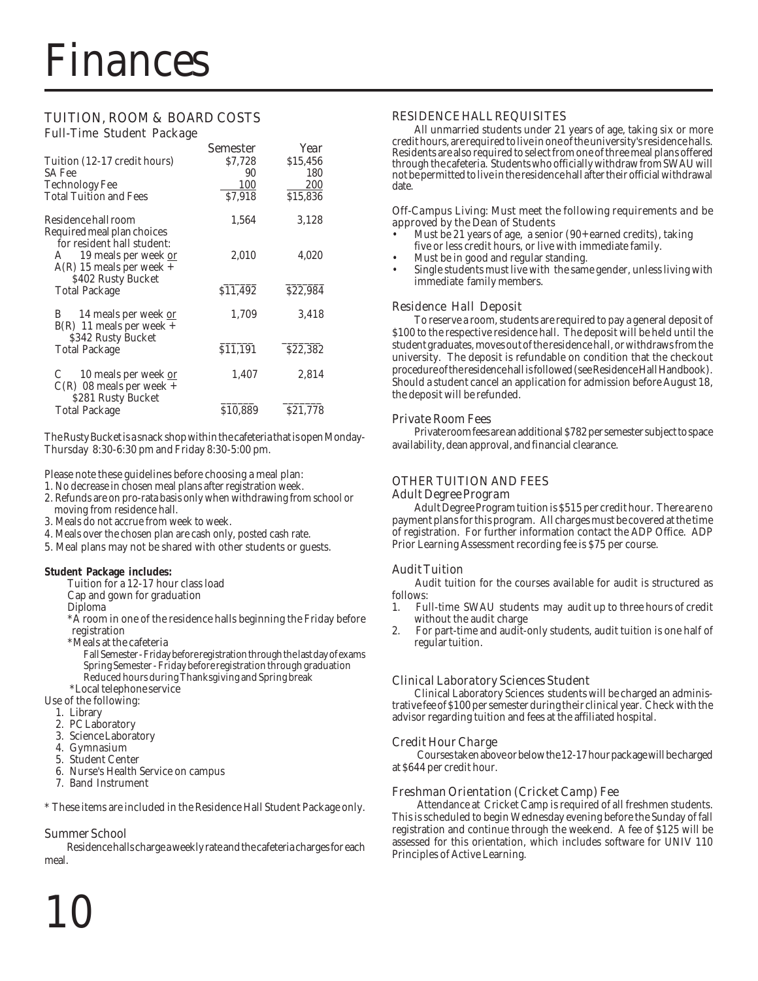#### TUITION, ROOM & BOARD COSTS Full-Time Student Package

|                                                                                       | <b>Semester</b> | Year     |
|---------------------------------------------------------------------------------------|-----------------|----------|
| Tuition (12-17 credit hours)                                                          | \$7,728         | \$15,456 |
| SA Fee                                                                                | 90              | 180      |
| Technology Fee                                                                        | 100             | 200      |
| <b>Total Tuition and Fees</b>                                                         | \$7,918         | \$15,836 |
| Residence hall room<br>Required meal plan choices                                     | 1,564           | 3,128    |
| for resident hall student:<br>19 meals per week or<br>A<br>$A(R)$ 15 meals per week + | 2,010           | 4,020    |
| \$402 Rusty Bucket<br><b>Total Package</b>                                            | \$11,492        | \$22.984 |
| 14 meals per week or<br>B<br>$B(R)$ 11 meals per week +<br>\$342 Rusty Bucket         | 1,709           | 3,418    |
| <b>Total Package</b>                                                                  | \$11,191        | \$22,382 |
| 10 meals per week or<br>$C(R)$ 08 meals per week +<br>\$281 Rusty Bucket              | 1,407           | 2,814    |
| <b>Total Package</b>                                                                  | \$10,889        | \$21,778 |

The Rusty Bucket is a snack shop within the cafeteria that is open Monday-Thursday 8:30-6:30 pm and Friday 8:30-5:00 pm.

Please note these guidelines before choosing a meal plan:

- 1. No decrease in chosen meal plans after registration week.
- 2. Refunds are on pro-rata basis only when withdrawing from school or moving from residence hall.
- 3. Meals do not accrue from week to week.
- 4. Meals over the chosen plan are cash only, posted cash rate.
- 5. Meal plans may not be shared with other students or guests.

#### **Student Package includes:**

- Tuition for a 12-17 hour class load
- Cap and gown for graduation
- Diploma

\*A room in one of the residence halls beginning the Friday before registration

\*Meals at the cafeteria

Fall Semester - Friday before registration through the last day of exams Spring Semester - Friday before registration through graduation Reduced hours during Thanksgiving and Spring break

\*Local telephone service

Use of the following:

- 1. Library
- 2. PC Laboratory
- 3. Science Laboratory
- 4. Gymnasium
- 5. Student Center
- 6. Nurse's Health Service on campus
- 7. Band Instrument

\* These items are included in the Residence Hall Student Package only.

#### Summer School

Residence halls charge a weekly rate and the cafeteria charges for each meal.

#### RESIDENCE HALL REQUISITES

All unmarried students under 21 years of age, taking six or more credit hours, are required to live in one of the university's residence halls. Residents are also required to select from one of three meal plans offered through the cafeteria. Students who officially withdraw from SWAU will not be permitted to live in the residence hall after their official withdrawal date.

#### Off-Campus Living: Must meet the following requirements and be approved by the Dean of Students

- Must be 21 years of age, a senior (90+ earned credits), taking five or less credit hours, or live with immediate family.
- Must be in good and regular standing.
- Single students must live with the same gender, unless living with immediate family members.

#### Residence Hall Deposit

To reserve a room, students are required to pay a general deposit of \$100 to the respective residence hall. The deposit will be held until the student graduates, moves out of the residence hall, or withdraws from the university. The deposit is refundable on condition that the checkout procedure of the residence hall is followed (see Residence Hall Handbook). Should a student cancel an application for admission before August 18, the deposit will be refunded.

#### Private Room Fees

Private room fees are an additional \$782 per semester subject to space availability, dean approval, and financial clearance.

#### OTHER TUITION AND FEES Adult Degree Program

Adult Degree Program tuition is \$515 per credit hour. There are no payment plans for this program. All charges must be covered at the time of registration. For further information contact the ADP Office. ADP Prior Learning Assessment recording fee is \$75 per course.

#### Audit Tuition

Audit tuition for the courses available for audit is structured as follows:

- 1. Full-time SWAU students may audit up to three hours of credit without the audit charge
- 2. For part-time and audit-only students, audit tuition is one half of regular tuition.

#### Clinical Laboratory Sciences Student

Clinical Laboratory Sciences students will be charged an administrative fee of \$100 per semester during their clinical year. Check with the advisor regarding tuition and fees at the affiliated hospital.

#### Credit Hour Charge

Courses taken above or below the 12-17 hour package will be charged at \$644 per credit hour.

#### Freshman Orientation (Cricket Camp) Fee

Attendance at Cricket Camp is required of all freshmen students. This is scheduled to begin Wednesday evening before the Sunday of fall registration and continue through the weekend. A fee of \$125 will be assessed for this orientation, which includes software for UNIV 110 Principles of Active Learning.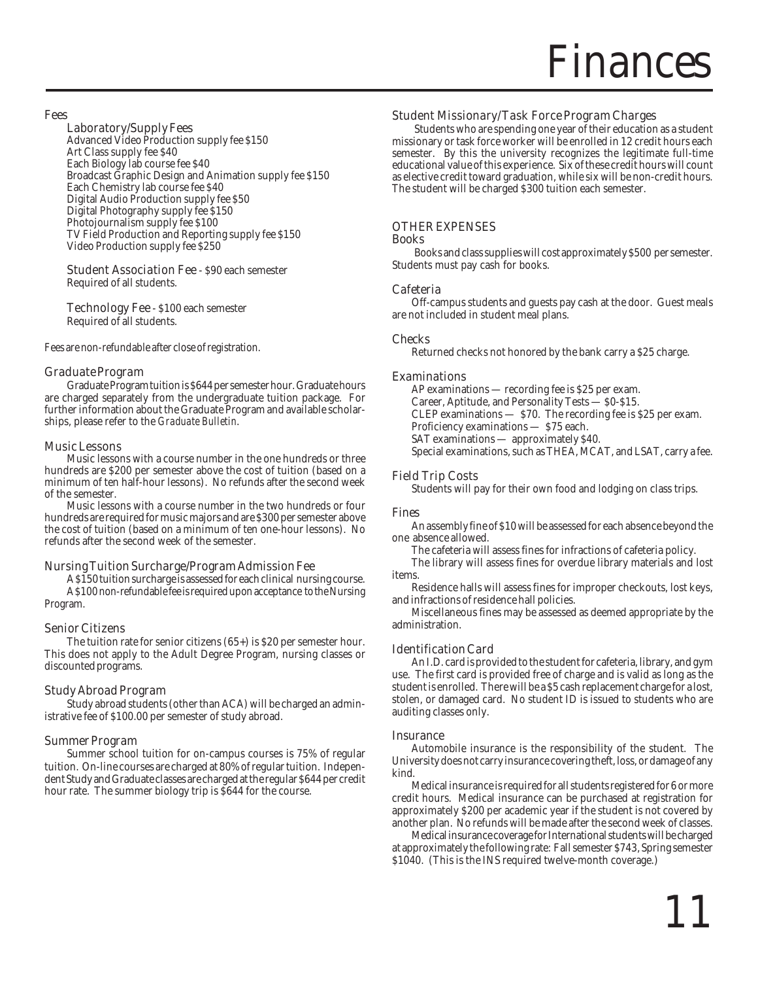### inances

#### Fees

#### Laboratory/Supply Fees

Advanced Video Production supply fee \$150 Art Class supply fee \$40 Each Biology lab course fee \$40 Broadcast Graphic Design and Animation supply fee \$150 Each Chemistry lab course fee \$40 Digital Audio Production supply fee \$50 Digital Photography supply fee \$150 Photojournalism supply fee \$100 TV Field Production and Reporting supply fee \$150 Video Production supply fee \$250

**Student Association Fee - \$90 each semester** Required of all students.

Technology Fee - \$100 each semester Required of all students.

Fees are non-refundable after close of registration.

#### Graduate Program

Graduate Program tuition is \$644 per semester hour. Graduate hours are charged separately from the undergraduate tuition package. For further information about the Graduate Program and available scholarships, please refer to the *Graduate Bulletin*.

#### Music Lessons

Music lessons with a course number in the one hundreds or three hundreds are \$200 per semester above the cost of tuition (based on a minimum of ten half-hour lessons). No refunds after the second week of the semester.

Music lessons with a course number in the two hundreds or four hundreds are required for music majors and are \$300 per semester above the cost of tuition (based on a minimum of ten one-hour lessons). No refunds after the second week of the semester.

#### Nursing Tuition Surcharge/Program Admission Fee

A \$150 tuition surcharge is assessed for each clinical nursing course. A \$100 non-refundable fee is required upon acceptance to the Nursing Program.

#### Senior Citizens

The tuition rate for senior citizens (65+) is \$20 per semester hour. This does not apply to the Adult Degree Program, nursing classes or discounted programs.

#### Study Abroad Program

Study abroad students (other than ACA) will be charged an administrative fee of \$100.00 per semester of study abroad.

#### Summer Program

Summer school tuition for on-campus courses is 75% of regular tuition. On-line courses are charged at 80% of regular tuition. Independent Study and Graduate classes are charged at the regular \$644 per credit hour rate. The summer biology trip is \$644 for the course.

#### Student Missionary/Task Force Program Charges

Students who are spending one year of their education as a student missionary or task force worker will be enrolled in 12 credit hours each semester. By this the university recognizes the legitimate full-time educational value of this experience. Six of these credit hours will count as elective credit toward graduation, while six will be non-credit hours. The student will be charged \$300 tuition each semester.

#### OTHER EXPENSES

#### Books

Books and class supplies will cost approximately \$500 per semester. Students must pay cash for books.

#### Cafeteria

Off-campus students and guests pay cash at the door. Guest meals are not included in student meal plans.

#### Checks

Returned checks not honored by the bank carry a \$25 charge.

#### Examinations

AP examinations — recording fee is \$25 per exam. Career, Aptitude, and Personality Tests — \$0-\$15. CLEP examinations — \$70. The recording fee is \$25 per exam. Proficiency examinations — \$75 each. SAT examinations — approximately \$40. Special examinations, such as THEA, MCAT, and LSAT, carry a fee.

#### Field Trip Costs

Students will pay for their own food and lodging on class trips.

#### Fines

An assembly fine of \$10 will be assessed for each absence beyond the one absence allowed.

The cafeteria will assess fines for infractions of cafeteria policy.

The library will assess fines for overdue library materials and lost items.

Residence halls will assess fines for improper checkouts, lost keys, and infractions of residence hall policies.

Miscellaneous fines may be assessed as deemed appropriate by the administration.

#### Identification Card

An I.D. card is provided to the student for cafeteria, library, and gym use. The first card is provided free of charge and is valid as long as the student is enrolled. There will be a \$5 cash replacement charge for a lost, stolen, or damaged card. No student ID is issued to students who are auditing classes only.

#### **Insurance**

Automobile insurance is the responsibility of the student. The University does not carry insurance covering theft, loss, or damage of any kind.

Medical insurance is required for all students registered for 6 or more credit hours. Medical insurance can be purchased at registration for approximately \$200 per academic year if the student is not covered by another plan. No refunds will be made after the second week of classes.

Medical insurance coverage for International students will be charged at approximately the following rate: Fall semester \$743, Spring semester \$1040. (This is the INS required twelve-month coverage.)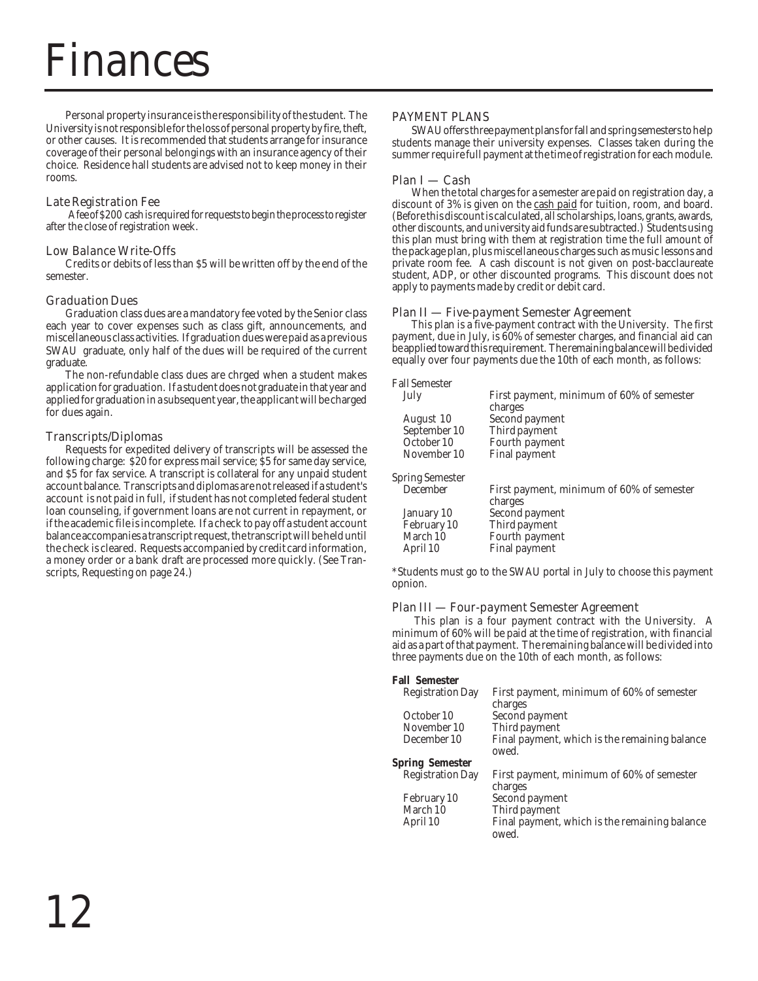### nances

Personal property insurance is the responsibility of the student. The University is not responsible for the loss of personal property by fire, theft, or other causes. It is recommended that students arrange for insurance coverage of their personal belongings with an insurance agency of their choice. Residence hall students are advised not to keep money in their rooms.

#### Late Registration Fee

A fee of \$200 cash is required for requests to begin the process to register after the close of registration week.

#### Low Balance Write-Offs

Credits or debits of less than \$5 will be written off by the end of the semester.

#### Graduation Dues

Graduation class dues are a mandatory fee voted by the Senior class each year to cover expenses such as class gift, announcements, and miscellaneous class activities. If graduation dues were paid as a previous SWAU graduate, only half of the dues will be required of the current graduate.

The non-refundable class dues are chrged when a student makes application for graduation. If a student does not graduate in that year and applied for graduation in a subsequent year, the applicant will be charged for dues again.

#### Transcripts/Diplomas

Requests for expedited delivery of transcripts will be assessed the following charge: \$20 for express mail service; \$5 for same day service, and \$5 for fax service. A transcript is collateral for any unpaid student account balance. Transcripts and diplomas are not released if a student's account is not paid in full, if student has not completed federal student loan counseling, if government loans are not current in repayment, or if the academic file is incomplete. If a check to pay off a student account balance accompanies a transcript request, the transcript will be held until the check is cleared. Requests accompanied by credit card information, a money order or a bank draft are processed more quickly. (See Transcripts, Requesting on page 24.)

#### PAYMENT PLANS

SWAU offers three payment plans for fall and spring semesters to help students manage their university expenses. Classes taken during the summer require full payment at the time of registration for each module.

#### Plan I — Cash

When the total charges for a semester are paid on registration day, a discount of 3% is given on the cash paid for tuition, room, and board. (Before this discount is calculated, all scholarships, loans, grants, awards, other discounts, and university aid funds are subtracted.) Students using this plan must bring with them at registration time the full amount of the package plan, plus miscellaneous charges such as music lessons and private room fee. A cash discount is not given on post-bacclaureate student, ADP, or other discounted programs. This discount does not apply to payments made by credit or debit card.

#### Plan II — Five-payment Semester Agreement

This plan is a five-payment contract with the University. The first payment, due in July, is 60% of semester charges, and financial aid can be applied toward this requirement. The remaining balance will be divided equally over four payments due the 10th of each month, as follows:

| <b>Fall Semester</b>   |                                                      |
|------------------------|------------------------------------------------------|
| July                   | First payment, minimum of 60% of semester<br>charges |
| August 10              | Second payment                                       |
| September 10           | Third payment                                        |
| October 10             | Fourth payment                                       |
| November 10            | <b>Final payment</b>                                 |
| <b>Spring Semester</b> |                                                      |
| December               | First payment, minimum of 60% of semester<br>charges |
| January 10             | Second payment                                       |
| February 10            | Third payment                                        |
| March 10               | Fourth payment                                       |
| April 10               | Final payment                                        |

\*Students must go to the SWAU portal in July to choose this payment opnion.

#### Plan III — Four-payment Semester Agreement

This plan is a four payment contract with the University. A minimum of 60% will be paid at the time of registration, with financial aid as a part of that payment. The remaining balance will be divided into three payments due on the 10th of each month, as follows:

| <b>Fall Semester</b>    |                                                        |
|-------------------------|--------------------------------------------------------|
| <b>Registration Day</b> | First payment, minimum of 60% of semester<br>charges   |
| October 10              | Second payment                                         |
| November 10             | Third payment                                          |
| December 10             | Final payment, which is the remaining balance<br>owed. |
| <b>Spring Semester</b>  |                                                        |
| <b>Registration Day</b> | First payment, minimum of 60% of semester<br>charges   |
| February 10             | Second payment                                         |
| March 10                | Third payment                                          |
| April 10                | Final payment, which is the remaining balance<br>owed. |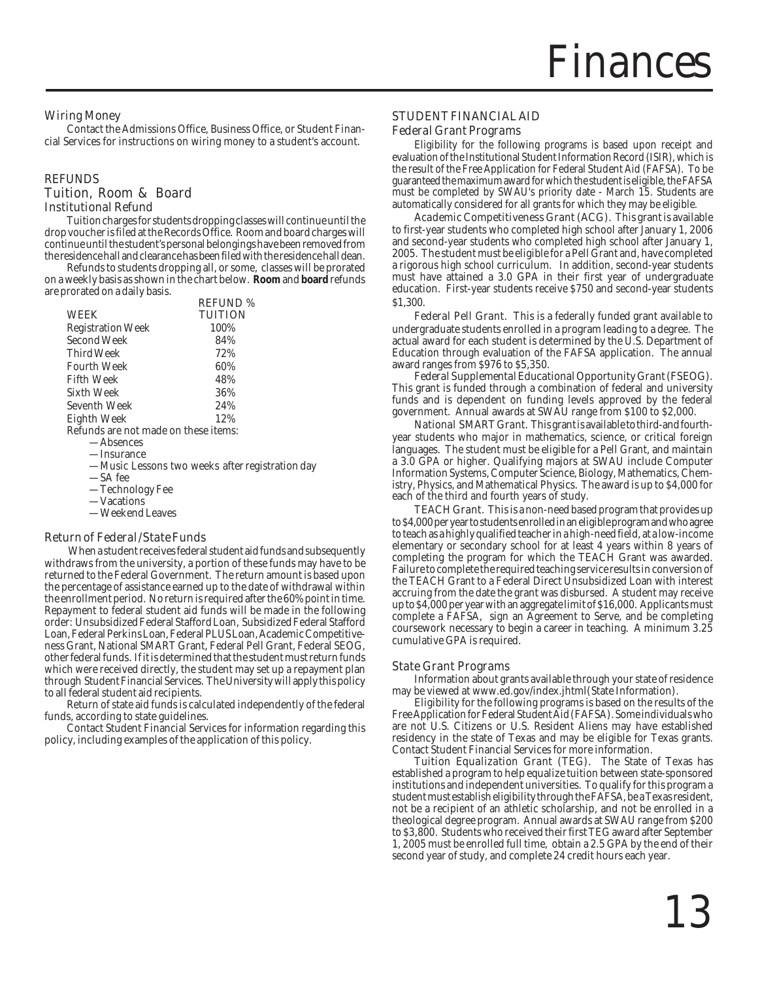#### Wiring Money

Contact the Admissions Office, Business Office, or Student Financial Services for instructions on wiring money to a student's account.

#### REFUNDS Tuition, Room & Board Institutional Refund

Tuition charges for students dropping classes will continue until the drop voucher is filed at the Records Office. Room and board charges will continue until the student's personal belongings have been removed from the residence hall and clearance has been filed with the residence hall dean.

Refunds to students dropping all, or some, classes will be prorated on a weekly basis as shown in the chart below. **Room** and **board** refunds are prorated on a daily basis.

|                                      | <b>REFUND %</b> |
|--------------------------------------|-----------------|
| <b>WEEK</b>                          | <b>TUITION</b>  |
| <b>Registration Week</b>             | 100%            |
| Second Week                          | 84%             |
| Third Week                           | 72%             |
| <b>Fourth Week</b>                   | 60%             |
| <b>Fifth Week</b>                    | 48%             |
| Sixth Week                           | 36%             |
| Seventh Week                         | 24%             |
| Eighth Week                          | 12%             |
| Refunds are not made on these items: |                 |
| A beancas                            |                 |

- —Absences —Insurance
- —Music Lessons two weeks after registration day
- —SA fee
- —Technology Fee
- —Vacations
- —Weekend Leaves

#### Return of Federal/State Funds

 When a student receives federal student aid funds and subsequently withdraws from the university, a portion of these funds may have to be returned to the Federal Government. The return amount is based upon the percentage of assistance earned up to the date of withdrawal within the enrollment period. No return is required after the 60% point in time. Repayment to federal student aid funds will be made in the following order: Unsubsidized Federal Stafford Loan, Subsidized Federal Stafford Loan, Federal Perkins Loan, Federal PLUS Loan, Academic Competitiveness Grant, National SMART Grant, Federal Pell Grant, Federal SEOG, other federal funds. If it is determined that the student must return funds which were received directly, the student may set up a repayment plan through Student Financial Services. The University will apply this policy to all federal student aid recipients.

Return of state aid funds is calculated independently of the federal funds, according to state guidelines.

Contact Student Financial Services for information regarding this policy, including examples of the application of this policy.

#### STUDENT FINANCIAL AID

#### Federal Grant Programs

Eligibility for the following programs is based upon receipt and evaluation of the Institutional Student Information Record (ISIR), which is the result of the Free Application for Federal Student Aid (FAFSA). To be guaranteed the maximum award for which the student is eligible, the FAFSA must be completed by SWAU's priority date - March 15. Students are automatically considered for all grants for which they may be eligible.

Academic Competitiveness Grant (ACG). This grant is available to first-year students who completed high school after January 1, 2006 and second-year students who completed high school after January 1, 2005. The student must be eligible for a Pell Grant and, have completed a rigorous high school curriculum. In addition, second-year students must have attained a 3.0 GPA in their first year of undergraduate education. First-year students receive \$750 and second-year students \$1,300.

Federal Pell Grant. This is a federally funded grant available to undergraduate students enrolled in a program leading to a degree. The actual award for each student is determined by the U.S. Department of Education through evaluation of the FAFSA application. The annual award ranges from \$976 to \$5,350.

Federal Supplemental Educational Opportunity Grant (FSEOG). This grant is funded through a combination of federal and university funds and is dependent on funding levels approved by the federal government. Annual awards at SWAU range from \$100 to \$2,000.

National SMART Grant. This grant is available to third-and fourthyear students who major in mathematics, science, or critical foreign languages. The student must be eligible for a Pell Grant, and maintain a 3.0 GPA or higher. Qualifying majors at SWAU include Computer Information Systems, Computer Science, Biology, Mathematics, Chemistry, Physics, and Mathematical Physics. The award is up to \$4,000 for each of the third and fourth years of study.

TEACH Grant. This is a non-need based program that provides up to \$4,000 per year to students enrolled in an eligible program and who agree to teach as a highly qualified teacher in a high-need field, at a low-income elementary or secondary school for at least 4 years within 8 years of completing the program for which the TEACH Grant was awarded. Failure to complete the required teaching service results in conversion of the TEACH Grant to a Federal Direct Unsubsidized Loan with interest accruing from the date the grant was disbursed. A student may receive up to \$4,000 per year with an aggregate limit of \$16,000. Applicants must complete a FAFSA, sign an Agreement to Serve, and be completing coursework necessary to begin a career in teaching. A minimum 3.25 cumulative GPA is required.

#### State Grant Programs

Information about grants available through your state of residence may be viewed at www.ed.gov/index.jhtml(State Information).

Eligibility for the following programs is based on the results of the Free Application for Federal Student Aid (FAFSA). Some individuals who are not U.S. Citizens or U.S. Resident Aliens may have established residency in the state of Texas and may be eligible for Texas grants. Contact Student Financial Services for more information.

Tuition Equalization Grant (TEG). The State of Texas has established a program to help equalize tuition between state-sponsored institutions and independent universities. To qualify for this program a student must establish eligibility through the FAFSA, be a Texas resident, not be a recipient of an athletic scholarship, and not be enrolled in a theological degree program. Annual awards at SWAU range from \$200 to \$3,800. Students who received their first TEG award after September 1, 2005 must be enrolled full time, obtain a 2.5 GPA by the end of their second year of study, and complete 24 credit hours each year.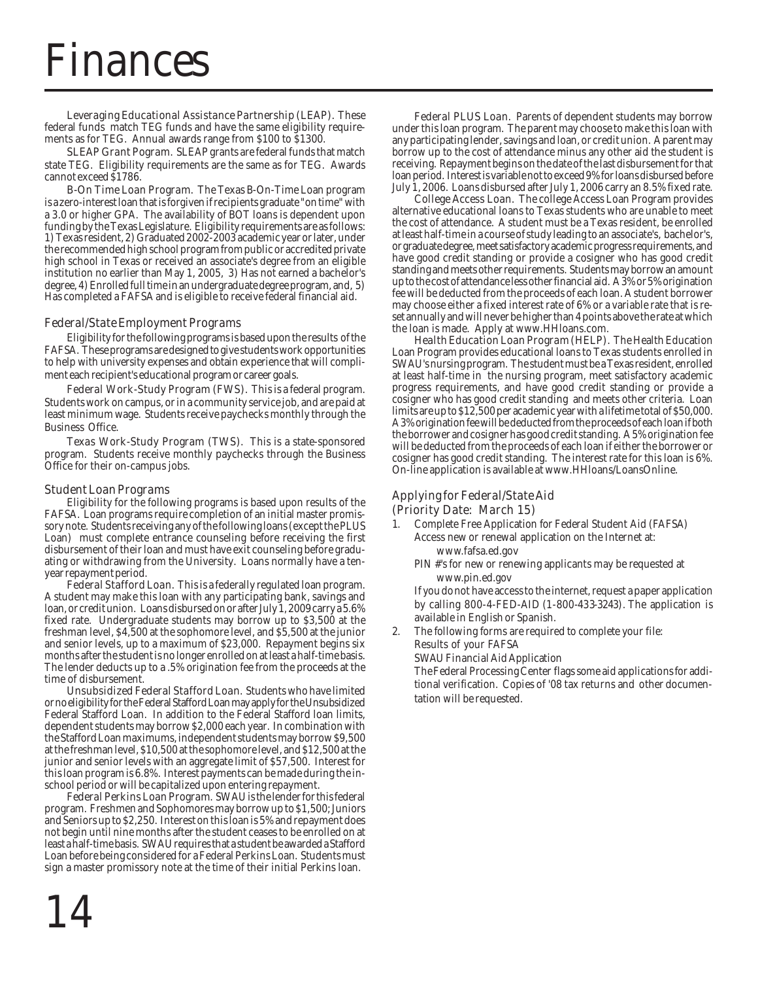### Finances

Leveraging Educational Assistance Partnership (LEAP). These federal funds match TEG funds and have the same eligibility requirements as for TEG. Annual awards range from \$100 to \$1300.

**SLEAP Grant Pogram.** SLEAP grants are federal funds that match state TEG. Eligibility requirements are the same as for TEG. Awards cannot exceed \$1786.

**B-On Time Loan Program.** The Texas B-On-Time Loan program is a zero-interest loan that is forgiven if recipients graduate "on time" with a 3.0 or higher GPA. The availability of BOT loans is dependent upon funding by the Texas Legislature. Eligibility requirements are as follows: 1) Texas resident, 2) Graduated 2002-2003 academic year or later, under the recommended high school program from public or accredited private high school in Texas or received an associate's degree from an eligible institution no earlier than May 1, 2005, 3) Has not earned a bachelor's degree, 4) Enrolled full time in an undergraduate degree program, and, 5) Has completed a FAFSA and is eligible to receive federal financial aid.

#### Federal/State Employment Programs

Eligibility for the following programs is based upon the results of the FAFSA. These programs are designed to give students work opportunities to help with university expenses and obtain experience that will compliment each recipient's educational program or career goals.

Federal Work-Study Program (FWS). This is a federal program. Students work on campus, or in a community service job, and are paid at least minimum wage. Students receive paychecks monthly through the Business Office.

Texas Work-Study Program (TWS). This is a state-sponsored program. Students receive monthly paychecks through the Business Office for their on-campus jobs.

#### Student Loan Programs

Eligibility for the following programs is based upon results of the FAFSA. Loan programs require completion of an initial master promissory note. Students receiving any of the following loans (except the PLUS Loan) must complete entrance counseling before receiving the first disbursement of their loan and must have exit counseling before graduating or withdrawing from the University. Loans normally have a tenyear repayment period.

Federal Stafford Loan. This is a federally regulated loan program. A student may make this loan with any participating bank, savings and loan, or credit union. Loans disbursed on or after July 1, 2009 carry a 5.6% fixed rate. Undergraduate students may borrow up to \$3,500 at the freshman level, \$4,500 at the sophomore level, and \$5,500 at the junior and senior levels, up to a maximum of \$23,000. Repayment begins six months after the student is no longer enrolled on at least a half-time basis. The lender deducts up to a .5% origination fee from the proceeds at the time of disbursement.

Unsubsidized Federal Stafford Loan. Students who have limited or no eligibility for the Federal Stafford Loan may apply for the Unsubsidized Federal Stafford Loan. In addition to the Federal Stafford loan limits, dependent students may borrow \$2,000 each year. In combination with the Stafford Loan maximums, independent students may borrow \$9,500 at the freshman level, \$10,500 at the sophomore level, and \$12,500 at the junior and senior levels with an aggregate limit of \$57,500. Interest for this loan program is 6.8%. Interest payments can be made during the inschool period or will be capitalized upon entering repayment.

Federal Perkins Loan Program. SWAU is the lender for this federal program. Freshmen and Sophomores may borrow up to \$1,500; Juniors and Seniors up to \$2,250. Interest on this loan is 5% and repayment does not begin until nine months after the student ceases to be enrolled on at least a half-time basis. SWAU requires that a student be awarded a Stafford Loan before being considered for a Federal Perkins Loan. Students must sign a master promissory note at the time of their initial Perkins loan.

Federal PLUS Loan. Parents of dependent students may borrow under this loan program. The parent may choose to make this loan with any participating lender, savings and loan, or credit union. A parent may borrow up to the cost of attendance minus any other aid the student is receiving. Repayment begins on the date of the last disbursement for that loan period. Interest is variable not to exceed 9% for loans disbursed before July 1, 2006. Loans disbursed after July 1, 2006 carry an 8.5% fixed rate.

College Access Loan. The college Access Loan Program provides alternative educational loans to Texas students who are unable to meet the cost of attendance. A student must be a Texas resident, be enrolled at least half-time in a course of study leading to an associate's, bachelor's, or graduate degree, meet satisfactory academic progress requirements, and have good credit standing or provide a cosigner who has good credit standing and meets other requirements. Students may borrow an amount up to the cost of attendance less other financial aid. A 3% or 5% origination fee will be deducted from the proceeds of each loan. A student borrower may choose either a fixed interest rate of 6% or a variable rate that is reset annually and will never be higher than 4 points above the rate at which the loan is made. Apply at www.HHloans.com.

Health Education Loan Program (HELP). The Health Education Loan Program provides educational loans to Texas students enrolled in SWAU's nursing program. The student must be a Texas resident, enrolled at least half-time in the nursing program, meet satisfactory academic progress requirements, and have good credit standing or provide a cosigner who has good credit standing and meets other criteria. Loan limits are up to \$12,500 per academic year with a lifetime total of \$50,000. A 3% origination fee will be deducted from the proceeds of each loan if both the borrower and cosigner has good credit standing. A 5% origination fee will be deducted from the proceeds of each loan if either the borrower or cosigner has good credit standing. The interest rate for this loan is 6%. On-line application is available at www.HHloans/LoansOnline.

#### Applying for Federal/State Aid (Priority Date: March 15)

- 1. Complete Free Application for Federal Student Aid (FAFSA) Access new or renewal application on the Internet at:
	- www.fafsa.ed.gov
	- PIN #'s for new or renewing applicants may be requested at www.pin.ed.gov

If you do not have access to the internet, request a paper application by calling 800-4-FED-AID (1-800-433-3243). The application is available in English or Spanish.

The following forms are required to complete your file: Results of your FAFSA

SWAU Financial Aid Application

The Federal Processing Center flags some aid applications for additional verification. Copies of '08 tax returns and other documentation will be requested.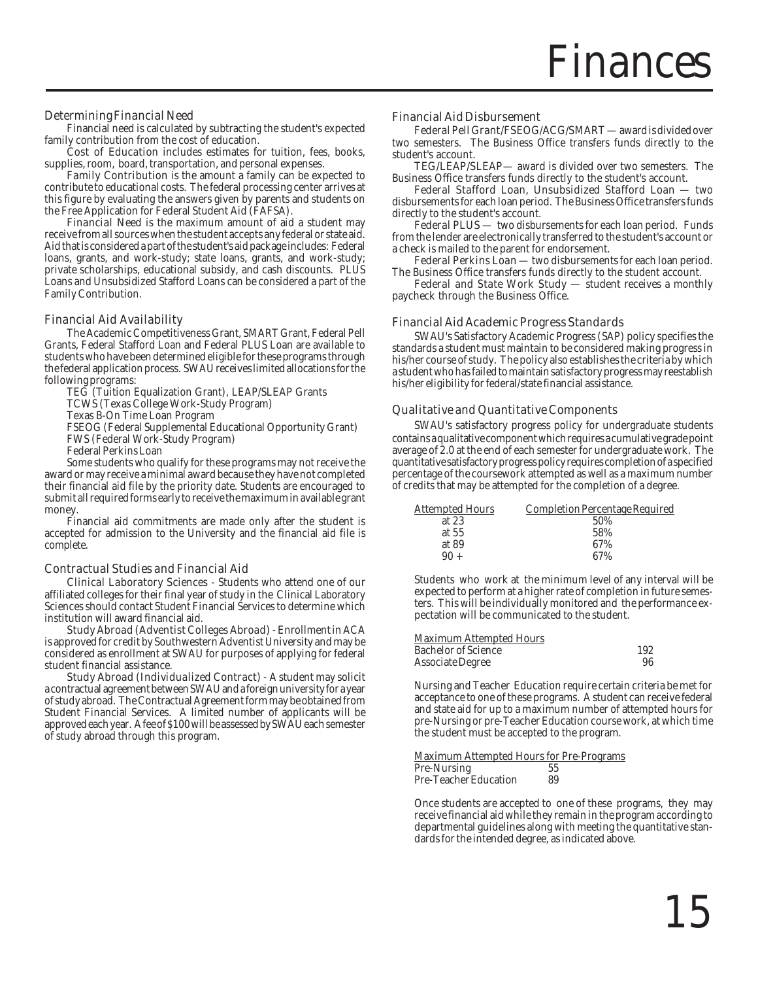#### Determining Financial Need

Financial need is calculated by subtracting the student's expected family contribution from the cost of education.

**Cost of Education** includes estimates for tuition, fees, books, supplies, room, board, transportation, and personal expenses.

Family Contribution is the amount a family can be expected to contribute to educational costs. The federal processing center arrives at this figure by evaluating the answers given by parents and students on the Free Application for Federal Student Aid (FAFSA).

Financial Need is the maximum amount of aid a student may receive from all sources when the student accepts any federal or state aid. Aid that is considered a part of the student's aid package includes: Federal loans, grants, and work-study; state loans, grants, and work-study; private scholarships, educational subsidy, and cash discounts. PLUS Loans and Unsubsidized Stafford Loans can be considered a part of the Family Contribution.

#### Financial Aid Availability

The Academic Competitiveness Grant, SMART Grant, Federal Pell Grants, Federal Stafford Loan and Federal PLUS Loan are available to students who have been determined eligible for these programs through the federal application process. SWAU receives limited allocations for the following programs:

TEG (Tuition Equalization Grant), LEAP/SLEAP Grants

TCWS (Texas College Work-Study Program)

Texas B-On Time Loan Program

FSEOG (Federal Supplemental Educational Opportunity Grant)

FWS (Federal Work-Study Program)

Federal Perkins Loan

Some students who qualify for these programs may not receive the award or may receive a minimal award because they have not completed their financial aid file by the priority date. Students are encouraged to submit all required forms early to receive the maximum in available grant money.

Financial aid commitments are made only after the student is accepted for admission to the University and the financial aid file is complete.

#### Contractual Studies and Financial Aid

Clinical Laboratory Sciences - Students who attend one of our affiliated colleges for their final year of study in the Clinical Laboratory Sciences should contact Student Financial Services to determine which institution will award financial aid.

Study Abroad (Adventist Colleges Abroad) - Enrollment in ACA is approved for credit by Southwestern Adventist University and may be considered as enrollment at SWAU for purposes of applying for federal student financial assistance.

Study Abroad (Individualized Contract) - A student may solicit a contractual agreement between SWAU and a foreign university for a year of study abroad. The Contractual Agreement form may be obtained from Student Financial Services. A limited number of applicants will be approved each year. A fee of \$100 will be assessed by SWAU each semester of study abroad through this program.

#### Financial Aid Disbursement

Federal Pell Grant/FSEOG/ACG/SMART — award is divided over two semesters. The Business Office transfers funds directly to the student's account.

TEG/LEAP/SLEAP— award is divided over two semesters. The Business Office transfers funds directly to the student's account.

Federal Stafford Loan, Unsubsidized Stafford Loan — two disbursements for each loan period. The Business Office transfers funds directly to the student's account.

Federal PLUS — two disbursements for each loan period. Funds from the lender are electronically transferred to the student's account or a check is mailed to the parent for endorsement.

Federal Perkins Loan — two disbursements for each loan period. The Business Office transfers funds directly to the student account.

Federal and State Work Study — student receives a monthly paycheck through the Business Office.

#### Financial Aid Academic Progress Standards

SWAU's Satisfactory Academic Progress (SAP) policy specifies the standards a student must maintain to be considered making progress in his/her course of study. The policy also establishes the criteria by which a student who has failed to maintain satisfactory progress may reestablish his/her eligibility for federal/state financial assistance.

#### Qualitative and Quantitative Components

SWAU's satisfactory progress policy for undergraduate students contains a qualitative component which requires a cumulative grade point average of 2.0 at the end of each semester for undergraduate work. The quantitative satisfactory progress policy requires completion of a specified percentage of the coursework attempted as well as a maximum number of credits that may be attempted for the completion of a degree.

| <b>Attempted Hours</b> | Completion Percentage Required |
|------------------------|--------------------------------|
| at $23$                | 50%                            |
| at $55$                | 58%                            |
| at 89                  | 67%                            |
| $90 +$                 | 67%                            |

Students who work at the minimum level of any interval will be expected to perform at a higher rate of completion in future semesters. This will be individually monitored and the performance expectation will be communicated to the student.

| Maximum Attempted Hours    |     |
|----------------------------|-----|
| <b>Bachelor of Science</b> | 192 |
| Associate Degree           | 96  |

Nursing and Teacher Education require certain criteria be met for acceptance to one of these programs. A student can receive federal and state aid for up to a maximum number of attempted hours for pre-Nursing or pre-Teacher Education course work, at which time the student must be accepted to the program.

Maximum Attempted Hours for Pre-Programs Pre-Nursing 55<br>Pre-Teacher Education 89 Pre-Teacher Education

Once students are accepted to one of these programs, they may receive financial aid while they remain in the program according to departmental guidelines along with meeting the quantitative standards for the intended degree, as indicated above.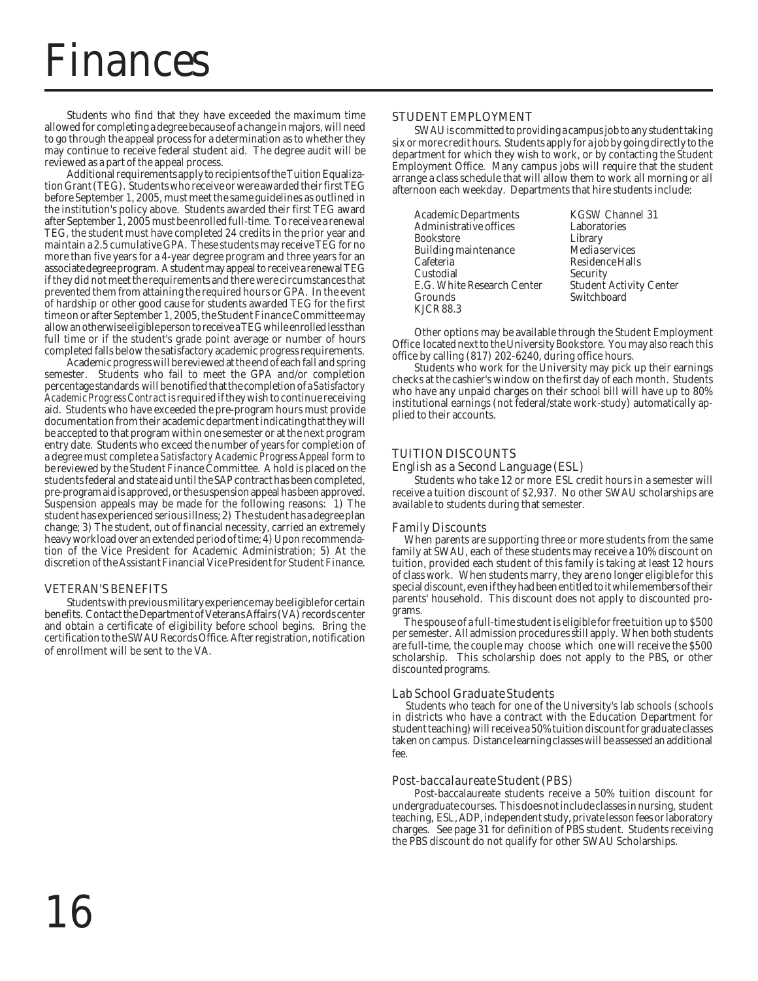### inances

Students who find that they have exceeded the maximum time allowed for completing a degree because of a change in majors, will need to go through the appeal process for a determination as to whether they may continue to receive federal student aid. The degree audit will be reviewed as a part of the appeal process.

Additional requirements apply to recipients of the Tuition Equalization Grant (TEG). Students who receive or were awarded their first TEG before September 1, 2005, must meet the same guidelines as outlined in the institution's policy above. Students awarded their first TEG award after September 1, 2005 must be enrolled full-time. To receive a renewal TEG, the student must have completed 24 credits in the prior year and maintain a 2.5 cumulative GPA. These students may receive TEG for no more than five years for a 4-year degree program and three years for an associate degree program. A student may appeal to receive a renewal TEG if they did not meet the requirements and there were circumstances that prevented them from attaining the required hours or GPA. In the event of hardship or other good cause for students awarded TEG for the first time on or after September 1, 2005, the Student Finance Committee may allow an otherwise eligible person to receive a TEG while enrolled less than full time or if the student's grade point average or number of hours completed falls below the satisfactory academic progress requirements.

Academic progress will be reviewed at the end of each fall and spring semester. Students who fail to meet the GPA and/or completion percentage standards will be notified that the completion of a *Satisfactory Academic Progress Contract* is required if they wish to continue receiving aid. Students who have exceeded the pre-program hours must provide documentation from their academic department indicating that they will be accepted to that program within one semester or at the next program entry date. Students who exceed the number of years for completion of a degree must complete a *Satisfactory Academic Progress Appeal* form to be reviewed by the Student Finance Committee. A hold is placed on the students federal and state aid until the SAP contract has been completed, pre-program aid is approved, or the suspension appeal has been approved. Suspension appeals may be made for the following reasons: 1) The student has experienced serious illness; 2) The student has a degree plan change; 3) The student, out of financial necessity, carried an extremely heavy workload over an extended period of time; 4) Upon recommendation of the Vice President for Academic Administration; 5) At the discretion of the Assistant Financial Vice President for Student Finance.

#### VETERAN'S BENEFITS

Students with previous military experience may be eligible for certain benefits. Contact the Department of Veterans Affairs (VA) records center and obtain a certificate of eligibility before school begins. Bring the certification to the SWAU Records Office. After registration, notification of enrollment will be sent to the VA.

#### STUDENT EMPLOYMENT

SWAU is committed to providing a campus job to any student taking six or more credit hours. Students apply for a job by going directly to the department for which they wish to work, or by contacting the Student Employment Office. Many campus jobs will require that the student arrange a class schedule that will allow them to work all morning or all afternoon each weekday. Departments that hire students include:

| Academic Departments       | <b>KGSW Channel 31</b>         |
|----------------------------|--------------------------------|
| Administrative offices     | Laboratories                   |
| Bookstore                  | Library                        |
| Building maintenance       | Media services                 |
| Cafeteria                  | Residence Halls                |
| Custodial                  | Security                       |
| E.G. White Research Center | <b>Student Activity Center</b> |
| Grounds                    | Switchboard                    |
| KJCR 88.3                  |                                |
|                            |                                |

Other options may be available through the Student Employment Office located next to the University Bookstore. You may also reach this office by calling (817) 202-6240, during office hours.

Students who work for the University may pick up their earnings checks at the cashier's window on the first day of each month. Students who have any unpaid charges on their school bill will have up to 80% institutional earnings (not federal/state work-study) automatically applied to their accounts.

### TUITION DISCOUNTS

#### English as a Second Language (ESL) Students who take 12 or more ESL credit hours in a semester will

receive a tuition discount of \$2,937. No other SWAU scholarships are available to students during that semester.

#### Family Discounts

 When parents are supporting three or more students from the same family at SWAU, each of these students may receive a 10% discount on tuition, provided each student of this family is taking at least 12 hours of class work. When students marry, they are no longer eligible for this special discount, even if they had been entitled to it while members of their parents' household. This discount does not apply to discounted programs.

 The spouse of a full-time student is eligible for free tuition up to \$500 per semester. All admission procedures still apply. When both students are full-time, the couple may choose which one will receive the \$500 scholarship. This scholarship does not apply to the PBS, or other discounted programs.

#### Lab School Graduate Students

 Students who teach for one of the University's lab schools (schools in districts who have a contract with the Education Department for student teaching) will receive a 50% tuition discount for graduate classes taken on campus. Distance learning classes will be assessed an additional fee.

#### Post-baccalaureate Student (PBS)

Post-baccalaureate students receive a 50% tuition discount for undergraduate courses. This does not include classes in nursing, student teaching, ESL, ADP, independent study, private lesson fees or laboratory charges. See page 31 for definition of PBS student. Students receiving the PBS discount do not qualify for other SWAU Scholarships.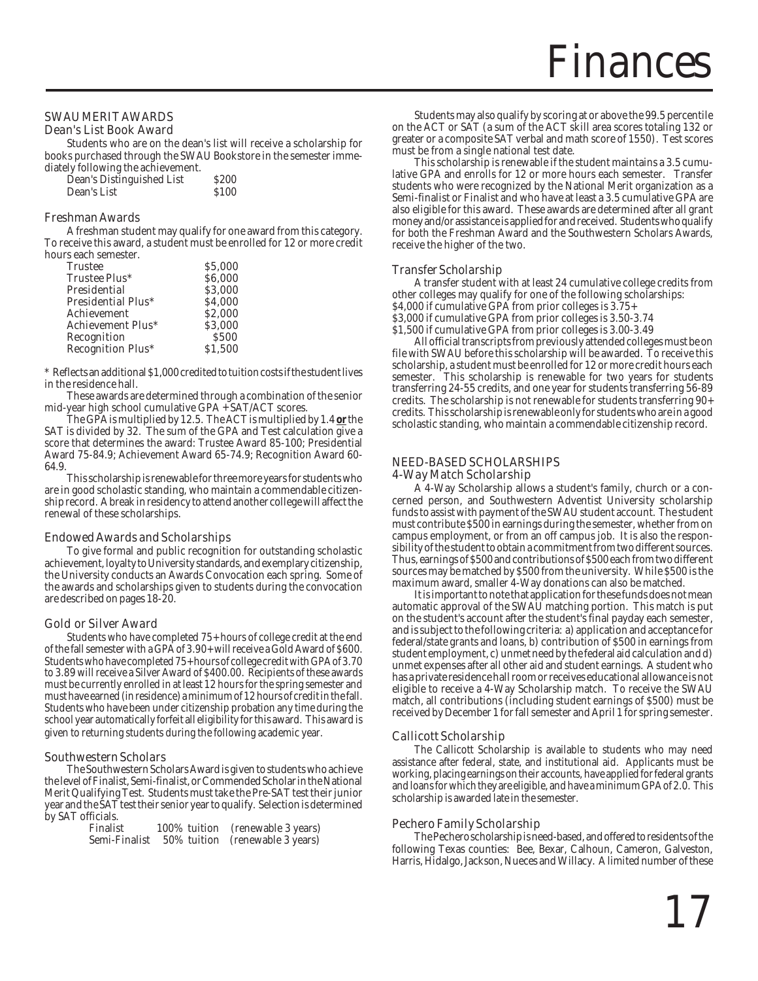### SWAU MERIT AWARDS

#### Dean's List Book Award

Students who are on the dean's list will receive a scholarship for books purchased through the SWAU Bookstore in the semester immediately following the achievement.

| Dean's Distinguished List | <b>S200</b> |
|---------------------------|-------------|
| Dean's List               | <b>S100</b> |

#### Freshman Awards

A freshman student may qualify for one award from this category. To receive this award, a student must be enrolled for 12 or more credit hours each semester.

| \$5,000       |
|---------------|
| <b>S6.000</b> |
| \$3,000       |
| <b>S4.000</b> |
| <b>S2.000</b> |
| \$3.000       |
| <b>S500</b>   |
| \$1.500       |
|               |

\* Reflects an additional \$1,000 credited to tuition costs if the student lives in the residence hall.

These awards are determined through a combination of the senior mid-year high school cumulative GPA + SAT/ACT scores.

The GPA is multiplied by 12.5. The ACT is multiplied by 1.4 **or** the SAT is divided by 32. The sum of the GPA and Test calculation give a score that determines the award: Trustee Award 85-100; Presidential Award 75-84.9; Achievement Award 65-74.9; Recognition Award 60- 64.9.

This scholarship is renewable for three more years for students who are in good scholastic standing, who maintain a commendable citizenship record. A break in residency to attend another college will affect the renewal of these scholarships.

#### Endowed Awards and Scholarships

To give formal and public recognition for outstanding scholastic achievement, loyalty to University standards, and exemplary citizenship, the University conducts an Awards Convocation each spring. Some of the awards and scholarships given to students during the convocation are described on pages 18-20.

#### Gold or Silver Award

Students who have completed 75+ hours of college credit at the end of the fall semester with a GPA of 3.90+ will receive a Gold Award of \$600. Students who have completed 75+ hours of college credit with GPA of 3.70 to 3.89 will receive a Silver Award of \$400.00. Recipients of these awards must be currently enrolled in at least 12 hours for the spring semester and must have earned (in residence) a minimum of 12 hours of credit in the fall. Students who have been under citizenship probation any time during the school year automatically forfeit all eligibility for this award. This award is given to returning students during the following academic year.

#### Southwestern Scholars

The Southwestern Scholars Award is given to students who achieve the level of Finalist, Semi-finalist, or Commended Scholar in the National Merit Qualifying Test. Students must take the Pre-SAT test their junior year and the SAT test their senior year to qualify. Selection is determined by SAT officials.

| Finalist      | 100% tuition | (renewable 3 years) |
|---------------|--------------|---------------------|
| Semi-Finalist | 50% tuition  | (renewable 3 years) |

Students may also qualify by scoring at or above the 99.5 percentile on the ACT or SAT (a sum of the ACT skill area scores totaling 132 or greater or a composite SAT verbal and math score of 1550). Test scores must be from a single national test date.

This scholarship is renewable if the student maintains a 3.5 cumulative GPA and enrolls for 12 or more hours each semester. Transfer students who were recognized by the National Merit organization as a Semi-finalist or Finalist and who have at least a 3.5 cumulative GPA are also eligible for this award. These awards are determined after all grant money and/or assistance is applied for and received. Students who qualify for both the Freshman Award and the Southwestern Scholars Awards, receive the higher of the two.

#### Transfer Scholarship

A transfer student with at least 24 cumulative college credits from other colleges may qualify for one of the following scholarships: \$4,000 if cumulative GPA from prior colleges is 3.75+

\$3,000 if cumulative GPA from prior colleges is 3.50-3.74

\$1,500 if cumulative GPA from prior colleges is 3.00-3.49

All official transcripts from previously attended colleges must be on file with SWAU before this scholarship will be awarded. To receive this scholarship, a student must be enrolled for 12 or more credit hours each semester. This scholarship is renewable for two years for students transferring 24-55 credits, and one year for students transferring 56-89 credits. The scholarship is not renewable for students transferring 90+ credits. This scholarship is renewable only for students who are in a good scholastic standing, who maintain a commendable citizenship record.

#### NEED-BASED SCHOLARSHIPS 4-Way Match Scholarship

A 4-Way Scholarship allows a student's family, church or a concerned person, and Southwestern Adventist University scholarship funds to assist with payment of the SWAU student account. The student must contribute \$500 in earnings during the semester, whether from on campus employment, or from an off campus job. It is also the responsibility of the student to obtain a commitment from two different sources. Thus, earnings of \$500 and contributions of \$500 each from two different sources may be matched by \$500 from the university. While \$500 is the maximum award, smaller 4-Way donations can also be matched.

It is important to note that application for these funds does not mean automatic approval of the SWAU matching portion. This match is put on the student's account after the student's final payday each semester, and is subject to the following criteria: a) application and acceptance for federal/state grants and loans, b) contribution of \$500 in earnings from student employment, c) unmet need by the federal aid calculation and d) unmet expenses after all other aid and student earnings. A student who has a private residence hall room or receives educational allowance is not eligible to receive a 4-Way Scholarship match. To receive the SWAU match, all contributions (including student earnings of \$500) must be received by December 1 for fall semester and April 1 for spring semester.

#### Callicott Scholarship

The Callicott Scholarship is available to students who may need assistance after federal, state, and institutional aid. Applicants must be working, placing earnings on their accounts, have applied for federal grants and loans for which they are eligible, and have a minimum GPA of 2.0. This scholarship is awarded late in the semester.

#### Pechero Family Scholarship

The Pechero scholarship is need-based, and offered to residents of the following Texas counties: Bee, Bexar, Calhoun, Cameron, Galveston, Harris, Hidalgo, Jackson, Nueces and Willacy. A limited number of these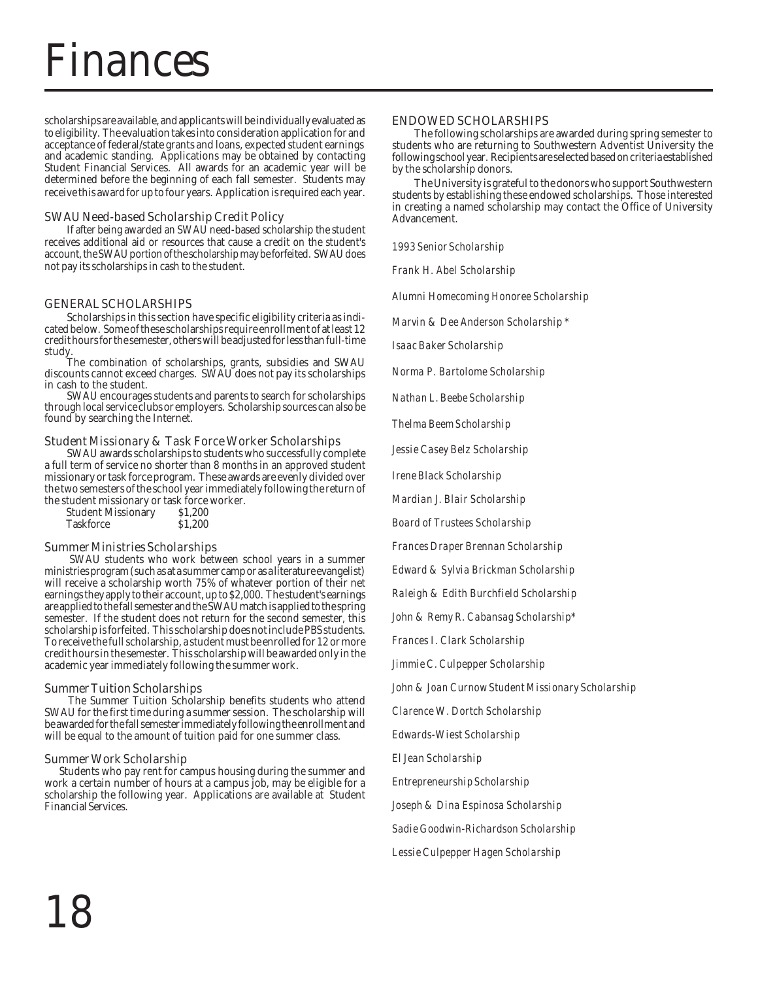### Finances

scholarships are available, and applicants will be individually evaluated as to eligibility. The evaluation takes into consideration application for and acceptance of federal/state grants and loans, expected student earnings and academic standing. Applications may be obtained by contacting Student Financial Services. All awards for an academic year will be determined before the beginning of each fall semester. Students may receive this award for up to four years. Application is required each year.

#### SWAU Need-based Scholarship Credit Policy

If after being awarded an SWAU need-based scholarship the student receives additional aid or resources that cause a credit on the student's account, the SWAU portion of the scholarship may be forfeited. SWAU does not pay its scholarships in cash to the student.

#### GENERAL SCHOLARSHIPS

Scholarships in this section have specific eligibility criteria as indicated below. Some of these scholarships require enrollment of at least 12 credit hours for the semester, others will be adjusted for less than full-time study.

The combination of scholarships, grants, subsidies and SWAU discounts cannot exceed charges. SWAU does not pay its scholarships in cash to the student.

SWAU encourages students and parents to search for scholarships through local service clubs or employers. Scholarship sources can also be found by searching the Internet.

#### Student Missionary & Task Force Worker Scholarships

SWAU awards scholarships to students who successfully complete a full term of service no shorter than 8 months in an approved student missionary or task force program. These awards are evenly divided over the two semesters of the school year immediately following the return of the student missionary or task force worker.<br>Student Missionary \$1,200

Student Missionary \$1,200<br>Taskforce \$1.200 Taskforce

#### Summer Ministries Scholarships

 SWAU students who work between school years in a summer ministries program (such as at a summer camp or as a literature evangelist) will receive a scholarship worth 75% of whatever portion of their net earnings they apply to their account, up to \$2,000. The student's earnings are applied to the fall semester and the SWAU match is applied to the spring semester. If the student does not return for the second semester, this scholarship is forfeited. This scholarship does not include PBS students. To receive the full scholarship, a student must be enrolled for 12 or more credit hours in the semester. This scholarship will be awarded only in the academic year immediately following the summer work.

#### Summer Tuition Scholarships

 The Summer Tuition Scholarship benefits students who attend SWAU for the first time during a summer session. The scholarship will be awarded for the fall semester immediately following the enrollment and will be equal to the amount of tuition paid for one summer class.

#### Summer Work Scholarship

 Students who pay rent for campus housing during the summer and work a certain number of hours at a campus job, may be eligible for a scholarship the following year. Applications are available at Student Financial Services.

#### ENDOWED SCHOLARSHIPS

The following scholarships are awarded during spring semester to students who are returning to Southwestern Adventist University the following school year. Recipients are selected based on criteria established by the scholarship donors.

The University is grateful to the donors who support Southwestern students by establishing these endowed scholarships. Those interested in creating a named scholarship may contact the Office of University Advancement.

*1993 Senior Scholarship*

*Frank H. Abel Scholarship*

*Alumni Homecoming Honoree Scholarship*

*Marvin & Dee Anderson Scholarship \**

*Isaac Baker Scholarship*

*Norma P. Bartolome Scholarship*

*Nathan L. Beebe Scholarship*

*Thelma Beem Scholarship*

*Jessie Casey Belz Scholarship*

*Irene Black Scholarship*

*Mardian J. Blair Scholarship*

*Board of Trustees Scholarship*

*Frances Draper Brennan Scholarship*

*Edward & Sylvia Brickman Scholarship*

*Raleigh & Edith Burchfield Scholarship*

*John & Remy R. Cabansag Scholarship\**

*Frances I. Clark Scholarship*

*Jimmie C. Culpepper Scholarship*

*John & Joan Curnow Student Missionary Scholarship*

*Clarence W. Dortch Scholarship*

*Edwards-Wiest Scholarship*

*El Jean Scholarship*

*Entrepreneurship Scholarship*

*Joseph & Dina Espinosa Scholarship*

*Sadie Goodwin-Richardson Scholarship*

*Lessie Culpepper Hagen Scholarship*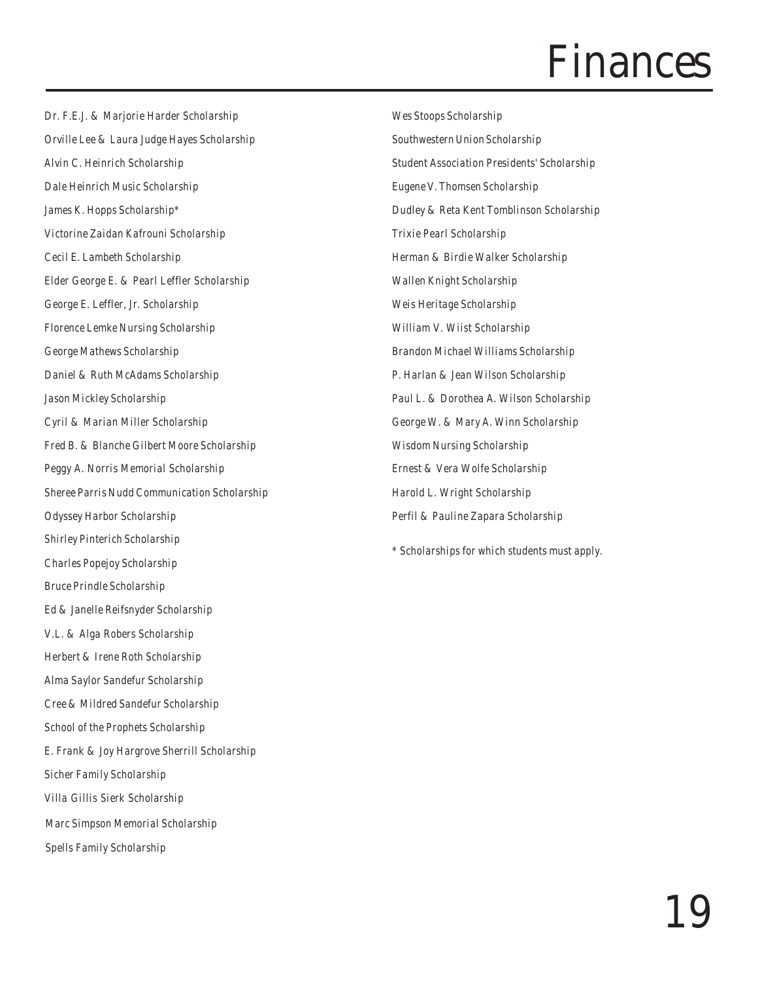### Finances

*Dr. F.E.J. & Marjorie Harder Scholarship Orville Lee & Laura Judge Hayes Scholarship Alvin C. Heinrich Scholarship Dale Heinrich Music Scholarship James K. Hopps Scholarship\* Victorine Zaidan Kafrouni Scholarship Cecil E. Lambeth Scholarship Elder George E. & Pearl Leffler Scholarship George E. Leffler, Jr. Scholarship Florence Lemke Nursing Scholarship George Mathews Scholarship Daniel & Ruth McAdams Scholarship Jason Mickley Scholarship Cyril & Marian Miller Scholarship Fred B. & Blanche Gilbert Moore Scholarship Peggy A. Norris Memorial Scholarship Sheree Parris Nudd Communication Scholarship Odyssey Harbor Scholarship Shirley Pinterich Scholarship Charles Popejoy Scholarship Bruce Prindle Scholarship Ed & Janelle Reifsnyder Scholarship V.L. & Alga Robers Scholarship Herbert & Irene Roth Scholarship Alma Saylor Sandefur Scholarship Cree & Mildred Sandefur Scholarship School of the Prophets Scholarship E. Frank & Joy Hargrove Sherrill Scholarship Sicher Family Scholarship Villa Gillis Sierk Scholarship Marc Simpson Memorial Scholarship Spells Family Scholarship*

*Wes Stoops Scholarship Southwestern Union Scholarship Student Association Presidents' Scholarship Eugene V. Thomsen Scholarship Dudley & Reta Kent Tomblinson Scholarship Trixie Pearl Scholarship Herman & Birdie Walker Scholarship Wallen Knight Scholarship Weis Heritage Scholarship William V. Wiist Scholarship Brandon Michael Williams Scholarship P. Harlan & Jean Wilson Scholarship Paul L. & Dorothea A. Wilson Scholarship George W. & Mary A. Winn Scholarship Wisdom Nursing Scholarship Ernest & Vera Wolfe Scholarship Harold L. Wright Scholarship Perfil & Pauline Zapara Scholarship*

*\* Scholarships for which students must apply.*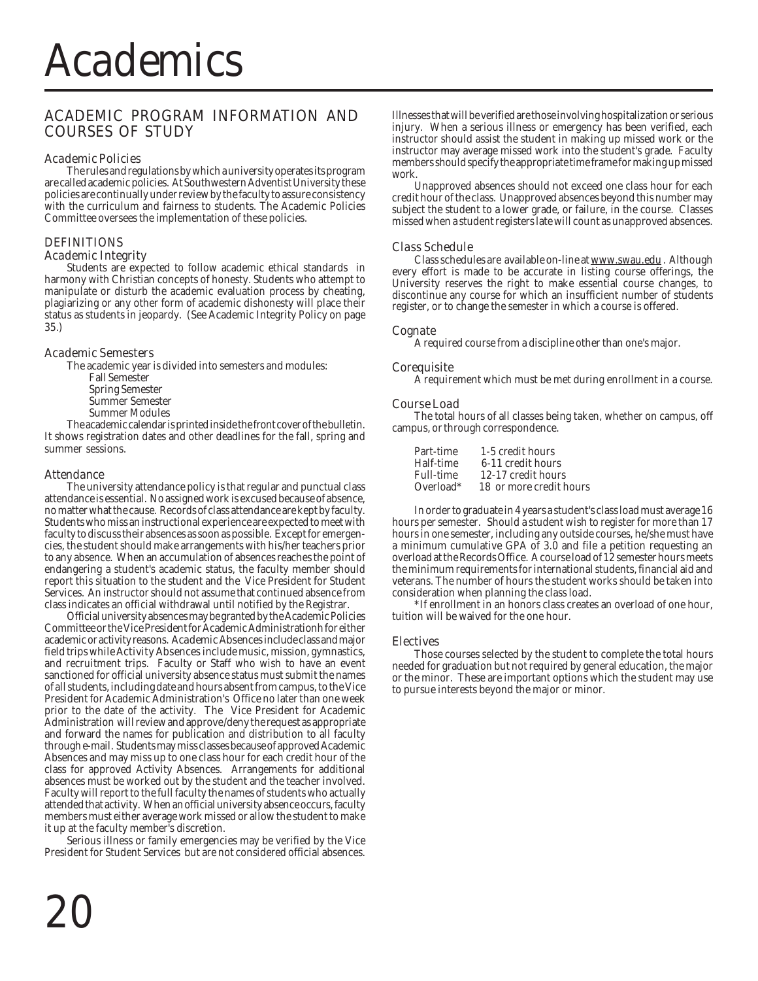#### ACADEMIC PROGRAM INFORMATION AND COURSES OF STUDY

#### Academic Policies

The rules and regulations by which a university operates its program are called academic policies. At Southwestern Adventist University these policies are continually under review by the faculty to assure consistency with the curriculum and fairness to students. The Academic Policies Committee oversees the implementation of these policies.

#### DEFINITIONS

#### Academic Integrity

Students are expected to follow academic ethical standards in harmony with Christian concepts of honesty. Students who attempt to manipulate or disturb the academic evaluation process by cheating, plagiarizing or any other form of academic dishonesty will place their status as students in jeopardy. (See Academic Integrity Policy on page 35.)

#### Academic Semesters

The academic year is divided into semesters and modules:

- Fall Semester
- Spring Semester
- Summer Semester
- Summer Modules

The academic calendar is printed inside the front cover of the bulletin. It shows registration dates and other deadlines for the fall, spring and summer sessions.

#### Attendance

The university attendance policy is that regular and punctual class attendance is essential. No assigned work is excused because of absence, no matter what the cause. Records of class attendance are kept by faculty. Students who miss an instructional experience are expected to meet with faculty to discuss their absences as soon as possible. Except for emergencies, the student should make arrangements with his/her teachers prior to any absence. When an accumulation of absences reaches the point of endangering a student's academic status, the faculty member should report this situation to the student and the Vice President for Student Services. An instructor should not assume that continued absence from class indicates an official withdrawal until notified by the Registrar.

Official university absences may be granted by the Academic Policies Committee or the Vice President for Academic Administrationh for either academic or activity reasons. Academic Absences include class and major field trips while Activity Absences include music, mission, gymnastics, and recruitment trips. Faculty or Staff who wish to have an event sanctioned for official university absence status must submit the names of all students, including date and hours absent from campus, to the Vice President for Academic Administration's Office no later than one week prior to the date of the activity. The Vice President for Academic Administration will review and approve/deny the request as appropriate and forward the names for publication and distribution to all faculty through e-mail. Students may miss classes because of approved Academic Absences and may miss up to one class hour for each credit hour of the class for approved Activity Absences. Arrangements for additional absences must be worked out by the student and the teacher involved. Faculty will report to the full faculty the names of students who actually attended that activity. When an official university absence occurs, faculty members must either average work missed or allow the student to make it up at the faculty member's discretion.

Serious illness or family emergencies may be verified by the Vice President for Student Services but are not considered official absences.

Unapproved absences should not exceed one class hour for each credit hour of the class. Unapproved absences beyond this number may subject the student to a lower grade, or failure, in the course. Classes missed when a student registers late will count as unapproved absences.

#### Class Schedule

Class schedules are available on-line at www.swau.edu . Although every effort is made to be accurate in listing course offerings, the University reserves the right to make essential course changes, to discontinue any course for which an insufficient number of students register, or to change the semester in which a course is offered.

#### **Cognate**

A required course from a discipline other than one's major.

#### **Corequisite**

A requirement which must be met during enrollment in a course.

#### Course Load

The total hours of all classes being taken, whether on campus, off campus, or through correspondence.

| Part-time | 1-5 credit hours        |
|-----------|-------------------------|
| Half-time | 6-11 credit hours       |
| Full-time | 12-17 credit hours      |
| Overload* | 18 or more credit hours |

In order to graduate in 4 years a student's class load must average 16 hours per semester. Should a student wish to register for more than 17 hours in one semester, including any outside courses, he/she must have a minimum cumulative GPA of 3.0 and file a petition requesting an overload at the Records Office. A course load of 12 semester hours meets the minimum requirements for international students, financial aid and veterans. The number of hours the student works should be taken into consideration when planning the class load.

\*If enrollment in an honors class creates an overload of one hour, tuition will be waived for the one hour.

#### **Electives**

Those courses selected by the student to complete the total hours needed for graduation but not required by general education, the major or the minor. These are important options which the student may use to pursue interests beyond the major or minor.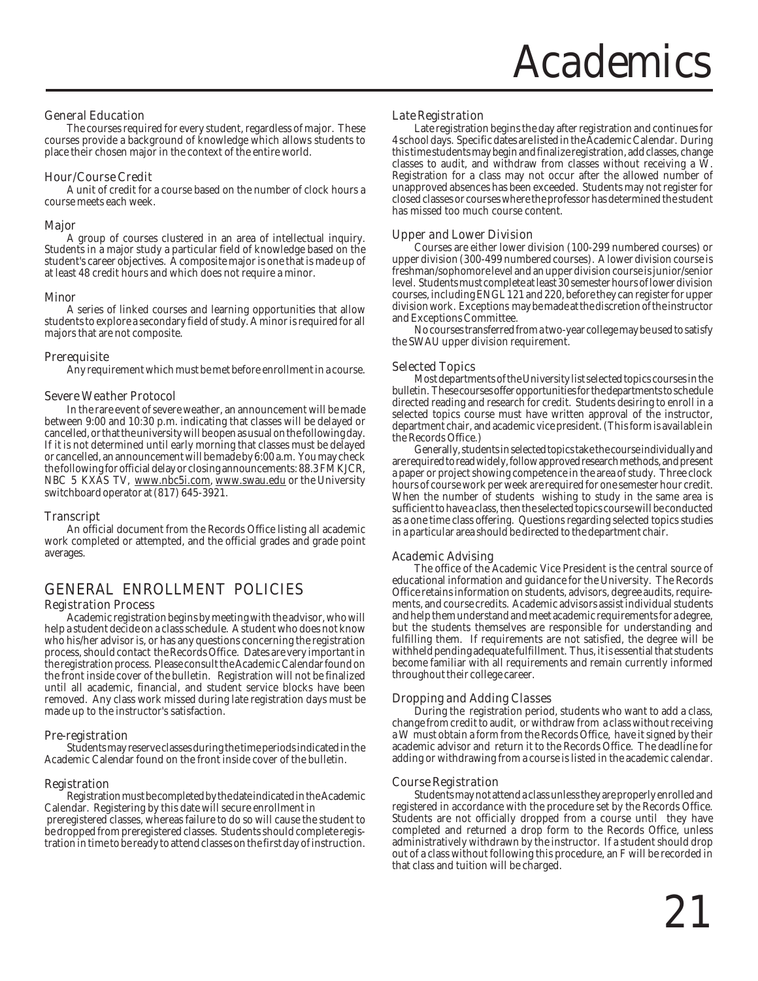#### General Education

The courses required for every student, regardless of major. These courses provide a background of knowledge which allows students to place their chosen major in the context of the entire world.

#### Hour/Course Credit

A unit of credit for a course based on the number of clock hours a course meets each week.

#### Major

A group of courses clustered in an area of intellectual inquiry. Students in a major study a particular field of knowledge based on the student's career objectives. A composite major is one that is made up of at least 48 credit hours and which does not require a minor.

#### **Minor**

A series of linked courses and learning opportunities that allow students to explore a secondary field of study. A minor is required for all majors that are not composite.

#### **Prerequisite**

Any requirement which must be met before enrollment in a course.

#### Severe Weather Protocol

In the rare event of severe weather, an announcement will be made between 9:00 and 10:30 p.m. indicating that classes will be delayed or cancelled, or that the university will be open as usual on the following day. If it is not determined until early morning that classes must be delayed or cancelled, an announcement will be made by 6:00 a.m. You may check the following for official delay or closing announcements: 88.3 FM KJCR, NBC 5 KXAS TV, www.nbc5i.com, www.swau.edu or the University switchboard operator at (817) 645-3921.

#### Transcript

An official document from the Records Office listing all academic work completed or attempted, and the official grades and grade point averages.

#### GENERAL ENROLLMENT POLICIES

#### Registration Process

Academic registration begins by meeting with the advisor, who will help a student decide on a class schedule. A student who does not know who his/her advisor is, or has any questions concerning the registration process, should contact the Records Office. Dates are very important in the registration process. Please consult the Academic Calendar found on the front inside cover of the bulletin. Registration will not be finalized until all academic, financial, and student service blocks have been removed. Any class work missed during late registration days must be made up to the instructor's satisfaction.

#### Pre-registration

Students may reserve classes during the time periods indicated in the Academic Calendar found on the front inside cover of the bulletin.

#### Registration

Registration must be completed by the date indicated in the Academic Calendar. Registering by this date will secure enrollment in preregistered classes, whereas failure to do so will cause the student to be dropped from preregistered classes. Students should complete registration in time to be ready to attend classes on the first day of instruction.

#### Late Registration

Late registration begins the day after registration and continues for 4 school days. Specific dates are listed in the Academic Calendar. During this time students may begin and finalize registration, add classes, change classes to audit, and withdraw from classes without receiving a W. Registration for a class may not occur after the allowed number of unapproved absences has been exceeded. Students may not register for closed classes or courses where the professor has determined the student has missed too much course content.

#### Upper and Lower Division

Courses are either lower division (100-299 numbered courses) or upper division (300-499 numbered courses). A lower division course is freshman/sophomore level and an upper division course is junior/senior level. Students must complete at least 30 semester hours of lower division courses, including ENGL 121 and 220, before they can register for upper division work. Exceptions may be made at the discretion of the instructor and Exceptions Committee.

No courses transferred from a two-year college may be used to satisfy the SWAU upper division requirement.

#### Selected Topics

Most departments of the University list selected topics courses in the bulletin. These courses offer opportunities for the departments to schedule directed reading and research for credit. Students desiring to enroll in a selected topics course must have written approval of the instructor, department chair, and academic vice president. (This form is available in the Records Office.)

Generally, students in selected topics take the course individually and are required to read widely, follow approved research methods, and present a paper or project showing competence in the area of study. Three clock hours of course work per week are required for one semester hour credit. When the number of students wishing to study in the same area is sufficient to have a class, then the selected topics course will be conducted as a one time class offering. Questions regarding selected topics studies in a particular area should be directed to the department chair.

#### Academic Advising

The office of the Academic Vice President is the central source of educational information and guidance for the University. The Records Office retains information on students, advisors, degree audits, requirements, and course credits. Academic advisors assist individual students and help them understand and meet academic requirements for a degree, but the students themselves are responsible for understanding and fulfilling them. If requirements are not satisfied, the degree will be withheld pending adequate fulfillment. Thus, it is essential that students become familiar with all requirements and remain currently informed throughout their college career.

#### Dropping and Adding Classes

During the registration period, students who want to add a class, change from credit to audit, or withdraw from a class without receiving a W must obtain a form from the Records Office, have it signed by their academic advisor and return it to the Records Office. The deadline for adding or withdrawing from a course is listed in the academic calendar.

#### Course Registration

Students may not attend a class unless they are properly enrolled and registered in accordance with the procedure set by the Records Office. Students are not officially dropped from a course until they have completed and returned a drop form to the Records Office, unless administratively withdrawn by the instructor. If a student should drop out of a class without following this procedure, an F will be recorded in that class and tuition will be charged.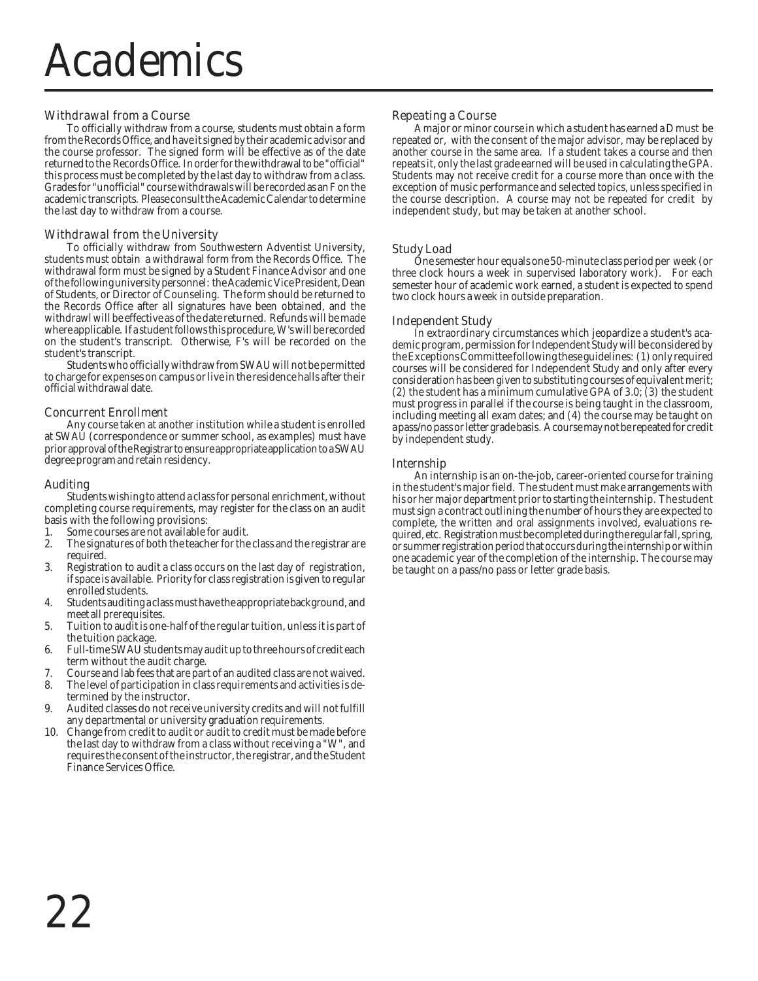#### Withdrawal from a Course

To officially withdraw from a course, students must obtain a form from the Records Office, and have it signed by their academic advisor and the course professor. The signed form will be effective as of the date returned to the Records Office. In order for the withdrawal to be "official" this process must be completed by the last day to withdraw from a class. Grades for "unofficial" course withdrawals will be recorded as an F on the academic transcripts. Please consult the Academic Calendar to determine the last day to withdraw from a course.

#### Withdrawal from the University

To officially withdraw from Southwestern Adventist University, students must obtain a withdrawal form from the Records Office. The withdrawal form must be signed by a Student Finance Advisor and one of the following university personnel: the Academic Vice President, Dean of Students, or Director of Counseling. The form should be returned to the Records Office after all signatures have been obtained, and the withdrawl will be effective as of the date returned. Refunds will be made where applicable. If a student follows this procedure, W's will be recorded on the student's transcript. Otherwise, F's will be recorded on the student's transcript.

Students who officially withdraw from SWAU will not be permitted to charge for expenses on campus or live in the residence halls after their official withdrawal date.

#### Concurrent Enrollment

Any course taken at another institution while a student is enrolled at SWAU (correspondence or summer school, as examples) must have prior approval of the Registrar to ensure appropriate application to a SWAU degree program and retain residency.

#### Auditing

Students wishing to attend a class for personal enrichment, without completing course requirements, may register for the class on an audit basis with the following provisions:

- 1. Some courses are not available for audit.<br>2. The signatures of both the teacher for the
- The signatures of both the teacher for the class and the registrar are required.
- 3. Registration to audit a class occurs on the last day of registration, if space is available. Priority for class registration is given to regular enrolled students.
- 4. Students auditing a class must have the appropriate background, and meet all prerequisites.
- 5. Tuition to audit is one-half of the regular tuition, unless it is part of the tuition package.
- 6. Full-time SWAU students may audit up to three hours of credit each term without the audit charge.
- 7. Course and lab fees that are part of an audited class are not waived.
- The level of participation in class requirements and activities is determined by the instructor.
- 9. Audited classes do not receive university credits and will not fulfill any departmental or university graduation requirements.
- 10. Change from credit to audit or audit to credit must be made before the last day to withdraw from a class without receiving a "W", and requires the consent of the instructor, the registrar, and the Student Finance Services Office.

#### Repeating a Course

A major or minor course in which a student has earned a D must be repeated or, with the consent of the major advisor, may be replaced by another course in the same area. If a student takes a course and then repeats it, only the last grade earned will be used in calculating the GPA. Students may not receive credit for a course more than once with the exception of music performance and selected topics, unless specified in the course description. A course may not be repeated for credit by independent study, but may be taken at another school.

#### Study Load

One semester hour equals one 50-minute class period per week (or three clock hours a week in supervised laboratory work). For each semester hour of academic work earned, a student is expected to spend two clock hours a week in outside preparation.

#### Independent Study

In extraordinary circumstances which jeopardize a student's academic program, permission for Independent Study will be considered by the Exceptions Committee following these guidelines: (1) only required courses will be considered for Independent Study and only after every consideration has been given to substituting courses of equivalent merit; (2) the student has a minimum cumulative GPA of 3.0; (3) the student must progress in parallel if the course is being taught in the classroom, including meeting all exam dates; and (4) the course may be taught on a pass/no pass or letter grade basis. A course may not be repeated for credit by independent study.

#### Internship

An internship is an on-the-job, career-oriented course for training in the student's major field. The student must make arrangements with his or her major department prior to starting the internship. The student must sign a contract outlining the number of hours they are expected to complete, the written and oral assignments involved, evaluations required, etc. Registration must be completed during the regular fall, spring, or summer registration period that occurs during the internship or within one academic year of the completion of the internship. The course may be taught on a pass/no pass or letter grade basis.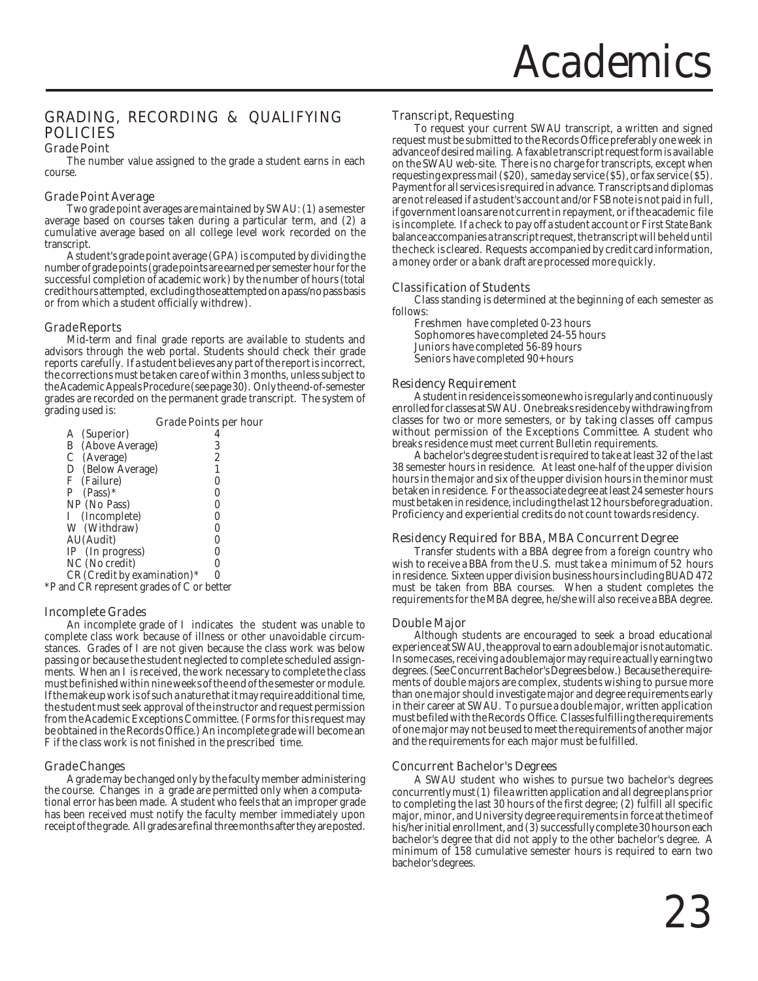#### GRADING, RECORDING & QUALIFYING POLICIES

#### Grade Point

The number value assigned to the grade a student earns in each course.

#### Grade Point Average

Two grade point averages are maintained by SWAU: (1) a semester average based on courses taken during a particular term, and (2) a cumulative average based on all college level work recorded on the transcript.

A student's grade point average (GPA) is computed by dividing the number of grade points (grade points are earned per semester hour for the successful completion of academic work) by the number of hours (total credit hours attempted, excluding those attempted on a pass/no pass basis or from which a student officially withdrew).

#### Grade Reports

Mid-term and final grade reports are available to students and advisors through the web portal. Students should check their grade reports carefully. If a student believes any part of the report is incorrect, the corrections must be taken care of within 3 months, unless subject to the Academic Appeals Procedure (see page 30). Only the end-of-semester grades are recorded on the permanent grade transcript. The system of grading used is:

|                                           | <b>Grade Points per hour</b> |
|-------------------------------------------|------------------------------|
| (Superior)<br>A                           |                              |
| (Above Average)<br>B                      | 3                            |
| C (Average)                               | 2                            |
| D (Below Average)                         |                              |
| F (Failure)                               |                              |
| $P$ (Pass)*                               |                              |
| NP (No Pass)                              |                              |
| I (Incomplete)                            |                              |
| W (Withdraw)                              |                              |
| AU(Audit)                                 |                              |
| IP (In progress)                          |                              |
| NC (No credit)                            |                              |
| CR (Credit by examination)*               | 0                            |
| *P and CR represent grades of C or better |                              |

#### Incomplete Grades

An incomplete grade of I indicates the student was unable to complete class work because of illness or other unavoidable circumstances. Grades of I are not given because the class work was below passing or because the student neglected to complete scheduled assignments. When an I is received, the work necessary to complete the class must be finished within nine weeks of the end of the semester or module. If the makeup work is of such a nature that it may require additional time, the student must seek approval of the instructor and request permission from the Academic Exceptions Committee. (Forms for this request may be obtained in the Records Office.) An incomplete grade will become an F if the class work is not finished in the prescribed time.

#### Grade Changes

A grade may be changed only by the faculty member administering the course. Changes in a grade are permitted only when a computational error has been made. A student who feels that an improper grade has been received must notify the faculty member immediately upon receipt of the grade. All grades are final three months after they are posted.

#### Transcript, Requesting

To request your current SWAU transcript, a written and signed request must be submitted to the Records Office preferably one week in advance of desired mailing. A faxable transcript request form is available on the SWAU web-site. There is no charge for transcripts, except when requesting express mail (\$20), same day service (\$5), or fax service (\$5). Payment for all services is required in advance. Transcripts and diplomas are not released if a student's account and/or FSB note is not paid in full, if government loans are not current in repayment, or if the academic file is incomplete. If a check to pay off a student account or First State Bank balance accompanies a transcript request, the transcript will be held until the check is cleared. Requests accompanied by credit card information, a money order or a bank draft are processed more quickly.

#### Classification of Students

Class standing is determined at the beginning of each semester as follows:

Freshmen have completed 0-23 hours Sophomores have completed 24-55 hours Juniors have completed 56-89 hours Seniors have completed 90+ hours

#### Residency Requirement

A student in residence is someone who is regularly and continuously enrolled for classes at SWAU. One breaks residence by withdrawing from classes for two or more semesters, or by taking classes off campus without permission of the Exceptions Committee. A student who breaks residence must meet current Bulletin requirements.

A bachelor's degree student is required to take at least 32 of the last 38 semester hours in residence. At least one-half of the upper division hours in the major and six of the upper division hours in the minor must be taken in residence. For the associate degree at least 24 semester hours must be taken in residence, including the last 12 hours before graduation. Proficiency and experiential credits do not count towards residency.

#### Residency Required for BBA, MBA Concurrent Degree

Transfer students with a BBA degree from a foreign country who wish to receive a BBA from the U.S. must take a minimum of 52 hours in residence. Sixteen upper division business hours including BUAD 472 must be taken from BBA courses. When a student completes the requirements for the MBA degree, he/she will also receive a BBA degree.

#### Double Major

Although students are encouraged to seek a broad educational experience at SWAU, the approval to earn a double major is not automatic. In some cases, receiving a double major may require actually earning two degrees. (See Concurrent Bachelor's Degrees below.) Because the requirements of double majors are complex, students wishing to pursue more than one major should investigate major and degree requirements early in their career at SWAU. To pursue a double major, written application must be filed with the Records Office. Classes fulfilling the requirements of one major may not be used to meet the requirements of another major and the requirements for each major must be fulfilled.

#### Concurrent Bachelor's Degrees

A SWAU student who wishes to pursue two bachelor's degrees concurrently must (1) file a written application and all degree plans prior to completing the last 30 hours of the first degree; (2) fulfill all specific major, minor, and University degree requirements in force at the time of his/her initial enrollment, and (3) successfully complete 30 hours on each bachelor's degree that did not apply to the other bachelor's degree. A minimum of 158 cumulative semester hours is required to earn two bachelor's degrees.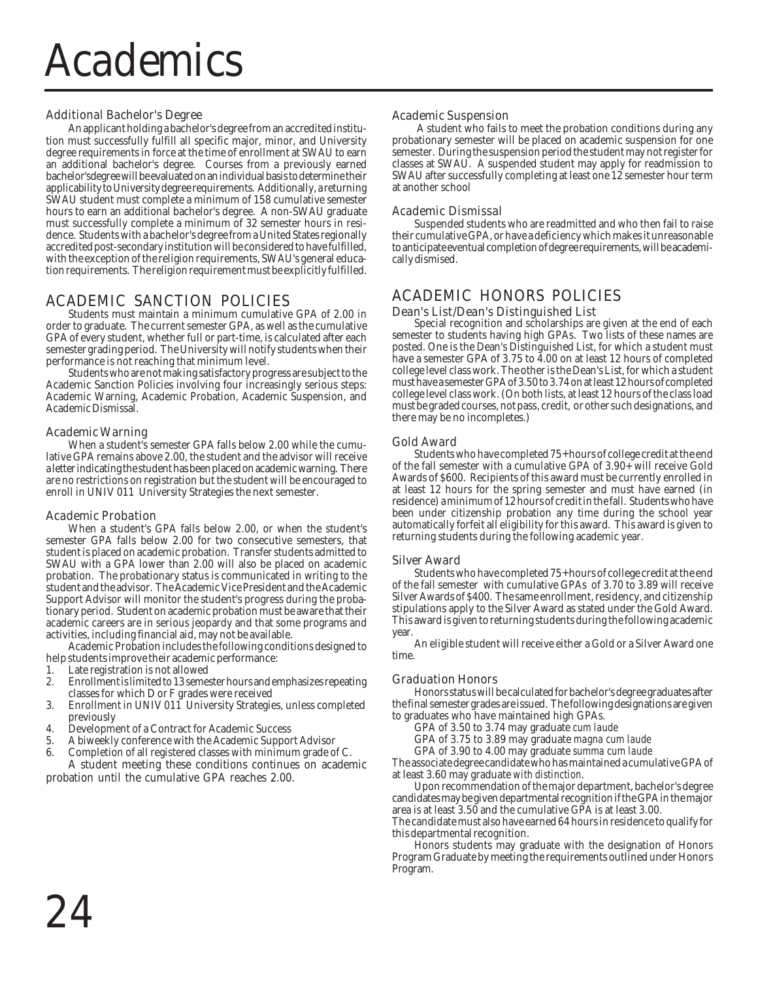#### Additional Bachelor's Degree

An applicant holding a bachelor's degree from an accredited institution must successfully fulfill all specific major, minor, and University degree requirements in force at the time of enrollment at SWAU to earn an additional bachelor's degree. Courses from a previously earned bachelor'sdegree will be evaluated on an individual basis to determine their applicability to University degree requirements. Additionally, a returning SWAU student must complete a minimum of 158 cumulative semester hours to earn an additional bachelor's degree. A non-SWAU graduate must successfully complete a minimum of 32 semester hours in residence. Students with a bachelor's degree from a United States regionally accredited post-secondary institution will be considered to have fulfilled, with the exception of the religion requirements, SWAU's general education requirements. The religion requirement must be explicitly fulfilled.

#### ACADEMIC SANCTION POLICIES

Students must maintain a minimum cumulative GPA of 2.00 in order to graduate. The current semester GPA, as well as the cumulative GPA of every student, whether full or part-time, is calculated after each semester grading period. The University will notify students when their performance is not reaching that minimum level.

Students who are not making satisfactory progress are subject to the Academic Sanction Policies involving four increasingly serious steps: Academic Warning, Academic Probation, Academic Suspension, and Academic Dismissal.

#### Academic Warning

When a student's semester GPA falls below 2.00 while the cumulative GPA remains above 2.00, the student and the advisor will receive a letter indicating the student has been placed on academic warning. There are no restrictions on registration but the student will be encouraged to enroll in UNIV 011 University Strategies the next semester.

#### Academic Probation

When a student's GPA falls below 2.00, or when the student's semester GPA falls below 2.00 for two consecutive semesters, that student is placed on academic probation. Transfer students admitted to SWAU with a GPA lower than 2.00 will also be placed on academic probation. The probationary status is communicated in writing to the student and the advisor. The Academic Vice President and the Academic Support Advisor will monitor the student's progress during the probationary period. Student on academic probation must be aware that their academic careers are in serious jeopardy and that some programs and activities, including financial aid, may not be available.

Academic Probation includes the following conditions designed to help students improve their academic performance:

- Late registration is not allowed
- 2. Enrollment is limited to 13 semester hours and emphasizes repeating classes for which D or F grades were received
- 3. Enrollment in UNIV 011 University Strategies, unless completed previously
- 4. Development of a Contract for Academic Success
- 5. A biweekly conference with the Academic Support Advisor
- 6. Completion of all registered classes with minimum grade of C. A student meeting these conditions continues on academic probation until the cumulative GPA reaches 2.00.

#### Academic Suspension

 A student who fails to meet the probation conditions during any probationary semester will be placed on academic suspension for one semester. During the suspension period the student may not register for classes at SWAU. A suspended student may apply for readmission to SWAU after successfully completing at least one 12 semester hour term at another school

#### Academic Dismissal

Suspended students who are readmitted and who then fail to raise their cumulative GPA, or have a deficiency which makes it unreasonable to anticipate eventual completion of degree requirements, will be academically dismised.

#### ACADEMIC HONORS POLICIES

#### Dean's List/Dean's Distinguished List

Special recognition and scholarships are given at the end of each semester to students having high GPAs. Two lists of these names are posted. One is the Dean's Distinguished List, for which a student must have a semester GPA of 3.75 to 4.00 on at least 12 hours of completed college level class work. The other is the Dean's List, for which a student must have a semester GPA of 3.50 to 3.74 on at least 12 hours of completed college level class work. (On both lists, at least 12 hours of the class load must be graded courses, not pass, credit, or other such designations, and there may be no incompletes.)

#### Gold Award

Students who have completed 75+ hours of college credit at the end of the fall semester with a cumulative GPA of 3.90+ will receive Gold Awards of \$600. Recipients of this award must be currently enrolled in at least 12 hours for the spring semester and must have earned (in residence) a minimum of 12 hours of credit in the fall. Students who have been under citizenship probation any time during the school year automatically forfeit all eligibility for this award. This award is given to returning students during the following academic year.

#### Silver Award

Students who have completed 75+ hours of college credit at the end of the fall semester with cumulative GPAs of 3.70 to 3.89 will receive Silver Awards of \$400. The same enrollment, residency, and citizenship stipulations apply to the Silver Award as stated under the Gold Award. This award is given to returning students during the following academic year

An eligible student will receive either a Gold or a Silver Award one time.

#### Graduation Honors

Honors status will be calculated for bachelor's degree graduates after the final semester grades are issued. The following designations are given to graduates who have maintained high GPAs.

GPA of 3.50 to 3.74 may graduate *cum laude*

GPA of 3.75 to 3.89 may graduate *magna cum laude*

GPA of 3.90 to 4.00 may graduate *summa cum laude* The associate degree candidate who has maintained a cumulative GPA of at least 3.60 may graduate *with distinction*.

Upon recommendation of the major department, bachelor's degree candidates may be given departmental recognition if the GPA in the major area is at least 3.50 and the cumulative GPA is at least 3.00.

The candidate must also have earned 64 hours in residence to qualify for this departmental recognition.

Honors students may graduate with the designation of Honors Program Graduate by meeting the requirements outlined under Honors Program.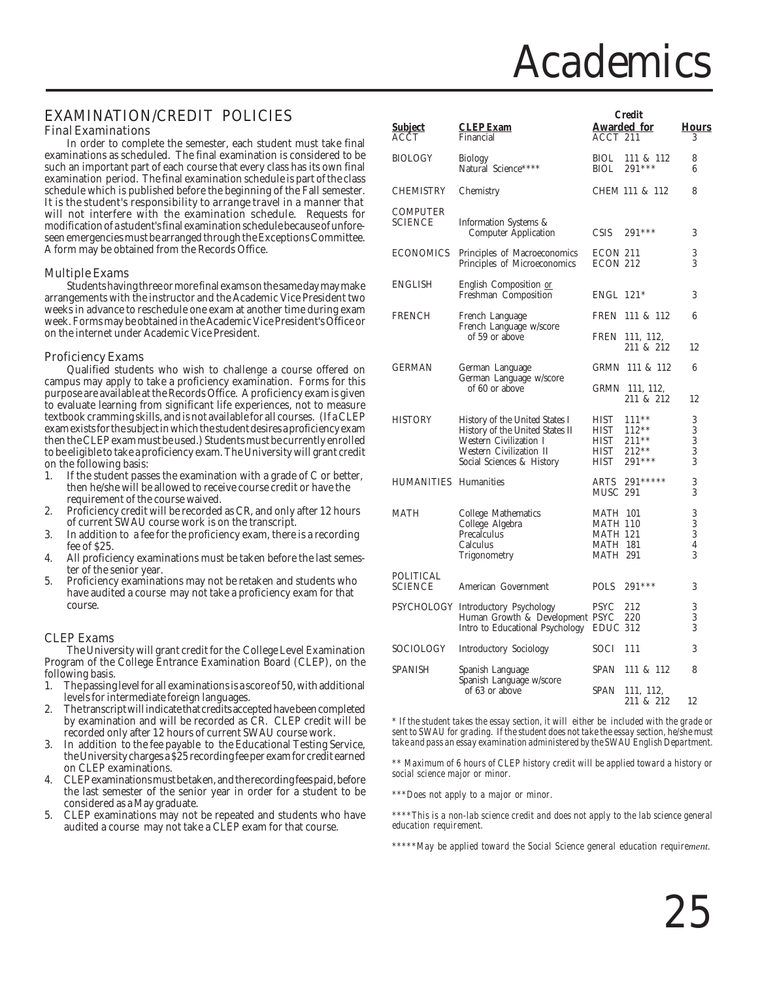### **Academics**

#### EXAMINATION/CREDIT POLICIES

#### Final Examinations

In order to complete the semester, each student must take final examinations as scheduled. The final examination is considered to be such an important part of each course that every class has its own final examination period. The final examination schedule is part of the class schedule which is published before the beginning of the Fall semester. It is the student's responsibility to arrange travel in a manner that will not interfere with the examination schedule. Requests for modification of a student's final examination schedule because of unforeseen emergencies must be arranged through the Exceptions Committee. A form may be obtained from the Records Office.

#### Multiple Exams

Students having three or more final exams on the same day may make arrangements with the instructor and the Academic Vice President two weeks in advance to reschedule one exam at another time during exam week. Forms may be obtained in the Academic Vice President's Office or on the internet under Academic Vice President.

#### Proficiency Exams

Qualified students who wish to challenge a course offered on campus may apply to take a proficiency examination. Forms for this purpose are available at the Records Office. A proficiency exam is given to evaluate learning from significant life experiences, not to measure textbook cramming skills, and is not available for all courses. (If a CLEP exam exists for the subject in which the student desires a proficiency exam then the CLEP exam must be used.) Students must be currently enrolled to be eligible to take a proficiency exam. The University will grant credit on the following basis:

- 1. If the student passes the examination with a grade of C or better, then he/she will be allowed to receive course credit or have the requirement of the course waived.
- 2. Proficiency credit will be recorded as CR, and only after 12 hours of current SWAU course work is on the transcript.
- 3. In addition to a fee for the proficiency exam, there is a recording fee of \$25.
- 4. All proficiency examinations must be taken before the last semester of the senior year.
- 5. Proficiency examinations may not be retaken and students who have audited a course may not take a proficiency exam for that course.

#### CLEP Exams

The University will grant credit for the College Level Examination Program of the College Entrance Examination Board (CLEP), on the following basis.<br>1. The passing

- The passing level for all examinations is a score of 50, with additional levels for intermediate foreign languages.
- 2. The transcript will indicate that credits accepted have been completed by examination and will be recorded as CR. CLEP credit will be recorded only after 12 hours of current SWAU course work.
- In addition to the fee payable to the Educational Testing Service, the University charges a \$25 recording fee per exam for credit earned on CLEP examinations.
- 4. CLEP examinations must be taken, and the recording fees paid, before the last semester of the senior year in order for a student to be considered as a May graduate.
- 5. CLEP examinations may not be repeated and students who have audited a course may not take a CLEP exam for that course.

|                              |                                           |                 | <b>Credit</b>      |                |
|------------------------------|-------------------------------------------|-----------------|--------------------|----------------|
| <u>Subject</u>               | <b>CLEP Exam</b>                          |                 | <b>Awarded</b> for | <b>Hours</b>   |
| ACCT                         | Financial                                 | ACCT 211        |                    | 3              |
|                              |                                           |                 |                    |                |
| <b>BIOLOGY</b>               | <b>Biology</b>                            | <b>BIOL</b>     | 111 & 112          | 8              |
|                              | Natural Science****                       | BIOL            | 291 ***            | 6              |
|                              |                                           |                 |                    |                |
| <b>CHEMISTRY</b>             | Chemistry                                 |                 | CHEM 111 & 112     | 8              |
|                              |                                           |                 |                    |                |
| COMPUTER                     |                                           |                 |                    |                |
| <b>SCIENCE</b>               | Information Systems &                     |                 |                    |                |
|                              | <b>Computer Application</b>               | <b>CSIS</b>     | $291***$           | 3              |
|                              |                                           |                 |                    |                |
| <b>ECONOMICS</b>             | Principles of Macroeconomics              | ECON 211        |                    | 3              |
|                              | Principles of Microeconomics              | ECON 212        |                    | 3              |
|                              |                                           |                 |                    |                |
| <b>ENGLISH</b>               | English Composition or                    |                 |                    |                |
|                              | Freshman Composition                      | $ENGL$ 121*     |                    | 3              |
|                              |                                           |                 |                    |                |
| <b>FRENCH</b>                | French Language                           |                 | FREN 111 & 112     | 6              |
|                              | French Language w/score<br>of 59 or above |                 | FREN 111, 112,     |                |
|                              |                                           |                 | 211 & 212          | 12             |
|                              |                                           |                 |                    |                |
| <b>GERMAN</b>                | German Language                           |                 | GRMN 111 & 112     | 6              |
|                              | German Language w/score                   |                 |                    |                |
|                              | of 60 or above                            |                 | GRMN 111, 112,     |                |
|                              |                                           |                 | 211 & 212          | 12             |
|                              |                                           |                 |                    |                |
| <b>HISTORY</b>               | History of the United States I            | HIST            | $111***$           | 3              |
|                              | History of the United States II           | HIST            | $112**$            | 3              |
|                              | Western Civilization I                    | HIST            | 211**              | $\overline{3}$ |
|                              | Western Civilization II                   | HIST            | $212**$            | 3              |
|                              | Social Sciences & History                 | <b>HIST</b>     | $291***$           | 3              |
|                              |                                           |                 |                    |                |
| <b>HUMANITIES</b> Humanities |                                           | ARTS            | 291*****           | 3              |
|                              |                                           | <b>MUSC 291</b> |                    | 3              |
|                              |                                           |                 |                    |                |
| MATH                         | College Mathematics                       | <b>MATH 101</b> |                    | 3              |
|                              | College Algebra                           | <b>MATH 110</b> |                    | 3              |
|                              | Precalculus                               | <b>MATH 121</b> |                    | 3              |
|                              | Calculus                                  | <b>MATH 181</b> |                    | 4              |
|                              | Trigonometry                              | <b>MATH 291</b> |                    | 3              |
| POLITICAL                    |                                           |                 |                    |                |
| <b>SCIENCE</b>               | American Government                       | <b>POLS</b>     | $291***$           | 3              |
|                              |                                           |                 |                    |                |
|                              | PSYCHOLOGY Introductory Psychology        | <b>PSYC</b>     | 212                | 3              |
|                              | Human Growth & Development PSYC           |                 | 220                | 3              |
|                              | Intro to Educational Psychology           | EDUC 312        |                    | 3              |
|                              |                                           |                 |                    |                |
| <b>SOCIOLOGY</b>             | Introductory Sociology                    | SOCI            | 111                | 3              |
|                              |                                           |                 |                    |                |
| SPANISH                      | Spanish Language                          | <b>SPAN</b>     | 111 & 112          | 8              |
|                              | Spanish Language w/score                  |                 |                    |                |
|                              | of 63 or above                            | SPAN            | 111, 112,          |                |
|                              |                                           |                 | 211 & 212          | 12             |

*\* If the student takes the essay section, it will either be included with the grade or sent to SWAU for grading. If the student does not take the essay section, he/she must take and pass an essay examination administered by the SWAU English Department.*

*\*\* Maximum of 6 hours of CLEP history credit will be applied toward a history or social science major or minor.*

*\*\*\*Does not apply to a major or minor.*

*\*\*\*\*This is a non-lab science credit and does not apply to the lab science general education requirement.*

*\*\*\*\*\*May be applied toward the Social Science general education requirement.*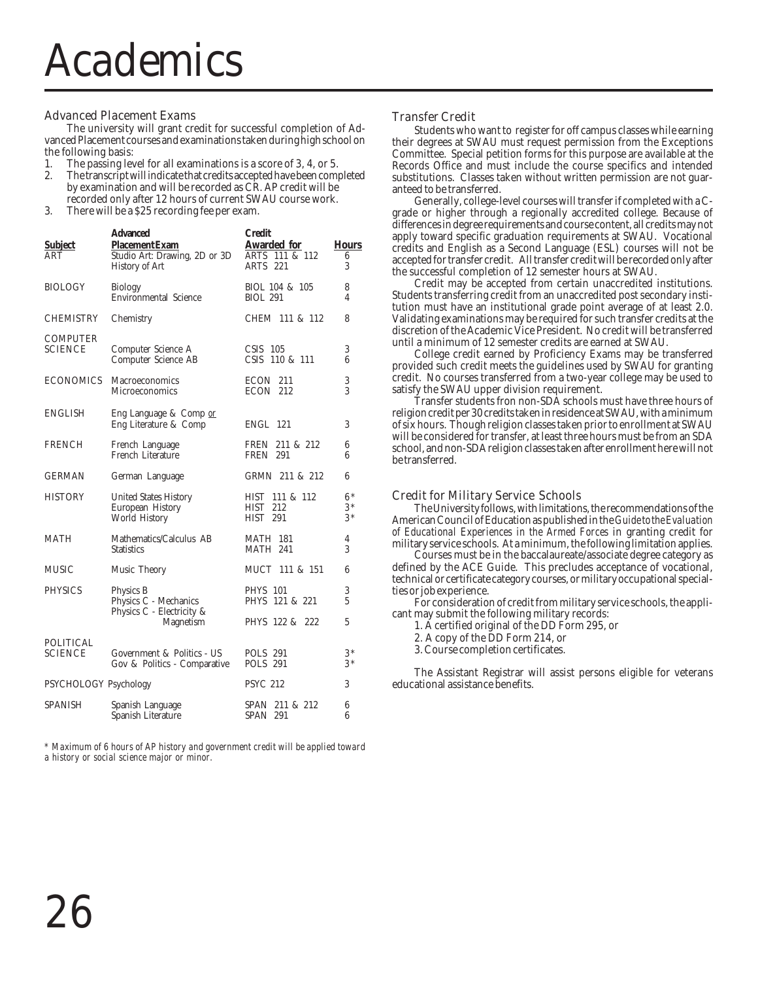#### Advanced Placement Exams

The university will grant credit for successful completion of Advanced Placement courses and examinations taken during high school on

- the following basis:<br>1. The passing lev
- 1. The passing level for all examinations is a score of 3, 4, or 5.<br>2. The transcript will indicate that credits accepted have been com-2. The transcript will indicate that credits accepted have been completed by examination and will be recorded as CR. AP credit will be recorded only after 12 hours of current SWAU course work.
- 3. There will be a \$25 recording fee per exam.

| <b>Subject</b><br>ART              | <b>Advanced</b><br>Placement Exam<br>Studio Art: Drawing, 2D or 3D<br><b>History of Art</b> | Credit<br><b>Awarded for</b><br>ARTS 111 & 112<br>ARTS 221     | <b>Hours</b><br>6<br>3 |
|------------------------------------|---------------------------------------------------------------------------------------------|----------------------------------------------------------------|------------------------|
| <b>BIOLOGY</b>                     | <b>Biology</b><br>Environmental Science                                                     | BIOL 104 & 105<br><b>BIOL 291</b>                              | 8<br>4                 |
| <b>CHEMISTRY</b>                   | Chemistry                                                                                   | CHEM 111 & 112                                                 | 8                      |
| <b>COMPUTER</b><br>SCIENCE         | Computer Science A<br>Computer Science AB                                                   | $CSIS$ 105<br>CSIS 110 & 111                                   | 3<br>6                 |
| <b>ECONOMICS</b>                   | Macroeconomics<br>Microeconomics                                                            | ECON 211<br>ECON 212                                           | 3<br>3                 |
| <b>ENGLISH</b>                     | Eng Language & Comp or<br>Eng Literature & Comp                                             | <b>ENGL 121</b>                                                | 3                      |
| FRENCH                             | French Language<br>French Literature                                                        | FREN 211 & 212<br><b>FREN</b> 291                              | 6<br>6                 |
| GERMAN                             | German Language                                                                             | GRMN 211 & 212                                                 | 6                      |
| <b>HISTORY</b>                     | <b>United States History</b><br>European History<br>World History                           | <b>HIST</b><br>111 & 112<br><b>HIST</b> 212<br><b>HIST 291</b> | $6*$<br>$3*$<br>$3*$   |
| MATH                               | Mathematics/Calculus AB<br><b>Statistics</b>                                                | <b>MATH 181</b><br><b>MATH 241</b>                             | 4<br>3                 |
| <b>MUSIC</b>                       | Music Theory                                                                                | MUCT 111 & 151                                                 | 6                      |
| <b>PHYSICS</b>                     | Physics B<br>Physics C - Mechanics<br>Physics C - Electricity &                             | <b>PHYS</b> 101<br>PHYS 121 & 221                              | 3<br>5                 |
|                                    | Magnetism                                                                                   | PHYS 122 & 222                                                 | 5                      |
| <b>POLITICAL</b><br><b>SCIENCE</b> | Government & Politics - US<br>Gov & Politics - Comparative                                  | <b>POLS 291</b><br><b>POLS 291</b>                             | $3*$<br>$3*$           |
| PSYCHOLOGY Psychology              |                                                                                             | <b>PSYC 212</b>                                                | 3                      |
| SPANISH                            | Spanish Language<br>Spanish Literature                                                      | SPAN 211 & 212<br><b>SPAN 291</b>                              | 6<br>6                 |

*\* Maximum of 6 hours of AP history and government credit will be applied toward a history or social science major or minor.*

#### Transfer Credit

Students who want to register for off campus classes while earning their degrees at SWAU must request permission from the Exceptions Committee. Special petition forms for this purpose are available at the Records Office and must include the course specifics and intended substitutions. Classes taken without written permission are not guaranteed to be transferred.

Generally, college-level courses will transfer if completed with a Cgrade or higher through a regionally accredited college. Because of differences in degree requirements and course content, all credits may not apply toward specific graduation requirements at SWAU. Vocational credits and English as a Second Language (ESL) courses will not be accepted for transfer credit. All transfer credit will be recorded only after the successful completion of 12 semester hours at SWAU.

Credit may be accepted from certain unaccredited institutions. Students transferring credit from an unaccredited post secondary institution must have an institutional grade point average of at least 2.0. Validating examinations may be required for such transfer credits at the discretion of the Academic Vice President. No credit will be transferred until a minimum of 12 semester credits are earned at SWAU.

College credit earned by Proficiency Exams may be transferred provided such credit meets the guidelines used by SWAU for granting credit. No courses transferred from a two-year college may be used to satisfy the SWAU upper division requirement.

Transfer students fron non-SDA schools must have three hours of religion credit per 30 credits taken in residence at SWAU, with a minimum of six hours. Though religion classes taken prior to enrollment at SWAU will be considered for transfer, at least three hours must be from an SDA school, and non-SDA religion classes taken after enrollment here will not be transferred.

#### Credit for Military Service Schools

The University follows, with limitations, the recommendations of the American Council of Education as published in the *Guide to the Evaluation of Educational Experiences in the Armed Forces* in granting credit for military service schools. At a minimum, the following limitation applies.

Courses must be in the baccalaureate/associate degree category as defined by the ACE Guide. This precludes acceptance of vocational, technical or certificate category courses, or military occupational specialties or job experience.

For consideration of credit from military service schools, the applicant may submit the following military records:

1. A certified original of the DD Form 295, or

2. A copy of the DD Form 214, or

3. Course completion certificates.

The Assistant Registrar will assist persons eligible for veterans educational assistance benefits.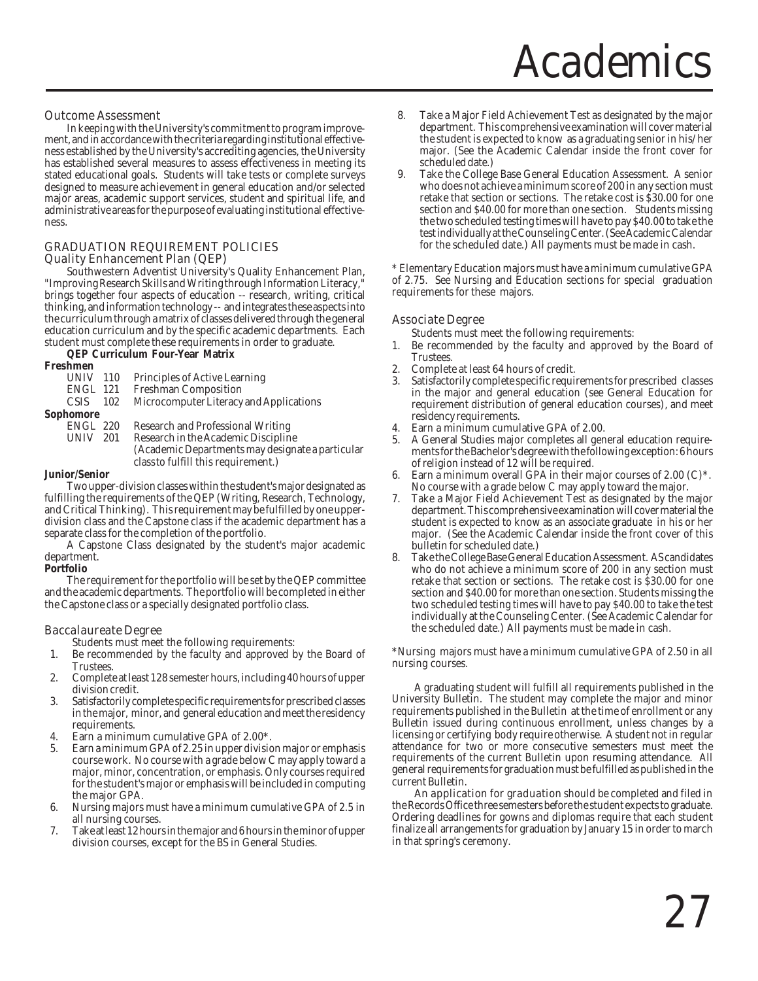#### Outcome Assessment

In keeping with the University's commitment to program improvement, and in accordance with the criteria regarding institutional effectiveness established by the University's accrediting agencies, the University has established several measures to assess effectiveness in meeting its stated educational goals. Students will take tests or complete surveys designed to measure achievement in general education and/or selected major areas, academic support services, student and spiritual life, and administrative areas for the purpose of evaluating institutional effectiveness.

#### GRADUATION REQUIREMENT POLICIES Quality Enhancement Plan (QEP)

Southwestern Adventist University's Quality Enhancement Plan, "Improving Research Skills and Writing through Information Literacy," brings together four aspects of education -- research, writing, critical thinking, and information technology -- and integrates these aspects into the curriculum through a matrix of classes delivered through the general education curriculum and by the specific academic departments. Each student must complete these requirements in order to graduate.

**QEP Curriculum Four-Year Matrix**

| (Academic Departments may designate a particular |
|--------------------------------------------------|
|                                                  |
|                                                  |

#### **Junior/Senior**

Two upper-division classes within the student's major designated as fulfilling the requirements of the QEP (Writing, Research, Technology, and Critical Thinking). This requirement may be fulfilled by one upperdivision class and the Capstone class if the academic department has a separate class for the completion of the portfolio.

A Capstone Class designated by the student's major academic department.

**Portfolio**

The requirement for the portfolio will be set by the QEP committee and the academic departments. The portfolio will be completed in either the Capstone class or a specially designated portfolio class.

#### Baccalaureate Degree

Students must meet the following requirements:

- 1. Be recommended by the faculty and approved by the Board of Trustees.
- 2. Complete at least 128 semester hours, including 40 hours of upper division credit.
- 3. Satisfactorily complete specific requirements for prescribed classes in the major, minor, and general education and meet the residency requirements.
- Earn a minimum cumulative GPA of 2.00\*.
- 5. Earn a minimum GPA of 2.25 in upper division major or emphasis course work. No course with a grade below C may apply toward a major, minor, concentration, or emphasis. Only courses required for the student's major or emphasis will be included in computing the major GPA.
- 6. Nursing majors must have a minimum cumulative GPA of 2.5 in all nursing courses.
- 7. Take at least 12 hours in the major and 6 hours in the minor of upper division courses, except for the BS in General Studies.
- 8. Take a Major Field Achievement Test as designated by the major department. This comprehensive examination will cover material the student is expected to know as a graduating senior in his/ her major. (See the Academic Calendar inside the front cover for scheduled date.)
- 9. Take the College Base General Education Assessment. A senior who does not achieve a minimum score of 200 in any section must retake that section or sections. The retake cost is \$30.00 for one section and \$40.00 for more than one section. Students missing the two scheduled testing times will have to pay \$40.00 to take the test individually at the Counseling Center. (See Academic Calendar for the scheduled date.) All payments must be made in cash.

\* Elementary Education majors must have a minimum cumulative GPA of 2.75. See Nursing and Education sections for special graduation requirements for these majors.

#### Associate Degree

Students must meet the following requirements:

- Be recommended by the faculty and approved by the Board of **Trustees**
- 2. Complete at least 64 hours of credit.
- 3. Satisfactorily complete specific requirements for prescribed classes in the major and general education (see General Education for requirement distribution of general education courses), and meet residency requirements.
- Earn a minimum cumulative GPA of 2.00.
- 5. A General Studies major completes all general education requirements for the Bachelor's degree with the following exception: 6 hours of religion instead of 12 will be required.
- 6. Earn a minimum overall GPA in their major courses of 2.00 (C)\*. No course with a grade below C may apply toward the major.
- 7. Take a Major Field Achievement Test as designated by the major department. This comprehensive examination will cover material the student is expected to know as an associate graduate in his or her major. (See the Academic Calendar inside the front cover of this bulletin for scheduled date.)
- 8. Take the College Base General Education Assessment. AS candidates who do not achieve a minimum score of 200 in any section must retake that section or sections. The retake cost is \$30.00 for one section and \$40.00 for more than one section. Students missing the two scheduled testing times will have to pay \$40.00 to take the test individually at the Counseling Center. (See Academic Calendar for the scheduled date.) All payments must be made in cash.

\*Nursing majors must have a minimum cumulative GPA of 2.50 in all nursing courses.

A graduating student will fulfill all requirements published in the University Bulletin. The student may complete the major and minor requirements published in the Bulletin at the time of enrollment or any Bulletin issued during continuous enrollment, unless changes by a licensing or certifying body require otherwise. A student not in regular attendance for two or more consecutive semesters must meet the requirements of the current Bulletin upon resuming attendance. All general requirements for graduation must be fulfilled as published in the current Bulletin.

An application for graduation should be completed and filed in the Records Office three semesters before the student expects to graduate. Ordering deadlines for gowns and diplomas require that each student finalize all arrangements for graduation by January 15 in order to march in that spring's ceremony.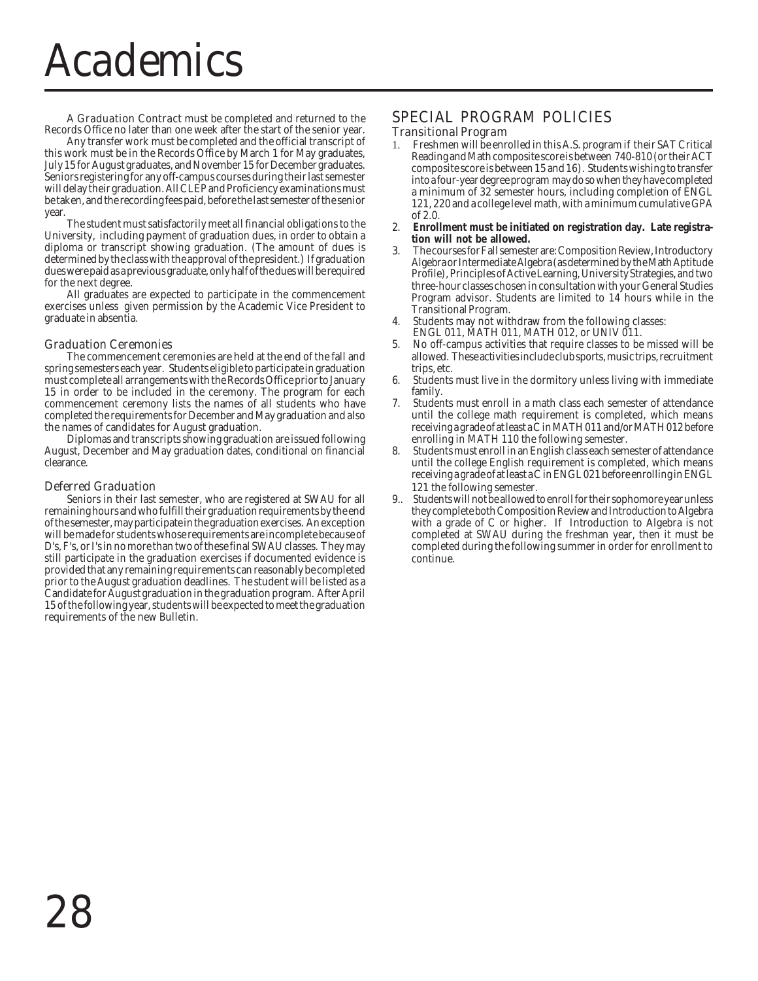### Academics

A Graduation Contract must be completed and returned to the Records Office no later than one week after the start of the senior year.

Any transfer work must be completed and the official transcript of this work must be in the Records Office by March 1 for May graduates, July 15 for August graduates, and November 15 for December graduates. Seniors registering for any off-campus courses during their last semester will delay their graduation. All CLEP and Proficiency examinations must be taken, and the recording fees paid, before the last semester of the senior year.

The student must satisfactorily meet all financial obligations to the University, including payment of graduation dues, in order to obtain a diploma or transcript showing graduation. (The amount of dues is determined by the class with the approval of the president.) If graduation dues were paid as a previous graduate, only half of the dues will be required for the next degree.

All graduates are expected to participate in the commencement exercises unless given permission by the Academic Vice President to graduate in absentia.

#### Graduation Ceremonies

The commencement ceremonies are held at the end of the fall and spring semesters each year. Students eligible to participate in graduation must complete all arrangements with the Records Office prior to January 15 in order to be included in the ceremony. The program for each commencement ceremony lists the names of all students who have completed the requirements for December and May graduation and also the names of candidates for August graduation.

Diplomas and transcripts showing graduation are issued following August, December and May graduation dates, conditional on financial clearance.

#### Deferred Graduation

Seniors in their last semester, who are registered at SWAU for all remaining hours and who fulfill their graduation requirements by the end of the semester, may participate in the graduation exercises. An exception will be made for students whose requirements are incomplete because of D's, F's, or I's in no more than two of these final SWAU classes. They may still participate in the graduation exercises if documented evidence is provided that any remaining requirements can reasonably be completed prior to the August graduation deadlines. The student will be listed as a Candidate for August graduation in the graduation program. After April 15 of the following year, students will be expected to meet the graduation requirements of the new Bulletin.

#### SPECIAL PROGRAM POLICIES

#### Transitional Program

- 1. Freshmen will be enrolled in this A.S. program if their SAT Critical Reading and Math composite score is between 740-810 (or their ACT composite score is between 15 and 16). Students wishing to transfer into a four-year degree program may do so when they have completed a minimum of 32 semester hours, including completion of ENGL 121, 220 and a college level math, with a minimum cumulative GPA of 2.0.
- 2. **Enrollment must be initiated on registration day. Late registration will not be allowed.**
- 3. The courses for Fall semester are: Composition Review, Introductory Algebra or Intermediate Algebra (as determined by the Math Aptitude Profile), Principles of Active Learning, University Strategies, and two three-hour classes chosen in consultation with your General Studies Program advisor. Students are limited to 14 hours while in the Transitional Program.
- 4. Students may not withdraw from the following classes: ENGL 011, MATH 011, MATH 012, or UNIV 011.
- 5. No off-campus activities that require classes to be missed will be allowed. These activities include club sports, music trips, recruitment trips, etc.
- 6. Students must live in the dormitory unless living with immediate family.
- 7. Students must enroll in a math class each semester of attendance until the college math requirement is completed, which means receiving a grade of at least a C in MATH 011 and/or MATH 012 before enrolling in MATH 110 the following semester.
- 8. Students must enroll in an English class each semester of attendance until the college English requirement is completed, which means receiving a grade of at least a C in ENGL 021 before enrolling in ENGL 121 the following semester.
- 9.. Students will not be allowed to enroll for their sophomore year unless they complete both Composition Review and Introduction to Algebra with a grade of C or higher. If Introduction to Algebra is not completed at SWAU during the freshman year, then it must be completed during the following summer in order for enrollment to continue.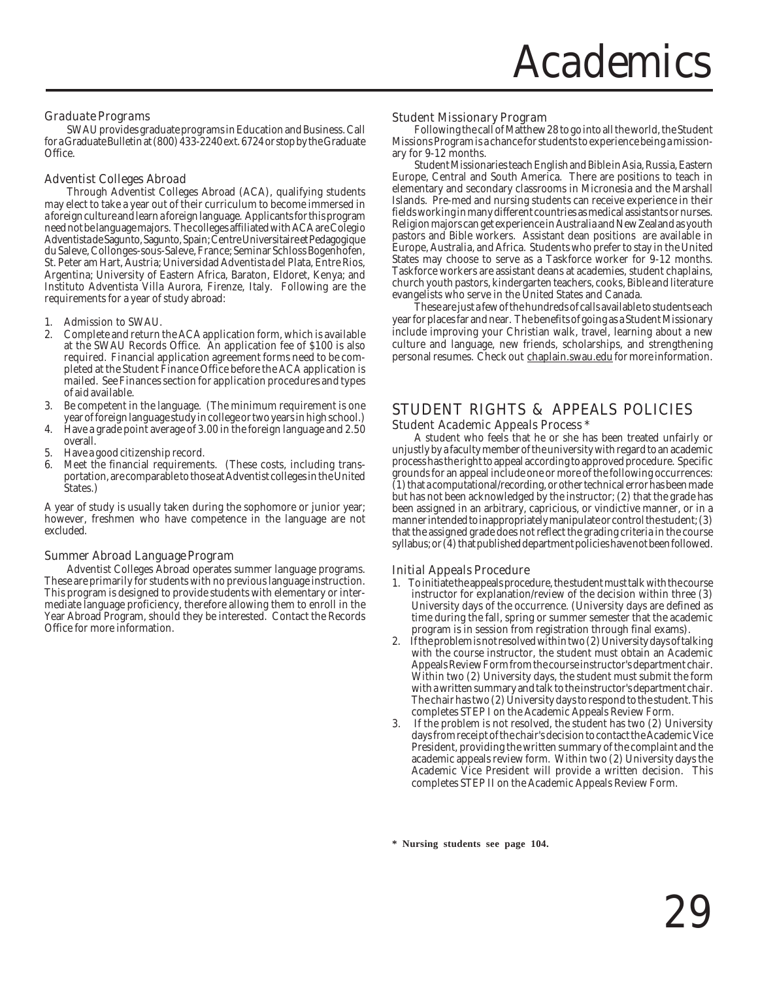#### Graduate Programs

SWAU provides graduate programs in Education and Business. Call for a Graduate Bulletin at (800) 433-2240 ext. 6724 or stop by the Graduate Office.

#### Adventist Colleges Abroad

Through Adventist Colleges Abroad (ACA), qualifying students may elect to take a year out of their curriculum to become immersed in a foreign culture and learn a foreign language. Applicants for this program need not be language majors. The colleges affiliated with ACA are Colegio Adventista de Sagunto, Sagunto, Spain; Centre Universitaire et Pedagogique du Saleve, Collonges-sous-Saleve, France; Seminar Schloss Bogenhofen, St. Peter am Hart, Austria; Universidad Adventista del Plata, Entre Rios, Argentina; University of Eastern Africa, Baraton, Eldoret, Kenya; and Instituto Adventista Villa Aurora, Firenze, Italy. Following are the requirements for a year of study abroad:

- 1. Admission to SWAU.<br>2. Complete and return
- 2. Complete and return the ACA application form, which is available at the SWAU Records Office. An application fee of \$100 is also required. Financial application agreement forms need to be completed at the Student Finance Office before the ACA application is mailed. See Finances section for application procedures and types of aid available.
- 3. Be competent in the language. (The minimum requirement is one year of foreign language study in college or two years in high school.)
- 4. Have a grade point average of 3.00 in the foreign language and 2.50 overall.
- 5. Have a good citizenship record.
- Meet the financial requirements. (These costs, including transportation, are comparable to those at Adventist colleges in the United States.)

A year of study is usually taken during the sophomore or junior year; however, freshmen who have competence in the language are not excluded.

#### Summer Abroad Language Program

Adventist Colleges Abroad operates summer language programs. These are primarily for students with no previous language instruction. This program is designed to provide students with elementary or intermediate language proficiency, therefore allowing them to enroll in the Year Abroad Program, should they be interested. Contact the Records Office for more information.

#### Student Missionary Program

Following the call of Matthew 28 to go into all the world, the Student Missions Program is a chance for students to experience being a missionary for 9-12 months.

Student Missionaries teach English and Bible in Asia, Russia, Eastern Europe, Central and South America. There are positions to teach in elementary and secondary classrooms in Micronesia and the Marshall Islands. Pre-med and nursing students can receive experience in their fields working in many different countries as medical assistants or nurses. Religion majors can get experience in Australia and New Zealand as youth pastors and Bible workers. Assistant dean positions are available in Europe, Australia, and Africa. Students who prefer to stay in the United States may choose to serve as a Taskforce worker for 9-12 months. Taskforce workers are assistant deans at academies, student chaplains, church youth pastors, kindergarten teachers, cooks, Bible and literature evangelists who serve in the United States and Canada.

These are just a few of the hundreds of calls available to students each year for places far and near. The benefits of going as a Student Missionary include improving your Christian walk, travel, learning about a new culture and language, new friends, scholarships, and strengthening personal resumes. Check out chaplain.swau.edu for more information.

#### STUDENT RIGHTS & APPEALS POLICIES Student Academic Appeals Process \*

A student who feels that he or she has been treated unfairly or unjustly by a faculty member of the university with regard to an academic process has the right to appeal according to approved procedure. Specific grounds for an appeal include one or more of the following occurrences: (1) that a computational/recording, or other technical error has been made but has not been acknowledged by the instructor; (2) that the grade has been assigned in an arbitrary, capricious, or vindictive manner, or in a manner intended to inappropriately manipulate or control the student; (3) that the assigned grade does not reflect the grading criteria in the course syllabus; or (4) that published department policies have not been followed.

#### Initial Appeals Procedure

- 1. To initiate the appeals procedure, the student must talk with the course instructor for explanation/review of the decision within three (3) University days of the occurrence. (University days are defined as time during the fall, spring or summer semester that the academic program is in session from registration through final exams).
- 2. If the problem is not resolved within two (2) University days of talking with the course instructor, the student must obtain an Academic Appeals Review Form from the course instructor's department chair. Within two (2) University days, the student must submit the form with a written summary and talk to the instructor's department chair. The chair has two (2) University days to respond to the student. This completes STEP I on the Academic Appeals Review Form.
- If the problem is not resolved, the student has two (2) University days from receipt of the chair's decision to contact the Academic Vice President, providing the written summary of the complaint and the academic appeals review form. Within two (2) University days the Academic Vice President will provide a written decision. This completes STEP II on the Academic Appeals Review Form.

**\* Nursing students see page 104.**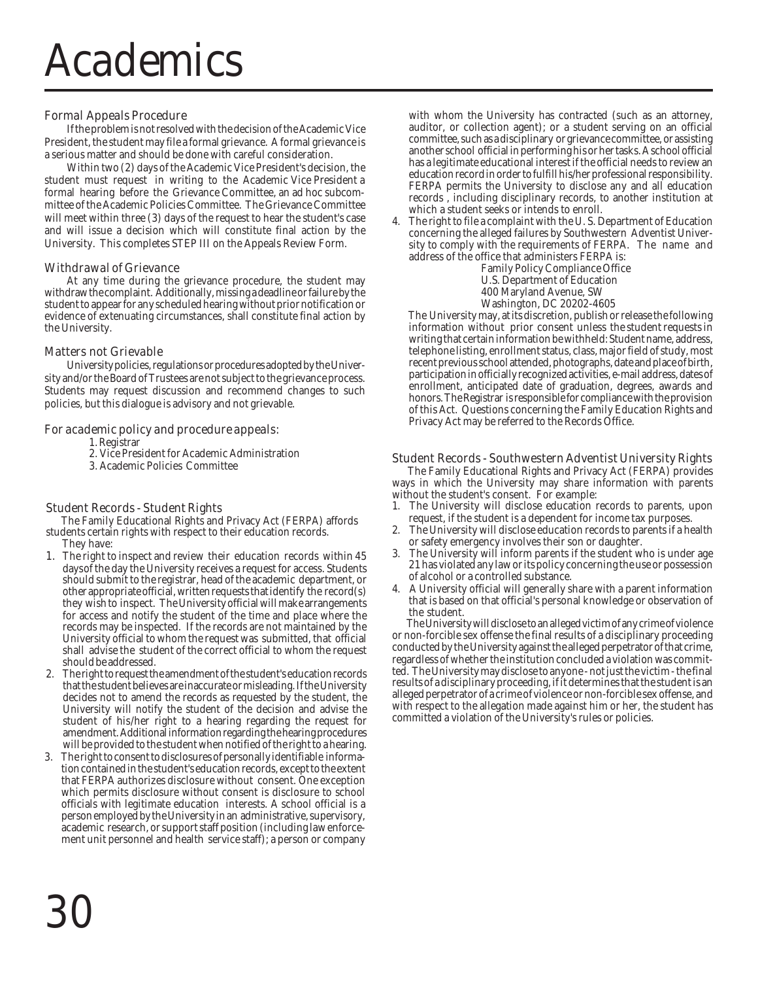### Academics

#### Formal Appeals Procedure

If the problem is not resolved with the decision of the Academic Vice President, the student may file a formal grievance. A formal grievance is a serious matter and should be done with careful consideration.

Within two (2) days of the Academic Vice President's decision, the student must request in writing to the Academic Vice President a formal hearing before the Grievance Committee, an ad hoc subcommittee of the Academic Policies Committee. The Grievance Committee will meet within three (3) days of the request to hear the student's case and will issue a decision which will constitute final action by the University. This completes STEP III on the Appeals Review Form.

#### Withdrawal of Grievance

At any time during the grievance procedure, the student may withdraw the complaint. Additionally, missing a deadline or failure by the student to appear for any scheduled hearing without prior notification or evidence of extenuating circumstances, shall constitute final action by the University.

#### Matters not Grievable

University policies, regulations or procedures adopted by the University and/or the Board of Trustees are not subject to the grievance process. Students may request discussion and recommend changes to such policies, but this dialogue is advisory and not grievable.

#### For academic policy and procedure appeals:

1. Registrar

- 2. Vice President for Academic Administration
- 3. Academic Policies Committee

#### Student Records - Student Rights

 The Family Educational Rights and Privacy Act (FERPA) affords students certain rights with respect to their education records. They have:

- 1. The right to inspect and review their education records within 45 daysof the day the University receives a request for access. Students should submit to the registrar, head of the academic department, or other appropriate official, written requests that identify the record(s) they wish to inspect. The University official will make arrangements for access and notify the student of the time and place where the records may be inspected. If the records are not maintained by the University official to whom the request was submitted, that official shall advise the student of the correct official to whom the request should be addressed.
- 2. The right to request the amendment of the student's education records that the student believes are inaccurate or misleading. If the University decides not to amend the records as requested by the student, the University will notify the student of the decision and advise the student of his/her right to a hearing regarding the request for amendment. Additional information regarding the hearing procedures will be provided to the student when notified of the right to a hearing.
- 3. The right to consent to disclosures of personally identifiable information contained in the student's education records, except to the extent that FERPA authorizes disclosure without consent. One exception which permits disclosure without consent is disclosure to school officials with legitimate education interests. A school official is a person employed by the University in an administrative, supervisory, academic research, or support staff position (including law enforcement unit personnel and health service staff); a person or company

with whom the University has contracted (such as an attorney, auditor, or collection agent); or a student serving on an official committee, such as a disciplinary or grievance committee, or assisting another school official in performing his or her tasks. A school official has a legitimate educational interest if the official needs to review an education record in order to fulfill his/her professional responsibility. FERPA permits the University to disclose any and all education records , including disciplinary records, to another institution at which a student seeks or intends to enroll.

- 4. The right to file a complaint with the U. S. Department of Education concerning the alleged failures by Southwestern Adventist University to comply with the requirements of FERPA. The name and address of the office that administers FERPA is:
	- Family Policy Compliance Office
	- U.S. Department of Education
	- 400 Maryland Avenue, SW
	- Washington, DC 20202-4605

The University may, at its discretion, publish or release the following information without prior consent unless the student requests in writing that certain information be withheld: Student name, address, telephone listing, enrollment status, class, major field of study, most recent previous school attended, photographs, date and place of birth, participation in officially recognized activities, e-mail address, dates of enrollment, anticipated date of graduation, degrees, awards and honors. The Registrar is responsible for compliance with the provision of this Act. Questions concerning the Family Education Rights and Privacy Act may be referred to the Records Office.

#### Student Records - Southwestern Adventist University Rights

 The Family Educational Rights and Privacy Act (FERPA) provides ways in which the University may share information with parents without the student's consent. For example:

- 1. The University will disclose education records to parents, upon request, if the student is a dependent for income tax purposes.
- 2. The University will disclose education records to parents if a health or safety emergency involves their son or daughter.
- The University will inform parents if the student who is under age 21 has violated any law or its policy concerning the use or possession of alcohol or a controlled substance.
- 4. A University official will generally share with a parent information that is based on that official's personal knowledge or observation of the student.

The University will disclose to an alleged victim of any crime of violence or non-forcible sex offense the final results of a disciplinary proceeding conducted by the University against the alleged perpetrator of that crime, regardless of whether the institution concluded a violation was committed. The University may disclose to anyone - not just the victim - the final results of a disciplinary proceeding, if it determines that the student is an alleged perpetrator of a crime of violence or non-forcible sex offense, and with respect to the allegation made against him or her, the student has committed a violation of the University's rules or policies.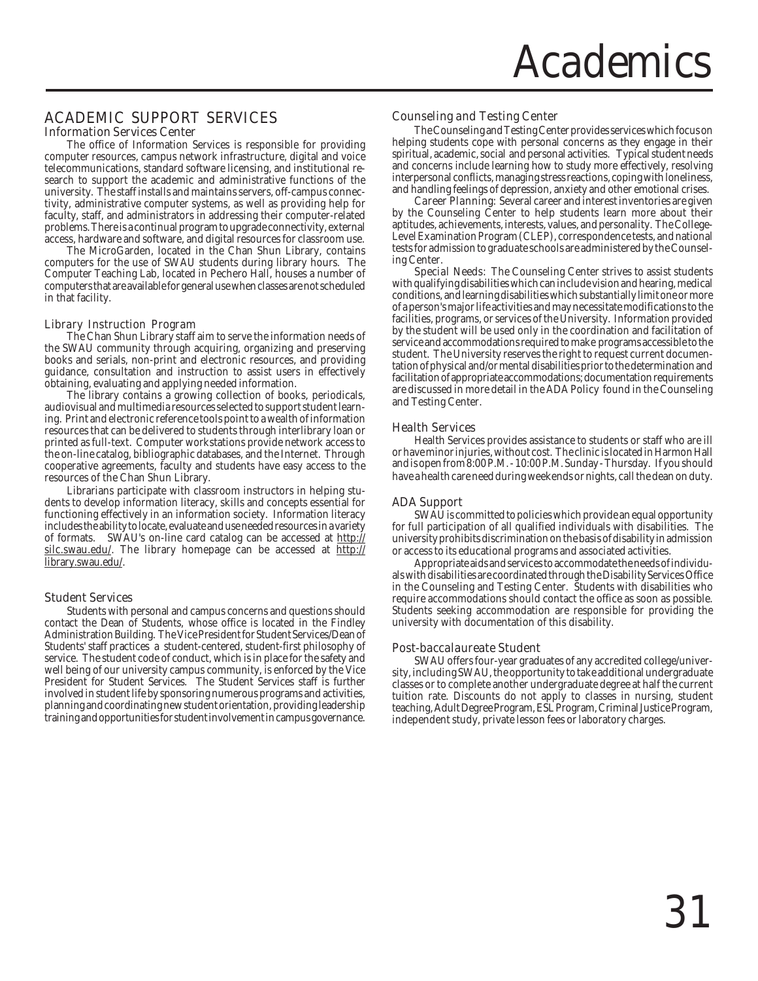#### ACADEMIC SUPPORT SERVICES Information Services Center

The office of Information Services is responsible for providing computer resources, campus network infrastructure, digital and voice telecommunications, standard software licensing, and institutional research to support the academic and administrative functions of the university. The staff installs and maintains servers, off-campus connectivity, administrative computer systems, as well as providing help for faculty, staff, and administrators in addressing their computer-related problems. There is a continual program to upgrade connectivity, external access, hardware and software, and digital resources for classroom use.

The MicroGarden, located in the Chan Shun Library, contains computers for the use of SWAU students during library hours. The Computer Teaching Lab, located in Pechero Hall, houses a number of computers that are available for general use when classes are not scheduled in that facility.

#### Library Instruction Program

The Chan Shun Library staff aim to serve the information needs of the SWAU community through acquiring, organizing and preserving books and serials, non-print and electronic resources, and providing guidance, consultation and instruction to assist users in effectively obtaining, evaluating and applying needed information.

The library contains a growing collection of books, periodicals, audiovisual and multimedia resources selected to support student learning. Print and electronic reference tools point to a wealth of information resources that can be delivered to students through interlibrary loan or printed as full-text. Computer workstations provide network access to the on-line catalog, bibliographic databases, and the Internet. Through cooperative agreements, faculty and students have easy access to the resources of the Chan Shun Library.

Librarians participate with classroom instructors in helping students to develop information literacy, skills and concepts essential for functioning effectively in an information society. Information literacy includes the ability to locate, evaluate and use needed resources in a variety of formats. SWAU's on-line card catalog can be accessed at http:// silc.swau.edu/. The library homepage can be accessed at http:// library.swau.edu/.

#### Student Services

Students with personal and campus concerns and questions should contact the Dean of Students, whose office is located in the Findley Administration Building. The Vice President for Student Services/Dean of Students' staff practices a student-centered, student-first philosophy of service. The student code of conduct, which is in place for the safety and well being of our university campus community, is enforced by the Vice President for Student Services. The Student Services staff is further involved in student life by sponsoring numerous programs and activities, planning and coordinating new student orientation, providing leadership training and opportunities for student involvement in campus governance.

#### Counseling and Testing Center

The Counseling and Testing Center provides services which focus on helping students cope with personal concerns as they engage in their spiritual, academic, social and personal activities. Typical student needs and concerns include learning how to study more effectively, resolving interpersonal conflicts, managing stress reactions, coping with loneliness, and handling feelings of depression, anxiety and other emotional crises.

**Career Planning:** Several career and interest inventories are given by the Counseling Center to help students learn more about their aptitudes, achievements, interests, values, and personality. The College-Level Examination Program (CLEP), correspondence tests, and national tests for admission to graduate schools are administered by the Counseling Center.

Special Needs: The Counseling Center strives to assist students with qualifying disabilities which can include vision and hearing, medical conditions, and learning disabilities which substantially limit one or more of a person's major life activities and may necessitate modifications to the facilities, programs, or services of the University. Information provided by the student will be used only in the coordination and facilitation of service and accommodations required to make programs accessible to the student. The University reserves the right to request current documentation of physical and/or mental disabilities prior to the determination and facilitation of appropriate accommodations; documentation requirements are discussed in more detail in the ADA Policy found in the Counseling and Testing Center.

#### Health Services

Health Services provides assistance to students or staff who are ill or have minor injuries, without cost. The clinic is located in Harmon Hall and is open from 8:00 P.M. - 10:00 P.M. Sunday - Thursday. If you should have a health care need during weekends or nights, call the dean on duty.

#### ADA Support

SWAU is committed to policies which provide an equal opportunity for full participation of all qualified individuals with disabilities. The university prohibits discrimination on the basis of disability in admission or access to its educational programs and associated activities.

Appropriate aids and services to accommodate the needs of individuals with disabilities are coordinated through the Disability Services Office in the Counseling and Testing Center. Students with disabilities who require accommodations should contact the office as soon as possible. Students seeking accommodation are responsible for providing the university with documentation of this disability.

#### Post-baccalaureate Student

SWAU offers four-year graduates of any accredited college/university, including SWAU, the opportunity to take additional undergraduate classes or to complete another undergraduate degree at half the current tuition rate. Discounts do not apply to classes in nursing, student teaching, Adult Degree Program, ESL Program, Criminal Justice Program, independent study, private lesson fees or laboratory charges.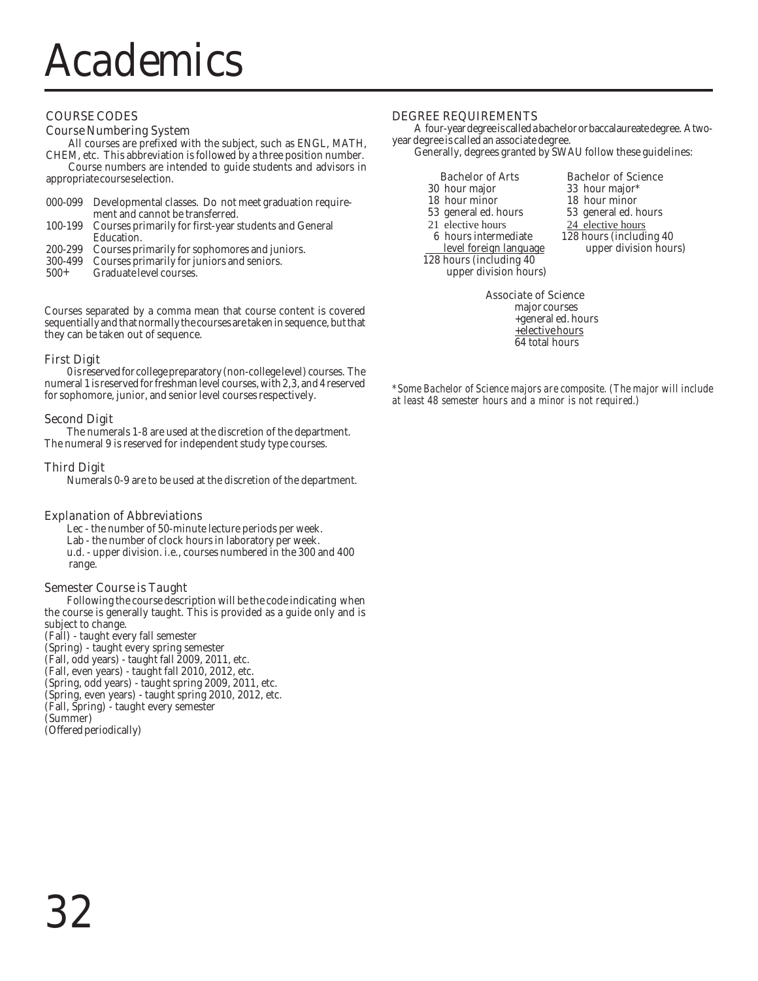#### COURSE CODES

#### Course Numbering System

All courses are prefixed with the subject, such as ENGL, MATH, CHEM, etc. This abbreviation is followed by a three position number.

Course numbers are intended to guide students and advisors in appropriate course selection.

|         | 000-099 Developmental classes. Do not meet graduation require-                                       |
|---------|------------------------------------------------------------------------------------------------------|
|         | ment and cannot be transferred.                                                                      |
| 100-199 | Courses primarily for first-year students and General                                                |
|         | Education.                                                                                           |
|         | 200-299 Courses primarily for sophomores and juniors.                                                |
|         | $0.00 \pm 0.00$ and $\sigma$ is the $\sigma$ in $\sigma$ is the $\sigma$ in $\sigma$ is the $\sigma$ |

- 300-499 Courses primarily for juniors and seniors.
- 500+ Graduate level courses.

Courses separated by a comma mean that course content is covered sequentially and that normally the courses are taken in sequence, but that they can be taken out of sequence.

#### First Digit

0 is reserved for college preparatory (non-college level) courses. The numeral 1 is reserved for freshman level courses, with 2,3, and 4 reserved for sophomore, junior, and senior level courses respectively.

#### Second Digit

The numerals 1-8 are used at the discretion of the department. The numeral 9 is reserved for independent study type courses.

#### Third Digit

Numerals 0-9 are to be used at the discretion of the department.

#### Explanation of Abbreviations

Lec - the number of 50-minute lecture periods per week. Lab - the number of clock hours in laboratory per week. u.d. - upper division. i.e., courses numbered in the 300 and 400 range.

#### Semester Course is Taught

Following the course description will be the code indicating when the course is generally taught. This is provided as a guide only and is subject to change. (Fall) - taught every fall semester (Spring) - taught every spring semester

(Fall, odd years) - taught fall 2009, 2011, etc. (Fall, even years) - taught fall 2010, 2012, etc. (Spring, odd years) - taught spring 2009, 2011, etc. (Spring, even years) - taught spring 2010, 2012, etc. (Fall, Spring) - taught every semester (Summer) (Offered periodically)

#### DEGREE REQUIREMENTS

A four-year degree is called a bachelor or baccalaureate degree. A twoyear degree is called an associate degree.

Generally, degrees granted by SWAU follow these guidelines:

| <b>Bachelor of Arts</b>  | <b>Bachelor of Science</b> |
|--------------------------|----------------------------|
| 30 hour major            | 33 hour major*             |
| 18 hour minor            | 18 hour minor              |
| 53 general ed. hours     | 53 general ed. hours       |
| 21 elective hours        | 24 elective hours          |
| 6 hours intermediate     | 128 hours (including 4     |
| level foreign language   | upper division ho          |
| 128 hours (including 40) |                            |

upper division hours)

33 hour major\* 18 hour minor 18 hour minor 53 general ed. hours 53 general ed. hours 24 elective hours

28 hours (including 40 upper division hours)

#### Associate of Science

major courses +general ed. hours +elective hours 64 total hours

*\*Some Bachelor of Science majors are composite. (The major will include at least 48 semester hours and a minor is not required.)*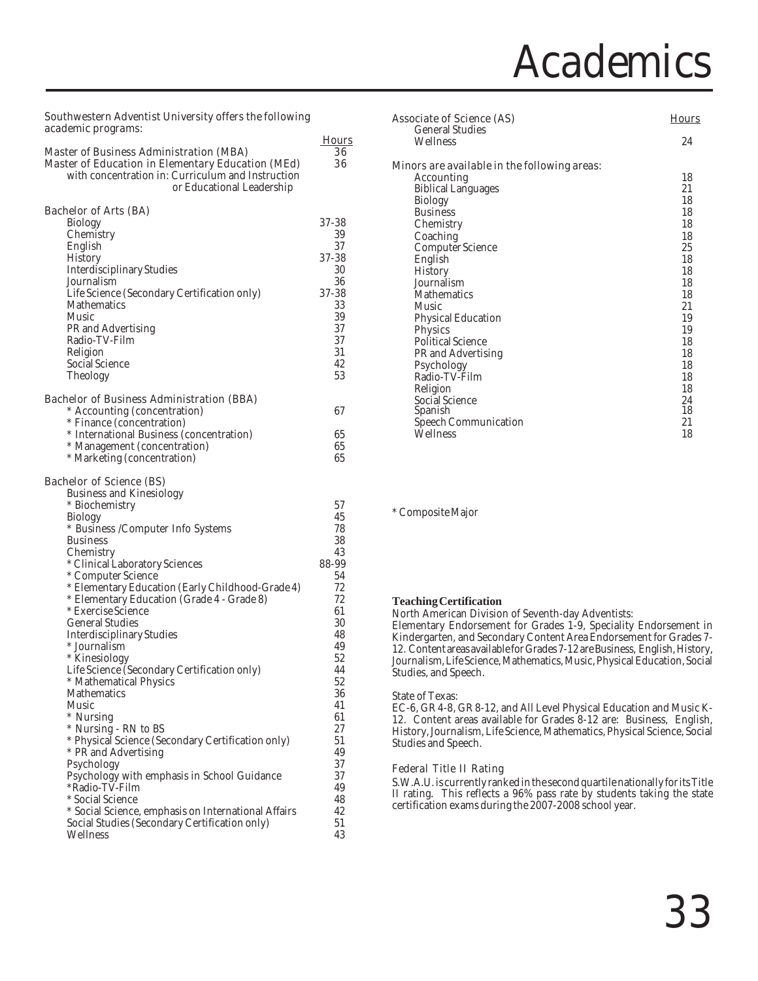### Academics

#### Southwestern Adventist University offers the following academic programs:

| <b>Master of Business Administration (MBA)</b>                                   | <b>Hours</b><br>36 |
|----------------------------------------------------------------------------------|--------------------|
| <b>Master of Education in Elementary Education (MEd)</b>                         | 36                 |
| with concentration in: Curriculum and Instruction                                |                    |
| or Educational Leadership                                                        |                    |
| <b>Bachelor of Arts (BA)</b>                                                     |                    |
| <b>Biology</b>                                                                   | 37-38              |
| Chemistry                                                                        | 39                 |
| English                                                                          | 37                 |
| History                                                                          | 37-38              |
| <b>Interdisciplinary Studies</b>                                                 | 30                 |
| Journalism                                                                       | 36                 |
| Life Science (Secondary Certification only)<br>Mathematics                       | 37-38<br>33        |
| Music                                                                            | 39                 |
| PR and Advertising                                                               | 37                 |
| Radio-TV-Film                                                                    | 37                 |
| Religion                                                                         | 31                 |
| Social Science                                                                   | 42                 |
| Theology                                                                         | 53                 |
|                                                                                  |                    |
| <b>Bachelor of Business Administration (BBA)</b><br>* Accounting (concentration) | 67                 |
| * Finance (concentration)                                                        |                    |
| * International Business (concentration)                                         | 65                 |
| * Management (concentration)                                                     | 65                 |
| * Marketing (concentration)                                                      | 65                 |
|                                                                                  |                    |
| <b>Bachelor of Science (BS)</b>                                                  |                    |
| <b>Business and Kinesiology</b>                                                  | 57                 |
| * Biochemistry<br><b>Biology</b>                                                 | 45                 |
| * Business /Computer Info Systems                                                | 78                 |
| <b>Business</b>                                                                  | 38                 |
| Chemistry                                                                        | 43                 |
| * Clinical Laboratory Sciences                                                   | 88-99              |
| * Computer Science                                                               | 54                 |
| * Elementary Education (Early Childhood-Grade 4)                                 | 72                 |
| * Elementary Education (Grade 4 - Grade 8)                                       | 72                 |
| * Exercise Science                                                               | 61                 |
| <b>General Studies</b>                                                           | 30                 |
| <b>Interdisciplinary Studies</b><br>* Journalism                                 | 48<br>49           |
| * Kinesiology                                                                    | 52                 |
| Life Science (Secondary Certification only)                                      | 44                 |
| * Mathematical Physics                                                           | 52                 |
| <b>Mathematics</b>                                                               | 36                 |
| Music                                                                            | 41                 |
| * Nursing                                                                        | 61                 |
| * Nursing - RN to BS                                                             | 27                 |
| * Physical Science (Secondary Certification only)                                | 51                 |
| * PR and Advertising                                                             | 49                 |
| Psychology                                                                       | 37                 |
| Psychology with emphasis in School Guidance<br>*Radio-TV-Film                    | 37<br>49           |
| * Social Science                                                                 | 48                 |
| * Social Science, emphasis on International Affairs                              | 42                 |
| Social Studies (Secondary Certification only)                                    | 51                 |
| Wellness                                                                         | 43                 |

| <b>Associate of Science (AS)</b>             | <b>Hours</b> |
|----------------------------------------------|--------------|
| <b>General Studies</b>                       |              |
| Wellness                                     | 24           |
| Minors are available in the following areas: |              |
| Accounting                                   | 18           |
| <b>Biblical Languages</b>                    | 21           |
| <b>Biology</b>                               | 18           |
| <b>Business</b>                              | 18           |
| Chemistry                                    | 18           |
| Coaching                                     | 18           |
| Computer Science                             | 25           |
| English                                      | 18           |
| <b>History</b>                               | 18           |
| Journalism                                   | 18           |
| <b>Mathematics</b>                           | 18           |
| Music                                        | 21           |
| <b>Physical Education</b>                    | 19           |
| <b>Physics</b>                               | 19           |
| <b>Political Science</b>                     | 18           |
| PR and Advertising                           | 18           |
| Psychology                                   | 18           |
| Radio-TV-Film                                | 18           |
| Religion                                     | 18           |
| Social Science                               | 24           |
| Spanish                                      | 18           |
| Speech Communication                         | 21           |
| Wellness                                     | 18           |

\* Composite Major

#### **Teaching Certification**

North American Division of Seventh-day Adventists:

Elementary Endorsement for Grades 1-9, Speciality Endorsement in Kindergarten, and Secondary Content Area Endorsement for Grades 7- 12. Content areas available for Grades 7-12 are Business, English, History, Journalism, Life Science, Mathematics, Music, Physical Education, Social Studies, and Speech.

#### State of Texas:

EC-6, GR 4-8, GR 8-12, and All Level Physical Education and Music K-12. Content areas available for Grades 8-12 are: Business, English, History, Journalism, Life Science, Mathematics, Physical Science, Social Studies and Speech.

#### Federal Title II Rating

S.W.A.U. is currently ranked in the second quartile nationally for its Title II rating. This reflects a 96% pass rate by students taking the state certification exams during the 2007-2008 school year.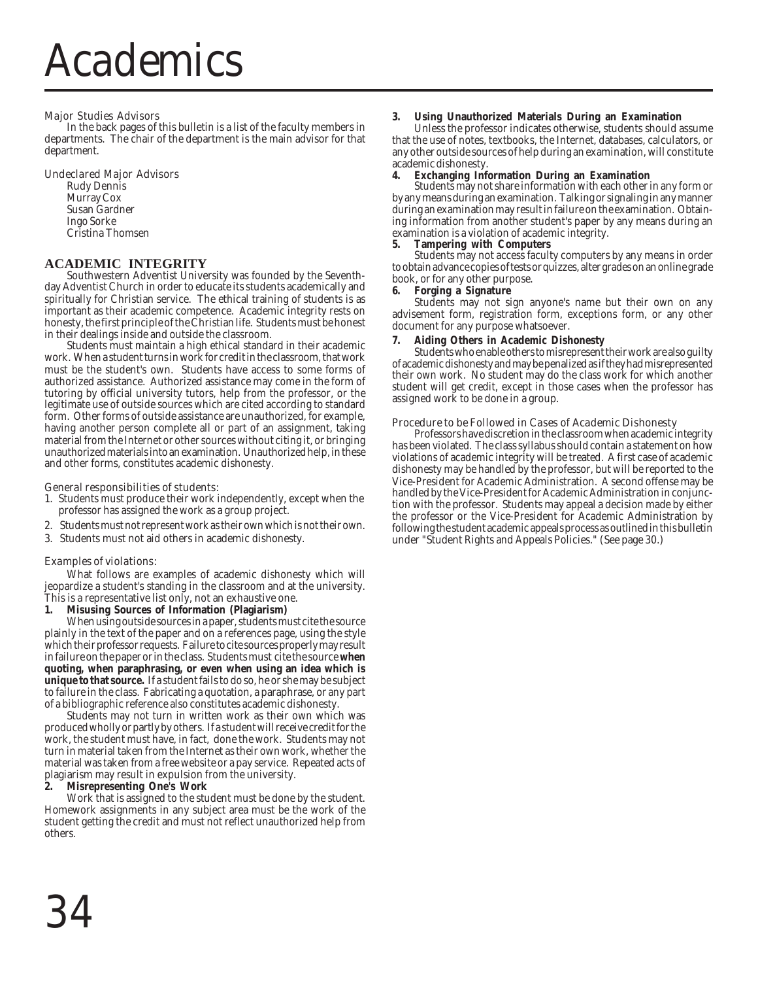#### Major Studies Advisors

In the back pages of this bulletin is a list of the faculty members in departments. The chair of the department is the main advisor for that department.

#### Undeclared Major Advisors

Rudy Dennis Murray Cox Susan Gardner Ingo Sorke Cristina Thomsen

#### **ACADEMIC INTEGRITY**

Southwestern Adventist University was founded by the Seventhday Adventist Church in order to educate its students academically and spiritually for Christian service. The ethical training of students is as important as their academic competence. Academic integrity rests on honesty, the first principle of the Christian life. Students must be honest in their dealings inside and outside the classroom.

Students must maintain a high ethical standard in their academic work. When a student turns in work for credit in the classroom, that work must be the student's own. Students have access to some forms of authorized assistance. Authorized assistance may come in the form of tutoring by official university tutors, help from the professor, or the legitimate use of outside sources which are cited according to standard form. Other forms of outside assistance are unauthorized, for example, having another person complete all or part of an assignment, taking material from the Internet or other sources without citing it, or bringing unauthorized materials into an examination. Unauthorized help, in these and other forms, constitutes academic dishonesty.

#### General responsibilities of students:

- 1. Students must produce their work independently, except when the professor has assigned the work as a group project.
- 2. Students must not represent work as their own which is not their own.
- 3. Students must not aid others in academic dishonesty.

#### Examples of violations:

What follows are examples of academic dishonesty which will jeopardize a student's standing in the classroom and at the university. This is a representative list only, not an exhaustive one.

**1. Misusing Sources of Information (Plagiarism)**

When using outside sources in a paper, students must cite the source plainly in the text of the paper and on a references page, using the style which their professor requests. Failure to cite sources properly may result in failure on the paper or in the class. Students must cite the source **when quoting, when paraphrasing, or even when using an idea which is unique to that source.** If a student fails to do so, he or she may be subject to failure in the class. Fabricating a quotation, a paraphrase, or any part of a bibliographic reference also constitutes academic dishonesty.

Students may not turn in written work as their own which was produced wholly or partly by others. If a student will receive credit for the work, the student must have, in fact, done the work. Students may not turn in material taken from the Internet as their own work, whether the material was taken from a free website or a pay service. Repeated acts of plagiarism may result in expulsion from the university.

#### **2. Misrepresenting One's Work**

Work that is assigned to the student must be done by the student. Homework assignments in any subject area must be the work of the student getting the credit and must not reflect unauthorized help from others.

#### **3. Using Unauthorized Materials During an Examination**

Unless the professor indicates otherwise, students should assume that the use of notes, textbooks, the Internet, databases, calculators, or any other outside sources of help during an examination, will constitute academic dishonesty.

#### **4. Exchanging Information During an Examination**

Students may not share information with each other in any form or by any means during an examination. Talking or signaling in any manner during an examination may result in failure on the examination. Obtaining information from another student's paper by any means during an examination is a violation of academic integrity.

#### **5. Tampering with Computers**

Students may not access faculty computers by any means in order to obtain advance copies of tests or quizzes, alter grades on an online grade book, or for any other purpose.<br>6 Forging a Signature

#### **6. Forging a Signature**

Students may not sign anyone's name but their own on any advisement form, registration form, exceptions form, or any other document for any purpose whatsoever.

#### **7. Aiding Others in Academic Dishonesty**

Students who enable others to misrepresent their work are also guilty of academic dishonesty and may be penalized as if they had misrepresented their own work. No student may do the class work for which another student will get credit, except in those cases when the professor has assigned work to be done in a group.

#### Procedure to be Followed in Cases of Academic Dishonesty

Professors have discretion in the classroom when academic integrity has been violated. The class syllabus should contain a statement on how violations of academic integrity will be treated. A first case of academic dishonesty may be handled by the professor, but will be reported to the Vice-President for Academic Administration. A second offense may be handled by the Vice-President for Academic Administration in conjunction with the professor. Students may appeal a decision made by either the professor or the Vice-President for Academic Administration by following the student academic appeals process as outlined in this bulletin under "Student Rights and Appeals Policies." (See page 30.)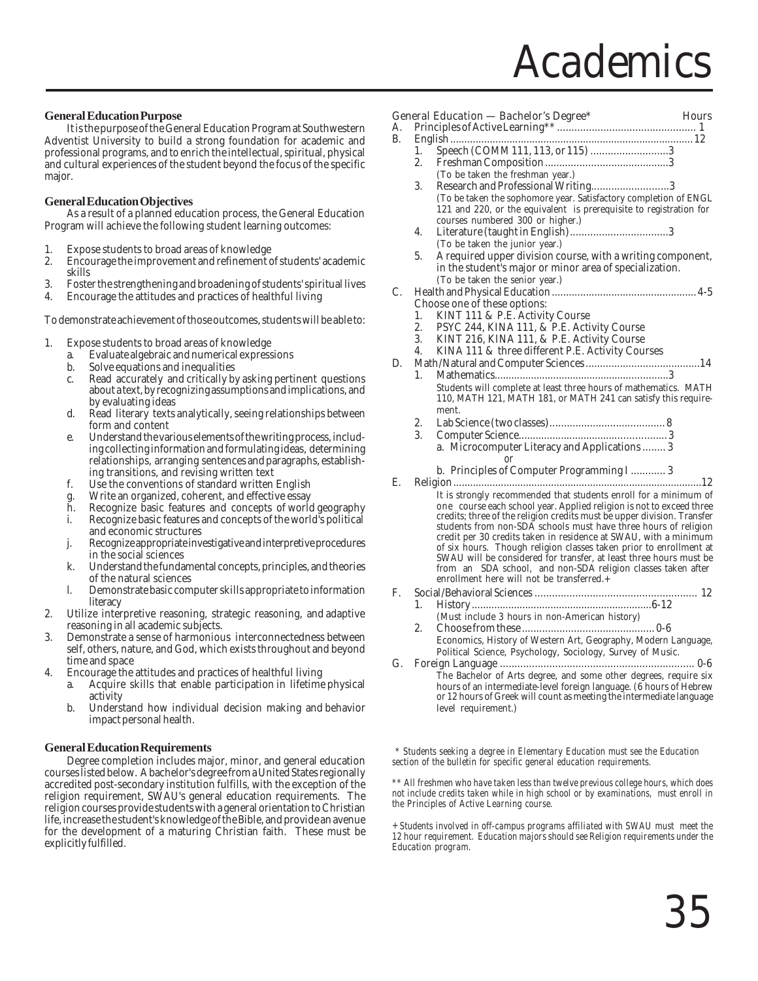### **Academics**

#### **General Education Purpose**

It is the purpose of the General Education Program at Southwestern Adventist University to build a strong foundation for academic and professional programs, and to enrich the intellectual, spiritual, physical and cultural experiences of the student beyond the focus of the specific major.

#### **General Education Objectives**

As a result of a planned education process, the General Education Program will achieve the following student learning outcomes:

- 
- 1. Expose students to broad areas of knowledge<br>2. Encourage the improvement and refinement of 2. Encourage the improvement and refinement of students' academic skills
- 3. Foster the strengthening and broadening of students' spiritual lives
- 4. Encourage the attitudes and practices of healthful living

To demonstrate achievement of those outcomes, students will be able to:

- 1. Expose students to broad areas of knowledge
	- a. Evaluate algebraic and numerical expressions
	- b. Solve equations and inequalities<br>c. Read accurately and critically by
	- Read accurately and critically by asking pertinent questions about a text, by recognizing assumptions and implications, and by evaluating ideas
	- d. Read literary texts analytically, seeing relationships between form and content
	- e. Understand the various elements of the writing process, including collecting information and formulating ideas, determining relationships, arranging sentences and paragraphs, establishing transitions, and revising written text
	- f. Use the conventions of standard written English
	- Write an organized, coherent, and effective essay
	- h. Recognize basic features and concepts of world geography i. Recognize basic features and concepts of the world's political
	- and economic structures j. Recognize appropriate investigative and interpretive procedures
	- in the social sciences
	- k. Understand the fundamental concepts, principles, and theories of the natural sciences
	- l. Demonstrate basic computer skills appropriate to information literacy
- 2. Utilize interpretive reasoning, strategic reasoning, and adaptive reasoning in all academic subjects.
- 3. Demonstrate a sense of harmonious interconnectedness between self, others, nature, and God, which exists throughout and beyond time and space
- 4. Encourage the attitudes and practices of healthful living
	- a. Acquire skills that enable participation in lifetime physical activity
	- b. Understand how individual decision making and behavior impact personal health.

#### **General Education Requirements**

Degree completion includes major, minor, and general education courses listed below. A bachelor's degree from a United States regionally accredited post-secondary institution fulfills, with the exception of the religion requirement, SWAU's general education requirements. The religion courses provide students with a general orientation to Christian life, increase the student's knowledge of the Bible, and provide an avenue for the development of a maturing Christian faith. These must be explicitly fulfilled.

|    |                | <b>General Education - Bachelor's Degree*</b>                                                                                              | <b>Hours</b> |
|----|----------------|--------------------------------------------------------------------------------------------------------------------------------------------|--------------|
| A. |                |                                                                                                                                            |              |
| B. |                |                                                                                                                                            |              |
|    | 1.             |                                                                                                                                            |              |
|    | 2.             |                                                                                                                                            |              |
|    |                | (To be taken the freshman year.)                                                                                                           |              |
|    | 3.             | Research and Professional Writing3                                                                                                         |              |
|    |                | (To be taken the sophomore year. Satisfactory completion of ENGL                                                                           |              |
|    |                | 121 and 220, or the equivalent is prerequisite to registration for                                                                         |              |
|    |                | courses numbered 300 or higher.)                                                                                                           |              |
|    | 4.             |                                                                                                                                            |              |
|    |                | (To be taken the junior year.)                                                                                                             |              |
|    | 5.             | A required upper division course, with a writing component,                                                                                |              |
|    |                |                                                                                                                                            |              |
|    |                | in the student's major or minor area of specialization.                                                                                    |              |
|    |                | (To be taken the senior year.)                                                                                                             |              |
| C. |                |                                                                                                                                            |              |
|    |                | Choose one of these options:                                                                                                               |              |
|    | 1.             | KINT 111 & P.E. Activity Course                                                                                                            |              |
|    | 2.             | PSYC 244, KINA 111, & P.E. Activity Course                                                                                                 |              |
|    | 3.             | KINT 216, KINA 111, & P.E. Activity Course                                                                                                 |              |
|    | 4.             | KINA 111 & three different P.E. Activity Courses                                                                                           |              |
| D. |                |                                                                                                                                            |              |
|    | 1 <sub>1</sub> |                                                                                                                                            |              |
|    |                | Students will complete at least three hours of mathematics. MATH                                                                           |              |
|    |                | 110, MATH 121, MATH 181, or MATH 241 can satisfy this require-                                                                             |              |
|    |                | ment.                                                                                                                                      |              |
|    | 2.             |                                                                                                                                            |              |
|    | 3.             |                                                                                                                                            |              |
|    |                | a. Microcomputer Literacy and Applications  3                                                                                              |              |
|    |                | or                                                                                                                                         |              |
|    |                | b. Principles of Computer Programming I  3                                                                                                 |              |
| E. |                |                                                                                                                                            |              |
|    |                |                                                                                                                                            |              |
|    |                | It is strongly recommended that students enroll for a minimum of                                                                           |              |
|    |                | one course each school year. Applied religion is not to exceed three                                                                       |              |
|    |                | credits; three of the religion credits must be upper division. Transfer<br>students from non-SDA schools must have three hours of religion |              |
|    |                | credit per 30 credits taken in residence at SWAU, with a minimum                                                                           |              |
|    |                | of six hours. Though religion classes taken prior to enrollment at                                                                         |              |
|    |                | SWAU will be considered for transfer, at least three hours must be                                                                         |              |
|    |                |                                                                                                                                            |              |
|    |                | from an SDA school, and non-SDA religion classes taken after enrollment here will not be transferred.+                                     |              |
| F. |                |                                                                                                                                            |              |
|    | 1.             |                                                                                                                                            |              |
|    |                | (Must include 3 hours in non-American history)                                                                                             |              |
|    | 2.             |                                                                                                                                            |              |
|    |                | Economics, History of Western Art, Geography, Modern Language,                                                                             |              |
|    |                |                                                                                                                                            |              |
|    |                | Political Science, Psychology, Sociology, Survey of Music.                                                                                 |              |
| G. |                |                                                                                                                                            |              |
|    |                | The Bachelor of Arts degree, and some other degrees, require six                                                                           |              |
|    |                | hours of an intermediate-level foreign language. (6 hours of Hebrew                                                                        |              |
|    |                | or 12 hours of Greek will count as meeting the intermediate language                                                                       |              |
|    |                | level requirement.)                                                                                                                        |              |
|    |                |                                                                                                                                            |              |
|    |                |                                                                                                                                            |              |
|    |                |                                                                                                                                            |              |

*\* Students seeking a degree in Elementary Education must see the Education section of the bulletin for specific general education requirements.*

*\*\* All freshmen who have taken less than twelve previous college hours, which does not include credits taken while in high school or by examinations, must enroll in the Principles of Active Learning course.*

*+ Students involved in off-campus programs affiliated with SWAU must meet the 12 hour requirement. Education majors should see Religion requirements under the Education program.*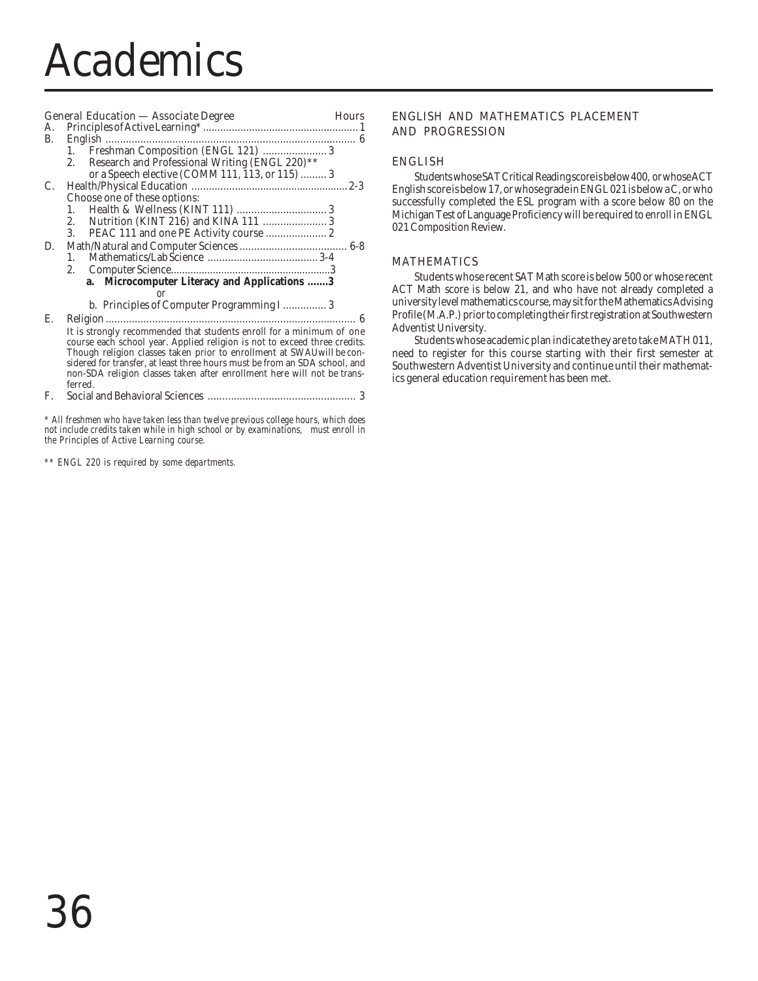# Academics

# General Education — Associate Degree **Hours**

| A. |                                                                            |
|----|----------------------------------------------------------------------------|
| B. |                                                                            |
|    | Freshman Composition (ENGL 121)  3                                         |
|    | Research and Professional Writing (ENGL 220)**<br>2.                       |
|    | or a Speech elective (COMM 111, 113, or 115)  3                            |
| C. |                                                                            |
|    | Choose one of these options:                                               |
|    | 1.                                                                         |
|    | Nutrition (KINT 216) and KINA 111  3<br>2.                                 |
|    | 3.                                                                         |
| D. |                                                                            |
|    | 1.                                                                         |
|    | 2.                                                                         |
|    | a. Microcomputer Literacy and Applications 3                               |
|    | or                                                                         |
|    | b. Principles of Computer Programming I 3                                  |
| E. |                                                                            |
|    | It is strongly recommended that students enroll for a minimum of one       |
|    | course each school year. Applied religion is not to exceed three credits.  |
|    | Though religion classes taken prior to enrollment at SWAU will be con-     |
|    | sidered for transfer, at least three hours must be from an SDA school, and |
|    | non-SDA religion classes taken after enrollment here will not be trans-    |
|    | ferred.                                                                    |

F. Social and Behavioral Sciences ................................................... 3

*\* All freshmen who have taken less than twelve previous college hours, which does not include credits taken while in high school or by examinations, must enroll in the Principles of Active Learning course.*

*\*\* ENGL 220 is required by some departments.*

### ENGLISH AND MATHEMATICS PLACEMENT AND PROGRESSION

#### ENGLISH

Students whose SAT Critical Reading score is below 400, or whose ACT English score is below 17, or whose grade in ENGL 021 is below a C, or who successfully completed the ESL program with a score below 80 on the Michigan Test of Language Proficiency will be required to enroll in ENGL 021 Composition Review.

#### MATHEMATICS

Students whose recent SAT Math score is below 500 or whose recent ACT Math score is below 21, and who have not already completed a university level mathematics course, may sit for the Mathematics Advising Profile (M.A.P.) prior to completing their first registration at Southwestern Adventist University.

Students whose academic plan indicate they are to take MATH 011, need to register for this course starting with their first semester at Southwestern Adventist University and continue until their mathematics general education requirement has been met.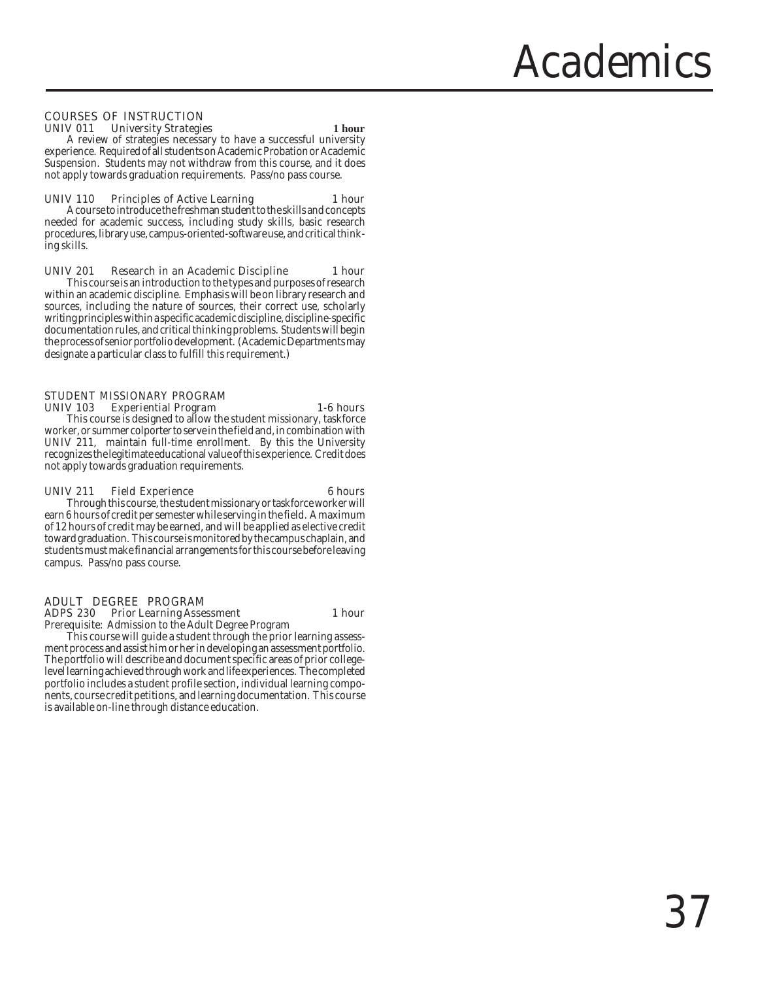# **Academics**

#### COURSES OF INSTRUCTION UNIV 011 University Strategies **1 hour**

A review of strategies necessary to have a successful university experience. Required of all students on Academic Probation or Academic Suspension. Students may not withdraw from this course, and it does not apply towards graduation requirements. Pass/no pass course.

#### UNIV 110 Principles of Active Learning 1 hour

A course to introduce the freshman student to the skills and concepts needed for academic success, including study skills, basic research procedures, library use, campus-oriented-software use, and critical thinking skills.

#### UNIV 201 Research in an Academic Discipline 1 hour

This course is an introduction to the types and purposes of research within an academic discipline. Emphasis will be on library research and sources, including the nature of sources, their correct use, scholarly writing principles within a specific academic discipline, discipline-specific documentation rules, and critical thinking problems. Students will begin the process of senior portfolio development. (Academic Departments may designate a particular class to fulfill this requirement.)

#### STUDENT MISSIONARY PROGRAM UNIV 103 Experiential Program 1-6 hours

This course is designed to allow the student missionary, taskforce worker, or summer colporter to serve in the field and, in combination with UNIV 211, maintain full-time enrollment. By this the University recognizes the legitimate educational value of this experience. Credit does not apply towards graduation requirements.

#### UNIV 211 Field Experience 6 hours

Through this course, the student missionary or taskforce worker will earn 6 hours of credit per semester while serving in the field. A maximum of 12 hours of credit may be earned, and will be applied as elective credit toward graduation. This course is monitored by the campus chaplain, and students must make financial arrangements for this course before leaving campus. Pass/no pass course.

# ADULT DEGREE PROGRAM

ADPS 230 Prior Learning Assessment 1 hour

Prerequisite: Admission to the Adult Degree Program

This course will guide a student through the prior learning assessment process and assist him or her in developing an assessment portfolio. The portfolio will describe and document specific areas of prior collegelevel learning achieved through work and life experiences. The completed portfolio includes a student profile section, individual learning components, course credit petitions, and learning documentation. This course is available on-line through distance education.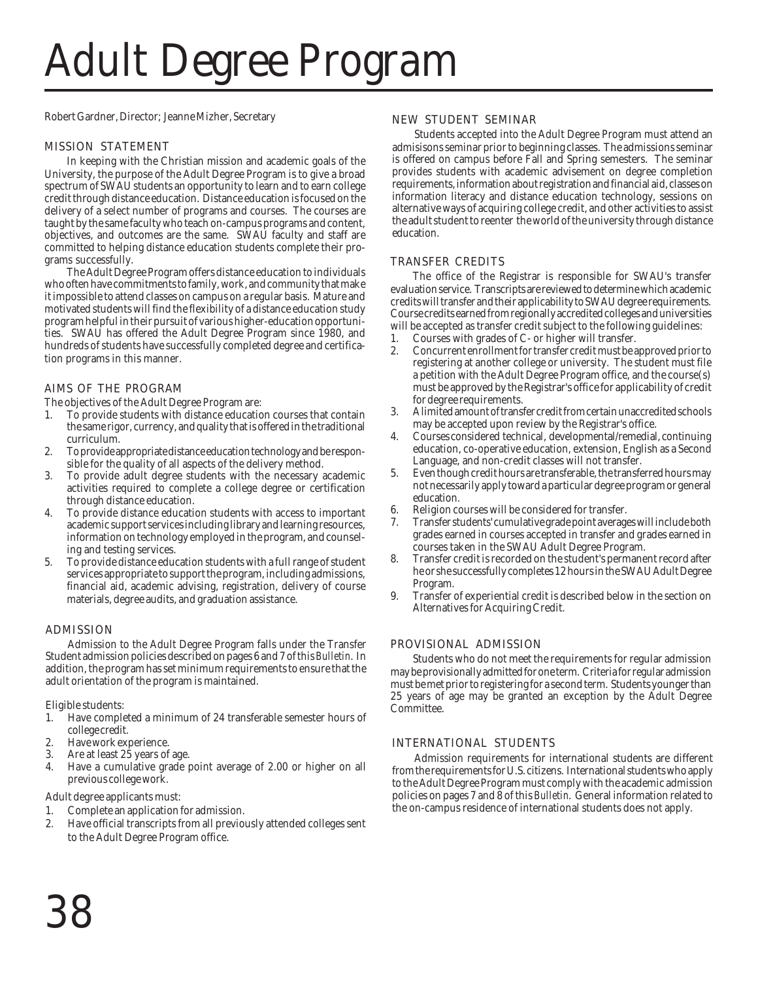# Adult Degree Program

Robert Gardner, Director; Jeanne Mizher, Secretary

# MISSION STATEMENT

In keeping with the Christian mission and academic goals of the University, the purpose of the Adult Degree Program is to give a broad spectrum of SWAU students an opportunity to learn and to earn college credit through distance education. Distance education is focused on the delivery of a select number of programs and courses. The courses are taught by the same faculty who teach on-campus programs and content, objectives, and outcomes are the same. SWAU faculty and staff are committed to helping distance education students complete their programs successfully.

The Adult Degree Program offers distance education to individuals who often have commitments to family, work, and community that make it impossible to attend classes on campus on a regular basis. Mature and motivated students will find the flexibility of a distance education study program helpful in their pursuit of various higher-education opportunities. SWAU has offered the Adult Degree Program since 1980, and hundreds of students have successfully completed degree and certification programs in this manner.

# AIMS OF THE PROGRAM

The objectives of the Adult Degree Program are:

- 1. To provide students with distance education courses that contain the same rigor, currency, and quality that is offered in the traditional curriculum.
- 2. To provide appropriate distance education technology and be responsible for the quality of all aspects of the delivery method.
- To provide adult degree students with the necessary academic activities required to complete a college degree or certification through distance education.
- 4. To provide distance education students with access to important academic support services including library and learning resources, information on technology employed in the program, and counseling and testing services.
- 5. To provide distance education students with a full range of student services appropriate to support the program, including admissions, financial aid, academic advising, registration, delivery of course materials, degree audits, and graduation assistance.

# ADMISSION

Admission to the Adult Degree Program falls under the Transfer Student admission policies described on pages 6 and 7 of this *Bulletin*. In addition, the program has set minimum requirements to ensure that the adult orientation of the program is maintained.

Eligible students:

- 1. Have completed a minimum of 24 transferable semester hours of college credit.
- 2. Have work experience.<br>3. Are at least 25 years of
- Are at least 25 years of age.
- 4. Have a cumulative grade point average of 2.00 or higher on all previous college work.

Adult degree applicants must:

- 1. Complete an application for admission.
- 2. Have official transcripts from all previously attended colleges sent to the Adult Degree Program office.

# NEW STUDENT SEMINAR

Students accepted into the Adult Degree Program must attend an admisisons seminar prior to beginning classes. The admissions seminar is offered on campus before Fall and Spring semesters. The seminar provides students with academic advisement on degree completion requirements, information about registration and financial aid, classes on information literacy and distance education technology, sessions on alternative ways of acquiring college credit, and other activities to assist the adult student to reenter the world of the university through distance education.

### TRANSFER CREDITS

The office of the Registrar is responsible for SWAU's transfer evaluation service. Transcripts are reviewed to determine which academic credits will transfer and their applicability to SWAU degree requirements. Course credits earned from regionally accredited colleges and universities will be accepted as transfer credit subject to the following guidelines:

- 1. Courses with grades of C- or higher will transfer.
- 2. Concurrent enrollment for transfer credit must be approved prior to registering at another college or university. The student must file a petition with the Adult Degree Program office, and the course(s) must be approved by the Registrar's office for applicability of credit for degree requirements.
- 3. A limited amount of transfer credit from certain unaccredited schools may be accepted upon review by the Registrar's office.
- 4. Courses considered technical, developmental/remedial, continuing education, co-operative education, extension, English as a Second Language, and non-credit classes will not transfer.
- Even though credit hours are transferable, the transferred hours may not necessarily apply toward a particular degree program or general education.
- 6. Religion courses will be considered for transfer.
- 7. Transfer students' cumulative grade point averages will include both grades earned in courses accepted in transfer and grades earned in courses taken in the SWAU Adult Degree Program.
- 8. Transfer credit is recorded on the student's permanent record after he or she successfully completes 12 hours in the SWAU Adult Degree Program.
- 9. Transfer of experiential credit is described below in the section on Alternatives for Acquiring Credit.

# PROVISIONAL ADMISSION

Students who do not meet the requirements for regular admission may be provisionally admitted for one term. Criteria for regular admission must be met prior to registering for a second term. Students younger than 25 years of age may be granted an exception by the Adult Degree Committee.

# INTERNATIONAL STUDENTS

Admission requirements for international students are different from the requirements for U.S. citizens. International students who apply to the Adult Degree Program must comply with the academic admission policies on pages 7 and 8 of this *Bulletin*. General information related to the on-campus residence of international students does not apply.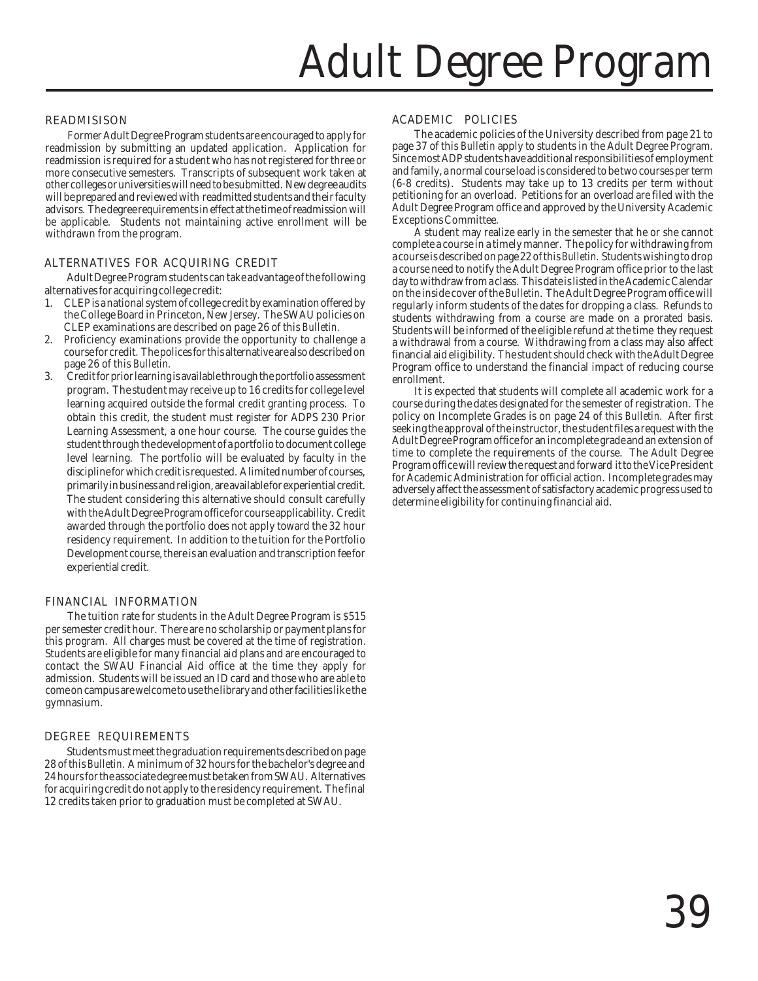# Adult Degree Program

### READMISISON

Former Adult Degree Program students are encouraged to apply for readmission by submitting an updated application. Application for readmission is required for a student who has not registered for three or more consecutive semesters. Transcripts of subsequent work taken at other colleges or universities will need to be submitted. New degree audits will be prepared and reviewed with readmitted students and their faculty advisors. The degree requirements in effect at the time of readmission will be applicable. Students not maintaining active enrollment will be withdrawn from the program.

### ALTERNATIVES FOR ACQUIRING CREDIT

Adult Degree Program students can take advantage of the following alternatives for acquiring college credit:

- 1. CLEP is a national system of college credit by examination offered by the College Board in Princeton, New Jersey. The SWAU policies on CLEP examinations are described on page 26 of this *Bulletin.*
- 2. Proficiency examinations provide the opportunity to challenge a course for credit. The polices for this alternative are also described on page 26 of this *Bulletin.*
- 3. Credit for prior learning is available through the portfolio assessment program. The student may receive up to 16 credits for college level learning acquired outside the formal credit granting process. To obtain this credit, the student must register for ADPS 230 Prior Learning Assessment, a one hour course. The course guides the student through the development of a portfolio to document college level learning. The portfolio will be evaluated by faculty in the discipline for which credit is requested. A limited number of courses, primarily in business and religion, are available for experiential credit. The student considering this alternative should consult carefully with the Adult Degree Program office for course applicability. Credit awarded through the portfolio does not apply toward the 32 hour residency requirement. In addition to the tuition for the Portfolio Development course, there is an evaluation and transcription fee for experiential credit.

#### FINANCIAL INFORMATION

The tuition rate for students in the Adult Degree Program is \$515 per semester credit hour. There are no scholarship or payment plans for this program. All charges must be covered at the time of registration. Students are eligible for many financial aid plans and are encouraged to contact the SWAU Financial Aid office at the time they apply for admission. Students will be issued an ID card and those who are able to come on campus are welcome to use the library and other facilities like the gymnasium.

# DEGREE REQUIREMENTS

Students must meet the graduation requirements described on page 28 of this *Bulletin.* A minimum of 32 hours for the bachelor's degree and 24 hours for the associate degree must be taken from SWAU. Alternatives for acquiring credit do not apply to the residency requirement. The final 12 credits taken prior to graduation must be completed at SWAU.

#### ACADEMIC POLICIES

The academic policies of the University described from page 21 to page 37 of this *Bulletin* apply to students in the Adult Degree Program. Since most ADP students have additional responsibilities of employment and family, a normal course load is considered to be two courses per term (6-8 credits). Students may take up to 13 credits per term without petitioning for an overload. Petitions for an overload are filed with the Adult Degree Program office and approved by the University Academic Exceptions Committee.

A student may realize early in the semester that he or she cannot complete a course in a timely manner. The policy for withdrawing from a course is described on page 22 of this *Bulletin.* Students wishing to drop a course need to notify the Adult Degree Program office prior to the last day to withdraw from a class. This date is listed in the Academic Calendar on the inside cover of the *Bulletin*. The Adult Degree Program office will regularly inform students of the dates for dropping a class. Refunds to students withdrawing from a course are made on a prorated basis. Students will be informed of the eligible refund at the time they request a withdrawal from a course. Withdrawing from a class may also affect financial aid eligibility. The student should check with the Adult Degree Program office to understand the financial impact of reducing course enrollment.

It is expected that students will complete all academic work for a course during the dates designated for the semester of registration. The policy on Incomplete Grades is on page 24 of this *Bulletin.* After first seeking the approval of the instructor, the student files a request with the Adult Degree Program office for an incomplete grade and an extension of time to complete the requirements of the course. The Adult Degree Program office will review the request and forward it to the Vice President for Academic Administration for official action. Incomplete grades may adversely affect the assessment of satisfactory academic progress used to determine eligibility for continuing financial aid.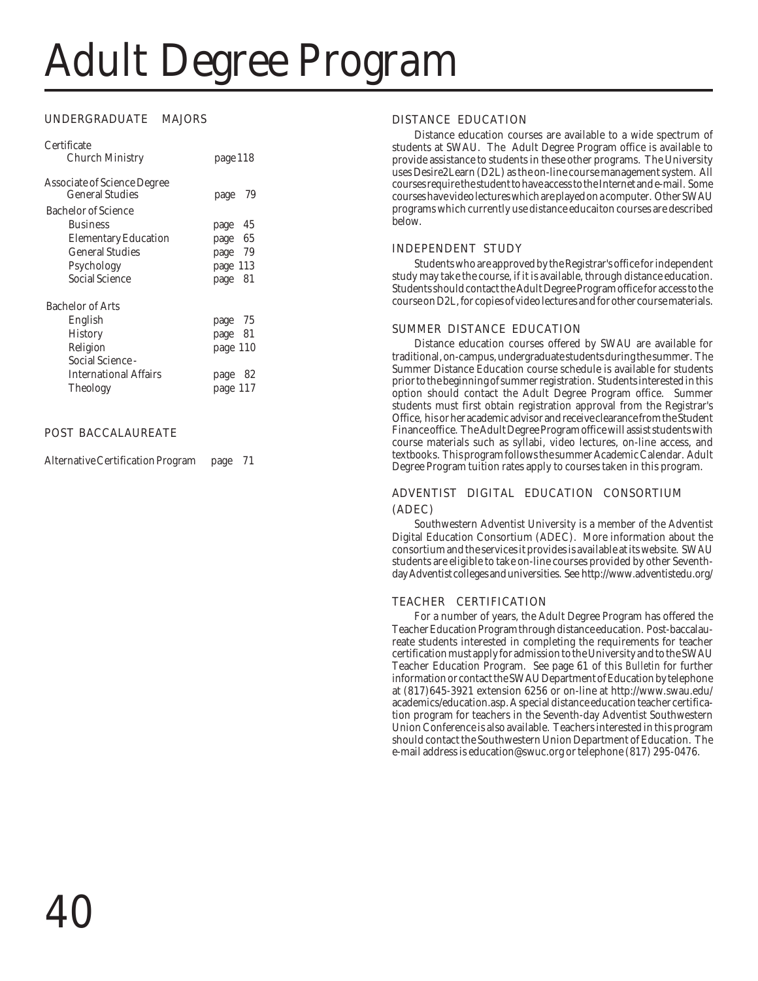# Adult Degree Program

# UNDERGRADUATE MAJORS

| Certificate                        |              |
|------------------------------------|--------------|
| Church Ministry                    | page 118     |
| <b>Associate of Science Degree</b> |              |
| General Studies                    | 79<br>page   |
| Bachelor of Science                |              |
| <b>Business</b>                    | 45<br>page   |
| <b>Elementary Education</b>        | page 65      |
| General Studies                    | page 79      |
| Psychology                         | page 113     |
| Social Science                     | - 81<br>page |
| <b>Bachelor of Arts</b>            |              |
| English                            | page 75      |
| <b>History</b>                     | page 81      |
| Religion                           | page 110     |
| Social Science -                   |              |
| <b>International Affairs</b>       | 82<br>page   |
| <b>Theology</b>                    | page 117     |

# POST BACCALAUREATE

Alternative Certification Program page 71

# DISTANCE EDUCATION

Distance education courses are available to a wide spectrum of students at SWAU. The Adult Degree Program office is available to provide assistance to students in these other programs. The University uses Desire2Learn (D2L) as the on-line course management system. All courses require the student to have access to the Internet and e-mail. Some courses have video lectures which are played on a computer. Other SWAU programs which currently use distance educaiton courses are described below.

# INDEPENDENT STUDY

Students who are approved by the Registrar's office for independent study may take the course, if it is available, through distance education. Students should contact the Adult Degree Program office for access to the course on D2L, for copies of video lectures and for other course materials.

# SUMMER DISTANCE EDUCATION

Distance education courses offered by SWAU are available for traditional, on-campus, undergraduate students during the summer. The Summer Distance Education course schedule is available for students prior to the beginning of summer registration. Students interested in this option should contact the Adult Degree Program office. Summer students must first obtain registration approval from the Registrar's Office, his or her academic advisor and receive clearance from the Student Finance office. The Adult Degree Program office will assist students with course materials such as syllabi, video lectures, on-line access, and textbooks. This program follows the summer Academic Calendar. Adult Degree Program tuition rates apply to courses taken in this program.

# ADVENTIST DIGITAL EDUCATION CONSORTIUM (ADEC)

Southwestern Adventist University is a member of the Adventist Digital Education Consortium (ADEC). More information about the consortium and the services it provides is available at its website. SWAU students are eligible to take on-line courses provided by other Seventhday Adventist colleges and universities. See http://www.adventistedu.org/

# TEACHER CERTIFICATION

For a number of years, the Adult Degree Program has offered the Teacher Education Program through distance education. Post-baccalaureate students interested in completing the requirements for teacher certification must apply for admission to the University and to the SWAU Teacher Education Program. See page 61 of this *Bulletin* for further information or contact the SWAU Department of Education by telephone at (817)645-3921 extension 6256 or on-line at http://www.swau.edu/ academics/education.asp. A special distance education teacher certification program for teachers in the Seventh-day Adventist Southwestern Union Conference is also available. Teachers interested in this program should contact the Southwestern Union Department of Education. The e-mail address is education@swuc.org or telephone (817) 295-0476.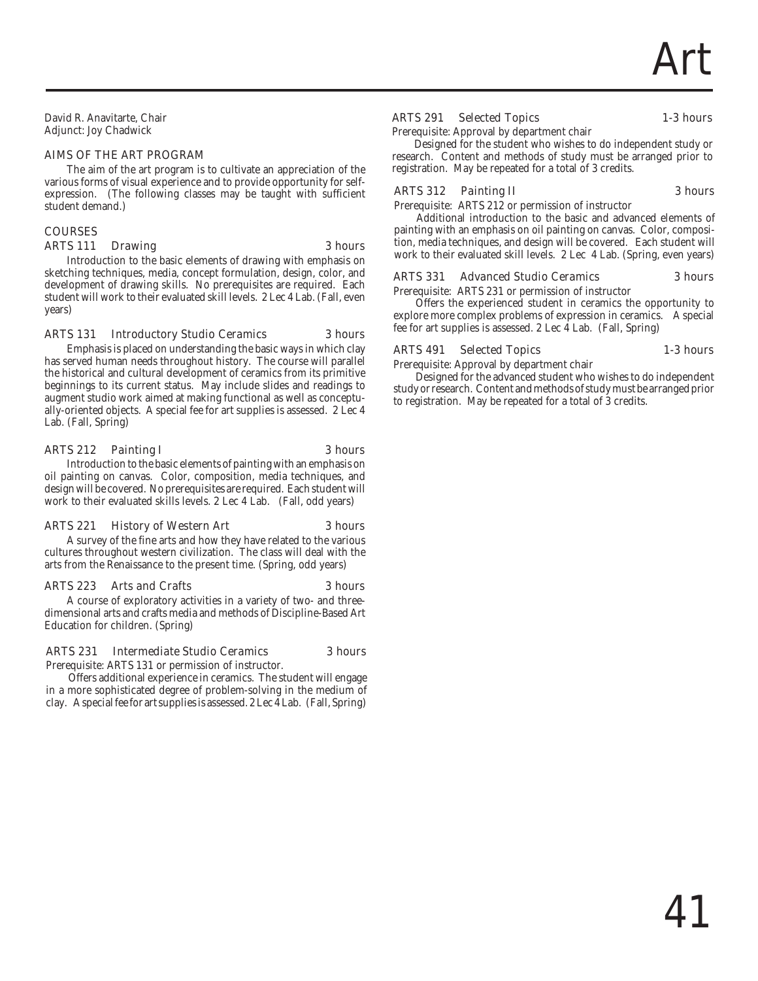David R. Anavitarte, Chair Adjunct: Joy Chadwick

#### AIMS OF THE ART PROGRAM

The aim of the art program is to cultivate an appreciation of the various forms of visual experience and to provide opportunity for selfexpression. (The following classes may be taught with sufficient student demand.)

# COURSES

### ARTS 111 Drawing 3 hours

Introduction to the basic elements of drawing with emphasis on sketching techniques, media, concept formulation, design, color, and development of drawing skills. No prerequisites are required. Each student will work to their evaluated skill levels. 2 Lec 4 Lab. (Fall, even years)

#### ARTS 131 Introductory Studio Ceramics 3 hours

Emphasis is placed on understanding the basic ways in which clay has served human needs throughout history. The course will parallel the historical and cultural development of ceramics from its primitive beginnings to its current status. May include slides and readings to augment studio work aimed at making functional as well as conceptually-oriented objects. A special fee for art supplies is assessed. 2 Lec 4 Lab. (Fall, Spring)

#### ARTS 212 Painting I 3 hours

Introduction to the basic elements of painting with an emphasis on oil painting on canvas. Color, composition, media techniques, and design will be covered. No prerequisites are required. Each student will work to their evaluated skills levels. 2 Lec 4 Lab. (Fall, odd years)

# ARTS 221 History of Western Art 3 hours

A survey of the fine arts and how they have related to the various cultures throughout western civilization. The class will deal with the arts from the Renaissance to the present time. (Spring, odd years)

# ARTS 223 Arts and Crafts 3 hours

A course of exploratory activities in a variety of two- and threedimensional arts and crafts media and methods of Discipline-Based Art Education for children. (Spring)

# ARTS 231 Intermediate Studio Ceramics 3 hours

Prerequisite: ARTS 131 or permission of instructor.

Offers additional experience in ceramics. The student will engage in a more sophisticated degree of problem-solving in the medium of clay. A special fee for art supplies is assessed. 2 Lec 4 Lab. (Fall, Spring)

# ARTS 291 Selected Topics 1-3 hours

Prerequisite: Approval by department chair

Designed for the student who wishes to do independent study or research. Content and methods of study must be arranged prior to registration. May be repeated for a total of 3 credits.

# ARTS 312 Painting II 3 hours

Prerequisite: ARTS 212 or permission of instructor

Additional introduction to the basic and advanced elements of painting with an emphasis on oil painting on canvas. Color, composition, media techniques, and design will be covered. Each student will work to their evaluated skill levels. 2 Lec 4 Lab. (Spring, even years)

# ARTS 331 Advanced Studio Ceramics 3 hours

Prerequisite: ARTS 231 or permission of instructor

Offers the experienced student in ceramics the opportunity to explore more complex problems of expression in ceramics. A special fee for art supplies is assessed. 2 Lec 4 Lab. (Fall, Spring)

### ARTS 491 Selected Topics 1-3 hours

Prerequisite: Approval by department chair

Designed for the advanced student who wishes to do independent study or research. Content and methods of study must be arranged prior to registration. May be repeated for a total of 3 credits.

# 41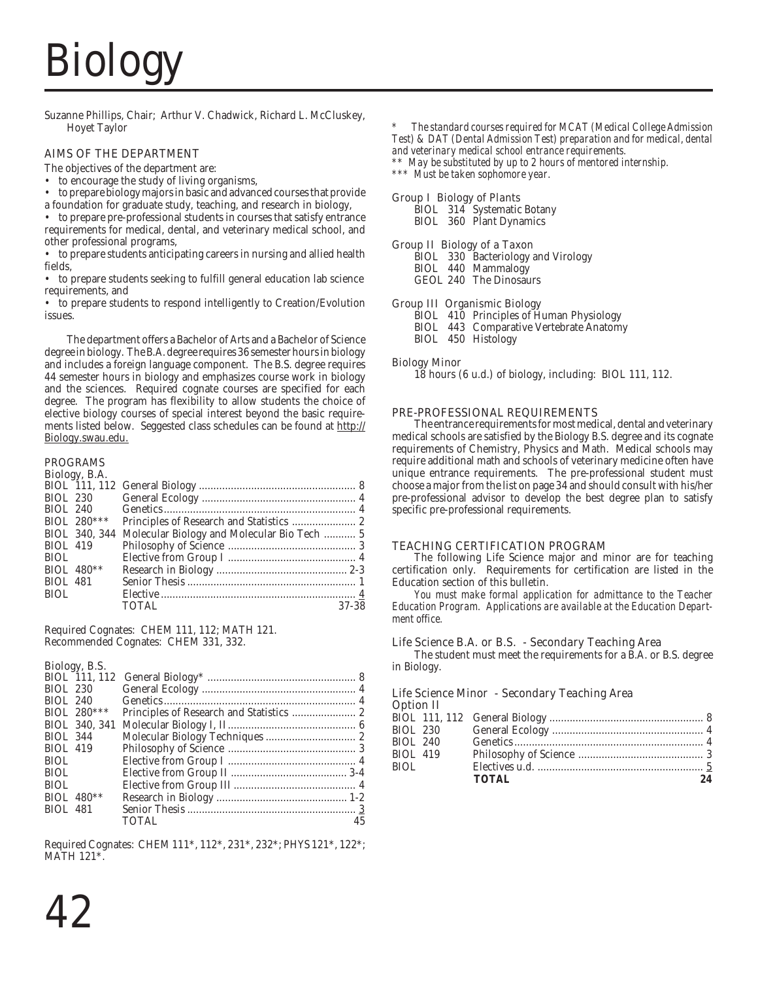# Biology

Suzanne Phillips, Chair; Arthur V. Chadwick, Richard L. McCluskey, Hoyet Taylor

# AIMS OF THE DEPARTMENT

The objectives of the department are:

- to encourage the study of living organisms,
- to prepare biology majors in basic and advanced courses that provide
- a foundation for graduate study, teaching, and research in biology,

• to prepare pre-professional students in courses that satisfy entrance requirements for medical, dental, and veterinary medical school, and other professional programs,

• to prepare students anticipating careers in nursing and allied health fields,

• to prepare students seeking to fulfill general education lab science requirements, and

• to prepare students to respond intelligently to Creation/Evolution issues.

The department offers a Bachelor of Arts and a Bachelor of Science degree in biology. The B.A. degree requires 36 semester hours in biology and includes a foreign language component. The B.S. degree requires 44 semester hours in biology and emphasizes course work in biology and the sciences. Required cognate courses are specified for each degree. The program has flexibility to allow students the choice of elective biology courses of special interest beyond the basic requirements listed below. Seggested class schedules can be found at http:// Biology.swau.edu.

# PROGRAMS

|                 | Biology, B.A. |              |       |
|-----------------|---------------|--------------|-------|
|                 |               |              |       |
|                 |               |              |       |
|                 | BIOL 240      |              |       |
|                 | BIOL $280***$ |              |       |
|                 |               |              |       |
| BIOL 419        |               |              |       |
| BIOL.           |               |              |       |
|                 | BIOL $480**$  |              |       |
| <b>BIOL 481</b> |               |              |       |
| <b>BIOL</b>     |               |              |       |
|                 |               | <b>TOTAL</b> | 37-38 |
|                 |               |              |       |

Required Cognates: CHEM 111, 112; MATH 121. Recommended Cognates: CHEM 331, 332.

#### Biology, B.S.

|                 | BIOL 230      |       |    |
|-----------------|---------------|-------|----|
| <b>BIOL 240</b> |               |       |    |
|                 | BIOL 280***   |       |    |
|                 | BIOL 340, 341 |       |    |
| <b>BIOL 344</b> |               |       |    |
| <b>BIOL 419</b> |               |       |    |
| BIOL.           |               |       |    |
| BIOL            |               |       |    |
| BIOL.           |               |       |    |
|                 | BIOL $480**$  |       |    |
| <b>BIOL 481</b> |               |       |    |
|                 |               | TOTAL | 45 |

Required Cognates: CHEM 111\*, 112\*, 231\*, 232\*; PHYS 121\*, 122\*; MATH 121\*.

*\*\* May be substituted by up to 2 hours of mentored internship.*

*\*\*\* Must be taken sophomore year.*

# Group I Biology of Plants

BIOL 314 Systematic Botany BIOL 360 Plant Dynamics

# Group II Biology of a Taxon

BIOL 330 Bacteriology and Virology BIOL 440 Mammalogy GEOL 240 The Dinosaurs

# Group III Organismic Biology

BIOL 410 Principles of Human Physiology BIOL 443 Comparative Vertebrate Anatomy

BIOL 450 Histology

# Biology Minor

18 hours (6 u.d.) of biology, including: BIOL 111, 112.

# PRE-PROFESSIONAL REQUIREMENTS

The entrance requirements for most medical, dental and veterinary medical schools are satisfied by the Biology B.S. degree and its cognate requirements of Chemistry, Physics and Math. Medical schools may require additional math and schools of veterinary medicine often have unique entrance requirements. The pre-professional student must choose a major from the list on page 34 and should consult with his/her pre-professional advisor to develop the best degree plan to satisfy specific pre-professional requirements.

# TEACHING CERTIFICATION PROGRAM

The following Life Science major and minor are for teaching certification only. Requirements for certification are listed in the Education section of this bulletin.

*You must make formal application for admittance to the Teacher Education Program. Applications are available at the Education Department office.*

# Life Science B.A. or B.S. - Secondary Teaching Area

The student must meet the requirements for a B.A. or B.S. degree in Biology.

#### Life Science Minor - Secondary Teaching Area **Option II**

| орион н         |              |    |
|-----------------|--------------|----|
|                 |              |    |
|                 |              |    |
| BIOL 240        |              |    |
| <b>BIOL 419</b> |              |    |
| BIOL            |              |    |
|                 | <b>TOTAL</b> | 24 |
|                 |              |    |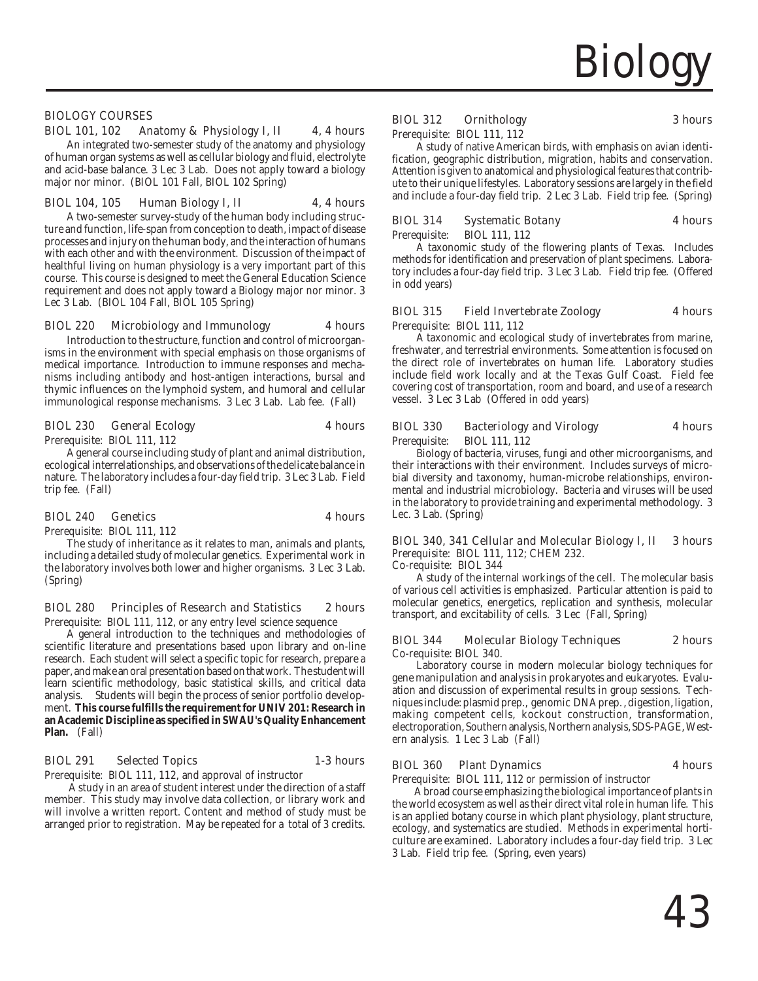BIOLOGY COURSES

#### BIOL 101, 102 Anatomy & Physiology I, II 4, 4 hours

An integrated two-semester study of the anatomy and physiology of human organ systems as well as cellular biology and fluid, electrolyte and acid-base balance. 3 Lec 3 Lab. Does not apply toward a biology major nor minor. (BIOL 101 Fall, BIOL 102 Spring)

#### BIOL 104, 105 Human Biology I, II 4, 4 hours

A two-semester survey-study of the human body including structure and function, life-span from conception to death, impact of disease processes and injury on the human body, and the interaction of humans with each other and with the environment. Discussion of the impact of healthful living on human physiology is a very important part of this course. This course is designed to meet the General Education Science requirement and does not apply toward a Biology major nor minor. 3 Lec 3 Lab. (BIOL 104 Fall, BIOL 105 Spring)

#### BIOL 220 Microbiology and Immunology 4 hours

Introduction to the structure, function and control of microorganisms in the environment with special emphasis on those organisms of medical importance. Introduction to immune responses and mechanisms including antibody and host-antigen interactions, bursal and thymic influences on the lymphoid system, and humoral and cellular immunological response mechanisms. 3 Lec 3 Lab. Lab fee. (Fall)

#### BIOL 230 General Ecology 4 hours

Prerequisite: BIOL 111, 112

A general course including study of plant and animal distribution, ecological interrelationships, and observations of the delicate balance in nature. The laboratory includes a four-day field trip. 3 Lec 3 Lab. Field trip fee. (Fall)

#### BIOL 240 Genetics 4 hours

Prerequisite: BIOL 111, 112

The study of inheritance as it relates to man, animals and plants, including a detailed study of molecular genetics. Experimental work in the laboratory involves both lower and higher organisms. 3 Lec 3 Lab. (Spring)

#### BIOL 280 Principles of Research and Statistics 2 hours

Prerequisite: BIOL 111, 112, or any entry level science sequence

A general introduction to the techniques and methodologies of scientific literature and presentations based upon library and on-line research. Each student will select a specific topic for research, prepare a paper, and make an oral presentation based on that work. The student will learn scientific methodology, basic statistical skills, and critical data analysis. Students will begin the process of senior portfolio development. **This course fulfills the requirement for UNIV 201: Research in an Academic Discipline as specified in SWAU's Quality Enhancement Plan.** (Fall)

#### BIOL 291 Selected Topics 1-3 hours

Prerequisite: BIOL 111, 112, and approval of instructor

A study in an area of student interest under the direction of a staff member. This study may involve data collection, or library work and will involve a written report. Content and method of study must be arranged prior to registration. May be repeated for a total of 3 credits.

#### BIOL 312 Ornithology 3 hours

Prerequisite: BIOL 111, 112

A study of native American birds, with emphasis on avian identification, geographic distribution, migration, habits and conservation. Attention is given to anatomical and physiological features that contribute to their unique lifestyles. Laboratory sessions are largely in the field and include a four-day field trip. 2 Lec 3 Lab. Field trip fee. (Spring)

| <b>BIOL 314</b> | <b>Systematic Botany</b> | <b>4 hours</b> |
|-----------------|--------------------------|----------------|
| Prerequisite:   | BIOL 111, 112            |                |

A taxonomic study of the flowering plants of Texas. Includes methods for identification and preservation of plant specimens. Laboratory includes a four-day field trip. 3 Lec 3 Lab. Field trip fee. (Offered in odd years)

#### BIOL 315 Field Invertebrate Zoology 4 hours

Prerequisite: BIOL 111, 112

A taxonomic and ecological study of invertebrates from marine, freshwater, and terrestrial environments. Some attention is focused on the direct role of invertebrates on human life. Laboratory studies include field work locally and at the Texas Gulf Coast. Field fee covering cost of transportation, room and board, and use of a research vessel. 3 Lec 3 Lab (Offered in odd years)

| <b>BIOL 330</b> | <b>Bacteriology and Virology</b> | <b>4 hours</b> |
|-----------------|----------------------------------|----------------|
| Prerequisite:   | BIOL 111, 112                    |                |

Biology of bacteria, viruses, fungi and other microorganisms, and their interactions with their environment. Includes surveys of microbial diversity and taxonomy, human-microbe relationships, environmental and industrial microbiology. Bacteria and viruses will be used in the laboratory to provide training and experimental methodology. 3 Lec. 3 Lab. (Spring)

### BIOL 340, 341 Cellular and Molecular Biology I, II 3 hours Prerequisite: BIOL 111, 112; CHEM 232.

Co-requisite: BIOL 344

A study of the internal workings of the cell. The molecular basis of various cell activities is emphasized. Particular attention is paid to molecular genetics, energetics, replication and synthesis, molecular transport, and excitability of cells. 3 Lec (Fall, Spring)

#### BIOL 344 Molecular Biology Techniques 2 hours Co-requisite: BIOL 340.

Laboratory course in modern molecular biology techniques for gene manipulation and analysis in prokaryotes and eukaryotes. Evaluation and discussion of experimental results in group sessions. Techniques include: plasmid prep., genomic DNA prep. , digestion, ligation, making competent cells, kockout construction, transformation, electroporation, Southern analysis, Northern analysis, SDS-PAGE, Western analysis. 1 Lec 3 Lab (Fall)

#### BIOL 360 Plant Dynamics 4 hours

Prerequisite: BIOL 111, 112 *or* permission of instructor

A broad course emphasizing the biological importance of plants in the world ecosystem as well as their direct vital role in human life. This is an applied botany course in which plant physiology, plant structure, ecology, and systematics are studied. Methods in experimental horticulture are examined. Laboratory includes a four-day field trip. 3 Lec 3 Lab. Field trip fee. (Spring, even years)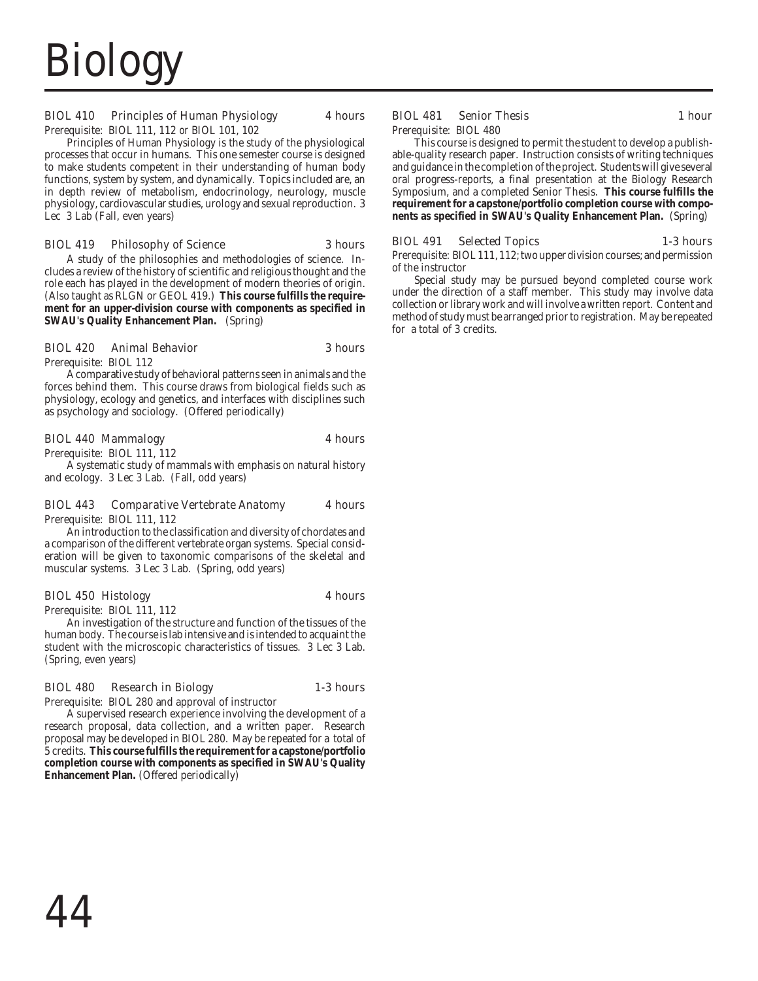# **Biolog**

# BIOL 410 Principles of Human Physiology 4 hours

Prerequisite: BIOL 111, 112 *or* BIOL 101, 102

Principles of Human Physiology is the study of the physiological processes that occur in humans. This one semester course is designed to make students competent in their understanding of human body functions, system by system, and dynamically. Topics included are, an in depth review of metabolism, endocrinology, neurology, muscle physiology, cardiovascular studies, urology and sexual reproduction. 3 Lec 3 Lab (Fall, even years)

# BIOL 419 Philosophy of Science 3 hours

A study of the philosophies and methodologies of science. Includes a review of the history of scientific and religious thought and the role each has played in the development of modern theories of origin. (Also taught as RLGN or GEOL 419.) **This course fulfills the requirement for an upper-division course with components as specified in SWAU's Quality Enhancement Plan.** (Spring)

# BIOL 420 Animal Behavior 3 hours

Prerequisite: BIOL 112

A comparative study of behavioral patterns seen in animals and the forces behind them. This course draws from biological fields such as physiology, ecology and genetics, and interfaces with disciplines such as psychology and sociology. (Offered periodically)

### BIOL 440 Mammalogy 4 hours

Prerequisite: BIOL 111, 112

A systematic study of mammals with emphasis on natural history and ecology. 3 Lec 3 Lab. (Fall, odd years)

# BIOL 443 Comparative Vertebrate Anatomy 4 hours

Prerequisite: BIOL 111, 112

An introduction to the classification and diversity of chordates and a comparison of the different vertebrate organ systems. Special consideration will be given to taxonomic comparisons of the skeletal and muscular systems. 3 Lec 3 Lab. (Spring, odd years)

# BIOL 450 Histology 4 hours

Prerequisite: BIOL 111, 112

An investigation of the structure and function of the tissues of the human body. The course is lab intensive and is intended to acquaint the student with the microscopic characteristics of tissues. 3 Lec 3 Lab. (Spring, even years)

#### BIOL 480 Research in Biology 1-3 hours

Prerequisite: BIOL 280 and approval of instructor

A supervised research experience involving the development of a research proposal, data collection, and a written paper. Research proposal may be developed in BIOL 280. May be repeated for a total of 5 credits. **This course fulfills the requirement for a capstone/portfolio completion course with components as specified in SWAU's Quality Enhancement Plan.** (Offered periodically)

# BIOL 481 Senior Thesis 1 hour

#### Prerequisite: BIOL 480

This course is designed to permit the student to develop a publishable-quality research paper. Instruction consists of writing techniques and guidance in the completion of the project. Students will give several oral progress-reports, a final presentation at the Biology Research Symposium, and a completed Senior Thesis. **This course fulfills the requirement for a capstone/portfolio completion course with components as specified in SWAU's Quality Enhancement Plan.** (Spring)

# BIOL 491 Selected Topics 1-3 hours

Prerequisite: BIOL 111, 112; two upper division courses; and permission of the instructor

Special study may be pursued beyond completed course work under the direction of a staff member. This study may involve data collection or library work and will involve a written report. Content and method of study must be arranged prior to registration. May be repeated for a total of 3 credits.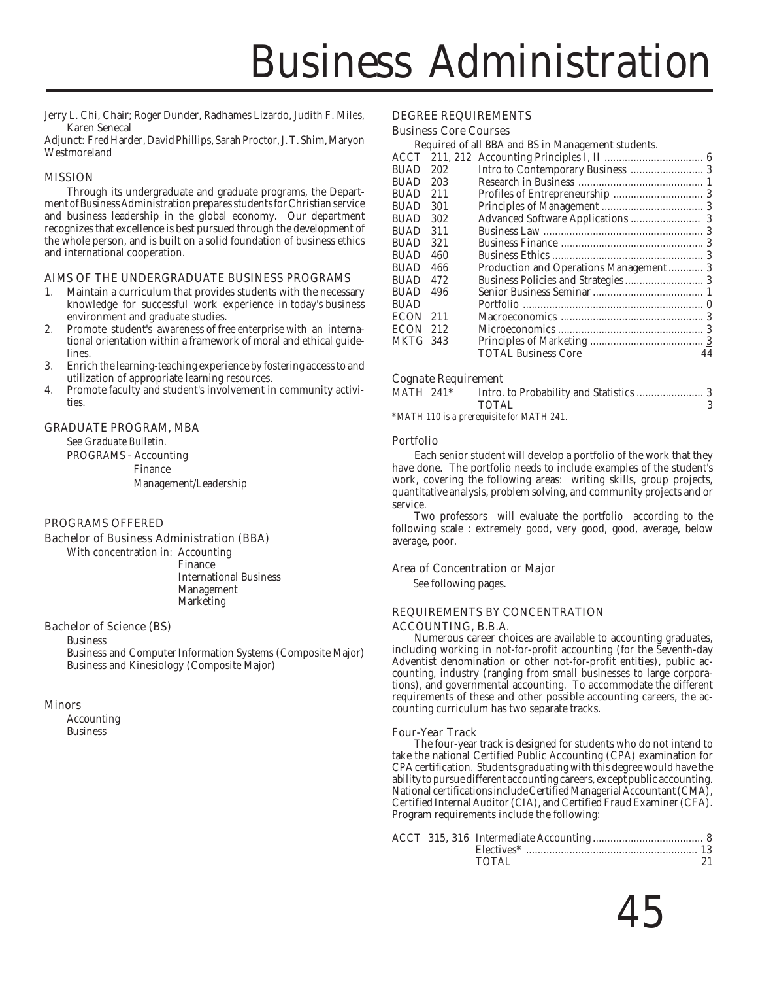Jerry L. Chi, Chair; Roger Dunder, Radhames Lizardo, Judith F. Miles, Karen Senecal

Adjunct: Fred Harder, David Phillips, Sarah Proctor, J. T. Shim, Maryon Westmoreland

### MISSION

Through its undergraduate and graduate programs, the Department of Business Administration prepares students for Christian service and business leadership in the global economy. Our department recognizes that excellence is best pursued through the development of the whole person, and is built on a solid foundation of business ethics and international cooperation.

#### AIMS OF THE UNDERGRADUATE BUSINESS PROGRAMS

- 1. Maintain a curriculum that provides students with the necessary knowledge for successful work experience in today's business environment and graduate studies.
- 2. Promote student's awareness of free enterprise with an international orientation within a framework of moral and ethical guidelines.
- 3. Enrich the learning-teaching experience by fostering access to and utilization of appropriate learning resources.
- 4. Promote faculty and student's involvement in community activities.

### GRADUATE PROGRAM, MBA

See *Graduate Bulletin*. PROGRAMS - Accounting Finance Management/Leadership

#### PROGRAMS OFFERED

#### Bachelor of Business Administration (BBA)

With concentration in: Accounting Finance International Business Management Marketing

#### Bachelor of Science (BS)

Business Business and Computer Information Systems (Composite Major) Business and Kinesiology (Composite Major)

#### Minors

Accounting Business

### DEGREE REQUIREMENTS

#### Business Core Courses

Required of all BBA and BS in Management students.

| RUAD     | 202 |                            |    |
|----------|-----|----------------------------|----|
| BUAD     | 203 |                            |    |
| BUAD     | 211 |                            |    |
| RUAD     | 301 |                            |    |
| RUAD     | 302 |                            |    |
| RUAD     | 311 |                            |    |
| BUAD     | 321 |                            |    |
| BUAD     | 460 |                            |    |
| BUAD     | 466 |                            |    |
| RUAD     | 472 |                            |    |
| BUAD     | 496 |                            |    |
| BUAD     |     |                            |    |
| ECON     | 211 |                            |    |
| ECON     | 212 |                            |    |
| MKTG 343 |     |                            |    |
|          |     | <b>TOTAL Business Core</b> | 44 |
|          |     |                            |    |

#### Cognate Requirement

| MATH 241* | <b>TOTAL</b> |  |
|-----------|--------------|--|
|           |              |  |

*\*MATH 110 is a prerequisite for MATH 241.*

#### Portfolio

Each senior student will develop a portfolio of the work that they have done. The portfolio needs to include examples of the student's work, covering the following areas: writing skills, group projects, quantitative analysis, problem solving, and community projects and or service.

Two professors will evaluate the portfolio according to the following scale : extremely good, very good, good, average, below average, poor.

#### Area of Concentration or Major

See following pages.

# REQUIREMENTS BY CONCENTRATION

#### ACCOUNTING, B.B.A.

Numerous career choices are available to accounting graduates, including working in not-for-profit accounting (for the Seventh-day Adventist denomination or other not-for-profit entities), public accounting, industry (ranging from small businesses to large corporations), and governmental accounting. To accommodate the different requirements of these and other possible accounting careers, the accounting curriculum has two separate tracks.

#### Four-Year Track

The four-year track is designed for students who do not intend to take the national Certified Public Accounting (CPA) examination for CPA certification. Students graduating with this degree would have the ability to pursue different accounting careers, except public accounting. National certifications include Certified Managerial Accountant (CMA), Certified Internal Auditor (CIA), and Certified Fraud Examiner (CFA). Program requirements include the following:

|  | TOTAL |  |
|--|-------|--|
|  |       |  |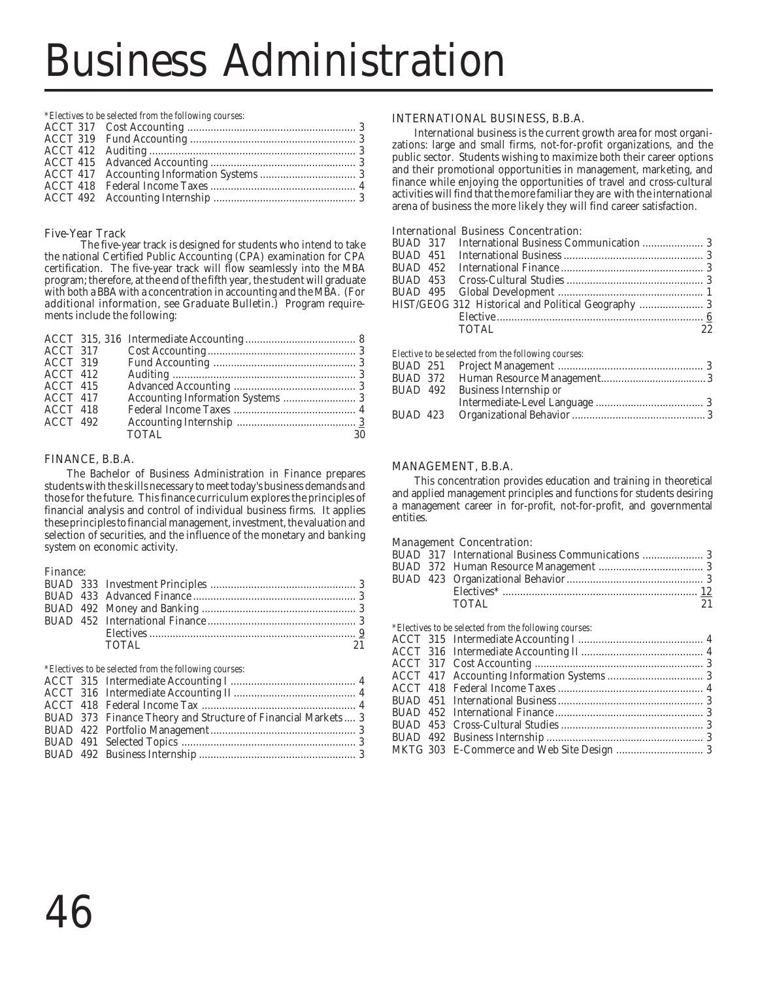*\*Electives to be selected from the following courses:*

# Five-Year Track

The five-year track is designed for students who intend to take the national Certified Public Accounting (CPA) examination for CPA certification. The five-year track will flow seamlessly into the MBA program; therefore, at the end of the fifth year, the student will graduate with both a BBA with a concentration in accounting and the MBA.(For additional information, see Graduate Bulletin.) Program requirements include the following:

| ACCT 317   |              |    |
|------------|--------------|----|
| ACCT 319   |              |    |
| ACCT 412   |              |    |
| $ACCT$ 415 |              |    |
| $ACCT$ 417 |              |    |
| ACCT 418   |              |    |
| $ACCT$ 492 |              |    |
|            | <b>TOTAL</b> | 30 |

# FINANCE, B.B.A.

The Bachelor of Business Administration in Finance prepares students with the skills necessary to meet today's business demands and those for the future. This finance curriculum explores the principles of financial analysis and control of individual business firms. It applies these principles to financial management, investment, the valuation and selection of securities, and the influence of the monetary and banking system on economic activity.

#### Finance:

|  | TOTAL | 21 |
|--|-------|----|

*\*Electives to be selected from the following courses:*

|  | BUAD 373 Finance Theory and Structure of Financial Markets  3 |
|--|---------------------------------------------------------------|

#### INTERNATIONAL BUSINESS, B.B.A.

International business is the current growth area for most organizations: large and small firms, not-for-profit organizations, and the public sector. Students wishing to maximize both their career options and their promotional opportunities in management, marketing, and finance while enjoying the opportunities of travel and cross-cultural activities will find that the more familiar they are with the international arena of business the more likely they will find career satisfaction.

### International Business Concentration:

|  | HIST/GEOG 312 Historical and Political Geography  3 |    |
|--|-----------------------------------------------------|----|
|  |                                                     |    |
|  | <b>TOTAL</b>                                        | 22 |
|  | Elective to be selected from the following courses: |    |
|  |                                                     |    |

|  | Elective to be selected from the following courses: |  |
|--|-----------------------------------------------------|--|
|  |                                                     |  |
|  |                                                     |  |
|  | BUAD 492 Business Internship or                     |  |
|  |                                                     |  |
|  |                                                     |  |
|  |                                                     |  |

# MANAGEMENT, B.B.A.

This concentration provides education and training in theoretical and applied management principles and functions for students desiring a management career in for-profit, not-for-profit, and governmental entities.

#### Management Concentration:

|  | TOTAL | 21 |
|--|-------|----|
|  |       |    |

|  | *Electives to be selected from the following courses: |  |
|--|-------------------------------------------------------|--|
|  |                                                       |  |
|  |                                                       |  |
|  |                                                       |  |
|  |                                                       |  |
|  |                                                       |  |
|  |                                                       |  |
|  |                                                       |  |
|  |                                                       |  |
|  |                                                       |  |
|  |                                                       |  |
|  |                                                       |  |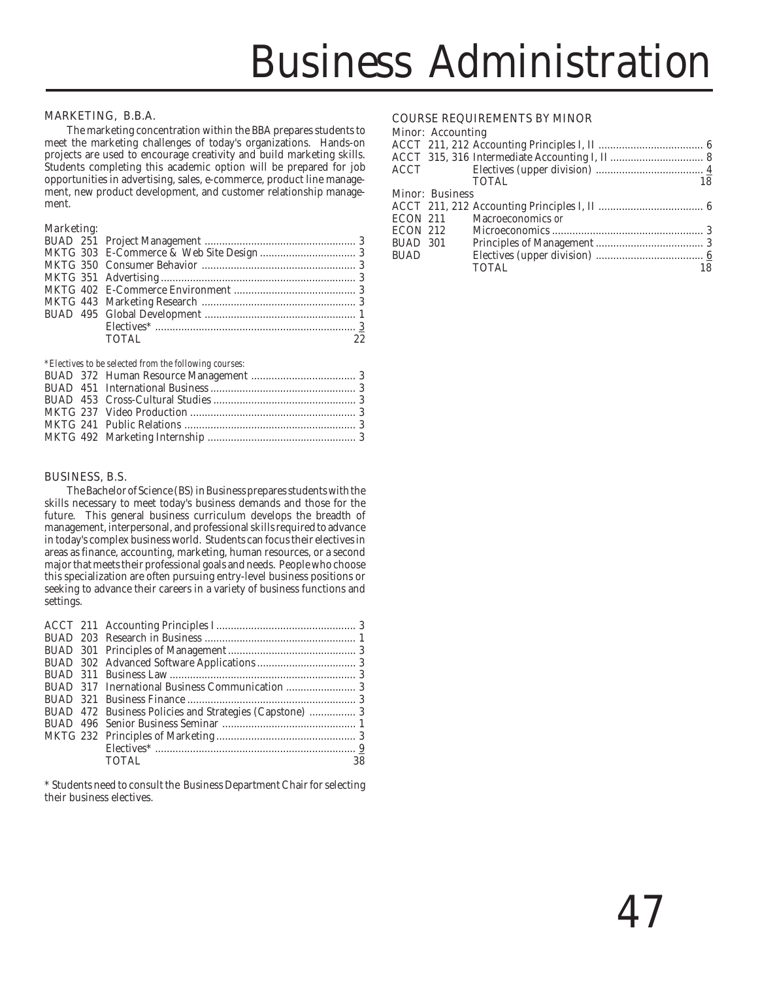### MARKETING, B.B.A.

The marketing concentration within the BBA prepares students to meet the marketing challenges of today's organizations. Hands-on projects are used to encourage creativity and build marketing skills. Students completing this academic option will be prepared for job opportunities in advertising, sales, e-commerce, product line management, new product development, and customer relationship management.

### Marketing:

| <b>TOTAL</b> | 22. |
|--------------|-----|
|              |     |

*\*Electives to be selected from the following courses:*

### BUSINESS, B.S.

The Bachelor of Science (BS) in Business prepares students with the skills necessary to meet today's business demands and those for the future. This general business curriculum develops the breadth of management, interpersonal, and professional skills required to advance in today's complex business world. Students can focus their electives in areas as finance, accounting, marketing, human resources, or a second major that meets their professional goals and needs. People who choose this specialization are often pursuing entry-level business positions or seeking to advance their careers in a variety of business functions and settings.

|  | <b>TOTAL</b> | 38 |
|--|--------------|----|

\* Students need to consult the Business Department Chair for selecting their business electives.

### COURSE REQUIREMENTS BY MINOR

#### Minor: Accounting ACCT 211, 212 Accounting Principles I, II .................................... 6 ACCT 315, 316 Intermediate Accounting I, II ................................ 8 ACCT Electives (upper division) ..................................... 4 TOTAL 18 Minor: Business ACCT 211, 212 Accounting Principles I, II .................................... 6

| ECON 211 | Macroeconomics or |    |
|----------|-------------------|----|
| ECON 212 |                   |    |
| BUAD 301 |                   |    |
| BUAD     |                   |    |
|          | TOTAL             | 18 |
|          |                   |    |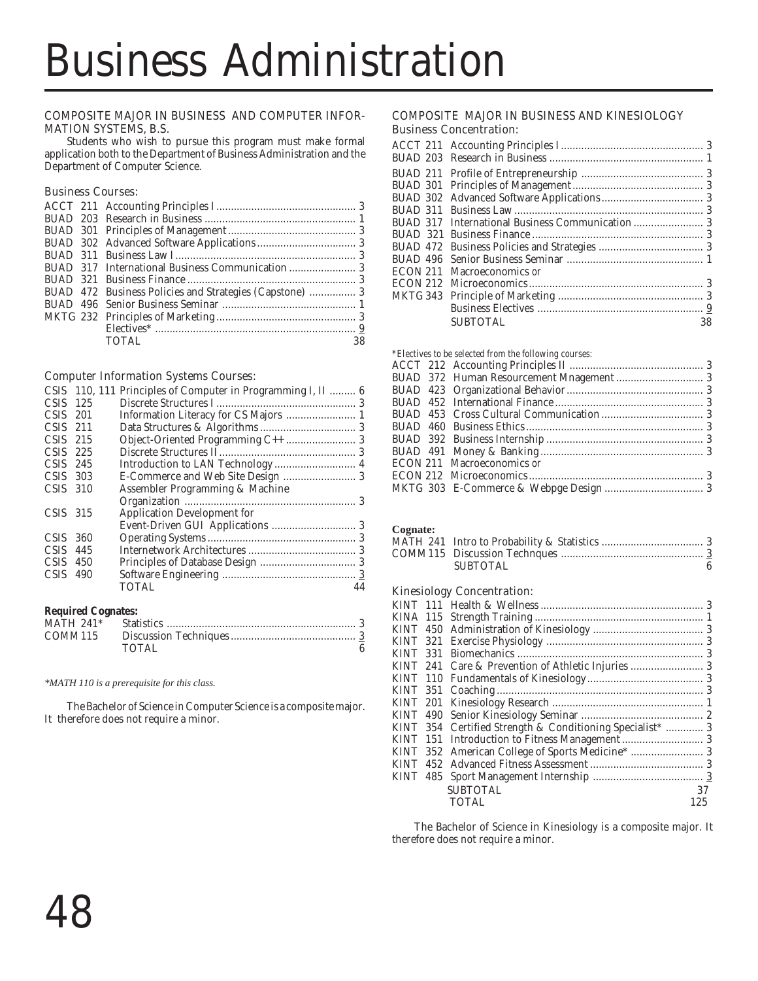### COMPOSITE MAJOR IN BUSINESS AND COMPUTER INFOR-MATION SYSTEMS, B.S.

Students who wish to pursue this program must make formal application both to the Department of Business Administration and the Department of Computer Science.

# Business Courses:

|  | TOTAL. | 38 |
|--|--------|----|

# Computer Information Systems Courses:

|             |     | CSIS 110, 111 Principles of Computer in Programming I, II  6 |    |
|-------------|-----|--------------------------------------------------------------|----|
| CSIS.       | 125 |                                                              |    |
| $CSIS$ 201  |     |                                                              |    |
| $CSIS$ 211  |     |                                                              |    |
| $CSIS$ 215  |     |                                                              |    |
| $CSIS$ 225  |     |                                                              |    |
| $CSIS$ 245  |     |                                                              |    |
| $CSIS$ 303  |     | E-Commerce and Web Site Design  3                            |    |
| $CSIS$ 310  |     | Assembler Programming & Machine                              |    |
|             |     |                                                              |    |
| $CSIS$ 315  |     | <b>Application Development for</b>                           |    |
|             |     |                                                              |    |
| $CSIS$ 360  |     |                                                              |    |
| CSIS -      | 445 |                                                              |    |
| CSIS -      | 450 |                                                              |    |
| <b>CSIS</b> | 490 |                                                              |    |
|             |     | TOTAL                                                        | 44 |
|             |     |                                                              |    |

### **Required Cognates:**

| TOTAL |  |
|-------|--|

*\*MATH 110 is a prerequisite for this class.*

The Bachelor of Science in Computer Science is a composite major. It therefore does not require a minor.

# COMPOSITE MAJOR IN BUSINESS AND KINESIOLOGY Business Concentration:

| ECON 211 Macroeconomics or |    |
|----------------------------|----|
|                            |    |
|                            |    |
|                            |    |
| <b>SUBTOTAL</b>            | 38 |

*\*Electives to be selected from the following courses:*

|  | model to be beloved if one the following courses. |  |
|--|---------------------------------------------------|--|
|  |                                                   |  |
|  |                                                   |  |
|  |                                                   |  |
|  |                                                   |  |
|  |                                                   |  |
|  |                                                   |  |
|  |                                                   |  |
|  |                                                   |  |
|  | ECON 211 Macroeconomics or                        |  |
|  |                                                   |  |
|  |                                                   |  |
|  |                                                   |  |

### **Cognate:**

| <b>SUBTOTAL</b> |  |
|-----------------|--|

# Kinesiology Concentration:

| <b>KINT</b> |      |                                                           |     |
|-------------|------|-----------------------------------------------------------|-----|
|             |      |                                                           |     |
| <b>KINT</b> | -331 |                                                           |     |
|             |      |                                                           |     |
|             |      |                                                           |     |
|             |      |                                                           |     |
|             |      |                                                           |     |
|             |      |                                                           |     |
|             |      | KINT 354 Certified Strength & Conditioning Specialist*  3 |     |
| <b>KINT</b> |      |                                                           |     |
|             |      | KINT 352 American College of Sports Medicine*  3          |     |
| <b>KINT</b> |      |                                                           |     |
|             |      |                                                           |     |
|             |      | <b>SUBTOTAL</b>                                           | 37  |
|             |      | <b>TOTAL</b>                                              | 125 |
|             |      |                                                           |     |

The Bachelor of Science in Kinesiology is a composite major. It therefore does not require a minor.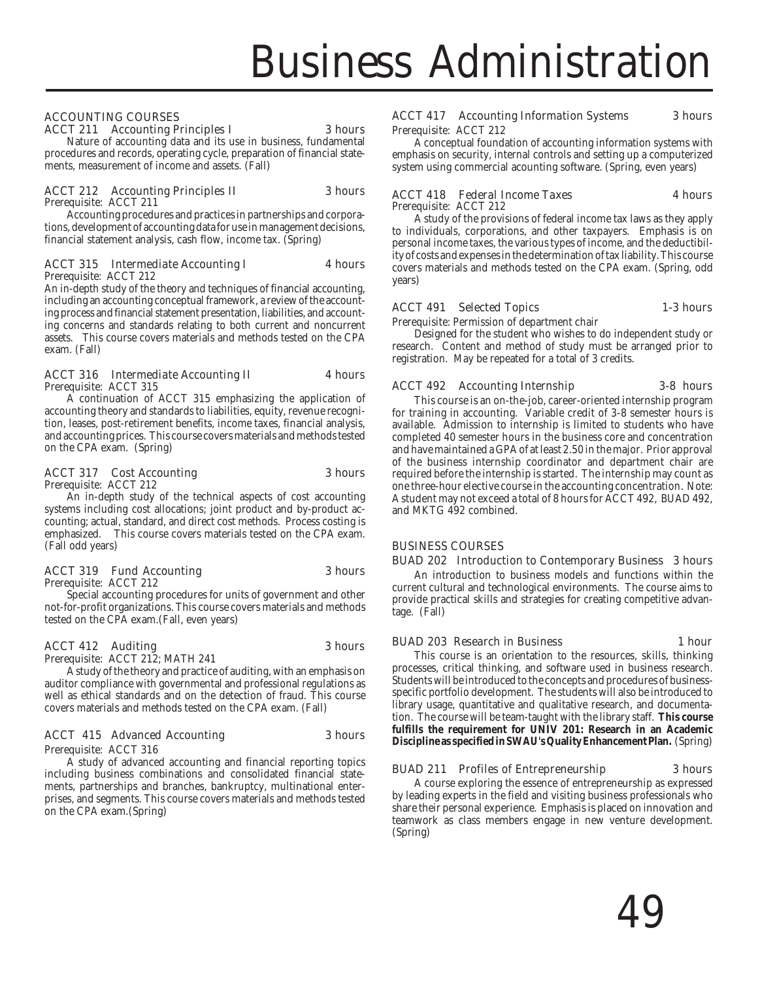# ACCOUNTING COURSES

# ACCT 211 Accounting Principles I 3 hours

Nature of accounting data and its use in business, fundamental procedures and records, operating cycle, preparation of financial statements, measurement of income and assets. (Fall)

# ACCT 212 Accounting Principles II 3 hours

Prerequisite: ACCT 211

Accounting procedures and practices in partnerships and corporations, development of accounting data for use in management decisions, financial statement analysis, cash flow, income tax. (Spring)

#### ACCT 315 Intermediate Accounting I 4 hours Prerequisite: ACCT 212

An in-depth study of the theory and techniques of financial accounting, including an accounting conceptual framework, a review of the accounting process and financial statement presentation, liabilities, and accounting concerns and standards relating to both current and noncurrent assets. This course covers materials and methods tested on the CPA exam. (Fall)

#### ACCT 316 Intermediate Accounting II 4 hours Prerequisite: ACCT 315

A continuation of ACCT 315 emphasizing the application of accounting theory and standards to liabilities, equity, revenue recognition, leases, post-retirement benefits, income taxes, financial analysis, and accounting prices. This course covers materials and methods tested on the CPA exam. (Spring)

# ACCT 317 Cost Accounting 3 hours

Prerequisite: ACCT 212 An in-depth study of the technical aspects of cost accounting systems including cost allocations; joint product and by-product accounting; actual, standard, and direct cost methods. Process costing is emphasized. This course covers materials tested on the CPA exam. (Fall odd years)

# ACCT 319 Fund Accounting 3 hours

Prerequisite: ACCT 212

Special accounting procedures for units of government and other not-for-profit organizations. This course covers materials and methods tested on the CPA exam.(Fall, even years)

# ACCT 412 Auditing 3 hours

Prerequisite: ACCT 212; MATH 241

A study of the theory and practice of auditing, with an emphasis on auditor compliance with governmental and professional regulations as well as ethical standards and on the detection of fraud. This course covers materials and methods tested on the CPA exam. (Fall)

# ACCT 415 Advanced Accounting 3 hours

Prerequisite: ACCT 316

A study of advanced accounting and financial reporting topics including business combinations and consolidated financial statements, partnerships and branches, bankruptcy, multinational enterprises, and segments. This course covers materials and methods tested on the CPA exam.(Spring)

# ACCT 417 Accounting Information Systems 3 hours

Prerequisite: ACCT 212

A conceptual foundation of accounting information systems with emphasis on security, internal controls and setting up a computerized system using commercial acounting software. (Spring, even years)

ACCT 418 Federal Income Taxes 4 hours

Prerequisite: ACCT 212

A study of the provisions of federal income tax laws as they apply to individuals, corporations, and other taxpayers. Emphasis is on personal income taxes, the various types of income, and the deductibility of costs and expenses in the determination of tax liability. This course covers materials and methods tested on the CPA exam. (Spring, odd years)

# ACCT 491 Selected Topics 1-3 hours

Prerequisite: Permission of department chair

Designed for the student who wishes to do independent study or research. Content and method of study must be arranged prior to registration. May be repeated for a total of 3 credits.

# ACCT 492 Accounting Internship 3-8 hours

This course is an on-the-job, career-oriented internship program for training in accounting. Variable credit of 3-8 semester hours is available. Admission to internship is limited to students who have completed 40 semester hours in the business core and concentration and have maintained a GPA of at least 2.50 in the major. Prior approval of the business internship coordinator and department chair are required before the internship is started. The internship may count as one three-hour elective course in the accounting concentration. Note: A student may not exceed a total of 8 hours for ACCT 492, BUAD 492, and MKTG 492 combined.

#### BUSINESS COURSES

BUAD 202 Introduction to Contemporary Business 3 hours

An introduction to business models and functions within the current cultural and technological environments. The course aims to provide practical skills and strategies for creating competitive advantage. (Fall)

#### BUAD 203 Research in Business 1 hour

This course is an orientation to the resources, skills, thinking processes, critical thinking, and software used in business research. Students will be introduced to the concepts and procedures of businessspecific portfolio development. The students will also be introduced to library usage, quantitative and qualitative research, and documentation. The course will be team-taught with the library staff. **This course fulfills the requirement for UNIV 201: Research in an Academic Discipline as specified in SWAU's Quality Enhancement Plan.** (Spring)

# BUAD 211 Profiles of Entrepreneurship 3 hours

A course exploring the essence of entrepreneurship as expressed by leading experts in the field and visiting business professionals who share their personal experience. Emphasis is placed on innovation and teamwork as class members engage in new venture development. (Spring)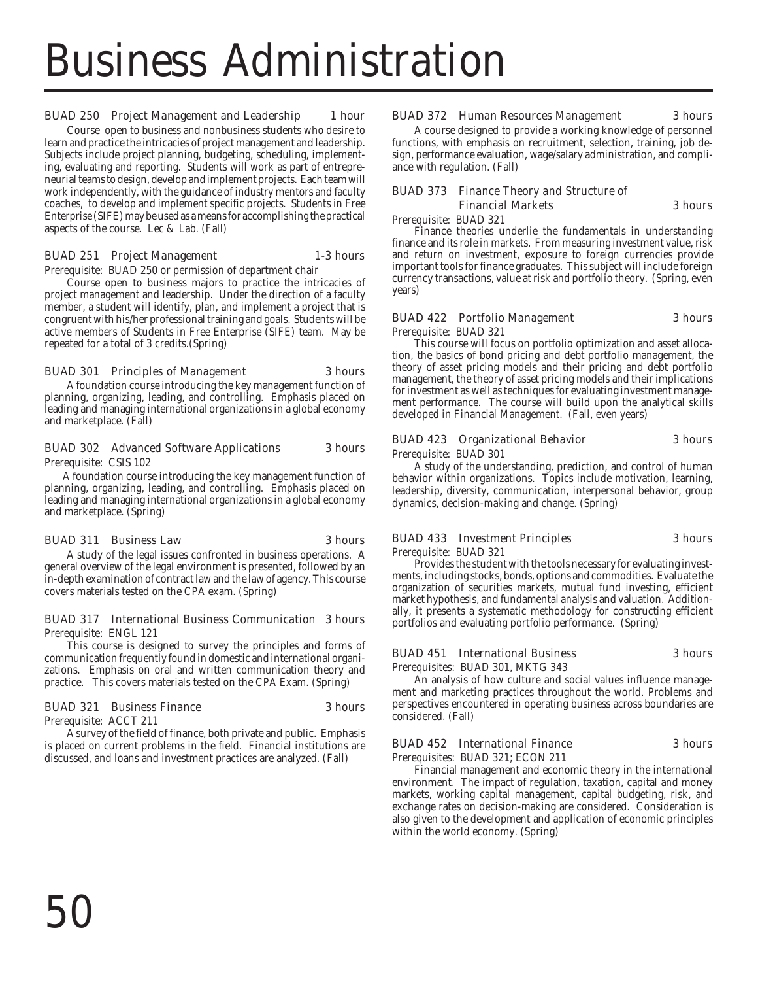### BUAD 250 Project Management and Leadership 1 hour

Course open to business and nonbusiness students who desire to learn and practice the intricacies of project management and leadership. Subjects include project planning, budgeting, scheduling, implementing, evaluating and reporting. Students will work as part of entrepreneurial teams to design, develop and implement projects. Each team will work independently, with the guidance of industry mentors and faculty coaches, to develop and implement specific projects. Students in Free Enterprise (SIFE) may be used as a means for accomplishing the practical aspects of the course. Lec & Lab. (Fall)

#### BUAD 251 Project Management 1-3 hours

Prerequisite: BUAD 250 or permission of department chair

Course open to business majors to practice the intricacies of project management and leadership. Under the direction of a faculty member, a student will identify, plan, and implement a project that is congruent with his/her professional training and goals. Students will be active members of Students in Free Enterprise (SIFE) team. May be repeated for a total of 3 credits.(Spring)

#### BUAD 301 Principles of Management 3 hours

A foundation course introducing the key management function of planning, organizing, leading, and controlling. Emphasis placed on leading and managing international organizations in a global economy and marketplace. (Fall)

# BUAD 302 Advanced Software Applications 3 hours

Prerequisite: CSIS 102

 A foundation course introducing the key management function of planning, organizing, leading, and controlling. Emphasis placed on leading and managing international organizations in a global economy and marketplace. (Spring)

#### BUAD 311 Business Law 3 hours

covers materials tested on the CPA exam. (Spring)

A study of the legal issues confronted in business operations. A general overview of the legal environment is presented, followed by an in-depth examination of contract law and the law of agency. This course

#### BUAD 317 International Business Communication 3 hours Prerequisite: ENGL 121

This course is designed to survey the principles and forms of communication frequently found in domestic and international organizations. Emphasis on oral and written communication theory and practice. This covers materials tested on the CPA Exam. (Spring)

#### BUAD 321 Business Finance 3 hours

Prerequisite: ACCT 211

A survey of the field of finance, both private and public. Emphasis is placed on current problems in the field. Financial institutions are discussed, and loans and investment practices are analyzed. (Fall)

#### BUAD 372 Human Resources Management 3 hours

A course designed to provide a working knowledge of personnel functions, with emphasis on recruitment, selection, training, job design, performance evaluation, wage/salary administration, and compliance with regulation. (Fall)

# BUAD 373 Finance Theory and Structure of Financial Markets 3 hours

Prerequisite: BUAD 321

Finance theories underlie the fundamentals in understanding finance and its role in markets. From measuring investment value, risk and return on investment, exposure to foreign currencies provide important tools for finance graduates. This subject will include foreign currency transactions, value at risk and portfolio theory. (Spring, even years)

### BUAD 422 Portfolio Management 3 hours

Prerequisite: BUAD 321

This course will focus on portfolio optimization and asset allocation, the basics of bond pricing and debt portfolio management, the theory of asset pricing models and their pricing and debt portfolio management, the theory of asset pricing models and their implications for investment as well as techniques for evaluating investment management performance. The course will build upon the analytical skills developed in Financial Management. (Fall, even years)

# BUAD 423 Organizational Behavior 3 hours

Prerequisite: BUAD 301

A study of the understanding, prediction, and control of human behavior within organizations. Topics include motivation, learning, leadership, diversity, communication, interpersonal behavior, group dynamics, decision-making and change. (Spring)

# BUAD 433 Investment Principles 3 hours

Prerequisite: BUAD 321

Provides the student with the tools necessary for evaluating investments, including stocks, bonds, options and commodities. Evaluate the organization of securities markets, mutual fund investing, efficient market hypothesis, and fundamental analysis and valuation. Additionally, it presents a systematic methodology for constructing efficient portfolios and evaluating portfolio performance. (Spring)

# BUAD 451 International Business 3 hours

Prerequisites: BUAD 301, MKTG 343

An analysis of how culture and social values influence management and marketing practices throughout the world. Problems and perspectives encountered in operating business across boundaries are considered. (Fall)

# BUAD 452 International Finance 3 hours

Prerequisites: BUAD 321; ECON 211 Financial management and economic theory in the international environment. The impact of regulation, taxation, capital and money markets, working capital management, capital budgeting, risk, and exchange rates on decision-making are considered. Consideration is also given to the development and application of economic principles within the world economy. (Spring)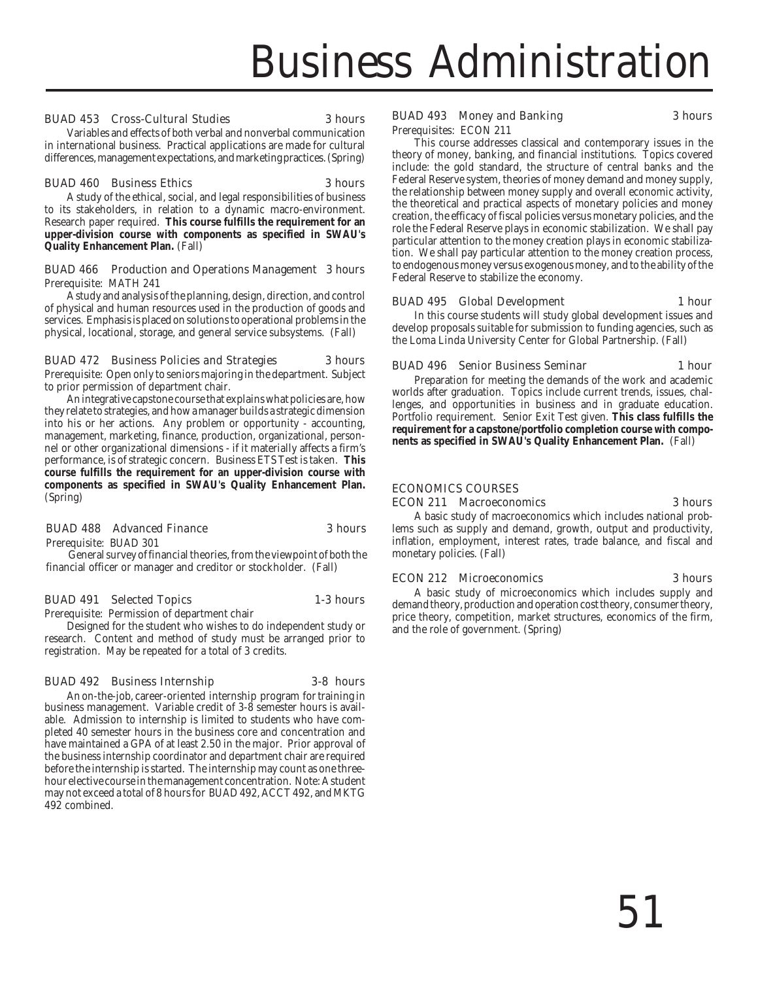#### BUAD 453 Cross-Cultural Studies 3 hours

Variables and effects of both verbal and nonverbal communication in international business. Practical applications are made for cultural differences, management expectations, and marketing practices. (Spring)

#### BUAD 460 Business Ethics 3 hours

A study of the ethical, social, and legal responsibilities of business to its stakeholders, in relation to a dynamic macro-environment. Research paper required. **This course fulfills the requirement for an upper-division course with components as specified in SWAU's Quality Enhancement Plan.** (Fall)

#### BUAD 466 Production and Operations Management 3 hours Prerequisite: MATH 241

A study and analysis of the planning, design, direction, and control of physical and human resources used in the production of goods and services. Emphasis is placed on solutions to operational problems in the physical, locational, storage, and general service subsystems. (Fall)

#### BUAD 472 Business Policies and Strategies 3 hours

Prerequisite: Open only to seniors majoring in the department. Subject to prior permission of department chair.

An integrative capstone course that explains what policies are, how they relate to strategies, and how a manager builds a strategic dimension into his or her actions. Any problem or opportunity - accounting, management, marketing, finance, production, organizational, personnel or other organizational dimensions - if it materially affects a firm's performance, is of strategic concern. Business ETS Test is taken. **This course fulfills the requirement for an upper-division course with components as specified in SWAU's Quality Enhancement Plan.** (Spring)

#### BUAD 488 Advanced Finance 3 hours

Prerequisite: BUAD 301

492 combined.

General survey of financial theories, from the viewpoint of both the financial officer or manager and creditor or stockholder. (Fall)

#### BUAD 491 Selected Topics 1-3 hours

Prerequisite: Permission of department chair

Designed for the student who wishes to do independent study or research. Content and method of study must be arranged prior to registration. May be repeated for a total of 3 credits.

#### BUAD 492 Business Internship 3-8 hours

business management. Variable credit of 3-8 semester hours is available. Admission to internship is limited to students who have completed 40 semester hours in the business core and concentration and have maintained a GPA of at least 2.50 in the major. Prior approval of the business internship coordinator and department chair are required before the internship is started. The internship may count as one threehour elective course in the management concentration. Note: A student may not exceed a total of 8 hours for BUAD 492, ACCT 492, and MKTG An on-the-job, career-oriented internship program for training in

### BUAD 493 Money and Banking 3 hours

Prerequisites: ECON 211

This course addresses classical and contemporary issues in the theory of money, banking, and financial institutions. Topics covered include: the gold standard, the structure of central banks and the Federal Reserve system, theories of money demand and money supply, the relationship between money supply and overall economic activity, the theoretical and practical aspects of monetary policies and money creation, the efficacy of fiscal policies versus monetary policies, and the role the Federal Reserve plays in economic stabilization. We shall pay particular attention to the money creation plays in economic stabilization. We shall pay particular attention to the money creation process, to endogenous money versus exogenous money, and to the ability of the Federal Reserve to stabilize the economy.

# BUAD 495 Global Development 1 hour

In this course students will study global development issues and develop proposals suitable for submission to funding agencies, such as the Loma Linda University Center for Global Partnership. (Fall)

### BUAD 496 Senior Business Seminar 1 hour

Preparation for meeting the demands of the work and academic worlds after graduation. Topics include current trends, issues, challenges, and opportunities in business and in graduate education. Portfolio requirement. Senior Exit Test given. **This class fulfills the requirement for a capstone/portfolio completion course with components as specified in SWAU's Quality Enhancement Plan.** (Fall)

#### ECONOMICS COURSES

ECON 211 Macroeconomics 3 hours

A basic study of macroeconomics which includes national problems such as supply and demand, growth, output and productivity, inflation, employment, interest rates, trade balance, and fiscal and monetary policies. (Fall)

#### ECON 212 Microeconomics 3 hours

A basic study of microeconomics which includes supply and demand theory, production and operation cost theory, consumer theory, price theory, competition, market structures, economics of the firm, and the role of government. (Spring)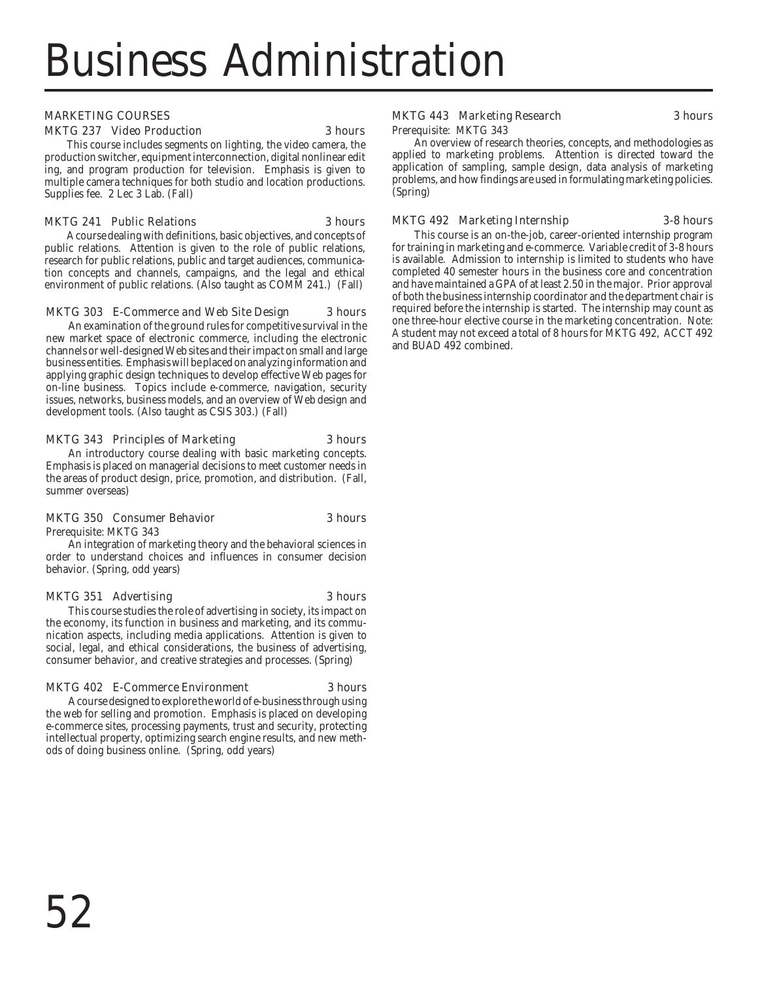# MARKETING COURSES

#### MKTG 237 Video Production 3 hours

This course includes segments on lighting, the video camera, the production switcher, equipment interconnection, digital nonlinear edit ing, and program production for television. Emphasis is given to multiple camera techniques for both studio and location productions. Supplies fee. 2 Lec 3 Lab. (Fall)

#### MKTG 241 Public Relations 3 hours

A course dealing with definitions, basic objectives, and concepts of public relations. Attention is given to the role of public relations, research for public relations, public and target audiences, communication concepts and channels, campaigns, and the legal and ethical environment of public relations. (Also taught as COMM 241.) (Fall)

#### MKTG 303 E-Commerce and Web Site Design 3 hours

An examination of the ground rules for competitive survival in the new market space of electronic commerce, including the electronic channels or well-designed Web sites and their impact on small and large business entities. Emphasis will be placed on analyzing information and applying graphic design techniques to develop effective Web pages for on-line business. Topics include e-commerce, navigation, security issues, networks, business models, and an overview of Web design and development tools. (Also taught as CSIS 303.) (Fall)

#### MKTG 343 Principles of Marketing 3 hours

An introductory course dealing with basic marketing concepts. Emphasis is placed on managerial decisions to meet customer needs in the areas of product design, price, promotion, and distribution. (Fall, summer overseas)

#### MKTG 350 Consumer Behavior 3 hours

Prerequisite: MKTG 343

An integration of marketing theory and the behavioral sciences in order to understand choices and influences in consumer decision behavior. (Spring, odd years)

#### MKTG 351 Advertising 3 hours

This course studies the role of advertising in society, its impact on the economy, its function in business and marketing, and its communication aspects, including media applications. Attention is given to social, legal, and ethical considerations, the business of advertising, consumer behavior, and creative strategies and processes. (Spring)

# MKTG 402 E-Commerce Environment 3 hours

A course designed to explore the world of e-business through using the web for selling and promotion. Emphasis is placed on developing e-commerce sites, processing payments, trust and security, protecting intellectual property, optimizing search engine results, and new methods of doing business online. (Spring, odd years)

# MKTG 443 Marketing Research 3 hours

Prerequisite: MKTG 343

An overview of research theories, concepts, and methodologies as applied to marketing problems. Attention is directed toward the application of sampling, sample design, data analysis of marketing problems, and how findings are used in formulating marketing policies. (Spring)

#### MKTG 492 Marketing Internship 3-8 hours

This course is an on-the-job, career-oriented internship program for training in marketing and e-commerce. Variable credit of 3-8 hours is available. Admission to internship is limited to students who have completed 40 semester hours in the business core and concentration and have maintained a GPA of at least 2.50 in the major. Prior approval of both the business internship coordinator and the department chair is required before the internship is started. The internship may count as one three-hour elective course in the marketing concentration. Note: A student may not exceed a total of 8 hours for MKTG 492, ACCT 492 and BUAD 492 combined.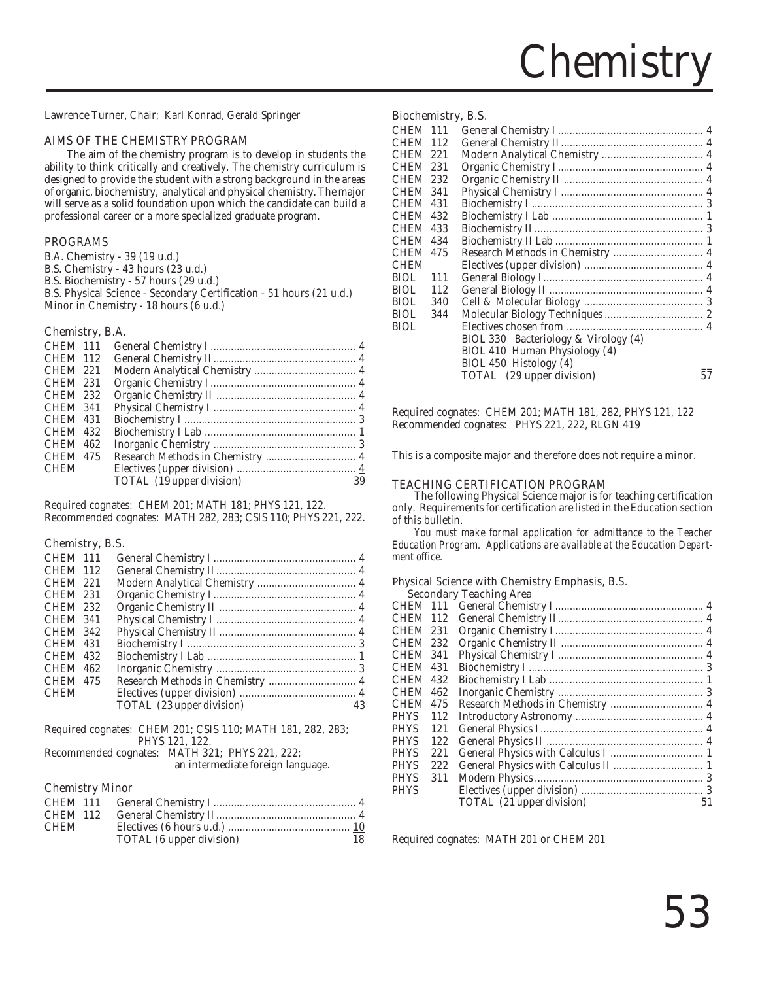

Lawrence Turner, Chair; Karl Konrad, Gerald Springer

#### AIMS OF THE CHEMISTRY PROGRAM

The aim of the chemistry program is to develop in students the ability to think critically and creatively. The chemistry curriculum is designed to provide the student with a strong background in the areas of organic, biochemistry, analytical and physical chemistry. The major will serve as a solid foundation upon which the candidate can build a professional career or a more specialized graduate program.

#### PROGRAMS

B.A. Chemistry - 39 (19 u.d.) B.S. Chemistry - 43 hours (23 u.d.) B.S. Biochemistry - 57 hours (29 u.d.) B.S. Physical Science - Secondary Certification - 51 hours (21 u.d.) Minor in Chemistry - 18 hours (6 u.d.)

#### Chemistry, B.A.

| <b>CHEM 111</b> |                           |    |
|-----------------|---------------------------|----|
| <b>CHEM 112</b> |                           |    |
| <b>CHEM 221</b> |                           |    |
| <b>CHEM 231</b> |                           |    |
| <b>CHEM 232</b> |                           |    |
| <b>CHEM 341</b> |                           |    |
| <b>CHEM 431</b> |                           |    |
| <b>CHEM 432</b> |                           |    |
| <b>CHEM 462</b> |                           |    |
| <b>CHEM 475</b> |                           |    |
| <b>CHEM</b>     |                           |    |
|                 | TOTAL (19 upper division) | 39 |
|                 |                           |    |

Required cognates: CHEM 201; MATH 181; PHYS 121, 122. Recommended cognates: MATH 282, 283; CSIS 110; PHYS 221, 222.

#### Chemistry, B.S.

| CHEM 111        |                           |    |
|-----------------|---------------------------|----|
| <b>CHEM 112</b> |                           |    |
| <b>CHEM 221</b> |                           |    |
| <b>CHEM 231</b> |                           |    |
| <b>CHEM 232</b> |                           |    |
| <b>CHEM 341</b> |                           |    |
| <b>CHEM 342</b> |                           |    |
| <b>CHEM 431</b> |                           |    |
| <b>CHEM 432</b> |                           |    |
| <b>CHEM 462</b> |                           |    |
| <b>CHEM 475</b> |                           |    |
| <b>CHEM</b>     |                           |    |
|                 | TOTAL (23 upper division) | 43 |

| Required cognates: CHEM 201; CSIS 110; MATH 181, 282, 283; |                |  |  |
|------------------------------------------------------------|----------------|--|--|
|                                                            | PHYS 121, 122. |  |  |

Recommended cognates: MATH 321; PHYS 221, 222;

an intermediate foreign language.

#### Chemistry Minor

| <b>CHEM 111</b> |                          |    |
|-----------------|--------------------------|----|
| CHEM 112        |                          |    |
| CHEM            |                          |    |
|                 | TOTAL (6 upper division) | 18 |

#### Biochemistry, B.S.

| <b>CHEM 111</b> |      |                                      |    |
|-----------------|------|--------------------------------------|----|
| <b>CHEM</b>     | -112 |                                      |    |
| <b>CHEM</b>     | 221  |                                      |    |
| <b>CHEM</b>     | 231  |                                      |    |
| <b>CHEM</b>     | 232  |                                      |    |
| <b>CHEM 341</b> |      |                                      |    |
| <b>CHEM</b>     | 431  |                                      |    |
| <b>CHEM</b>     | 432  |                                      |    |
| <b>CHEM</b>     | 433  |                                      |    |
| <b>CHEM</b>     | 434  |                                      |    |
| <b>CHEM</b>     | 475  |                                      |    |
| <b>CHEM</b>     |      |                                      |    |
| BIOL.           | 111  |                                      |    |
| BIOL.           | 112  |                                      |    |
| BIOL.           | 340  |                                      |    |
| BIOL            | 344  |                                      |    |
| <b>BIOL</b>     |      |                                      |    |
|                 |      | BIOL 330 Bacteriology & Virology (4) |    |
|                 |      | BIOL 410 Human Physiology (4)        |    |
|                 |      | BIOL 450 Histology (4)               |    |
|                 |      | TOTAL (29 upper division)            | 57 |
|                 |      |                                      |    |

Required cognates: CHEM 201; MATH 181, 282, PHYS 121, 122 Recommended cognates: PHYS 221, 222, RLGN 419

This is a composite major and therefore does not require a minor.

#### TEACHING CERTIFICATION PROGRAM

The following Physical Science major is for teaching certification only. Requirements for certification are listed in the Education section of this bulletin.

*You must make formal application for admittance to the Teacher Education Program. Applications are available at the Education Department office.*

#### Physical Science with Chemistry Emphasis, B.S. Secondary Teaching Area

| CHEM 111        |     |                           |    |
|-----------------|-----|---------------------------|----|
| CHEM 112        |     |                           |    |
| CHEM 231        |     |                           |    |
| <b>CHEM 232</b> |     |                           |    |
| CHEM 341        |     |                           |    |
| CHEM 431        |     |                           |    |
| CHEM 432        |     |                           |    |
| CHEM            | 462 |                           |    |
| CHEM            | 475 |                           |    |
| PHYS            | 112 |                           |    |
| PHYS            | 121 |                           |    |
| PHYS            | 122 |                           |    |
| PHYS            | 221 |                           |    |
| PHYS            | 222 |                           |    |
| PHYS            | 311 |                           |    |
| PHYS            |     |                           |    |
|                 |     | TOTAL (21 upper division) | 51 |
|                 |     |                           |    |

Required cognates: MATH 201 or CHEM 201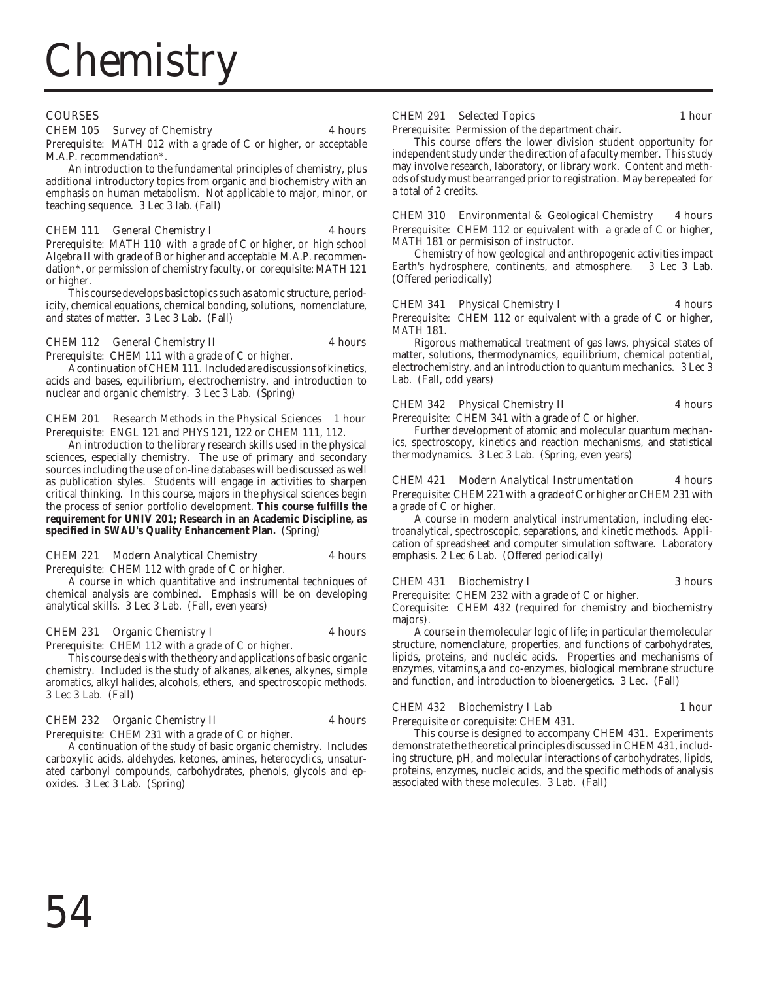# **COURSES**

# CHEM 105 Survey of Chemistry 4 hours

Prerequisite: MATH 012 with a grade of C or higher, or acceptable M.A.P. recommendation\*.

An introduction to the fundamental principles of chemistry, plus additional introductory topics from organic and biochemistry with an emphasis on human metabolism. Not applicable to major, minor, or teaching sequence. 3 Lec 3 lab. (Fall)

# CHEM 111 General Chemistry I 4 hours

Prerequisite: MATH 110 with a grade of C or higher, or high school Algebra II with grade of B or higher and acceptable M.A.P. recommendation\*, or permission of chemistry faculty, or corequisite: MATH 121 or higher.

This course develops basic topics such as atomic structure, periodicity, chemical equations, chemical bonding, solutions, nomenclature, and states of matter. 3 Lec 3 Lab. (Fall)

#### CHEM 112 General Chemistry II 4 hours

Prerequisite: CHEM 111 with a grade of C or higher.

A continuation of CHEM 111. Included are discussions of kinetics, acids and bases, equilibrium, electrochemistry, and introduction to nuclear and organic chemistry. 3 Lec 3 Lab. (Spring)

#### CHEM 201 Research Methods in the Physical Sciences 1 hour Prerequisite: ENGL 121 and PHYS 121, 122 or CHEM 111, 112.

An introduction to the library research skills used in the physical sciences, especially chemistry. The use of primary and secondary sources including the use of on-line databases will be discussed as well as publication styles. Students will engage in activities to sharpen critical thinking. In this course, majors in the physical sciences begin the process of senior portfolio development. **This course fulfills the requirement for UNIV 201; Research in an Academic Discipline, as specified in SWAU's Quality Enhancement Plan.** (Spring)

#### CHEM 221 Modern Analytical Chemistry 4 hours

Prerequisite: CHEM 112 with grade of C or higher.

A course in which quantitative and instrumental techniques of chemical analysis are combined. Emphasis will be on developing analytical skills. 3 Lec 3 Lab. (Fall, even years)

#### CHEM 231 Organic Chemistry I 4 hours

Prerequisite: CHEM 112 with a grade of C or higher.

This course deals with the theory and applications of basic organic chemistry. Included is the study of alkanes, alkenes, alkynes, simple aromatics, alkyl halides, alcohols, ethers, and spectroscopic methods. 3 Lec 3 Lab. (Fall)

#### CHEM 232 Organic Chemistry II 4 hours

Prerequisite: CHEM 231 with a grade of C or higher.

A continuation of the study of basic organic chemistry. Includes carboxylic acids, aldehydes, ketones, amines, heterocyclics, unsaturated carbonyl compounds, carbohydrates, phenols, glycols and epoxides. 3 Lec 3 Lab. (Spring)

### CHEM 291 Selected Topics 1 hour

Prerequisite: Permission of the department chair.

This course offers the lower division student opportunity for independent study under the direction of a faculty member. This study may involve research, laboratory, or library work. Content and methods of study must be arranged prior to registration. May be repeated for a total of 2 credits.

CHEM 310 Environmental & Geological Chemistry 4 hours Prerequisite: CHEM 112 or equivalent with a grade of C or higher, MATH 181 or permisison of instructor.

Chemistry of how geological and anthropogenic activities impact Earth's hydrosphere, continents, and atmosphere. 3 Lec 3 Lab. (Offered periodically)

# CHEM 341 Physical Chemistry I 4 hours

Prerequisite: CHEM 112 or equivalent with a grade of C or higher, MATH 181.

Rigorous mathematical treatment of gas laws, physical states of matter, solutions, thermodynamics, equilibrium, chemical potential, electrochemistry, and an introduction to quantum mechanics. 3 Lec 3 Lab. (Fall, odd years)

# CHEM 342 Physical Chemistry II 4 hours

Prerequisite: CHEM 341 with a grade of C or higher.

Further development of atomic and molecular quantum mechanics, spectroscopy, kinetics and reaction mechanisms, and statistical thermodynamics. 3 Lec 3 Lab. (Spring, even years)

# CHEM 421 Modern Analytical Instrumentation 4 hours

Prerequisite: CHEM 221 with a grade of C or higher or CHEM 231 with a grade of C or higher.

A course in modern analytical instrumentation, including electroanalytical, spectroscopic, separations, and kinetic methods. Application of spreadsheet and computer simulation software. Laboratory emphasis. 2 Lec 6 Lab. (Offered periodically)

#### CHEM 431 Biochemistry I 3 hours

Prerequisite: CHEM 232 with a grade of C or higher. Corequisite: CHEM 432 (required for chemistry and biochemistry

majors). A course in the molecular logic of life; in particular the molecular structure, nomenclature, properties, and functions of carbohydrates, lipids, proteins, and nucleic acids. Properties and mechanisms of

enzymes, vitamins,a and co-enzymes, biological membrane structure and function, and introduction to bioenergetics. 3 Lec. (Fall)

# CHEM 432 Biochemistry I Lab 1 hour

Prerequisite or corequisite: CHEM 431.

This course is designed to accompany CHEM 431. Experiments demonstrate the theoretical principles discussed in CHEM 431, including structure, pH, and molecular interactions of carbohydrates, lipids, proteins, enzymes, nucleic acids, and the specific methods of analysis associated with these molecules. 3 Lab. (Fall)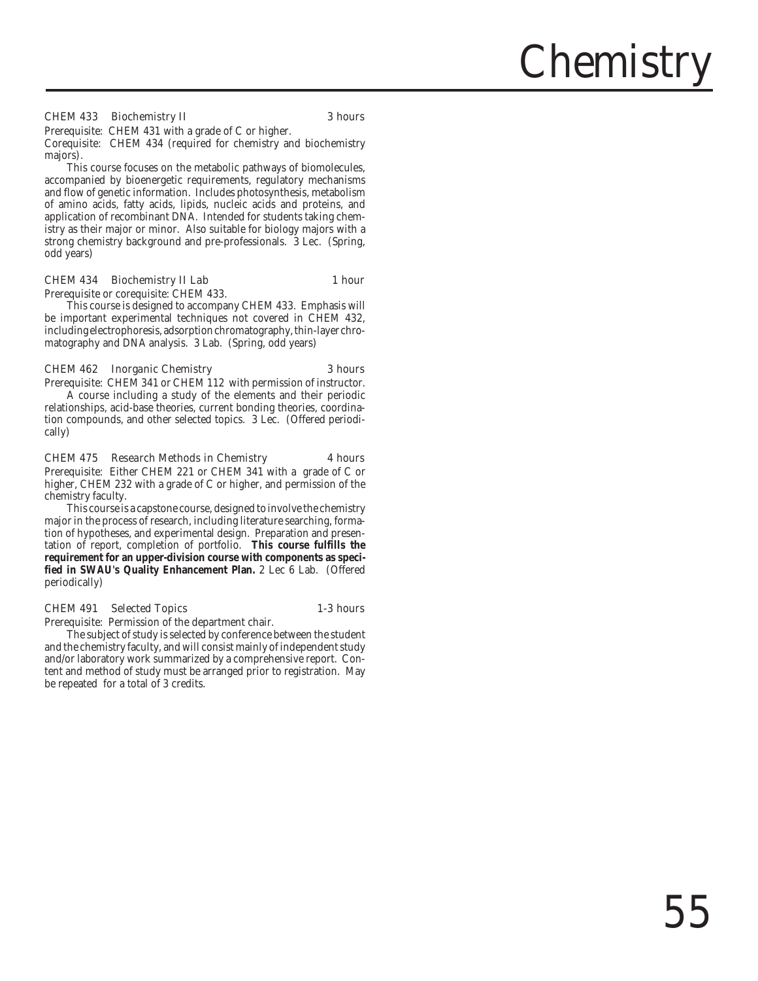#### CHEM 433 Biochemistry II 3 hours

Prerequisite: CHEM 431 with a grade of C or higher. Corequisite: CHEM 434 (required for chemistry and biochemistry majors).

This course focuses on the metabolic pathways of biomolecules, accompanied by bioenergetic requirements, regulatory mechanisms and flow of genetic information. Includes photosynthesis, metabolism of amino acids, fatty acids, lipids, nucleic acids and proteins, and application of recombinant DNA. Intended for students taking chemistry as their major or minor. Also suitable for biology majors with a strong chemistry background and pre-professionals. 3 Lec. (Spring, odd years)

#### CHEM 434 Biochemistry II Lab 1 hour

Prerequisite or corequisite: CHEM 433.

This course is designed to accompany CHEM 433. Emphasis will be important experimental techniques not covered in CHEM 432, including electrophoresis, adsorption chromatography, thin-layer chromatography and DNA analysis. 3 Lab. (Spring, odd years)

#### CHEM 462 Inorganic Chemistry 3 hours

Prerequisite: CHEM 341 or CHEM 112 with permission of instructor. A course including a study of the elements and their periodic relationships, acid-base theories, current bonding theories, coordination compounds, and other selected topics. 3 Lec. (Offered periodically)

#### CHEM 475 Research Methods in Chemistry 4 hours

Prerequisite: Either CHEM 221 or CHEM 341 with a grade of C or higher, CHEM 232 with a grade of C or higher, and permission of the chemistry faculty.

This course is a capstone course, designed to involve the chemistry major in the process of research, including literature searching, formation of hypotheses, and experimental design. Preparation and presentation of report, completion of portfolio. **This course fulfills the requirement for an upper-division course with components as specified in SWAU's Quality Enhancement Plan.** 2 Lec 6 Lab. (Offered periodically)

#### CHEM 491 Selected Topics 1-3 hours

Prerequisite: Permission of the department chair.

The subject of study is selected by conference between the student and the chemistry faculty, and will consist mainly of independent study and/or laboratory work summarized by a comprehensive report. Content and method of study must be arranged prior to registration. May be repeated for a total of 3 credits.

Chemistry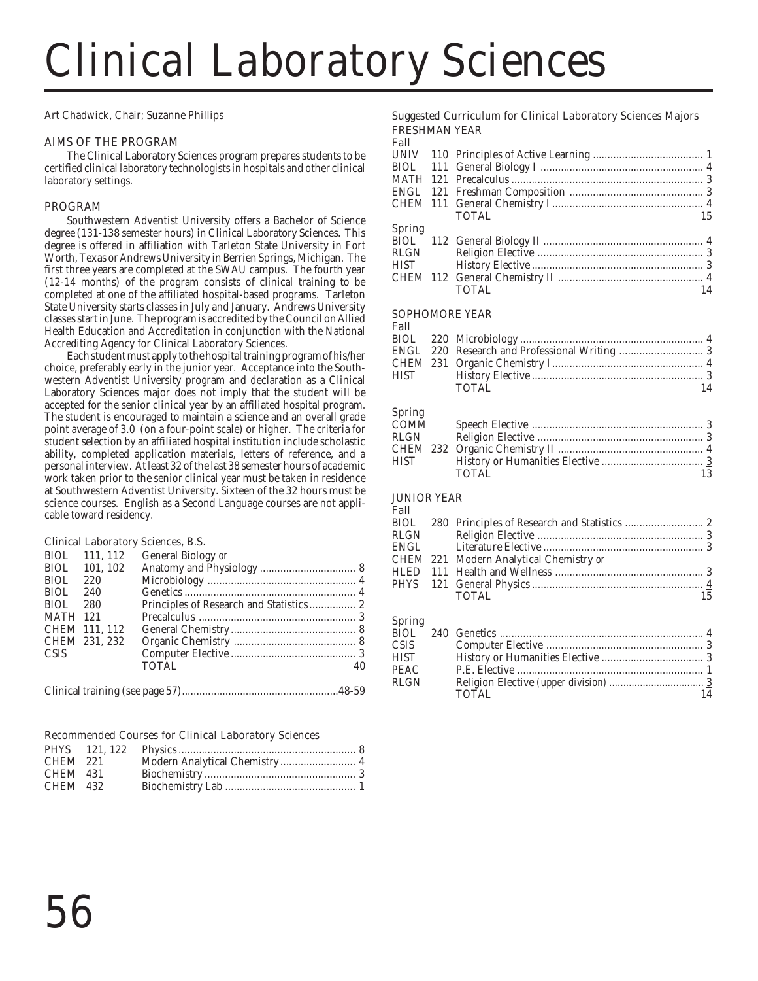# Clinical Laboratory Sciences

Art Chadwick, Chair; Suzanne Phillips

# AIMS OF THE PROGRAM

The Clinical Laboratory Sciences program prepares students to be certified clinical laboratory technologists in hospitals and other clinical laboratory settings.

# PROGRAM

Southwestern Adventist University offers a Bachelor of Science degree (131-138 semester hours) in Clinical Laboratory Sciences. This degree is offered in affiliation with Tarleton State University in Fort Worth, Texas or Andrews University in Berrien Springs, Michigan. The first three years are completed at the SWAU campus. The fourth year (12-14 months) of the program consists of clinical training to be completed at one of the affiliated hospital-based programs. Tarleton State University starts classes in July and January. Andrews University classes start in June. The program is accredited by the Council on Allied Health Education and Accreditation in conjunction with the National Accrediting Agency for Clinical Laboratory Sciences.

Each student must apply to the hospital training program of his/her choice, preferably early in the junior year. Acceptance into the Southwestern Adventist University program and declaration as a Clinical Laboratory Sciences major does not imply that the student will be accepted for the senior clinical year by an affiliated hospital program. The student is encouraged to maintain a science and an overall grade point average of 3.0 (on a four-point scale) or higher. The criteria for student selection by an affiliated hospital institution include scholastic ability, completed application materials, letters of reference, and a personal interview. At least 32 of the last 38 semester hours of academic work taken prior to the senior clinical year must be taken in residence at Southwestern Adventist University. Sixteen of the 32 hours must be science courses. English as a Second Language courses are not applicable toward residency.

# Clinical Laboratory Sciences, B.S.

|                 | BIOL 111, 112 | General Biology or                      |    |
|-----------------|---------------|-----------------------------------------|----|
|                 | BIOL 101, 102 |                                         |    |
| <b>BIOL</b>     | 220           |                                         |    |
| BIOL.           | 240           |                                         |    |
| BIOL.           | 280           | Principles of Research and Statistics 2 |    |
| <b>MATH 121</b> |               |                                         |    |
|                 | CHEM 111, 112 |                                         |    |
|                 | CHEM 231, 232 |                                         |    |
| <b>CSIS</b>     |               |                                         |    |
|                 |               | <b>TOTAL</b>                            | 40 |
|                 |               |                                         |    |
|                 |               |                                         |    |

|--|--|

# Recommended Courses for Clinical Laboratory Sciences

| CHEM 221 | Modern Analytical Chemistry 4 |  |
|----------|-------------------------------|--|
| CHEM 431 |                               |  |
| CHEM 432 |                               |  |
|          |                               |  |

# Suggested Curriculum for Clinical Laboratory Sciences Majors FRESHMAN YEAR

Fall

| г ан   |              |    |
|--------|--------------|----|
|        |              |    |
|        |              |    |
|        |              |    |
|        |              |    |
|        |              |    |
|        | <b>TOTAL</b> | 15 |
| Spring |              |    |
|        |              |    |
| RLGN   |              |    |
| HIST   |              |    |
|        |              |    |
|        | <b>TOTAL</b> |    |
|        |              |    |

# SOPHOMORE YEAR

### Fall

|  | <b>TOTAL</b> | 14 |
|--|--------------|----|
|  |              |    |

### Spring

| ------ |       |  |
|--------|-------|--|
| COMM   |       |  |
|        |       |  |
|        |       |  |
| HIST   |       |  |
|        | TOTAL |  |
|        |       |  |

#### JUNIOR YEAR Fall

| . |                                         |    |
|---|-----------------------------------------|----|
|   |                                         |    |
|   |                                         |    |
|   |                                         |    |
|   | CHEM 221 Modern Analytical Chemistry or |    |
|   |                                         |    |
|   |                                         |    |
|   | TOTAL.                                  | 15 |
|   |                                         |    |

# Spring

| CSIS- |       |  |
|-------|-------|--|
| HIST  |       |  |
| PEAC  |       |  |
| RLGN  |       |  |
|       | TOTAL |  |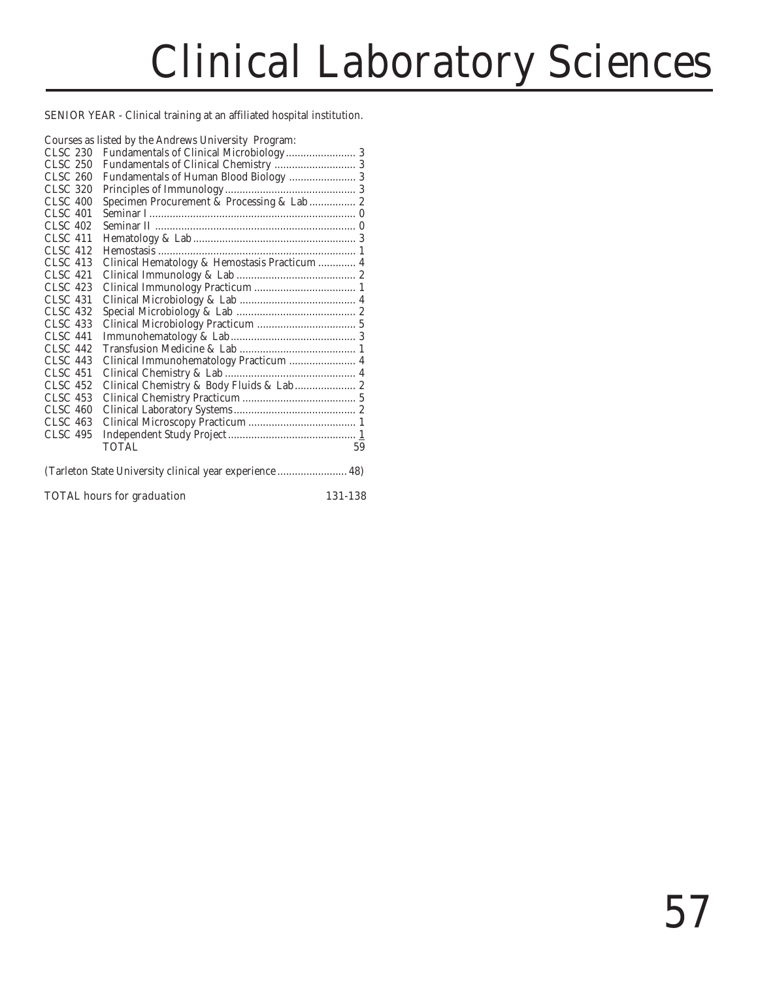# Clinical Laboratory Sciences

SENIOR YEAR - Clinical training at an affiliated hospital institution.

|                 | Courses as listed by the Andrews University Program:     |
|-----------------|----------------------------------------------------------|
| CLSC 230        |                                                          |
| <b>CLSC 250</b> |                                                          |
| <b>CLSC 260</b> | Fundamentals of Human Blood Biology  3                   |
| <b>CLSC 320</b> |                                                          |
| <b>CLSC 400</b> | Specimen Procurement & Processing & Lab  2               |
| CLSC 401        |                                                          |
| CLSC 402        |                                                          |
| CLSC 411        |                                                          |
| CLSC 412        |                                                          |
| <b>CLSC 413</b> | Clinical Hematology & Hemostasis Practicum  4            |
| <b>CLSC 421</b> |                                                          |
| <b>CLSC 423</b> |                                                          |
| <b>CLSC 431</b> |                                                          |
| <b>CLSC 432</b> |                                                          |
| <b>CLSC 433</b> |                                                          |
| <b>CLSC 441</b> |                                                          |
| <b>CLSC 442</b> |                                                          |
| <b>CLSC 443</b> | Clinical Immunohematology Practicum  4                   |
| <b>CLSC 451</b> |                                                          |
| <b>CLSC 452</b> | Clinical Chemistry & Body Fluids & Lab  2                |
| <b>CLSC 453</b> |                                                          |
| <b>CLSC 460</b> |                                                          |
| <b>CLSC 463</b> |                                                          |
| <b>CLSC 495</b> |                                                          |
|                 | TOTAL.<br>59                                             |
|                 | (Tarleton State University clinical year experience  48) |

# TOTAL hours for graduation 131-138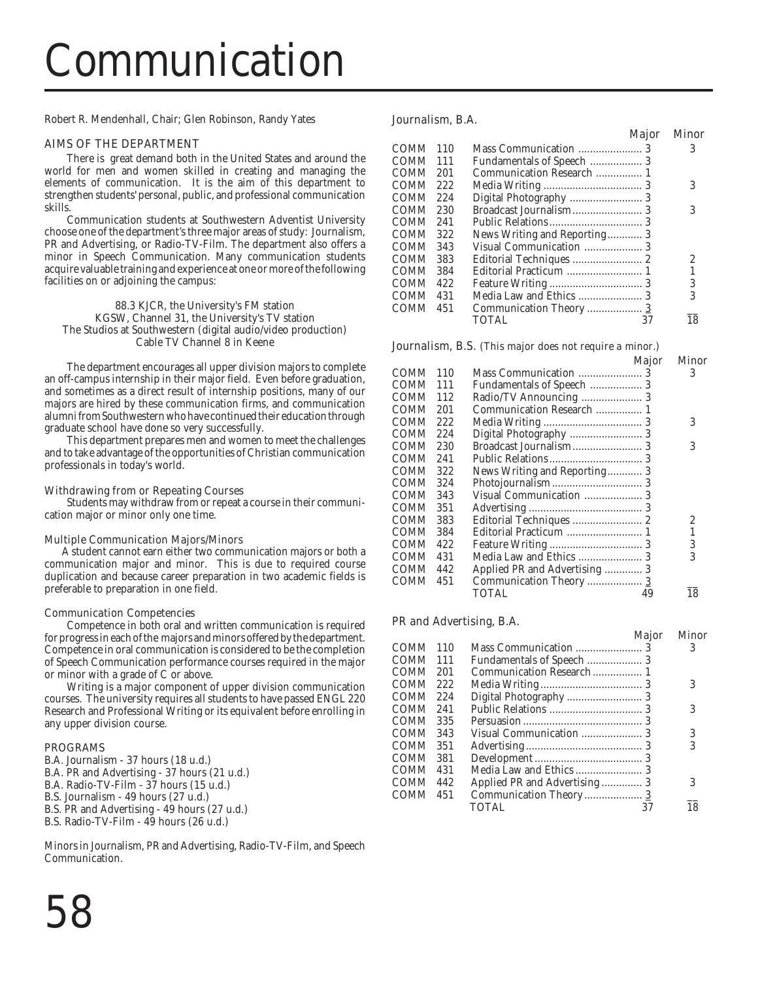# Communication

Robert R. Mendenhall, Chair; Glen Robinson, Randy Yates

### AIMS OF THE DEPARTMENT

There is great demand both in the United States and around the world for men and women skilled in creating and managing the elements of communication. It is the aim of this department to strengthen students' personal, public, and professional communication skills.

Communication students at Southwestern Adventist University choose one of the department's three major areas of study: Journalism, PR and Advertising, or Radio-TV-Film. The department also offers a minor in Speech Communication. Many communication students acquire valuable training and experience at one or more of the following facilities on or adjoining the campus:

88.3 KJCR, the University's FM station KGSW, Channel 31, the University's TV station The Studios at Southwestern (digital audio/video production) Cable TV Channel 8 in Keene

The department encourages all upper division majors to complete an off-campus internship in their major field. Even before graduation, and sometimes as a direct result of internship positions, many of our majors are hired by these communication firms, and communication alumni from Southwestern who have continued their education through graduate school have done so very successfully.

This department prepares men and women to meet the challenges and to take advantage of the opportunities of Christian communication professionals in today's world.

#### Withdrawing from or Repeating Courses

Students may withdraw from or repeat a course in their communication major or minor only one time.

#### Multiple Communication Majors/Minors

 A student cannot earn either two communication majors or both a communication major and minor. This is due to required course duplication and because career preparation in two academic fields is preferable to preparation in one field.

#### Communication Competencies

Competence in both oral and written communication is required for progress in each of the majors and minors offered by the department. Competence in oral communication is considered to be the completion of Speech Communication performance courses required in the major or minor with a grade of C or above.

Writing is a major component of upper division communication courses. The university requires all students to have passed ENGL 220 Research and Professional Writing or its equivalent before enrolling in any upper division course.

#### PROGRAMS

- B.A. Journalism 37 hours (18 u.d.)
- B.A. PR and Advertising 37 hours (21 u.d.)
- B.A. Radio-TV-Film 37 hours (15 u.d.)
- B.S. Journalism 49 hours (27 u.d.)
- B.S. PR and Advertising 49 hours (27 u.d.)
- B.S. Radio-TV-Film 49 hours (26 u.d.)

Minors in Journalism, PR and Advertising, Radio-TV-Film, and Speech Communication.

|      |     |                              | <b>Major</b> | Minor |
|------|-----|------------------------------|--------------|-------|
| COMM | 110 |                              |              | 3     |
| COMM | 111 |                              |              |       |
| COMM | 201 | Communication Research  1    |              |       |
| COMM | 222 |                              |              | 3     |
| COMM | 224 |                              |              |       |
| COMM | 230 |                              |              | 3     |
| COMM | 241 |                              |              |       |
| COMM | 322 | News Writing and Reporting 3 |              |       |
| COMM | 343 |                              |              |       |
| COMM | 383 |                              |              | 2     |
| COMM | 384 |                              |              |       |
| COMM | 422 |                              |              | 3     |
| COMM | 431 |                              |              | 3     |
| COMM | 451 | Communication Theory  3      |              |       |
|      |     | <b>TOTAL</b>                 | 37           | 18    |
|      |     |                              |              |       |

# Journalism, B.S. (This major does not require a minor.)

|       |     | Major                         | Minor |
|-------|-----|-------------------------------|-------|
| COMM  | 110 |                               | 3     |
| COMM- | 111 |                               |       |
| COMM  | 112 |                               |       |
| COMM  | 201 |                               |       |
| COMM  | 222 |                               | 3     |
| COMM  | 224 | Digital Photography  3        |       |
| COMM  | 230 |                               | 3     |
| COMM  | 241 |                               |       |
| COMM  | 322 | News Writing and Reporting 3  |       |
| COMM  | 324 |                               |       |
| COMM  | 343 |                               |       |
| COMM  | 351 |                               |       |
| COMM  | 383 |                               | 2     |
| COMM  | 384 |                               |       |
| COMM  | 422 |                               | 3     |
| COMM  | 431 |                               | 3     |
| COMM  | 442 | Applied PR and Advertising  3 |       |
| COMM  | 451 | Communication Theory  3       |       |
|       |     | TOTAL<br>49                   | 18    |
|       |     |                               |       |

#### PR and Advertising, B.A.

|      |     |                              | <b>Maior</b> | <b>Minor</b> |
|------|-----|------------------------------|--------------|--------------|
| COMM | 110 |                              |              |              |
| COMM | 111 |                              |              |              |
| COMM | 201 |                              |              |              |
| COMM | 222 |                              |              | 3            |
| COMM | 224 |                              |              |              |
| COMM | 241 |                              |              | 3            |
| COMM | 335 |                              |              |              |
| COMM | 343 |                              |              | 3            |
| COMM | 351 |                              |              | 3            |
| COMM | 381 |                              |              |              |
| COMM | 431 |                              |              |              |
| COMM | 442 | Applied PR and Advertising 3 |              | 3            |
| COMM | 451 | Communication Theory 3       |              |              |
|      |     | <b>TOTAL</b>                 | 37           | 18           |
|      |     |                              |              |              |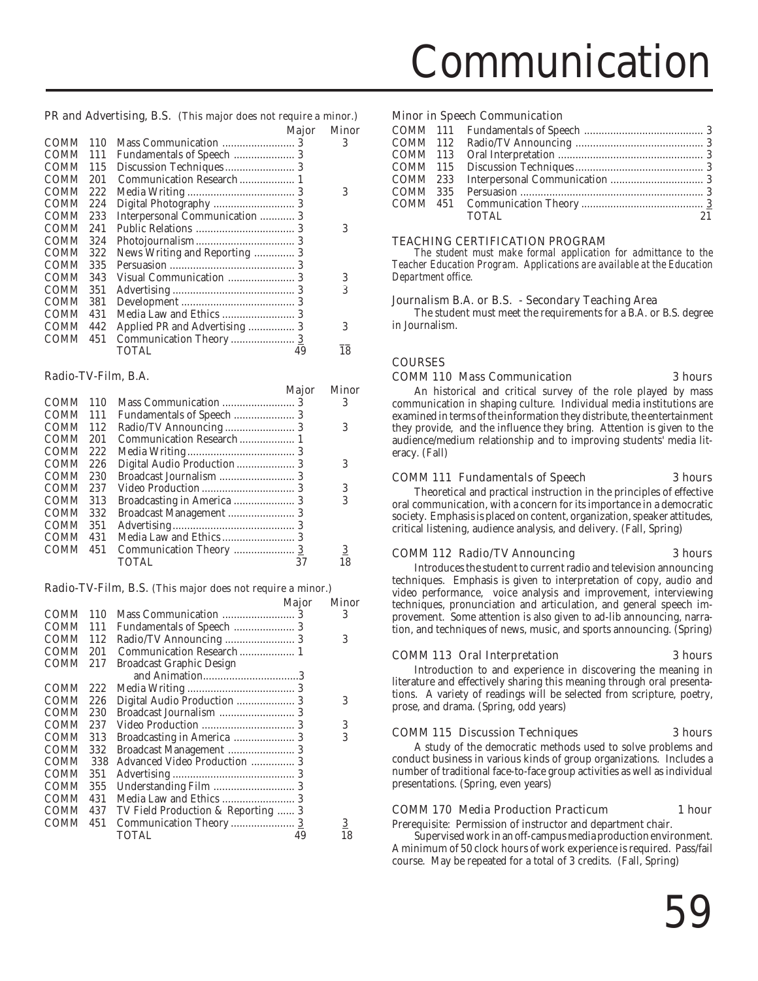# Communication

# PR and Advertising, B.S. (This major does not require a minor.)

|             |     |                                | Major | Minor |
|-------------|-----|--------------------------------|-------|-------|
| <b>COMM</b> | 110 |                                |       | 3     |
| <b>COMM</b> | 111 |                                |       |       |
| <b>COMM</b> | 115 |                                |       |       |
| <b>COMM</b> | 201 |                                |       |       |
| <b>COMM</b> | 222 |                                |       | 3     |
| <b>COMM</b> | 224 |                                |       |       |
| COMM        | 233 | Interpersonal Communication  3 |       |       |
| COMM        | 241 |                                |       | 3     |
| <b>COMM</b> | 324 |                                |       |       |
| COMM        | 322 | News Writing and Reporting  3  |       |       |
| <b>COMM</b> | 335 |                                |       |       |
| COMM        | 343 |                                |       | 3     |
| <b>COMM</b> | 351 |                                |       | 3     |
| <b>COMM</b> | 381 |                                |       |       |
| COMM        | 431 |                                |       |       |
| <b>COMM</b> | 442 |                                |       | 3     |
| COMM        | 451 |                                |       |       |
|             |     | TOTAL                          | 49    | 18    |
|             |     |                                |       |       |

### Radio-TV-Film, B.A.

|             |     | Major                      | Minor          |
|-------------|-----|----------------------------|----------------|
| <b>COMM</b> | 110 |                            | 3              |
| <b>COMM</b> | 111 |                            |                |
| <b>COMM</b> | 112 |                            | 3              |
| <b>COMM</b> | 201 |                            |                |
| <b>COMM</b> | 222 |                            |                |
| <b>COMM</b> | 226 |                            | 3              |
| <b>COMM</b> | 230 |                            |                |
| <b>COMM</b> | 237 |                            | 3              |
| <b>COMM</b> | 313 | Broadcasting in America  3 | 3              |
| <b>COMM</b> | 332 |                            |                |
| <b>COMM</b> | 351 |                            |                |
| <b>COMM</b> | 431 |                            |                |
| <b>COMM</b> | 451 |                            | $\overline{3}$ |
|             |     | <b>TOTAL</b><br>37         |                |

#### Radio-TV-Film, B.S. (This major does not require a minor.)

|             |     |                                    | <b>Major</b> | Minor |
|-------------|-----|------------------------------------|--------------|-------|
| <b>COMM</b> | 110 |                                    |              | 3     |
| <b>COMM</b> | 111 |                                    |              |       |
| <b>COMM</b> | 112 |                                    |              | 3     |
| <b>COMM</b> | 201 |                                    |              |       |
| <b>COMM</b> | 217 | <b>Broadcast Graphic Design</b>    |              |       |
|             |     |                                    |              |       |
| COMM        | 222 |                                    |              |       |
| COMM        | 226 |                                    |              | 3     |
| <b>COMM</b> | 230 |                                    |              |       |
| <b>COMM</b> | 237 |                                    |              | 3     |
| <b>COMM</b> | 313 | Broadcasting in America  3         |              | 3     |
| COMM        | 332 | Broadcast Management  3            |              |       |
| <b>COMM</b> | 338 | Advanced Video Production  3       |              |       |
| COMM        | 351 |                                    |              |       |
| <b>COMM</b> | 355 |                                    |              |       |
| <b>COMM</b> | 431 |                                    |              |       |
| <b>COMM</b> | 437 | TV Field Production & Reporting  3 |              |       |
| <b>COMM</b> | 451 | Communication Theory  3            |              | 3     |
|             |     | TOTAL                              | 49           | 18    |
|             |     |                                    |              |       |

### Minor in Speech Communication

|  | <b>TOTAL</b> | 21 |
|--|--------------|----|
|  |              |    |

# TEACHING CERTIFICATION PROGRAM

*The student must make formal application for admittance to the Teacher Education Program. Applications are available at the Education Department office.*

### Journalism B.A. or B.S. - Secondary Teaching Area

The student must meet the requirements for a B.A. or B.S. degree in Journalism.

# COURSES

#### COMM 110 Mass Communication 3 hours

An historical and critical survey of the role played by mass communication in shaping culture. Individual media institutions are examined in terms of the information they distribute, the entertainment they provide, and the influence they bring. Attention is given to the audience/medium relationship and to improving students' media literacy. (Fall)

# COMM 111 Fundamentals of Speech 3 hours

Theoretical and practical instruction in the principles of effective oral communication, with a concern for its importance in a democratic society. Emphasis is placed on content, organization, speaker attitudes, critical listening, audience analysis, and delivery. (Fall, Spring)

# COMM 112 Radio/TV Announcing 3 hours

Introduces the student to current radio and television announcing techniques. Emphasis is given to interpretation of copy, audio and video performance, voice analysis and improvement, interviewing techniques, pronunciation and articulation, and general speech improvement. Some attention is also given to ad-lib announcing, narration, and techniques of news, music, and sports announcing. (Spring)

# COMM 113 Oral Interpretation 3 hours

Introduction to and experience in discovering the meaning in literature and effectively sharing this meaning through oral presentations. A variety of readings will be selected from scripture, poetry, prose, and drama. (Spring, odd years)

# COMM 115 Discussion Techniques 3 hours

A study of the democratic methods used to solve problems and conduct business in various kinds of group organizations. Includes a number of traditional face-to-face group activities as well as individual presentations. (Spring, even years)

# COMM 170 Media Production Practicum 1 hour

Prerequisite: Permission of instructor and department chair.

Supervised work in an off-campus media production environment. A minimum of 50 clock hours of work experience is required. Pass/fail course. May be repeated for a total of 3 credits. (Fall, Spring)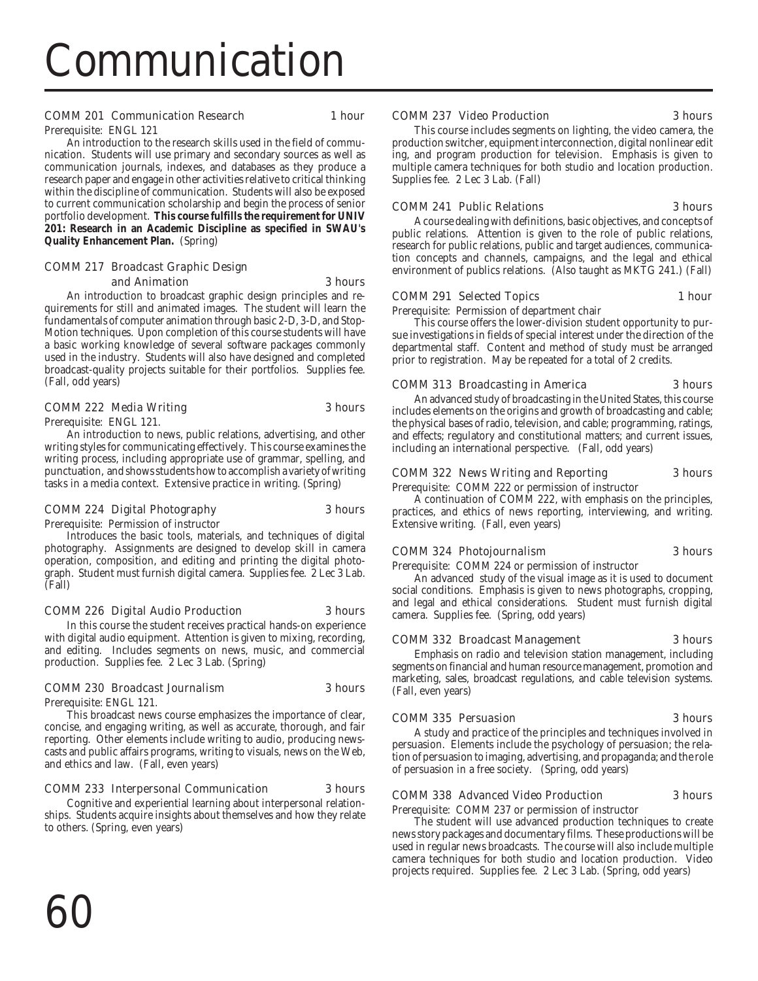# Communication

### COMM 201 Communication Research 1 hour

Prerequisite: ENGL 121

An introduction to the research skills used in the field of communication. Students will use primary and secondary sources as well as communication journals, indexes, and databases as they produce a research paper and engage in other activities relative to critical thinking within the discipline of communication. Students will also be exposed to current communication scholarship and begin the process of senior portfolio development. **This course fulfills the requirement for UNIV 201: Research in an Academic Discipline as specified in SWAU's Quality Enhancement Plan.** (Spring)

#### COMM 217 Broadcast Graphic Design and Animation 3 hours

An introduction to broadcast graphic design principles and requirements for still and animated images. The student will learn the fundamentals of computer animation through basic 2-D, 3-D, and Stop-Motion techniques. Upon completion of this course students will have a basic working knowledge of several software packages commonly used in the industry. Students will also have designed and completed broadcast-quality projects suitable for their portfolios. Supplies fee. (Fall, odd years)

# COMM 222 Media Writing 3 hours

Prerequisite: ENGL 121.

An introduction to news, public relations, advertising, and other writing styles for communicating effectively. This course examines the writing process, including appropriate use of grammar, spelling, and punctuation, and shows students how to accomplish a variety of writing tasks in a media context. Extensive practice in writing. (Spring)

# COMM 224 Digital Photography 3 hours

Prerequisite: Permission of instructor

Introduces the basic tools, materials, and techniques of digital photography. Assignments are designed to develop skill in camera operation, composition, and editing and printing the digital photograph. Student must furnish digital camera. Supplies fee. 2 Lec 3 Lab. (Fall)

# COMM 226 Digital Audio Production 3 hours

In this course the student receives practical hands-on experience with digital audio equipment. Attention is given to mixing, recording, and editing. Includes segments on news, music, and commercial production. Supplies fee. 2 Lec 3 Lab. (Spring)

# COMM 230 Broadcast Journalism 3 hours

Prerequisite: ENGL 121.

This broadcast news course emphasizes the importance of clear, concise, and engaging writing, as well as accurate, thorough, and fair reporting. Other elements include writing to audio, producing newscasts and public affairs programs, writing to visuals, news on the Web, and ethics and law. (Fall, even years)

# COMM 233 Interpersonal Communication 3 hours

Cognitive and experiential learning about interpersonal relationships. Students acquire insights about themselves and how they relate to others. (Spring, even years)

# COMM 237 Video Production 3 hours

This course includes segments on lighting, the video camera, the production switcher, equipment interconnection, digital nonlinear edit ing, and program production for television. Emphasis is given to multiple camera techniques for both studio and location production. Supplies fee. 2 Lec 3 Lab. (Fall)

#### COMM 241 Public Relations 3 hours

A course dealing with definitions, basic objectives, and concepts of public relations. Attention is given to the role of public relations, research for public relations, public and target audiences, communication concepts and channels, campaigns, and the legal and ethical environment of publics relations. (Also taught as MKTG 241.) (Fall)

### COMM 291 Selected Topics 1 hour

Prerequisite: Permission of department chair

This course offers the lower-division student opportunity to pursue investigations in fields of special interest under the direction of the departmental staff. Content and method of study must be arranged prior to registration. May be repeated for a total of 2 credits.

### COMM 313 Broadcasting in America 3 hours

An advanced study of broadcasting in the United States, this course includes elements on the origins and growth of broadcasting and cable; the physical bases of radio, television, and cable; programming, ratings, and effects; regulatory and constitutional matters; and current issues, including an international perspective. (Fall, odd years)

### COMM 322 News Writing and Reporting 3 hours

Prerequisite: COMM 222 or permission of instructor

A continuation of COMM 222, with emphasis on the principles, practices, and ethics of news reporting, interviewing, and writing. Extensive writing. (Fall, even years)

# COMM 324 Photojournalism 3 hours

Prerequisite: COMM 224 or permission of instructor

An advanced study of the visual image as it is used to document social conditions. Emphasis is given to news photographs, cropping, and legal and ethical considerations. Student must furnish digital camera. Supplies fee. (Spring, odd years)

#### COMM 332 Broadcast Management 3 hours

Emphasis on radio and television station management, including segments on financial and human resource management, promotion and marketing, sales, broadcast regulations, and cable television systems. (Fall, even years)

# COMM 335 Persuasion 3 hours

A study and practice of the principles and techniques involved in persuasion. Elements include the psychology of persuasion; the relation of persuasion to imaging, advertising, and propaganda; and the role of persuasion in a free society. (Spring, odd years)

# COMM 338 Advanced Video Production 3 hours

Prerequisite: COMM 237 or permission of instructor

The student will use advanced production techniques to create news story packages and documentary films. These productions will be used in regular news broadcasts. The course will also include multiple camera techniques for both studio and location production. Video projects required. Supplies fee. 2 Lec 3 Lab. (Spring, odd years)

60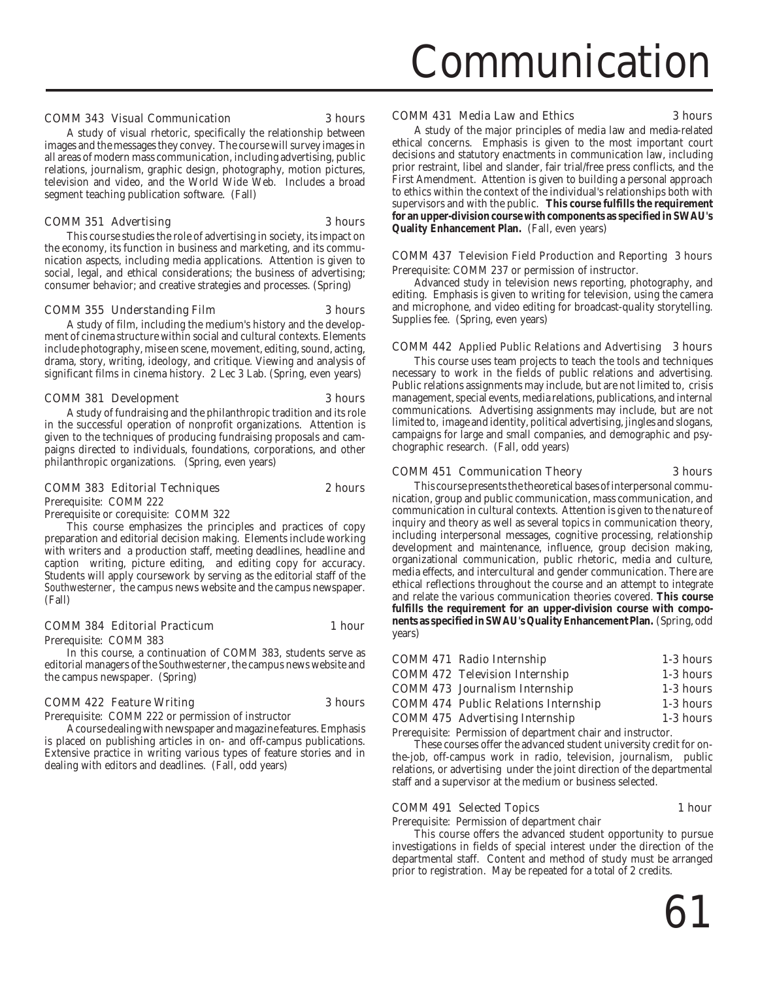# COMM 343 Visual Communication 3 hours

A study of visual rhetoric, specifically the relationship between images and the messages they convey. The course will survey images in all areas of modern mass communication, including advertising, public relations, journalism, graphic design, photography, motion pictures, television and video, and the World Wide Web. Includes a broad segment teaching publication software. (Fall)

#### COMM 351 Advertising 3 hours

This course studies the role of advertising in society, its impact on the economy, its function in business and marketing, and its communication aspects, including media applications. Attention is given to social, legal, and ethical considerations; the business of advertising; consumer behavior; and creative strategies and processes. (Spring)

#### COMM 355 Understanding Film 3 hours

A study of film, including the medium's history and the development of cinema structure within social and cultural contexts. Elements include photography, mise en scene, movement, editing, sound, acting, drama, story, writing, ideology, and critique. Viewing and analysis of significant films in cinema history. 2 Lec 3 Lab. (Spring, even years)

#### COMM 381 Development 3 hours

A study of fundraising and the philanthropic tradition and its role in the successful operation of nonprofit organizations. Attention is given to the techniques of producing fundraising proposals and campaigns directed to individuals, foundations, corporations, and other philanthropic organizations. (Spring, even years)

#### COMM 383 Editorial Techniques 2 hours

Prerequisite: COMM 222

Prerequisite or corequisite: COMM 322

This course emphasizes the principles and practices of copy preparation and editorial decision making. Elements include working with writers and a production staff, meeting deadlines, headline and caption writing, picture editing, and editing copy for accuracy. Students will apply coursework by serving as the editorial staff of the *Southwesterner*, the campus news website and the campus newspaper. (Fall)

#### COMM 384 Editorial Practicum 1 hour

Prerequisite: COMM 383

In this course, a continuation of COMM 383, students serve as editorial managers of the *Southwesterner*, the campus news website and the campus newspaper. (Spring)

#### COMM 422 Feature Writing 3 hours

Prerequisite: COMM 222 or permission of instructor

A course dealing with newspaper and magazine features. Emphasis is placed on publishing articles in on- and off-campus publications. Extensive practice in writing various types of feature stories and in dealing with editors and deadlines. (Fall, odd years)

# COMM 431 Media Law and Ethics 3 hours

A study of the major principles of media law and media-related ethical concerns. Emphasis is given to the most important court decisions and statutory enactments in communication law, including prior restraint, libel and slander, fair trial/free press conflicts, and the First Amendment. Attention is given to building a personal approach to ethics within the context of the individual's relationships both with supervisors and with the public. **This course fulfills the requirement for an upper-division course with components as specified in SWAU's Quality Enhancement Plan.** (Fall, even years)

#### COMM 437 Television Field Production and Reporting 3 hours Prerequisite: COMM 237 or permission of instructor.

Advanced study in television news reporting, photography, and editing. Emphasis is given to writing for television, using the camera and microphone, and video editing for broadcast-quality storytelling. Supplies fee. (Spring, even years)

# COMM 442 Applied Public Relations and Advertising 3 hours

This course uses team projects to teach the tools and techniques necessary to work in the fields of public relations and advertising. Public relations assignments may include, but are not limited to, crisis management, special events, media relations, publications, and internal communications. Advertising assignments may include, but are not limited to, image and identity, political advertising, jingles and slogans, campaigns for large and small companies, and demographic and psychographic research. (Fall, odd years)

#### COMM 451 Communication Theory 3 hours

This course presents the theoretical bases of interpersonal communication, group and public communication, mass communication, and communication in cultural contexts. Attention is given to the nature of inquiry and theory as well as several topics in communication theory, including interpersonal messages, cognitive processing, relationship development and maintenance, influence, group decision making, organizational communication, public rhetoric, media and culture, media effects, and intercultural and gender communication. There are ethical reflections throughout the course and an attempt to integrate and relate the various communication theories covered. **This course fulfills the requirement for an upper-division course with components as specified in SWAU's Quality Enhancement Plan.** (Spring, odd years)

| <b>COMM 471 Radio Internship</b>            | 1-3 hours |
|---------------------------------------------|-----------|
| <b>COMM 472 Television Internship</b>       | 1-3 hours |
| <b>COMM 473 Journalism Internship</b>       | 1-3 hours |
| <b>COMM 474 Public Relations Internship</b> | 1-3 hours |
| <b>COMM 475 Advertising Internship</b>      | 1-3 hours |

Prerequisite: Permission of department chair and instructor.

These courses offer the advanced student university credit for onthe-job, off-campus work in radio, television, journalism, public relations, or advertising under the joint direction of the departmental staff and a supervisor at the medium or business selected.

#### COMM 491 Selected Topics 1 hour

Prerequisite: Permission of department chair

This course offers the advanced student opportunity to pursue investigations in fields of special interest under the direction of the departmental staff. Content and method of study must be arranged prior to registration. May be repeated for a total of 2 credits.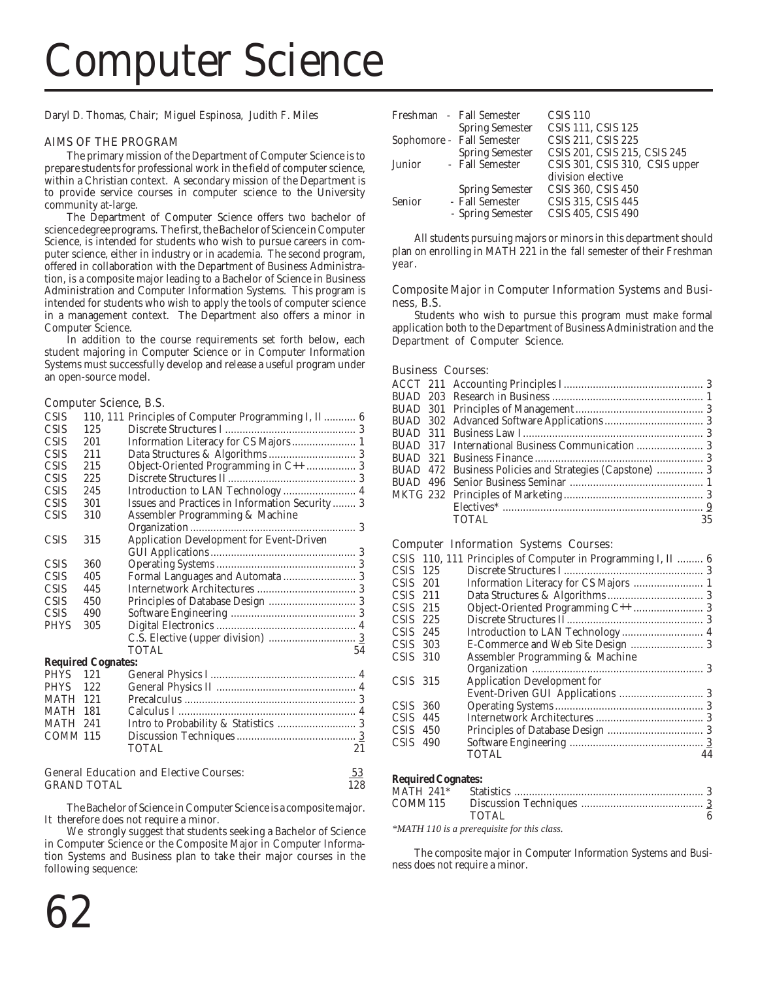# Computer Science

Daryl D. Thomas, Chair; Miguel Espinosa, Judith F. Miles

### AIMS OF THE PROGRAM

The primary mission of the Department of Computer Science is to prepare students for professional work in the field of computer science, within a Christian context. A secondary mission of the Department is to provide service courses in computer science to the University community at-large.

The Department of Computer Science offers two bachelor of science degree programs. The first, the Bachelor of Science in Computer Science, is intended for students who wish to pursue careers in computer science, either in industry or in academia. The second program, offered in collaboration with the Department of Business Administration, is a composite major leading to a Bachelor of Science in Business Administration and Computer Information Systems. This program is intended for students who wish to apply the tools of computer science in a management context. The Department also offers a minor in Computer Science.

In addition to the course requirements set forth below, each student majoring in Computer Science or in Computer Information Systems must successfully develop and release a useful program under an open-source model.

#### Computer Science, B.S.

| <b>CSIS</b>     |                                                      | 110, 111 Principles of Computer Programming I, II 6 |  |  |
|-----------------|------------------------------------------------------|-----------------------------------------------------|--|--|
| <b>CSIS</b>     | 125                                                  |                                                     |  |  |
| <b>CSIS</b>     | 201                                                  | Information Literacy for CS Majors 1                |  |  |
| <b>CSIS</b>     | 2.11                                                 |                                                     |  |  |
| <b>CSIS</b>     | 215                                                  | Object-Oriented Programming in C++  3               |  |  |
| <b>CSIS</b>     | 225                                                  |                                                     |  |  |
| <b>CSIS</b>     | 245                                                  | Introduction to LAN Technology  4                   |  |  |
| <b>CSIS</b>     | 301                                                  | Issues and Practices in Information Security  3     |  |  |
| <b>CSIS</b>     | 310                                                  | Assembler Programming & Machine                     |  |  |
|                 |                                                      |                                                     |  |  |
| <b>CSIS</b>     | 315                                                  | Application Development for Event-Driven            |  |  |
|                 |                                                      |                                                     |  |  |
| <b>CSIS</b>     | 360                                                  |                                                     |  |  |
| <b>CSIS</b>     | 405                                                  | Formal Languages and Automata  3                    |  |  |
| <b>CSIS</b>     | 445                                                  |                                                     |  |  |
| <b>CSIS</b>     | 450                                                  |                                                     |  |  |
| <b>CSIS</b>     | 490                                                  |                                                     |  |  |
| <b>PHYS</b>     | 305                                                  |                                                     |  |  |
|                 |                                                      |                                                     |  |  |
|                 |                                                      | TOTAL.<br>54                                        |  |  |
|                 | <b>Required Cognates:</b>                            |                                                     |  |  |
| <b>PHYS</b>     | 121                                                  |                                                     |  |  |
| <b>PHYS</b>     | 122                                                  |                                                     |  |  |
| <b>MATH</b>     | 121                                                  |                                                     |  |  |
| MATH            | 181                                                  |                                                     |  |  |
| <b>MATH 241</b> |                                                      |                                                     |  |  |
| <b>COMM 115</b> |                                                      |                                                     |  |  |
|                 |                                                      | <b>TOTAL</b><br>2.1                                 |  |  |
|                 |                                                      |                                                     |  |  |
|                 | <b>General Education and Elective Courses:</b><br>53 |                                                     |  |  |

| General Equeation and Elective Courses: | ລວ  |
|-----------------------------------------|-----|
| <b>GRAND TOTAL</b>                      | 128 |

The Bachelor of Science in Computer Science is a composite major. It therefore does not require a minor.

We strongly suggest that students seeking a Bachelor of Science in Computer Science or the Composite Major in Computer Information Systems and Business plan to take their major courses in the following sequence:



All students pursuing majors or minors in this department should plan on enrolling in MATH 221 in the fall semester of their Freshman year.

#### Composite Major in Computer Information Systems and Business, B.S.

Students who wish to pursue this program must make formal application both to the Department of Business Administration and the Department of Computer Science.

#### Business Courses:

|  | BUAD 472 Business Policies and Strategies (Capstone)  3 |    |
|--|---------------------------------------------------------|----|
|  |                                                         |    |
|  |                                                         |    |
|  |                                                         |    |
|  | <b>TOTAL</b>                                            | 35 |
|  |                                                         |    |

#### Computer Information Systems Courses:

|                  |     | CSIS 110, 111 Principles of Computer in Programming I, II  6 |
|------------------|-----|--------------------------------------------------------------|
| CSIS.            | 125 |                                                              |
| CS <sub>IS</sub> | 201 | Information Literacy for CS Majors  1                        |
| <b>CSIS</b>      | 211 |                                                              |
| CS <sub>IS</sub> | 215 |                                                              |
| CSIS.            | 225 |                                                              |
| CSIS.            | 245 |                                                              |
| CSIS-            | 303 |                                                              |
| $CSIS$ 310       |     | Assembler Programming & Machine                              |
|                  |     |                                                              |
| $CSIS$ 315       |     | <b>Application Development for</b>                           |
|                  |     |                                                              |
| <b>CSIS</b>      | 360 |                                                              |
| <b>CSIS</b>      | 445 |                                                              |
| CS <sub>IS</sub> | 450 |                                                              |
| CS <sub>IS</sub> | 490 |                                                              |
|                  |     | <b>TOTAL</b><br>44                                           |
|                  |     |                                                              |

# **Required Cognates:**

| $MATH 241*$         |                                             |  |
|---------------------|---------------------------------------------|--|
| COMM <sub>115</sub> |                                             |  |
|                     | TOTAL                                       |  |
|                     | *MATH 110 is a prerequisite for this class. |  |

The composite major in Computer Information Systems and Business does not require a minor.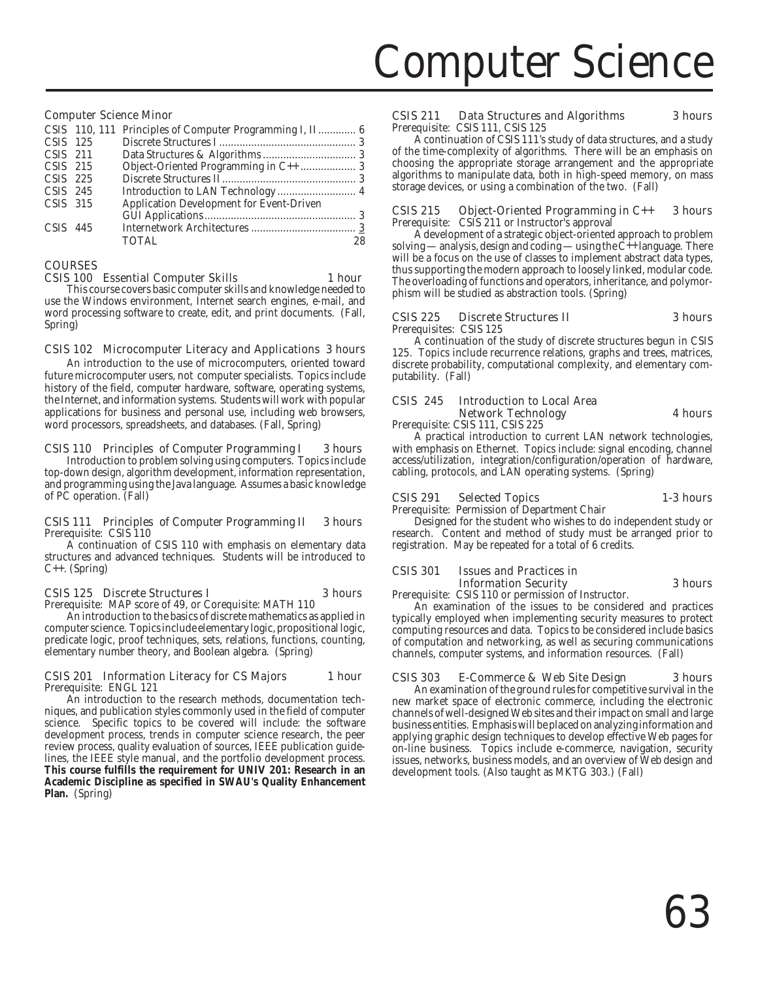# Computer Science

#### Computer Science Minor

|            | CSIS 110, 111 Principles of Computer Programming I, II 6 |    |
|------------|----------------------------------------------------------|----|
| CSIS 125   |                                                          |    |
| $CSIS$ 211 |                                                          |    |
| CSIS 215   |                                                          |    |
| CSIS 225   |                                                          |    |
| $CSIS$ 245 | Introduction to LAN Technology  4                        |    |
| CSIS 315   | Application Development for Event-Driven                 |    |
|            |                                                          |    |
| $CSIS$ 445 |                                                          |    |
|            | <b>TOTAL</b>                                             | 28 |
|            |                                                          |    |

#### **COURSES**

#### CSIS 100 Essential Computer Skills 1 hour

This course covers basic computer skills and knowledge needed to use the Windows environment, Internet search engines, e-mail, and word processing software to create, edit, and print documents. (Fall, Spring)

### CSIS 102 Microcomputer Literacy and Applications 3 hours

An introduction to the use of microcomputers, oriented toward future microcomputer users, not computer specialists. Topics include history of the field, computer hardware, software, operating systems, the Internet, and information systems. Students will work with popular applications for business and personal use, including web browsers, word processors, spreadsheets, and databases. (Fall, Spring)

### CSIS 110 Principles of Computer Programming I 3 hours

Introduction to problem solving using computers. Topics include top-down design, algorithm development, information representation, and programming using the Java language. Assumes a basic knowledge of PC operation. (Fall)

#### CSIS 111 Principles of Computer Programming II 3 hours Prerequisite: CSIS 110

A continuation of CSIS 110 with emphasis on elementary data structures and advanced techniques. Students will be introduced to C++. (Spring)

# CSIS 125 Discrete Structures I 3 hours

Prerequisite: MAP score of 49, or Corequisite: MATH 110 An introduction to the basics of discrete mathematics as applied in computer science. Topics include elementary logic, propositional logic, predicate logic, proof techniques, sets, relations, functions, counting, elementary number theory, and Boolean algebra. (Spring)

#### CSIS 201 Information Literacy for CS Majors 1 hour Prerequisite: ENGL 121

An introduction to the research methods, documentation techniques, and publication styles commonly used in the field of computer science. Specific topics to be covered will include: the software development process, trends in computer science research, the peer review process, quality evaluation of sources, IEEE publication guidelines, the IEEE style manual, and the portfolio development process. **This course fulfills the requirement for UNIV 201: Research in an Academic Discipline as specified in SWAU's Quality Enhancement Plan.** (Spring)

#### CSIS 211 Data Structures and Algorithms 3 hours Prerequisite: CSIS 111, CSIS 125

A continuation of CSIS 111's study of data structures, and a study of the time-complexity of algorithms. There will be an emphasis on choosing the appropriate storage arrangement and the appropriate algorithms to manipulate data, both in high-speed memory, on mass storage devices, or using a combination of the two. (Fall)

#### CSIS 215 Object-Oriented Programming in C++ 3 hours Prerequisite: CSIS 211 or Instructor's approval

A development of a strategic object-oriented approach to problem solving — analysis, design and coding — using the  $\hat{C}_{++}$  language. There will be a focus on the use of classes to implement abstract data types, thus supporting the modern approach to loosely linked, modular code. The overloading of functions and operators, inheritance, and polymorphism will be studied as abstraction tools. (Spring)

#### CSIS 225 Discrete Structures II 3 hours Prerequisites: CSIS 125

A continuation of the study of discrete structures begun in CSIS 125. Topics include recurrence relations, graphs and trees, matrices, discrete probability, computational complexity, and elementary computability. (Fall)

# CSIS 245 Introduction to Local Area Network Technology **4 hours**

Prerequisite: CSIS 111, CSIS 225

A practical introduction to current LAN network technologies, with emphasis on Ethernet. Topics include: signal encoding, channel access/utilization, integration/configuration/operation of hardware, cabling, protocols, and LAN operating systems. (Spring)

# CSIS 291 Selected Topics 1-3 hours

Prerequisite: Permission of Department Chair

Designed for the student who wishes to do independent study or research. Content and method of study must be arranged prior to registration. May be repeated for a total of 6 credits.

### CSIS 301 Issues and Practices in Information Security 3 hours

Prerequisite: CSIS 110 or permission of Instructor.

An examination of the issues to be considered and practices typically employed when implementing security measures to protect computing resources and data. Topics to be considered include basics of computation and networking, as well as securing communications channels, computer systems, and information resources. (Fall)

# CSIS 303 E-Commerce & Web Site Design 3 hours

An examination of the ground rules for competitive survival in the new market space of electronic commerce, including the electronic channels of well-designed Web sites and their impact on small and large business entities. Emphasis will be placed on analyzing information and applying graphic design techniques to develop effective Web pages for on-line business. Topics include e-commerce, navigation, security issues, networks, business models, and an overview of Web design and development tools. (Also taught as MKTG 303.) (Fall)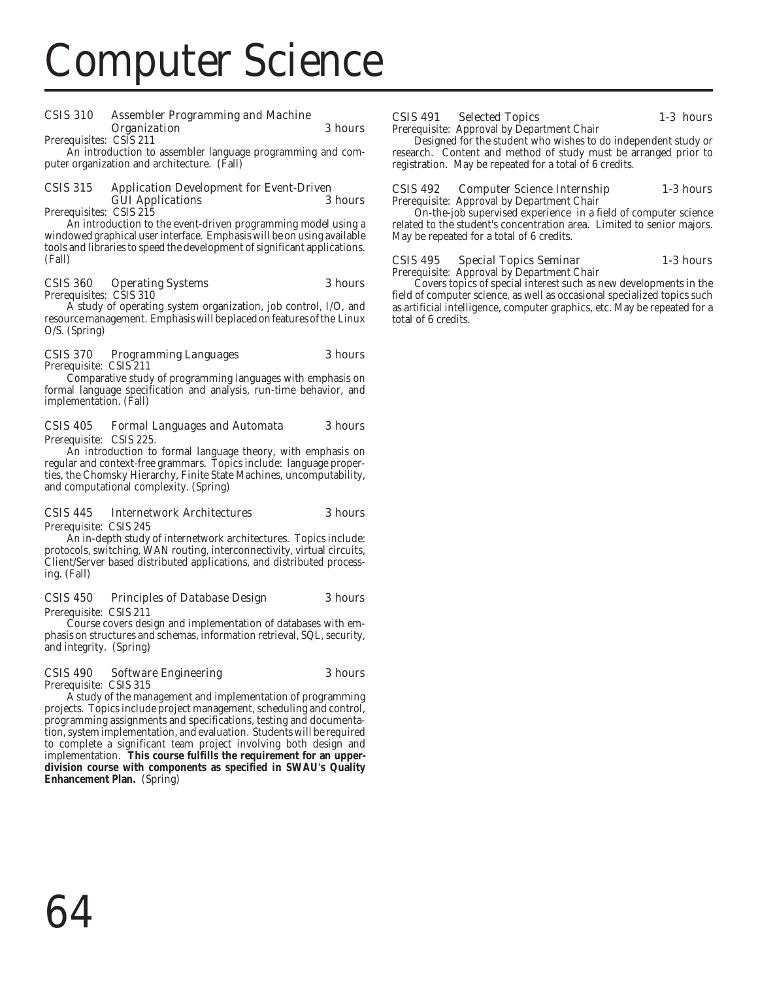# Computer Science

#### CSIS 310 Assembler Programming and Machine Organization 3 hours Prerequisites: CSIS 211

An introduction to assembler language programming and computer organization and architecture. (Fall)

#### CSIS 315 Application Development for Event-Driven **GUI Applications**

Prerequisites: CSIS 215

An introduction to the event-driven programming model using a windowed graphical user interface. Emphasis will be on using available tools and libraries to speed the development of significant applications. (Fall)

#### CSIS 360 Operating Systems 3 hours Prerequisites: CSIS 310

A study of operating system organization, job control, I/O, and resource management. Emphasis will be placed on features of the Linux O/S. (Spring)

#### CSIS 370 Programming Languages 3 hours Prerequisite: CSIS 211

Comparative study of programming languages with emphasis on formal language specification and analysis, run-time behavior, and implementation. (Fall)

#### CSIS 405 Formal Languages and Automata 3 hours Prerequisite: CSIS 225.

An introduction to formal language theory, with emphasis on regular and context-free grammars. Topics include: language properties, the Chomsky Hierarchy, Finite State Machines, uncomputability, and computational complexity. (Spring)

#### CSIS 445 Internetwork Architectures 3 hours Prerequisite: CSIS 245

An in-depth study of internetwork architectures. Topics include: protocols, switching, WAN routing, interconnectivity, virtual circuits, Client/Server based distributed applications, and distributed processing. (Fall)

#### CSIS 450 Principles of Database Design 3 hours Prerequisite: CSIS 211

Course covers design and implementation of databases with emphasis on structures and schemas, information retrieval, SQL, security, and integrity. (Spring)

# CSIS 490 Software Engineering 3 hours

Prerequisite: CSIS 315

A study of the management and implementation of programming projects. Topics include project management, scheduling and control, programming assignments and specifications, testing and documentation, system implementation, and evaluation. Students will be required to complete a significant team project involving both design and implementation. **This course fulfills the requirement for an upperdivision course with components as specified in SWAU's Quality Enhancement Plan.** (Spring)

#### CSIS 491 Selected Topics 1-3 hours Prerequisite: Approval by Department Chair

Designed for the student who wishes to do independent study or research. Content and method of study must be arranged prior to registration. May be repeated for a total of 6 credits.

#### CSIS 492 Computer Science Internship 1-3 hours Prerequisite: Approval by Department Chair

On-the-job supervised experience in a field of computer science related to the student's concentration area. Limited to senior majors. May be repeated for a total of 6 credits.

#### CSIS 495 Special Topics Seminar 1-3 hours Prerequisite: Approval by Department Chair

Covers topics of special interest such as new developments in the field of computer science, as well as occasional specialized topics such as artificial intelligence, computer graphics, etc. May be repeated for a total of 6 credits.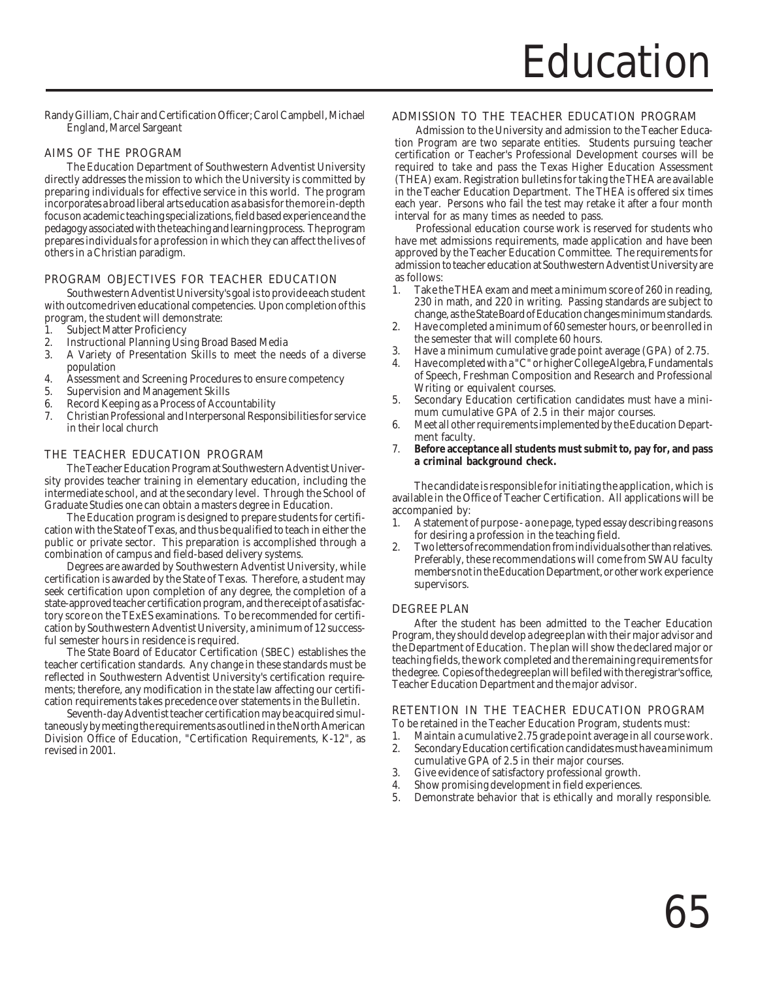Randy Gilliam, Chair and Certification Officer; Carol Campbell, Michael England, Marcel Sargeant

# AIMS OF THE PROGRAM

The Education Department of Southwestern Adventist University directly addresses the mission to which the University is committed by preparing individuals for effective service in this world. The program incorporates a broad liberal arts education as a basis for the more in-depth focus on academic teaching specializations, field based experience and the pedagogy associated with the teaching and learning process. The program prepares individuals for a profession in which they can affect the lives of others in a Christian paradigm.

### PROGRAM OBJECTIVES FOR TEACHER EDUCATION

Southwestern Adventist University's goal is to provide each student with outcome driven educational competencies. Upon completion of this program, the student will demonstrate:

- 1. Subject Matter Proficiency
- 2. Instructional Planning Using Broad Based Media
- 3. A Variety of Presentation Skills to meet the needs of a diverse population
- 4. Assessment and Screening Procedures to ensure competency
- 5. Supervision and Management Skills
- 6. Record Keeping as a Process of Accountability
- 7. Christian Professional and Interpersonal Responsibilities for service in their local church

### THE TEACHER EDUCATION PROGRAM

The Teacher Education Program at Southwestern Adventist University provides teacher training in elementary education, including the intermediate school, and at the secondary level. Through the School of Graduate Studies one can obtain a masters degree in Education.

The Education program is designed to prepare students for certification with the State of Texas, and thus be qualified to teach in either the public or private sector. This preparation is accomplished through a combination of campus and field-based delivery systems.

Degrees are awarded by Southwestern Adventist University, while certification is awarded by the State of Texas. Therefore, a student may seek certification upon completion of any degree, the completion of a state-approved teacher certification program, and the receipt of a satisfactory score on the TExES examinations. To be recommended for certification by Southwestern Adventist University, a minimum of 12 successful semester hours in residence is required.

The State Board of Educator Certification (SBEC) establishes the teacher certification standards. Any change in these standards must be reflected in Southwestern Adventist University's certification requirements; therefore, any modification in the state law affecting our certification requirements takes precedence over statements in the Bulletin.

Seventh-day Adventist teacher certification may be acquired simultaneously by meeting the requirements as outlined in the North American Division Office of Education, "Certification Requirements, K-12", as revised in 2001.

#### ADMISSION TO THE TEACHER EDUCATION PROGRAM

Admission to the University and admission to the Teacher Education Program are two separate entities. Students pursuing teacher certification or Teacher's Professional Development courses will be required to take and pass the Texas Higher Education Assessment (THEA) exam. Registration bulletins for taking the THEA are available in the Teacher Education Department. The THEA is offered six times each year. Persons who fail the test may retake it after a four month interval for as many times as needed to pass.

Professional education course work is reserved for students who have met admissions requirements, made application and have been approved by the Teacher Education Committee. The requirements for admission to teacher education at Southwestern Adventist University are as follows:

- 1. Take the THEA exam and meet a minimum score of 260 in reading, 230 in math, and 220 in writing. Passing standards are subject to change, as the State Board of Education changes minimum standards.
- 2. Have completed a minimum of 60 semester hours, or be enrolled in the semester that will complete 60 hours.
- 3. Have a minimum cumulative grade point average (GPA) of 2.75.
- 4. Have completed with a "C" or higher College Algebra, Fundamentals of Speech, Freshman Composition and Research and Professional Writing or equivalent courses.
- 5. Secondary Education certification candidates must have a minimum cumulative GPA of 2.5 in their major courses.
- 6. Meet all other requirements implemented by the Education Department faculty.
- 7. **Before acceptance all students must submit to, pay for, and pass a criminal background check.**

The candidate is responsible for initiating the application, which is available in the Office of Teacher Certification. All applications will be accompanied by:

- 1. A statement of purpose a one page, typed essay describing reasons for desiring a profession in the teaching field.
- 2. Two letters of recommendation from individuals other than relatives. Preferably, these recommendations will come from SWAU faculty members not in the Education Department, or other work experience supervisors.

#### DEGREE PLAN

After the student has been admitted to the Teacher Education Program, they should develop a degree plan with their major advisor and the Department of Education. The plan will show the declared major or teaching fields, the work completed and the remaining requirements for the degree. Copies of the degree plan will be filed with the registrar's office, Teacher Education Department and the major advisor.

#### RETENTION IN THE TEACHER EDUCATION PROGRAM

To be retained in the Teacher Education Program, students must:

- 1. Maintain a cumulative 2.75 grade point average in all course work.<br>2. Secondary Education certification candidates must have a minimum
- Secondary Education certification candidates must have a minimum cumulative GPA of 2.5 in their major courses.
- 3. Give evidence of satisfactory professional growth.
- 4. Show promising development in field experiences.
- 5. Demonstrate behavior that is ethically and morally responsible.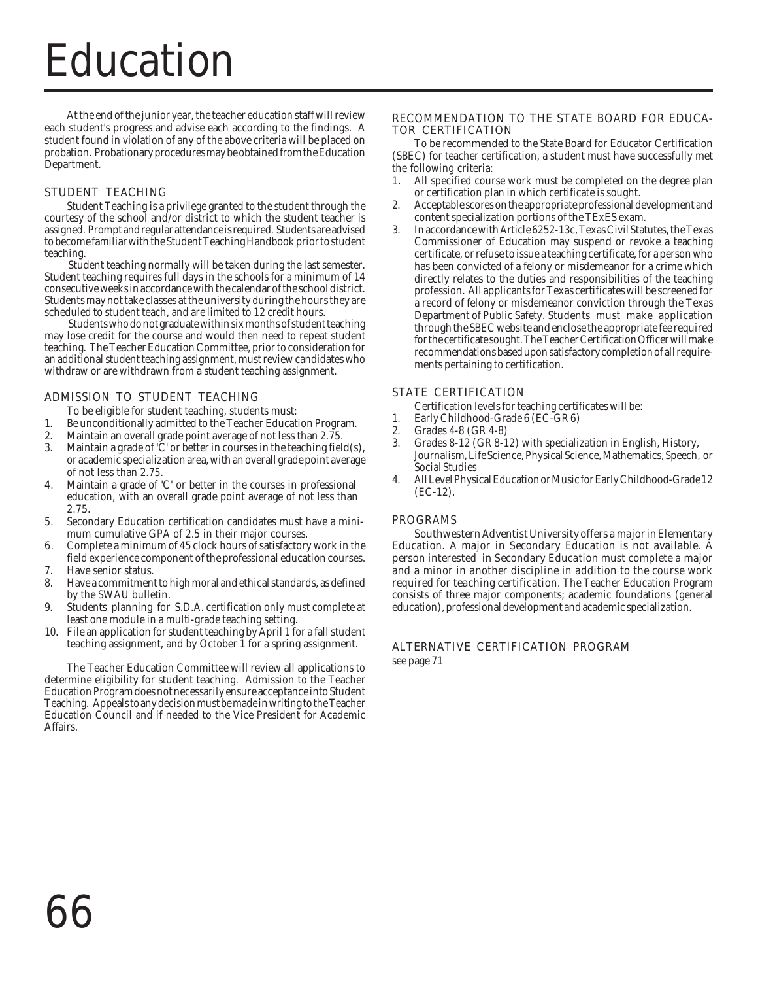# Education

At the end of the junior year, the teacher education staff will review each student's progress and advise each according to the findings. A student found in violation of any of the above criteria will be placed on probation. Probationary procedures may be obtained from the Education Department.

# STUDENT TEACHING

Student Teaching is a privilege granted to the student through the courtesy of the school and/or district to which the student teacher is assigned. Prompt and regular attendance is required. Students are advised to become familiar with the Student Teaching Handbook prior to student teaching.

Student teaching normally will be taken during the last semester. Student teaching requires full days in the schools for a minimum of 14 consecutive weeks in accordance with the calendar of the school district. Students may not take classes at the university during the hours they are scheduled to student teach, and are limited to 12 credit hours.

Students who do not graduate within six months of student teaching may lose credit for the course and would then need to repeat student teaching. The Teacher Education Committee, prior to consideration for an additional student teaching assignment, must review candidates who withdraw or are withdrawn from a student teaching assignment.

# ADMISSION TO STUDENT TEACHING

To be eligible for student teaching, students must:

- 1. Be unconditionally admitted to the Teacher Education Program.<br>2. Maintain an overall grade point average of not less than 2.75
- 2. Maintain an overall grade point average of not less than  $2.75$ .<br>3. Maintain a grade of 'C' or better in courses in the teaching fiel
- Maintain a grade of  $\check{C}$  or better in courses in the teaching field(s), or academic specialization area, with an overall grade point average of not less than 2.75.
- 4. Maintain a grade of 'C' or better in the courses in professional education, with an overall grade point average of not less than 2.75.
- 5. Secondary Education certification candidates must have a minimum cumulative GPA of 2.5 in their major courses.
- 6. Complete a minimum of 45 clock hours of satisfactory work in the field experience component of the professional education courses.
- 7. Have senior status.
- 8. Have a commitment to high moral and ethical standards, as defined by the SWAU bulletin.
- 9. Students planning for S.D.A. certification only must complete at least one module in a multi-grade teaching setting.
- 10. File an application for student teaching by April 1 for a fall student teaching assignment, and by October 1 for a spring assignment.

The Teacher Education Committee will review all applications to determine eligibility for student teaching. Admission to the Teacher Education Program does not necessarily ensure acceptance into Student Teaching. Appeals to any decision must be made in writing to the Teacher Education Council and if needed to the Vice President for Academic Affairs.

#### RECOMMENDATION TO THE STATE BOARD FOR EDUCA-TOR CERTIFICATION

To be recommended to the State Board for Educator Certification (SBEC) for teacher certification, a student must have successfully met the following criteria:

- 1. All specified course work must be completed on the degree plan or certification plan in which certificate is sought.
- 2. Acceptable scores on the appropriate professional development and content specialization portions of the TExES exam.
- 3. In accordance with Article 6252-13c, Texas Civil Statutes, the Texas Commissioner of Education may suspend or revoke a teaching certificate, or refuse to issue a teaching certificate, for a person who has been convicted of a felony or misdemeanor for a crime which directly relates to the duties and responsibilities of the teaching profession. All applicants for Texas certificates will be screened for a record of felony or misdemeanor conviction through the Texas Department of Public Safety. Students must make application through the SBEC website and enclose the appropriate fee required for the certificate sought. The Teacher Certification Officer will make recommendations based upon satisfactory completion of all requirements pertaining to certification.

# STATE CERTIFICATION

Certification levels for teaching certificates will be:

- 1. Early Childhood-Grade 6 (EC-GR 6)
- 2. Grades 4-8 (GR 4-8)<br>3. Grades 8-12 (GR 8-1
- Grades 8-12 (GR 8-12) with specialization in English, History, Journalism, Life Science, Physical Science, Mathematics, Speech, or Social Studies
- 4. All Level Physical Education or Music for Early Childhood-Grade 12 (EC-12).

# PROGRAMS

Southwestern Adventist University offers a major in Elementary Education. A major in Secondary Education is not available. A person interested in Secondary Education must complete a major and a minor in another discipline in addition to the course work required for teaching certification. The Teacher Education Program consists of three major components; academic foundations (general education), professional development and academic specialization.

# ALTERNATIVE CERTIFICATION PROGRAM

see page 71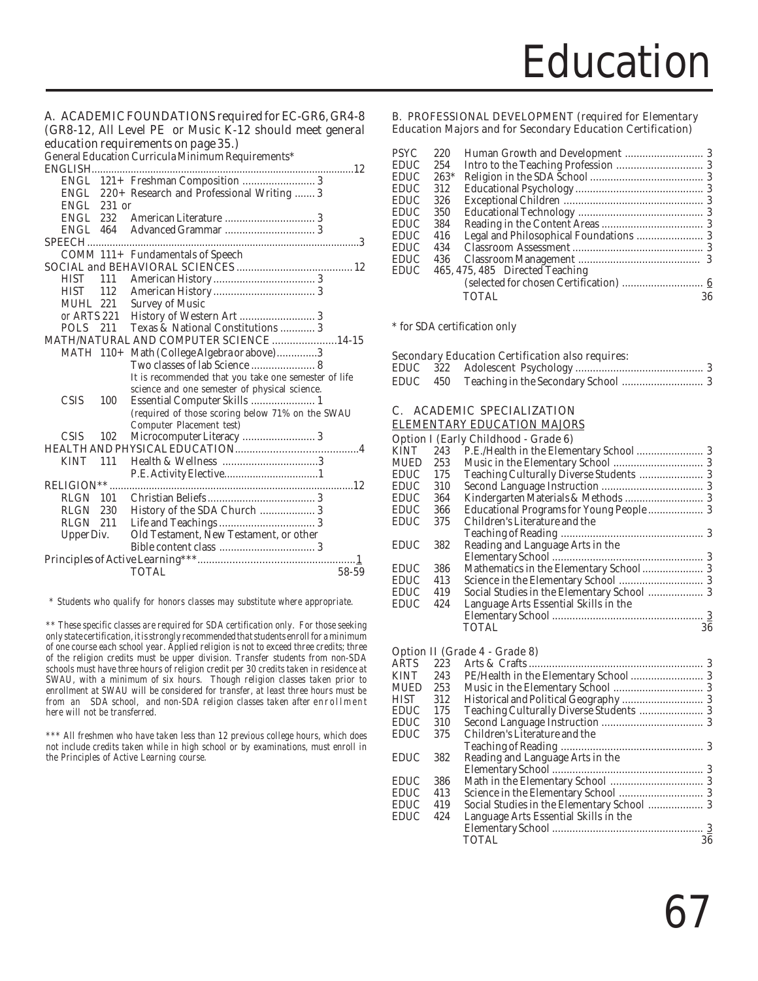#### A. ACADEMIC FOUNDATIONS required for EC-GR6, GR4-8 (GR8-12, All Level PE or Music K-12 should meet general education requirements on page 35.)

General Education Curricula Minimum Requirements\*

| <b>ENGLISH</b>    |        | ar mateution carriedia minimum nequn emento          |
|-------------------|--------|------------------------------------------------------|
|                   |        |                                                      |
|                   |        |                                                      |
| ENGL              |        | 220+ Research and Professional Writing  3            |
| ENGL              | 231 or |                                                      |
| <b>ENGL</b>       | 232    |                                                      |
| ENGL              | 464    |                                                      |
| <b>SPEECH.</b>    |        |                                                      |
|                   |        | COMM 111+ Fundamentals of Speech                     |
|                   |        |                                                      |
| <b>HIST</b>       | 111    |                                                      |
| <b>HIST</b>       | 112    |                                                      |
| MUHL 221          |        | <b>Survey of Music</b>                               |
| or ARTS 221       |        |                                                      |
| <b>POLS</b>       | 211    | Texas & National Constitutions  3                    |
|                   |        | <b>MATH/NATURAL AND COMPUTER SCIENCE 14-15</b>       |
| MATH 110+         |        | Math (College Algebra or above)3                     |
|                   |        |                                                      |
|                   |        | It is recommended that you take one semester of life |
|                   |        | science and one semester of physical science.        |
| <b>CSIS</b>       | 100    |                                                      |
|                   |        | (required of those scoring below 71% on the SWAU     |
|                   |        | Computer Placement test)                             |
| <b>CSIS</b>       | 102    | Microcomputer Literacy  3                            |
|                   |        | <b>HEALTH AND PHYSICAL EDUCATION</b><br>. 4          |
| <b>KINT</b>       | 111    |                                                      |
|                   |        |                                                      |
| <b>RELIGION**</b> |        |                                                      |
| <b>RLGN</b> 101   |        |                                                      |
| RLGN              | 230    | History of the SDA Church  3                         |
| RLGN              | 211    |                                                      |
| Upper Div.        |        | Old Testament, New Testament, or other               |
|                   |        |                                                      |
|                   |        | . 1                                                  |
|                   |        | <b>TOTAL</b><br>58-59                                |
|                   |        |                                                      |

 *\* Students who qualify for honors classes may substitute where appropriate.*

*\*\* These specific classes are required for SDA certification only. For those seeking only state certification, it is strongly recommended that students enroll for a minimum of one course each school year. Applied religion is not to exceed three credits; three of the religion credits must be upper division. Transfer students from non-SDA schools must have three hours of religion credit per 30 credits taken in residence at SWAU, with a minimum of six hours. Though religion classes taken prior to enrollment at SWAU will be considered for transfer, at least three hours must be from an SDA school, and non-SDA religion classes taken after enrollment here will not be transferred.*

*\*\*\* All freshmen who have taken less than 12 previous college hours, which does not include credits taken while in high school or by examinations, must enroll in the Principles of Active Learning course.*

#### B. PROFESSIONAL DEVELOPMENT (required for Elementary Education Majors and for Secondary Education Certification)

| PSYC | 220    |                                 |    |
|------|--------|---------------------------------|----|
| EDUC | 254    |                                 |    |
| EDUC | $263*$ |                                 |    |
| EDUC | 312    |                                 |    |
| EDUC | 326    |                                 |    |
| EDUC | 350    |                                 |    |
| EDUC | 384    |                                 |    |
| EDUC | 416    |                                 |    |
| EDUC | 434    |                                 |    |
| EDUC | 436    |                                 |    |
| EDUC |        | 465, 475, 485 Directed Teaching |    |
|      |        |                                 |    |
|      |        | TOTAL                           | 36 |
|      |        |                                 |    |

\* for SDA certification only

#### Secondary Education Certification also requires:

### C. ACADEMIC SPECIALIZATION

#### ELEMENTARY EDUCATION MAJORS

|      |     | <b>Option I (Early Childhood - Grade 6)</b> |    |
|------|-----|---------------------------------------------|----|
| KINT |     |                                             |    |
| MUED | 253 |                                             |    |
| EDUC | 175 |                                             |    |
| EDUC | 310 |                                             |    |
| EDUC | 364 |                                             |    |
| EDUC | 366 |                                             |    |
| EDUC | 375 | Children's Literature and the               |    |
|      |     |                                             |    |
| EDUC | 382 | Reading and Language Arts in the            |    |
|      |     |                                             |    |
| EDUC | 386 |                                             |    |
| EDUC | 413 |                                             |    |
| EDUC | 419 |                                             |    |
| EDUC | 424 | Language Arts Essential Skills in the       |    |
|      |     |                                             |    |
|      |     | <b>TOTAL</b>                                | 36 |

#### Option II (Grade 4 - Grade 8)

| ARTS | 223 |                                            |    |
|------|-----|--------------------------------------------|----|
| KINT | 243 |                                            |    |
| MUED | 253 |                                            |    |
| HIST | 312 |                                            |    |
| EDUC | 175 |                                            |    |
| EDUC | 310 |                                            |    |
| EDUC | 375 | Children's Literature and the              |    |
|      |     |                                            |    |
| EDUC | 382 | Reading and Language Arts in the           |    |
|      |     |                                            |    |
| EDUC | 386 |                                            |    |
| EDUC | 413 |                                            |    |
| EDUC | 419 | Social Studies in the Elementary School  3 |    |
| EDUC | 424 | Language Arts Essential Skills in the      |    |
|      |     |                                            |    |
|      |     | <b>TOTAL</b>                               | 36 |
|      |     |                                            |    |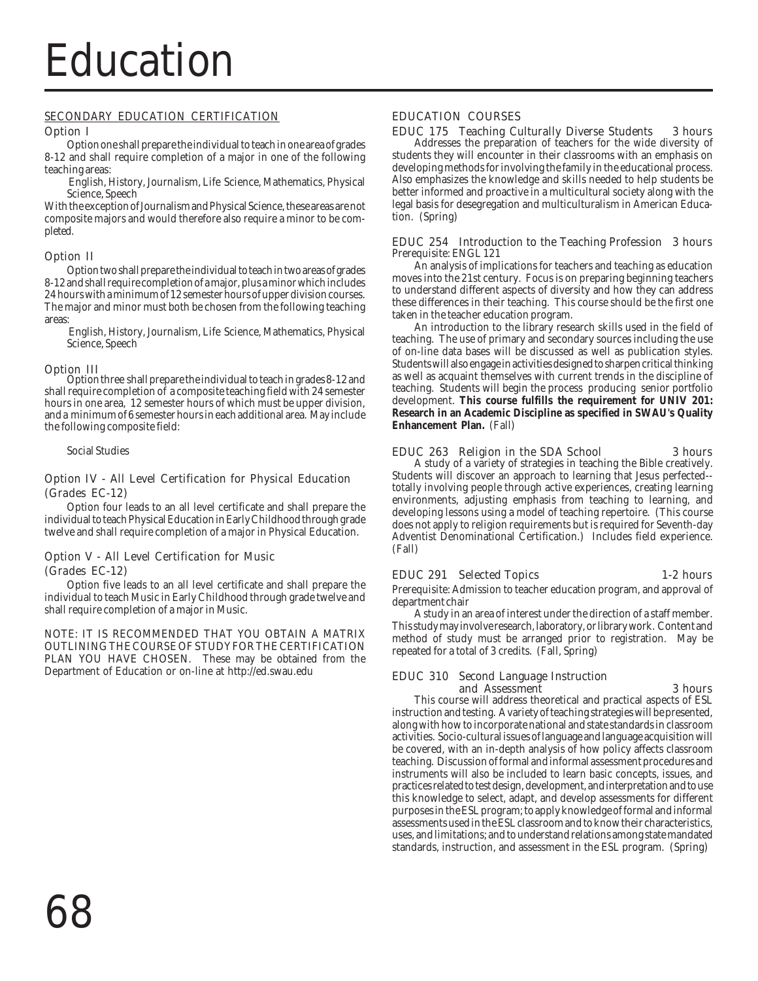#### SECONDARY EDUCATION CERTIFICATION

#### Option I

Option one shall prepare the individual to teach in one area of grades 8-12 and shall require completion of a major in one of the following teaching areas:

 English, History, Journalism, Life Science, Mathematics, Physical Science, Speech

With the exception of Journalism and Physical Science, these areas are not composite majors and would therefore also require a minor to be completed.

# Option II

Option two shall prepare the individual to teach in two areas of grades 8-12 and shall require completion of a major, plus a minor which includes 24 hours with a minimum of 12 semester hours of upper division courses. The major and minor must both be chosen from the following teaching areas:

 English, History, Journalism, Life Science, Mathematics, Physical Science, Speech

**Option III**<br>Option three shall prepare the individual to teach in grades 8-12 and shall require completion of a composite teaching field with 24 semester hours in one area, 12 semester hours of which must be upper division, and a minimum of 6 semester hours in each additional area. May include the following composite field:

Social Studies

# Option IV - All Level Certification for Physical Education (Grades EC-12)

Option four leads to an all level certificate and shall prepare the individual to teach Physical Education in Early Childhood through grade twelve and shall require completion of a major in Physical Education.

# Option V - All Level Certification for Music (Grades EC-12)

Option five leads to an all level certificate and shall prepare the individual to teach Music in Early Childhood through grade twelve and shall require completion of a major in Music.

NOTE: IT IS RECOMMENDED THAT YOU OBTAIN A MATRIX OUTLINING THE COURSE OF STUDY FOR THE CERTIFICATION PLAN YOU HAVE CHOSEN. These may be obtained from the Department of Education or on-line at http://ed.swau.edu

# EDUCATION COURSES

# EDUC 175 Teaching Culturally Diverse Students 3 hours

Addresses the preparation of teachers for the wide diversity of students they will encounter in their classrooms with an emphasis on developing methods for involving the family in the educational process. Also emphasizes the knowledge and skills needed to help students be better informed and proactive in a multicultural society along with the legal basis for desegregation and multiculturalism in American Education. (Spring)

#### EDUC 254 Introduction to the Teaching Profession 3 hours Prerequisite: ENGL 121

An analysis of implications for teachers and teaching as education moves into the 21st century. Focus is on preparing beginning teachers to understand different aspects of diversity and how they can address these differences in their teaching. This course should be the first one taken in the teacher education program.

An introduction to the library research skills used in the field of teaching. The use of primary and secondary sources including the use of on-line data bases will be discussed as well as publication styles. Students will also engage in activities designed to sharpen critical thinking as well as acquaint themselves with current trends in the discipline of teaching. Students will begin the process producing senior portfolio development. **This course fulfills the requirement for UNIV 201: Research in an Academic Discipline as specified in SWAU's Quality Enhancement Plan.** (Fall)

# **EDUC 263 Religion in the SDA School 3 hours** A study of a variety of strategies in teaching the Bible creatively.

Students will discover an approach to learning that Jesus perfected- totally involving people through active experiences, creating learning environments, adjusting emphasis from teaching to learning, and developing lessons using a model of teaching repertoire. (This course does not apply to religion requirements but is required for Seventh-day Adventist Denominational Certification.) Includes field experience. (Fall)

# EDUC 291 Selected Topics 1-2 hours

Prerequisite: Admission to teacher education program, and approval of department chair

A study in an area of interest under the direction of a staff member. This study may involve research, laboratory, or library work. Content and method of study must be arranged prior to registration. May be repeated for a total of 3 credits. (Fall, Spring)

#### EDUC 310 Second Language Instruction and Assessment 3 hours

This course will address theoretical and practical aspects of ESL instruction and testing. A variety of teaching strategies will be presented, along with how to incorporate national and state standards in classroom activities. Socio-cultural issues of language and language acquisition will be covered, with an in-depth analysis of how policy affects classroom teaching. Discussion of formal and informal assessment procedures and instruments will also be included to learn basic concepts, issues, and practices related to test design, development, and interpretation and to use this knowledge to select, adapt, and develop assessments for different purposes in the ESL program; to apply knowledge of formal and informal assessments used in the ESL classroom and to know their characteristics, uses, and limitations; and to understand relations among state mandated standards, instruction, and assessment in the ESL program. (Spring)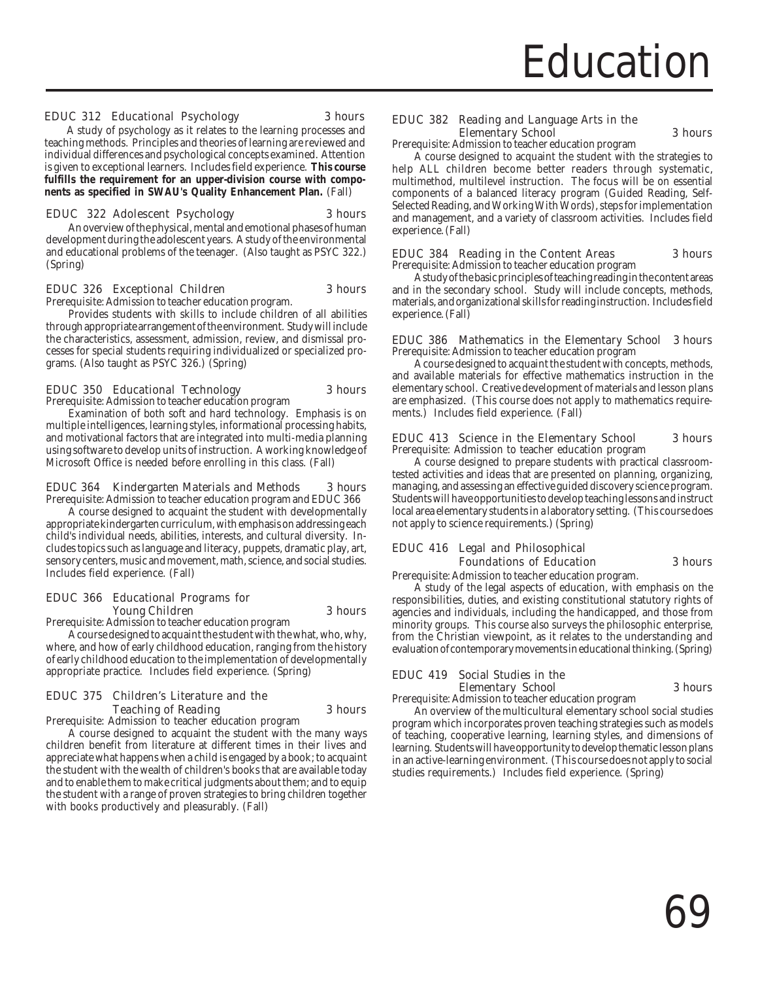#### EDUC 312 Educational Psychology 3 hours

A study of psychology as it relates to the learning processes and teaching methods. Principles and theories of learning are reviewed and individual differences and psychological concepts examined. Attention is given to exceptional learners. Includes field experience. **This course fulfills the requirement for an upper-division course with components as specified in SWAU's Quality Enhancement Plan.** (Fall)

#### EDUC 322 Adolescent Psychology 3 hours

An overview of the physical, mental and emotional phases of human development during the adolescent years. A study of the environmental and educational problems of the teenager. (Also taught as PSYC 322.) (Spring)

#### EDUC 326 Exceptional Children 3 hours

Prerequisite: Admission to teacher education program.

Provides students with skills to include children of all abilities

through appropriate arrangement of the environment. Study will include the characteristics, assessment, admission, review, and dismissal processes for special students requiring individualized or specialized programs. (Also taught as PSYC 326.) (Spring)

#### EDUC 350 Educational Technology 3 hours

Prerequisite: Admission to teacher education program Examination of both soft and hard technology. Emphasis is on multiple intelligences, learning styles, informational processing habits, and motivational factors that are integrated into multi-media planning using software to develop units of instruction. A working knowledge of Microsoft Office is needed before enrolling in this class. (Fall)

#### EDUC 364 Kindergarten Materials and Methods 3 hours Prerequisite: Admission to teacher education program and EDUC 366

A course designed to acquaint the student with developmentally appropriate kindergarten curriculum, with emphasis on addressing each child's individual needs, abilities, interests, and cultural diversity. Includes topics such as language and literacy, puppets, dramatic play, art, sensory centers, music and movement, math, science, and social studies. Includes field experience. (Fall)

#### EDUC 366 Educational Programs for **Young Children** 3 hours

Prerequisite: Admission to teacher education program

A course designed to acquaint the student with the what, who, why, where, and how of early childhood education, ranging from the history of early childhood education to the implementation of developmentally appropriate practice. Includes field experience. (Spring)

#### EDUC 375 Children's Literature and the Teaching of Reading 3 hours

Prerequisite: Admission to teacher education program

A course designed to acquaint the student with the many ways children benefit from literature at different times in their lives and appreciate what happens when a child is engaged by a book; to acquaint the student with the wealth of children's books that are available today and to enable them to make critical judgments about them; and to equip the student with a range of proven strategies to bring children together with books productively and pleasurably. (Fall)

#### EDUC 382 Reading and Language Arts in the Elementary School 3 hours

Prerequisite: Admission to teacher education program

A course designed to acquaint the student with the strategies to help ALL children become better readers through systematic, multimethod, multilevel instruction. The focus will be on essential components of a balanced literacy program (Guided Reading, Self-Selected Reading, and Working With Words), steps for implementation and management, and a variety of classroom activities. Includes field experience. (Fall)

#### EDUC 384 Reading in the Content Areas 3 hours Prerequisite: Admission to teacher education program

A study of the basic principles of teaching reading in the content areas and in the secondary school. Study will include concepts, methods, materials, and organizational skills for reading instruction. Includes field experience. (Fall)

#### EDUC 386 Mathematics in the Elementary School 3 hours Prerequisite: Admission to teacher education program

A course designed to acquaint the student with concepts, methods, and available materials for effective mathematics instruction in the elementary school. Creative development of materials and lesson plans are emphasized. (This course does not apply to mathematics requirements.) Includes field experience. (Fall)

#### EDUC 413 Science in the Elementary School 3 hours Prerequisite: Admission to teacher education program

A course designed to prepare students with practical classroomtested activities and ideas that are presented on planning, organizing, managing, and assessing an effective guided discovery science program. Students will have opportunities to develop teaching lessons and instruct local area elementary students in a laboratory setting. (This course does not apply to science requirements.) (Spring)

### EDUC 416 Legal and Philosophical Foundations of Education 3 hours

Prerequisite: Admission to teacher education program.

A study of the legal aspects of education, with emphasis on the responsibilities, duties, and existing constitutional statutory rights of agencies and individuals, including the handicapped, and those from minority groups. This course also surveys the philosophic enterprise, from the Christian viewpoint, as it relates to the understanding and evaluation of contemporary movements in educational thinking. (Spring)

#### EDUC 419 Social Studies in the Elementary School 3 hours

Prerequisite: Admission to teacher education program

An overview of the multicultural elementary school social studies program which incorporates proven teaching strategies such as models of teaching, cooperative learning, learning styles, and dimensions of learning. Students will have opportunity to develop thematic lesson plans in an active-learning environment. (This course does not apply to social studies requirements.) Includes field experience. (Spring)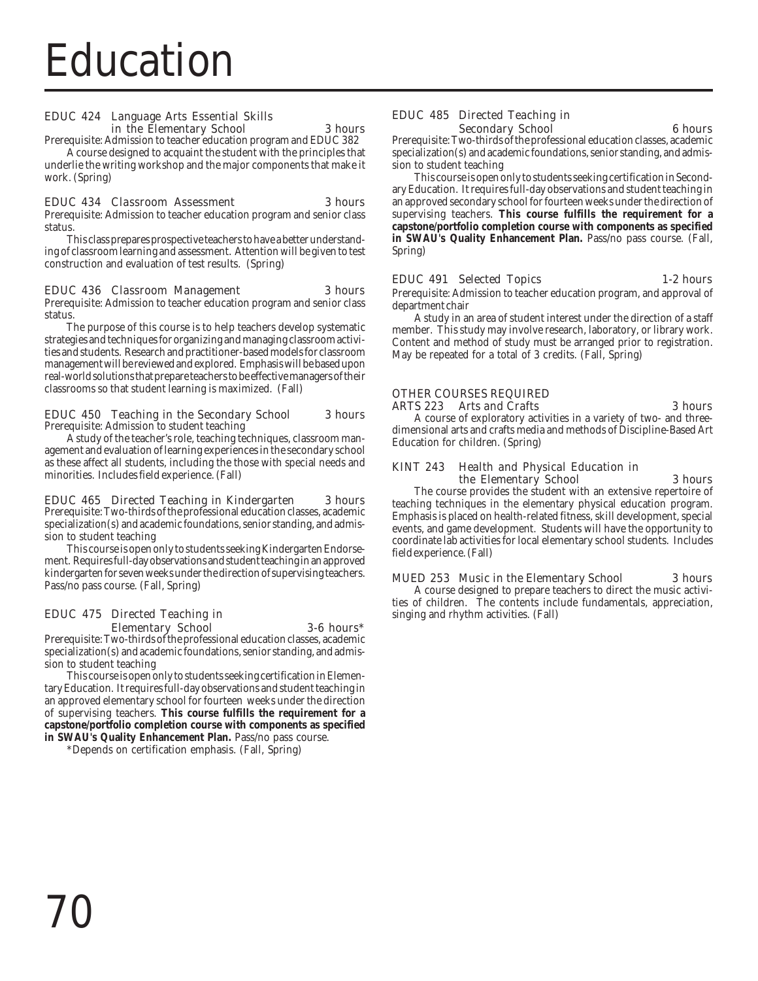#### EDUC 424 Language Arts Essential Skills in the Elementary School 3 hours

Prerequisite: Admission to teacher education program and EDUC 382

A course designed to acquaint the student with the principles that underlie the writing workshop and the major components that make it work. (Spring)

#### EDUC 434 Classroom Assessment 3 hours

Prerequisite: Admission to teacher education program and senior class status.

This class prepares prospective teachers to have a better understanding of classroom learning and assessment. Attention will be given to test construction and evaluation of test results. (Spring)

#### EDUC 436 Classroom Management 3 hours

Prerequisite: Admission to teacher education program and senior class status.

 The purpose of this course is to help teachers develop systematic strategies and techniques for organizing and managing classroom activities and students. Research and practitioner-based models for classroom management will be reviewed and explored. Emphasis will be based upon real-world solutions that prepare teachers to be effective managers of their classrooms so that student learning is maximized. (Fall)

#### EDUC 450 Teaching in the Secondary School 3 hours Prerequisite: Admission to student teaching

A study of the teacher's role, teaching techniques, classroom management and evaluation of learning experiences in the secondary school as these affect all students, including the those with special needs and minorities. Includes field experience. (Fall)

#### EDUC 465 Directed Teaching in Kindergarten 3 hours

Prerequisite: Two-thirds of the professional education classes, academic specialization(s) and academic foundations, senior standing, and admission to student teaching

This course is open only to students seeking Kindergarten Endorsement. Requires full-day observations and student teaching in an approved kindergarten for seven weeks under the direction of supervising teachers. Pass/no pass course. (Fall, Spring)

#### EDUC 475 Directed Teaching in Elementary School 3-6 hours\*

Prerequisite: Two-thirds of the professional education classes, academic specialization(s) and academic foundations, senior standing, and admission to student teaching

This course is open only to students seeking certification in Elementary Education. It requires full-day observations and student teaching in an approved elementary school for fourteen weeks under the direction of supervising teachers. **This course fulfills the requirement for a capstone/portfolio completion course with components as specified in SWAU's Quality Enhancement Plan.** Pass/no pass course.

\*Depends on certification emphasis. (Fall, Spring)

#### EDUC 485 Directed Teaching in Secondary School 6 hours

Prerequisite: Two-thirds of the professional education classes, academic specialization(s) and academic foundations, senior standing, and admission to student teaching

This course is open only to students seeking certification in Secondary Education. It requires full-day observations and student teaching in an approved secondary school for fourteen weeks under the direction of supervising teachers. **This course fulfills the requirement for a capstone/portfolio completion course with components as specified in SWAU's Quality Enhancement Plan.** Pass/no pass course. (Fall, Spring)

#### EDUC 491 Selected Topics 1-2 hours

Prerequisite: Admission to teacher education program, and approval of department chair

A study in an area of student interest under the direction of a staff member. This study may involve research, laboratory, or library work. Content and method of study must be arranged prior to registration. May be repeated for a total of 3 credits. (Fall, Spring)

#### OTHER COURSES REQUIRED ARTS 223 Arts and Crafts 3 hours 3 hours

A course of exploratory activities in a variety of two- and threedimensional arts and crafts media and methods of Discipline-Based Art Education for children. (Spring)

#### KINT 243 Health and Physical Education in the Elementary School 3 hours

The course provides the student with an extensive repertoire of teaching techniques in the elementary physical education program. Emphasis is placed on health-related fitness, skill development, special events, and game development. Students will have the opportunity to coordinate lab activities for local elementary school students. Includes field experience. (Fall)

# MUED 253 Music in the Elementary School 3 hours

A course designed to prepare teachers to direct the music activities of children. The contents include fundamentals, appreciation, singing and rhythm activities. (Fall)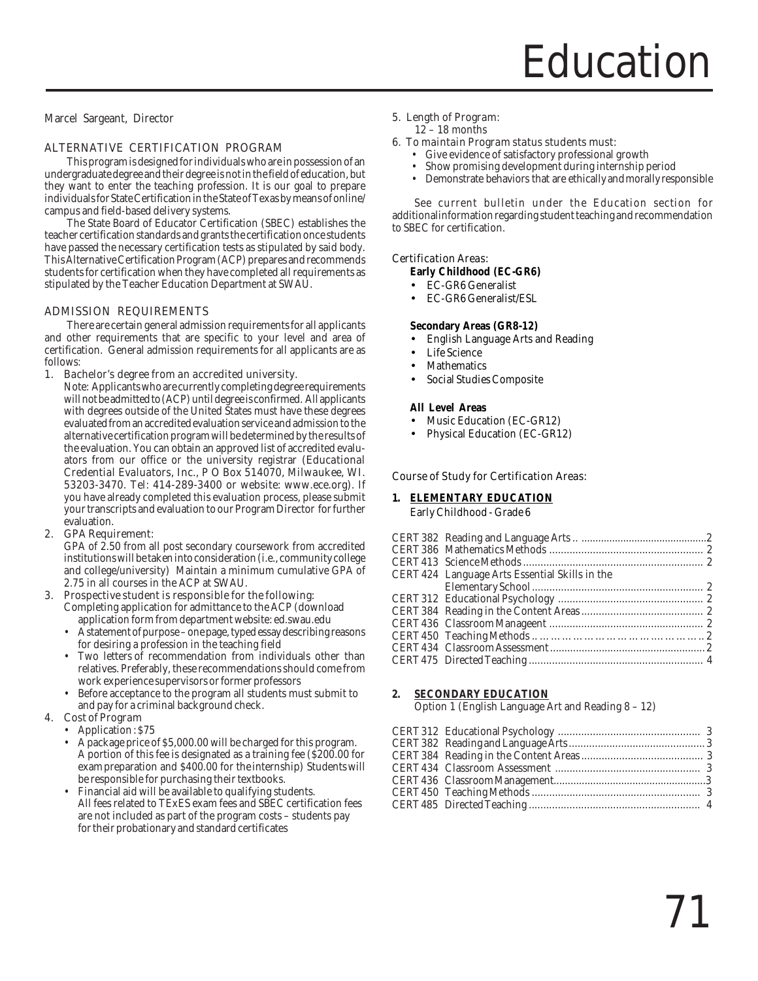Marcel Sargeant, Director

### ALTERNATIVE CERTIFICATION PROGRAM

This program is designed for individuals who are in possession of an undergraduate degree and their degree is not in the field of education, but they want to enter the teaching profession. It is our goal to prepare individuals for State Certification in the State of Texas by means of online/ campus and field-based delivery systems.

The State Board of Educator Certification (SBEC) establishes the teacher certification standards and grants the certification once students have passed the necessary certification tests as stipulated by said body. This Alternative Certification Program (ACP) prepares and recommends students for certification when they have completed all requirements as stipulated by the Teacher Education Department at SWAU.

#### ADMISSION REQUIREMENTS

There are certain general admission requirements for all applicants and other requirements that are specific to your level and area of certification. General admission requirements for all applicants are as follows:

#### 1. Bachelor's degree from an accredited university.

Note: Applicants who are currently completing degree requirements will not be admitted to (ACP) until degree is confirmed. All applicants with degrees outside of the United States must have these degrees evaluated from an accredited evaluation service and admission to the alternative certification program will be determined by the results of the evaluation. You can obtain an approved list of accredited evaluators from our office or the university registrar (Educational Credential Evaluators, Inc., P O Box 514070, Milwaukee, WI. 53203-3470. Tel: 414-289-3400 or website: www.ece.org). If you have already completed this evaluation process, please submit your transcripts and evaluation to our Program Director for further evaluation.

#### 2. GPA Requirement:

GPA of 2.50 from all post secondary coursework from accredited institutions will be taken into consideration (i.e., community college and college/university) Maintain a minimum cumulative GPA of 2.75 in all courses in the ACP at SWAU.

- 3. Prospective student is responsible for the following: Completing application for admittance to the ACP (download application form from department website: ed.swau.edu
	- A statement of purpose one page, typed essay describing reasons for desiring a profession in the teaching field
	- Two letters of recommendation from individuals other than relatives. Preferably, these recommendations should come from work experience supervisors or former professors
	- Before acceptance to the program all students must submit to and pay for a criminal background check.

# 4. Cost of Program

- Application: \$75
- A package price of \$5,000.00 will be charged for this program. A portion of this fee is designated as a training fee (\$200.00 for exam preparation and \$400.00 for the internship) Students will be responsible for purchasing their textbooks.
- Financial aid will be available to qualifying students. All fees related to TExES exam fees and SBEC certification fees are not included as part of the program costs – students pay for their probationary and standard certificates

#### 5. Length of Program:

12 – 18 months

#### 6. To maintain Program status students must:

- Give evidence of satisfactory professional growth
- Show promising development during internship period
- Demonstrate behaviors that are ethically and morally responsible

See current bulletin under the Education section for additionalinformation regarding student teaching and recommendation to SBEC for certification.

#### Certification Areas:

**Early Childhood (EC-GR6)**

- EC-GR6 Generalist
- EC-GR6 Generalist/ESL

#### **Secondary Areas (GR8-12)**

- English Language Arts and Reading
- **Life Science**
- **Mathematics**
- Social Studies Composite

#### **All Level Areas**

- Music Education (EC-GR12)
- Physical Education (EC-GR12)

#### Course of Study for Certification Areas:

#### **1. ELEMENTARY EDUCATION** Early Childhood - Grade 6

| CERT 424 Language Arts Essential Skills in the |  |
|------------------------------------------------|--|
|                                                |  |
|                                                |  |
|                                                |  |
|                                                |  |
|                                                |  |
|                                                |  |
|                                                |  |
|                                                |  |

# **2. SECONDARY EDUCATION**

Option 1 (English Language Art and Reading 8 – 12)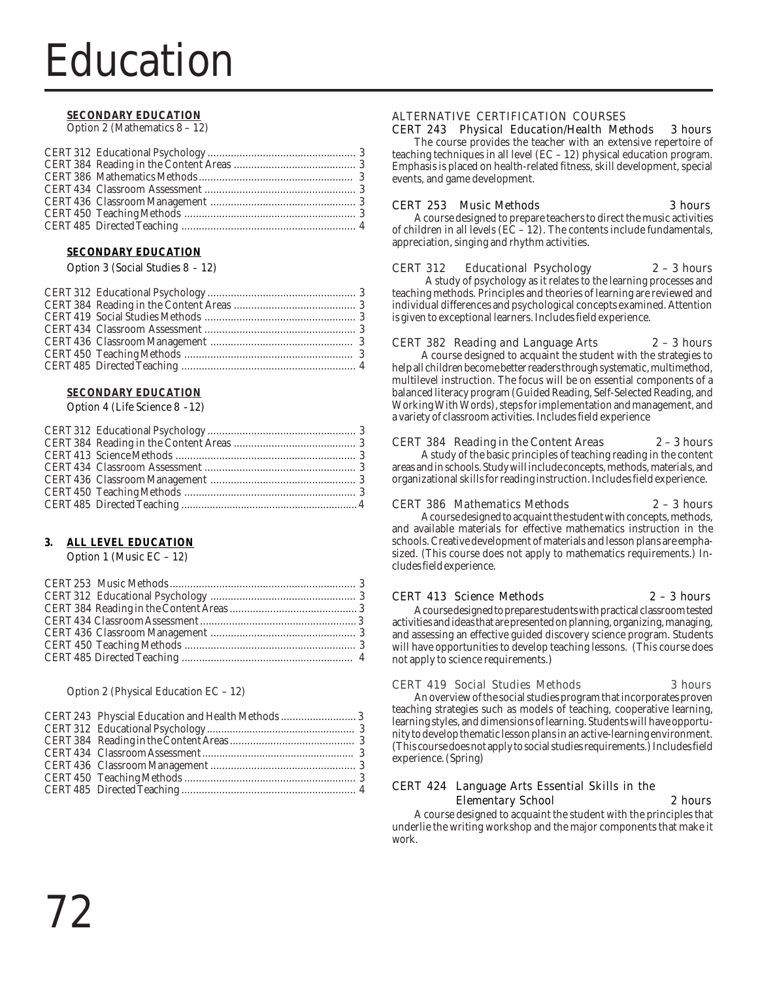## Education

### **SECONDARY EDUCATION**

Option 2 (Mathematics 8 – 12)

### **SECONDARY EDUCATION**

Option 3 (Social Studies 8 - 12)

### **SECONDARY EDUCATION**

Option 4 (Life Science 8 -12)

### **3. ALL LEVEL EDUCATION**

Option 1 (Music EC – 12)

### Option 2 (Physical Education EC – 12)

### ALTERNATIVE CERTIFICATION COURSES CERT 243 Physical Education/Health Methods 3 hours

The course provides the teacher with an extensive repertoire of teaching techniques in all level (EC – 12) physical education program. Emphasis is placed on health-related fitness, skill development, special events, and game development.

### CERT 253 Music Methods 3 hours

A course designed to prepare teachers to direct the music activities of children in all levels ( $\overline{EC} - 12$ ). The contents include fundamentals, appreciation, singing and rhythm activities.

### CERT 312 Educational Psychology 2 – 3 hours

A study of psychology as it relates to the learning processes and teaching methods. Principles and theories of learning are reviewed and individual differences and psychological concepts examined. Attention is given to exceptional learners. Includes field experience.

### CERT 382 Reading and Language Arts 2 – 3 hours

A course designed to acquaint the student with the strategies to help all children become better readers through systematic, multimethod, multilevel instruction. The focus will be on essential components of a balanced literacy program (Guided Reading, Self-Selected Reading, and Working With Words), steps for implementation and management, and a variety of classroom activities. Includes field experience

### CERT 384 Reading in the Content Areas 2 – 3 hours

A study of the basic principles of teaching reading in the content areas and in schools. Study will include concepts, methods, materials, and organizational skills for reading instruction. Includes field experience.

### CERT 386 Mathematics Methods 2 – 3 hours

A course designed to acquaint the student with concepts, methods, and available materials for effective mathematics instruction in the schools. Creative development of materials and lesson plans are emphasized. (This course does not apply to mathematics requirements.) Includes field experience.

### CERT 413 Science Methods 2 – 3 hours

A course designed to prepare students with practical classroom tested activities and ideas that are presented on planning, organizing, managing, and assessing an effective guided discovery science program. Students will have opportunities to develop teaching lessons. (This course does not apply to science requirements.)

### CERT 419 Social Studies Methods 3 hours

An overview of the social studies program that incorporates proven teaching strategies such as models of teaching, cooperative learning, learning styles, and dimensions of learning. Students will have opportunity to develop thematic lesson plans in an active-learning environment. (This course does not apply to social studies requirements.) Includes field experience. (Spring)

### CERT 424 Language Arts Essential Skills in the Elementary School 2 hours

A course designed to acquaint the student with the principles that underlie the writing workshop and the major components that make it work.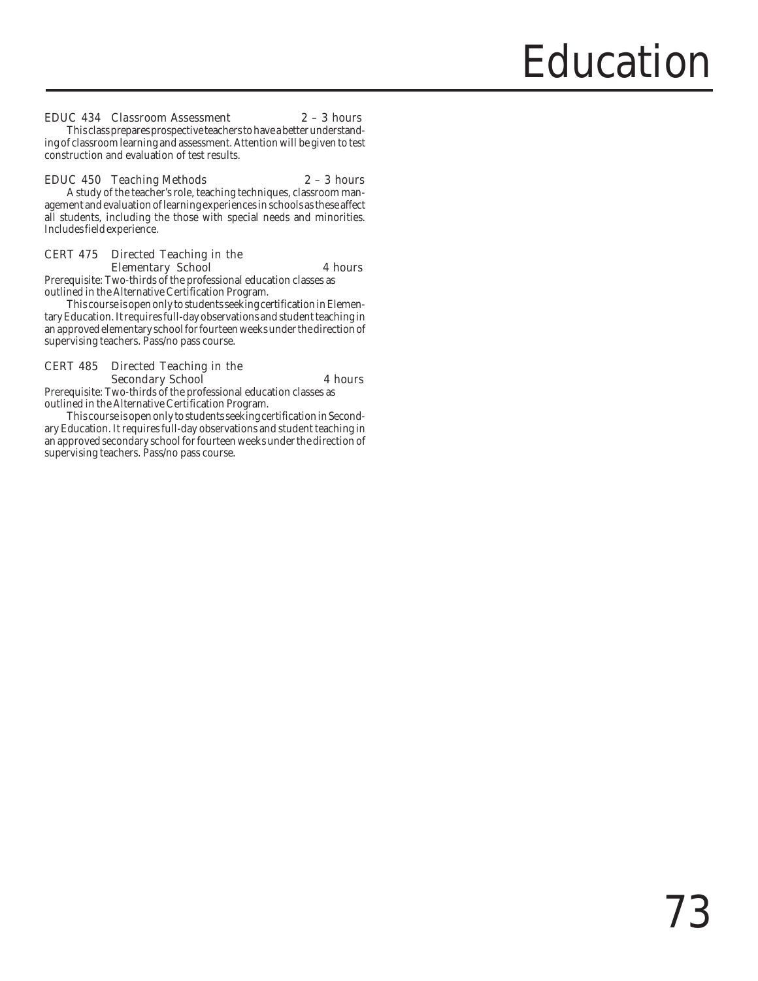### EDUC 434 Classroom Assessment 2 – 3 hours

This class prepares prospective teachers to have a better understanding of classroom learning and assessment. Attention will be given to test construction and evaluation of test results.

### EDUC 450 Teaching Methods 2 – 3 hours

A study of the teacher's role, teaching techniques, classroom management and evaluation of learning experiences in schools as these affect all students, including the those with special needs and minorities. Includes field experience.

### CERT 475 Directed Teaching in the Elementary School 4 hours

Prerequisite: Two-thirds of the professional education classes as outlined in the Alternative Certification Program.

This course is open only to students seeking certification in Elementary Education. It requires full-day observations and student teaching in an approved elementary school for fourteen weeks under the direction of supervising teachers. Pass/no pass course.

### CERT 485 Directed Teaching in the Secondary School 4 hours

Prerequisite: Two-thirds of the professional education classes as outlined in the Alternative Certification Program.

This course is open only to students seeking certification in Secondary Education. It requires full-day observations and student teaching in an approved secondary school for fourteen weeks under the direction of supervising teachers. Pass/no pass course.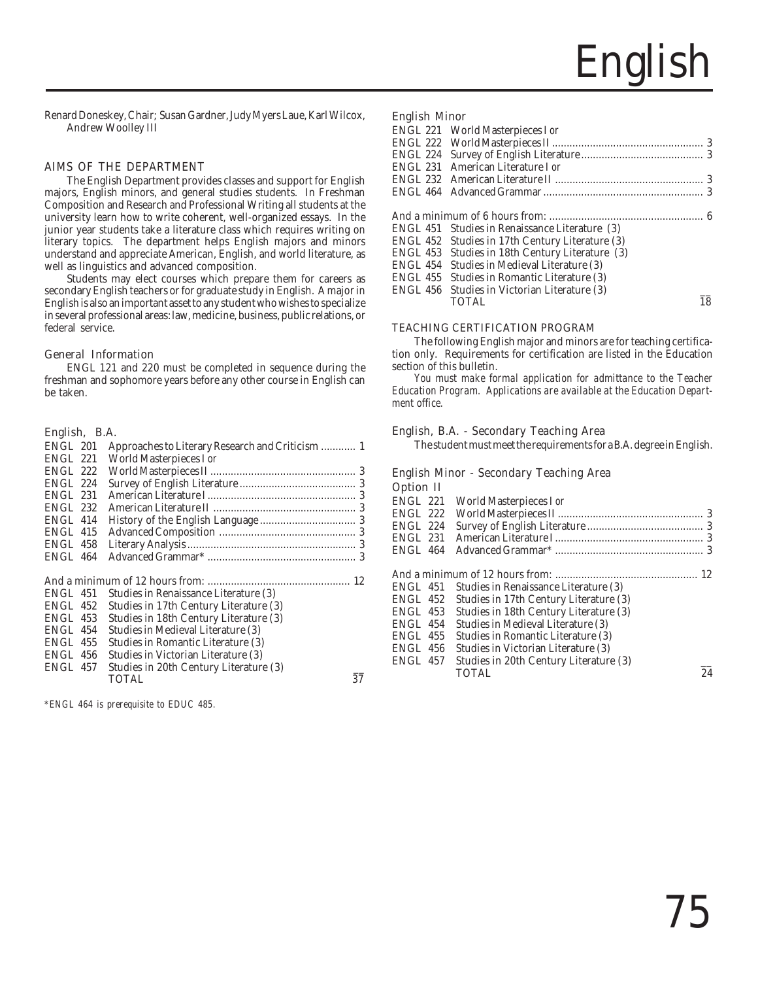Renard Doneskey, Chair; Susan Gardner, Judy Myers Laue, Karl Wilcox, Andrew Woolley III

### AIMS OF THE DEPARTMENT

The English Department provides classes and support for English majors, English minors, and general studies students. In Freshman Composition and Research and Professional Writing all students at the university learn how to write coherent, well-organized essays. In the junior year students take a literature class which requires writing on literary topics. The department helps English majors and minors understand and appreciate American, English, and world literature, as well as linguistics and advanced composition.

Students may elect courses which prepare them for careers as secondary English teachers or for graduate study in English. A major in English is also an important asset to any student who wishes to specialize in several professional areas: law, medicine, business, public relations, or federal service.

### General Information

ENGL 121 and 220 must be completed in sequence during the freshman and sophomore years before any other course in English can be taken.

### English, B.A.

| ENGL 201 |                                  |  |
|----------|----------------------------------|--|
|          | ENGL 221 World Masterpieces I or |  |
| ENGL 222 |                                  |  |
| ENGL 224 |                                  |  |
|          |                                  |  |
|          |                                  |  |
|          |                                  |  |
|          |                                  |  |
|          |                                  |  |
|          |                                  |  |
|          |                                  |  |

|                 | ENGL 451 Studies in Renaissance Literature (3)  |    |
|-----------------|-------------------------------------------------|----|
|                 | ENGL 452 Studies in 17th Century Literature (3) |    |
|                 | ENGL 453 Studies in 18th Century Literature (3) |    |
| ENGL 454        | Studies in Medieval Literature (3)              |    |
| <b>ENGL 455</b> | Studies in Romantic Literature (3)              |    |
| ENGL 456        | Studies in Victorian Literature (3)             |    |
| ENGL 457        | Studies in 20th Century Literature (3)          |    |
|                 | <b>TOTAL</b>                                    | 37 |
|                 |                                                 |    |

*\*ENGL 464 is prerequisite to EDUC 485.*

### English Minor

|          | ENGL 221 World Masterpieces I or                |    |
|----------|-------------------------------------------------|----|
|          |                                                 |    |
|          |                                                 |    |
|          | ENGL 231 American Literature Lor                |    |
|          |                                                 |    |
|          |                                                 |    |
|          |                                                 |    |
|          |                                                 |    |
|          | ENGL 451 Studies in Renaissance Literature (3)  |    |
|          | ENGL 452 Studies in 17th Century Literature (3) |    |
|          | ENGL 453 Studies in 18th Century Literature (3) |    |
| ENGL 454 | Studies in Medieval Literature (3)              |    |
| ENGL 455 | Studies in Romantic Literature (3)              |    |
|          | ENGL 456 Studies in Victorian Literature (3)    |    |
|          | <b>TOTAL</b>                                    | 18 |
|          |                                                 |    |

### TEACHING CERTIFICATION PROGRAM

The following English major and minors are for teaching certification only. Requirements for certification are listed in the Education section of this bulletin.

*You must make formal application for admittance to the Teacher Education Program. Applications are available at the Education Department office.*

### English, B.A. - Secondary Teaching Area

The student must meet the requirements for a B.A. degree in English.

### English Minor - Secondary Teaching Area

 $O<sub>n</sub>$  ion II

| орион н         |                                        |  |
|-----------------|----------------------------------------|--|
| <b>ENGL 221</b> | World Masterpieces I or                |  |
| <b>ENGL 222</b> |                                        |  |
| <b>ENGL 224</b> |                                        |  |
| <b>ENGL 231</b> |                                        |  |
| <b>ENGL 464</b> |                                        |  |
|                 |                                        |  |
|                 |                                        |  |
| <b>ENGL 451</b> | Studies in Renaissance Literature (3)  |  |
| <b>ENGL 452</b> | Studies in 17th Century Literature (3) |  |
| <b>ENGL 453</b> | Studies in 18th Century Literature (3) |  |
| <b>ENGL 454</b> | Studies in Medieval Literature (3)     |  |
| <b>ENGL 455</b> | Studies in Romantic Literature (3)     |  |
| <b>ENGL 456</b> | Studies in Victorian Literature (3)    |  |
| <b>ENGL 457</b> | Studies in 20th Century Literature (3) |  |
|                 | 24<br>TOTAL                            |  |
|                 |                                        |  |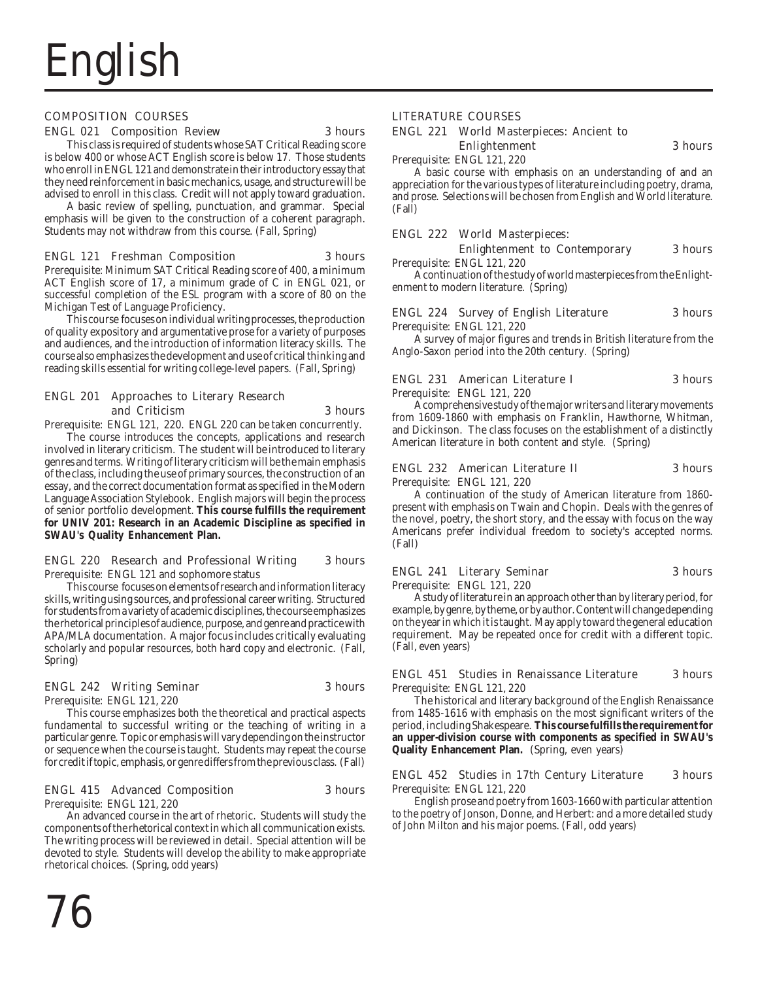

### COMPOSITION COURSES

### ENGL 021 Composition Review 3 hours

This class is required of students whose SAT Critical Reading score is below 400 or whose ACT English score is below 17. Those students who enroll in ENGL 121 and demonstrate in their introductory essay that they need reinforcement in basic mechanics, usage, and structure will be advised to enroll in this class. Credit will not apply toward graduation.

A basic review of spelling, punctuation, and grammar. Special emphasis will be given to the construction of a coherent paragraph. Students may not withdraw from this course. (Fall, Spring)

### ENGL 121 Freshman Composition 3 hours

Prerequisite: Minimum SAT Critical Reading score of 400, a minimum ACT English score of 17, a minimum grade of C in ENGL 021, or successful completion of the ESL program with a score of 80 on the Michigan Test of Language Proficiency.

This course focuses on individual writing processes, the production of quality expository and argumentative prose for a variety of purposes and audiences, and the introduction of information literacy skills. The course also emphasizes the development and use of critical thinking and reading skills essential for writing college-level papers. (Fall, Spring)

### ENGL 201 Approaches to Literary Research and Criticism 3 hours

Prerequisite: ENGL 121, 220. ENGL 220 can be taken concurrently.

The course introduces the concepts, applications and research involved in literary criticism. The student will be introduced to literary genres and terms. Writing of literary criticism will be the main emphasis of the class, including the use of primary sources, the construction of an essay, and the correct documentation format as specified in the Modern Language Association Stylebook. English majors will begin the process of senior portfolio development. **This course fulfills the requirement for UNIV 201: Research in an Academic Discipline as specified in SWAU's Quality Enhancement Plan.**

### ENGL 220 Research and Professional Writing 3 hours Prerequisite: ENGL 121 and sophomore status

This course focuses on elements of research and information literacy skills, writing using sources, and professional career writing. Structured for students from a variety of academic disciplines, the course emphasizes the rhetorical principles of audience, purpose, and genre and practice with APA/MLA documentation. A major focus includes critically evaluating scholarly and popular resources, both hard copy and electronic. (Fall, Spring)

### ENGL 242 Writing Seminar 3 hours

Prerequisite: ENGL 121, 220

This course emphasizes both the theoretical and practical aspects fundamental to successful writing or the teaching of writing in a particular genre. Topic or emphasis will vary depending on the instructor or sequence when the course is taught. Students may repeat the course for credit if topic, emphasis, or genre differs from the previous class. (Fall)

### ENGL 415 Advanced Composition 3 hours

Prerequisite: ENGL 121, 220

An advanced course in the art of rhetoric. Students will study the components of the rhetorical context in which all communication exists. The writing process will be reviewed in detail. Special attention will be devoted to style. Students will develop the ability to make appropriate rhetorical choices. (Spring, odd years)

### ENGL 221 World Masterpieces: Ancient to Enlightenment 3 hours

Prerequisite: ENGL 121, 220

A basic course with emphasis on an understanding of and an appreciation for the various types of literature including poetry, drama, and prose. Selections will be chosen from English and World literature. (Fall)

### ENGL 222 World Masterpieces:

Enlightenment to Contemporary 3 hours

Prerequisite: ENGL 121, 220 A continuation of the study of world masterpieces from the Enlightenment to modern literature. (Spring)

ENGL 224 Survey of English Literature 3 hours

Prerequisite: ENGL 121, 220

A survey of major figures and trends in British literature from the Anglo-Saxon period into the 20th century. (Spring)

### ENGL 231 American Literature I 3 hours

Prerequisite: ENGL 121, 220 A comprehensive study of the major writers and literary movements from 1609-1860 with emphasis on Franklin, Hawthorne, Whitman, and Dickinson. The class focuses on the establishment of a distinctly American literature in both content and style. (Spring)

### ENGL 232 American Literature II 3 hours

Prerequisite: ENGL 121, 220

A continuation of the study of American literature from 1860 present with emphasis on Twain and Chopin. Deals with the genres of the novel, poetry, the short story, and the essay with focus on the way Americans prefer individual freedom to society's accepted norms. (Fall)

### ENGL 241 Literary Seminar 3 hours

Prerequisite: ENGL 121, 220

A study of literature in an approach other than by literary period, for example, by genre, by theme, or by author. Content will change depending on the year in which it is taught. May apply toward the general education requirement. May be repeated once for credit with a different topic. (Fall, even years)

### ENGL 451 Studies in Renaissance Literature 3 hours Prerequisite: ENGL 121, 220

The historical and literary background of the English Renaissance from 1485-1616 with emphasis on the most significant writers of the period, including Shakespeare. **This course fulfills the requirement for an upper-division course with components as specified in SWAU's Quality Enhancement Plan.** (Spring, even years)

### ENGL 452 Studies in 17th Century Literature 3 hours Prerequisite: ENGL 121, 220

English prose and poetry from 1603-1660 with particular attention to the poetry of Jonson, Donne, and Herbert: and a more detailed study of John Milton and his major poems. (Fall, odd years)

76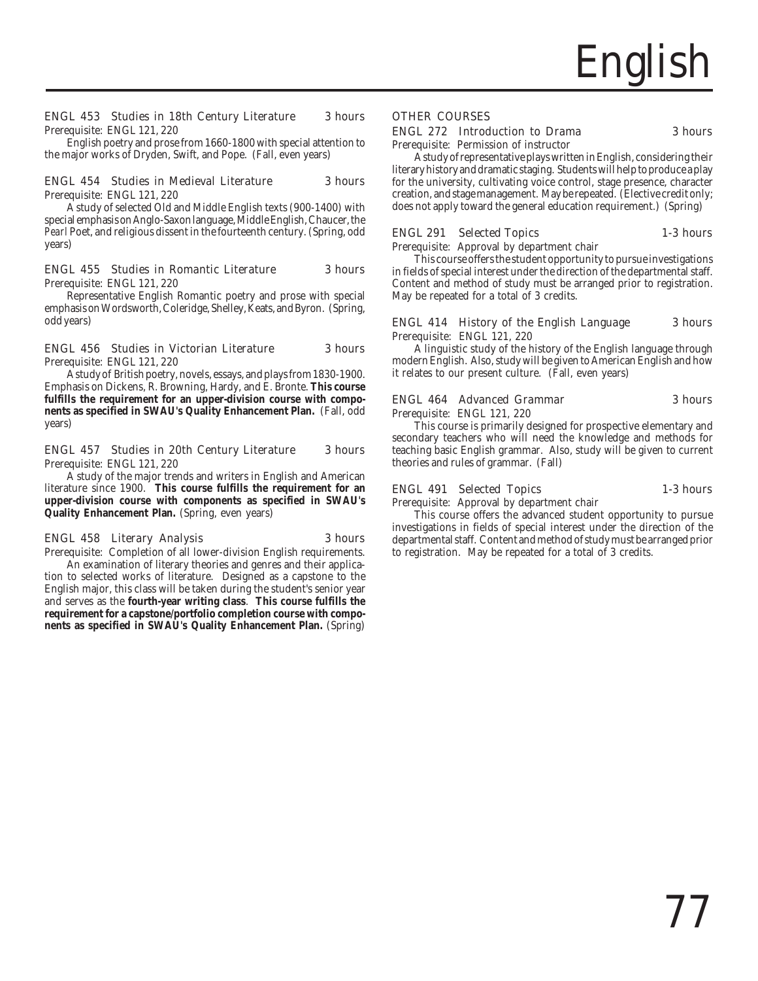

### ENGL 453 Studies in 18th Century Literature 3 hours Prerequisite: ENGL 121, 220

English poetry and prose from 1660-1800 with special attention to the major works of Dryden, Swift, and Pope. (Fall, even years)

### ENGL 454 Studies in Medieval Literature 3 hours

Prerequisite: ENGL 121, 220

A study of selected Old and Middle English texts (900-1400) with special emphasis on Anglo-Saxon language, Middle English, Chaucer, the *Pearl* Poet, and religious dissent in the fourteenth century. (Spring, odd years)

### ENGL 455 Studies in Romantic Literature 3 hours Prerequisite: ENGL 121, 220

Representative English Romantic poetry and prose with special emphasis on Wordsworth, Coleridge, Shelley, Keats, and Byron. (Spring, odd years)

### ENGL 456 Studies in Victorian Literature 3 hours Prerequisite: ENGL 121, 220

A study of British poetry, novels, essays, and plays from 1830-1900. Emphasis on Dickens, R. Browning, Hardy, and E. Bronte. **This course fulfills the requirement for an upper-division course with components as specified in SWAU's Quality Enhancement Plan.** (Fall, odd years)

### ENGL 457 Studies in 20th Century Literature 3 hours Prerequisite: ENGL 121, 220

A study of the major trends and writers in English and American literature since 1900. **This course fulfills the requirement for an upper-division course with components as specified in SWAU's Quality Enhancement Plan.** (Spring, even years)

### ENGL 458 Literary Analysis 3 hours

Prerequisite: Completion of all lower-division English requirements. An examination of literary theories and genres and their application to selected works of literature. Designed as a capstone to the English major, this class will be taken during the student's senior year and serves as the **fourth-year writing class**. **This course fulfills the requirement for a capstone/portfolio completion course with components as specified in SWAU's Quality Enhancement Plan.** (Spring)

### OTHER COURSES

### ENGL 272 Introduction to Drama 3 hours

Prerequisite: Permission of instructor A study of representative plays written in English, considering their literary history and dramatic staging. Students will help to produce a play for the university, cultivating voice control, stage presence, character creation, and stage management. May be repeated. (Elective credit only; does not apply toward the general education requirement.) (Spring)

### ENGL 291 Selected Topics 1-3 hours

Prerequisite: Approval by department chair

May be repeated for a total of 3 credits.

This course offers the student opportunity to pursue investigations in fields of special interest under the direction of the departmental staff. Content and method of study must be arranged prior to registration.

### ENGL 414 History of the English Language 3 hours Prerequisite: ENGL 121, 220

A linguistic study of the history of the English language through modern English. Also, study will be given to American English and how it relates to our present culture. (Fall, even years)

### ENGL 464 Advanced Grammar 3 hours

Prerequisite: ENGL 121, 220 This course is primarily designed for prospective elementary and secondary teachers who will need the knowledge and methods for teaching basic English grammar. Also, study will be given to current theories and rules of grammar. (Fall)

### ENGL 491 Selected Topics 1-3 hours

Prerequisite: Approval by department chair

This course offers the advanced student opportunity to pursue investigations in fields of special interest under the direction of the departmental staff. Content and method of study must be arranged prior to registration. May be repeated for a total of 3 credits.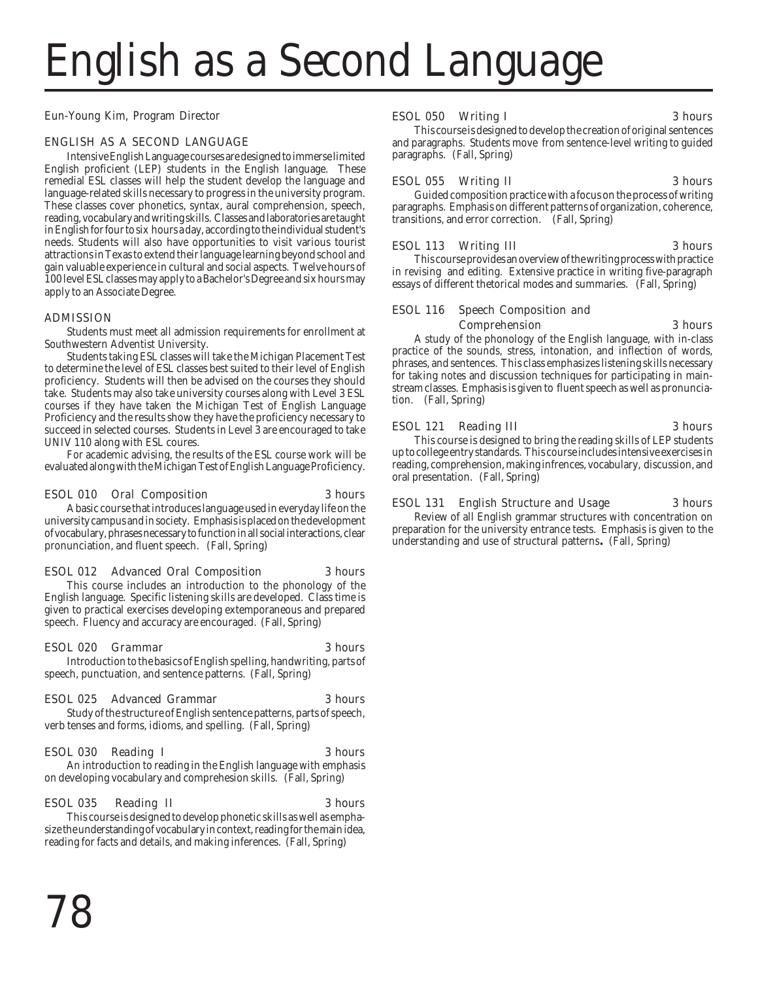# English as a Second Language

Eun-Young Kim, Program Director

### ENGLISH AS A SECOND LANGUAGE

Intensive English Language courses are designed to immerse limited English proficient (LEP) students in the English language. These remedial ESL classes will help the student develop the language and language-related skills necessary to progress in the university program. These classes cover phonetics, syntax, aural comprehension, speech, reading, vocabulary and writing skills. Classes and laboratories are taught in English for four to six hours a day, according to the individual student's needs. Students will also have opportunities to visit various tourist attractions in Texas to extend their language learning beyond school and gain valuable experience in cultural and social aspects. Twelve hours of 100 level ESL classes may apply to a Bachelor's Degree and six hours may apply to an Associate Degree.

### ADMISSION

Students must meet all admission requirements for enrollment at Southwestern Adventist University.

Students taking ESL classes will take the Michigan Placement Test to determine the level of ESL classes best suited to their level of English proficiency. Students will then be advised on the courses they should take. Students may also take university courses along with Level 3 ESL courses if they have taken the Michigan Test of English Language Proficiency and the results show they have the proficiency necessary to succeed in selected courses. Students in Level 3 are encouraged to take UNIV 110 along with ESL coures.

For academic advising, the results of the ESL course work will be evaluated along with the Michigan Test of English Language Proficiency.

### ESOL 010 Oral Composition 3 hours

A basic course that introduces language used in everyday life on the university campus and in society. Emphasis is placed on the development of vocabulary, phrases necessary to function in all social interactions, clear pronunciation, and fluent speech. (Fall, Spring)

### ESOL 012 Advanced Oral Composition 3 hours

This course includes an introduction to the phonology of the English language. Specific listening skills are developed. Class time is given to practical exercises developing extemporaneous and prepared speech. Fluency and accuracy are encouraged. (Fall, Spring)

### ESOL 020 Grammar 3 hours

Introduction to the basics of English spelling, handwriting, parts of speech, punctuation, and sentence patterns. (Fall, Spring)

### ESOL 025 Advanced Grammar 3 hours

Study of the structure of English sentence patterns, parts of speech, verb tenses and forms, idioms, and spelling. (Fall, Spring)

### ESOL 030 Reading I 3 hours

An introduction to reading in the English language with emphasis on developing vocabulary and comprehesion skills. (Fall, Spring)

### ESOL 035 Reading II 3 hours

This course is designed to develop phonetic skills as well as emphasize the understanding of vocabulary in context, reading for the main idea, reading for facts and details, and making inferences. (Fall, Spring)

### ESOL 050 Writing I 3 hours

This course is designed to develop the creation of original sentences and paragraphs. Students move from sentence-level writing to guided paragraphs. (Fall, Spring)

### ESOL 055 Writing II 3 hours

Guided composition practice with a focus on the process of writing paragraphs. Emphasis on different patterns of organization, coherence, transitions, and error correction. (Fall, Spring)

### ESOL 113 Writing III 3 hours

This course provides an overview of the writing process with practice in revising and editing. Extensive practice in writing five-paragraph essays of different thetorical modes and summaries. (Fall, Spring)

### ESOL 116 Speech Composition and Comprehension 3 hours

A study of the phonology of the English language, with in-class practice of the sounds, stress, intonation, and inflection of words, phrases, and sentences. This class emphasizes listening skills necessary for taking notes and discussion techniques for participating in mainstream classes. Emphasis is given to fluent speech as well as pronunciation. (Fall, Spring)

### ESOL 121 Reading III 3 hours

This course is designed to bring the reading skills of LEP students up to college entry standards. This course includes intensive exercises in reading, comprehension, making infrences, vocabulary, discussion, and oral presentation. (Fall, Spring)

### ESOL 131 English Structure and Usage 3 hours

Review of all English grammar structures with concentration on preparation for the university entrance tests. Emphasis is given to the understanding and use of structural patterns**.** (Fall, Spring)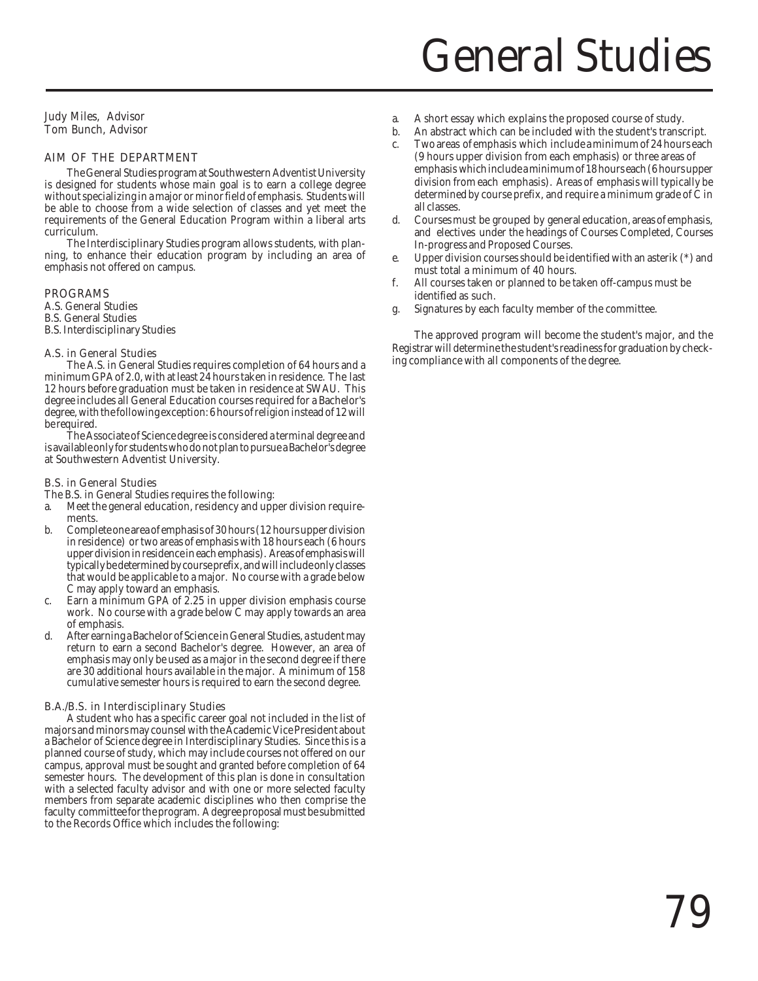# General Studies

Judy Miles, Advisor Tom Bunch, Advisor

### AIM OF THE DEPARTMENT

The General Studies program at Southwestern Adventist University is designed for students whose main goal is to earn a college degree without specializing in a major or minor field of emphasis. Students will be able to choose from a wide selection of classes and yet meet the requirements of the General Education Program within a liberal arts curriculum.

The Interdisciplinary Studies program allows students, with planning, to enhance their education program by including an area of emphasis not offered on campus.

### PROGRAMS

A.S. General Studies B.S. General Studies B.S. Interdisciplinary Studies

### A.S. in General Studies

The A.S. in General Studies requires completion of 64 hours and a minimum GPA of 2.0, with at least 24 hours taken in residence. The last 12 hours before graduation must be taken in residence at SWAU. This degree includes all General Education courses required for a Bachelor's degree, with the following exception: 6 hours of religion instead of 12 will be required.

The Associate of Science degree is considered a terminal degree and is available only for students who do not plan to pursue a Bachelor's degree at Southwestern Adventist University.

### B.S. in General Studies

The B.S. in General Studies requires the following:

- a. Meet the general education, residency and upper division requirements.
- b. Complete one area of emphasis of 30 hours (12 hours upper division in residence) or two areas of emphasis with 18 hours each (6 hours upper division in residence in each emphasis). Areas of emphasis will typically be determined by course prefix, and will include only classes that would be applicable to a major. No course with a grade below C may apply toward an emphasis.
- c. Earn a minimum GPA of 2.25 in upper division emphasis course work. No course with a grade below C may apply towards an area of emphasis.
- d. After earning a Bachelor of Science in General Studies, a student may return to earn a second Bachelor's degree. However, an area of emphasis may only be used as a major in the second degree if there are 30 additional hours available in the major. A minimum of 158 cumulative semester hours is required to earn the second degree.

### B.A./B.S. in Interdisciplinary Studies

A student who has a specific career goal not included in the list of majors and minors may counsel with the Academic Vice President about a Bachelor of Science degree in Interdisciplinary Studies. Since this is a planned course of study, which may include courses not offered on our campus, approval must be sought and granted before completion of 64 semester hours. The development of this plan is done in consultation with a selected faculty advisor and with one or more selected faculty members from separate academic disciplines who then comprise the faculty committee for the program. A degree proposal must be submitted to the Records Office which includes the following:

- a. A short essay which explains the proposed course of study.
- b. An abstract which can be included with the student's transcript. c. Two areas of emphasis which include a minimum of 24 hours each
- (9 hours upper division from each emphasis) or three areas of emphasis which include a minimum of 18 hours each (6 hours upper division from each emphasis). Areas of emphasis will typically be determined by course prefix, and require a minimum grade of C in all classes.
- d. Courses must be grouped by general education, areas of emphasis, and electives under the headings of Courses Completed, Courses In-progress and Proposed Courses.
- e. Upper division courses should be identified with an asterik (\*) and must total a minimum of 40 hours.
- f. All courses taken or planned to be taken off-campus must be identified as such.
- g. Signatures by each faculty member of the committee.

The approved program will become the student's major, and the Registrar will determine the student's readiness for graduation by checking compliance with all components of the degree.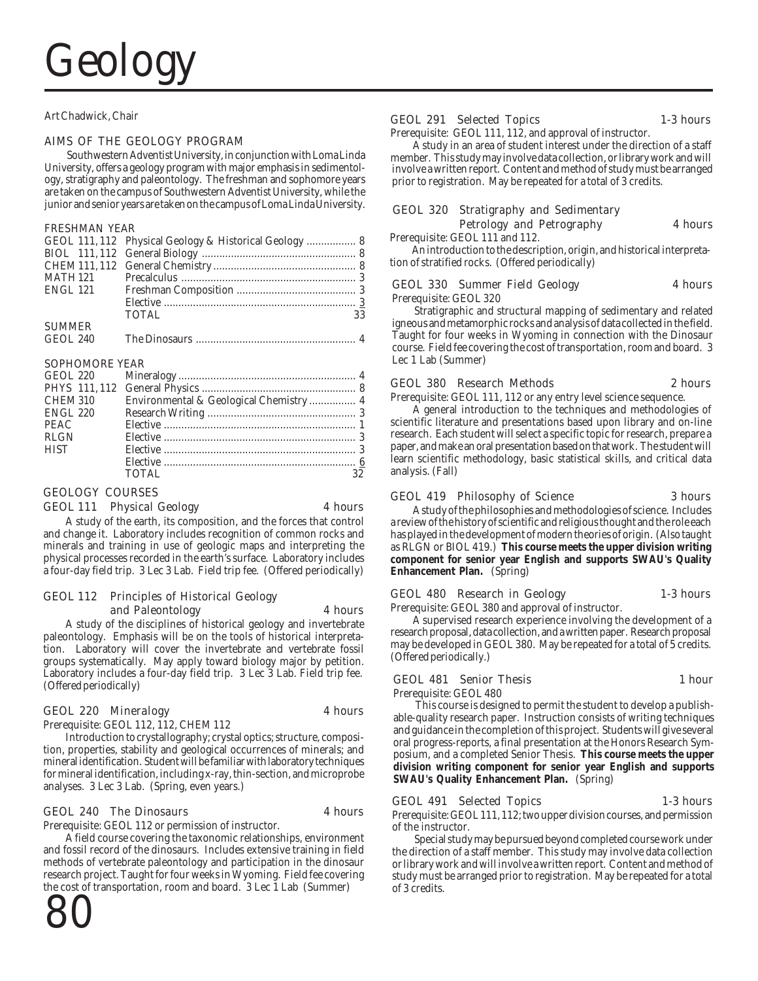### Art Chadwick, Chair

### AIMS OF THE GEOLOGY PROGRAM

Southwestern Adventist University, in conjunction with Loma Linda University, offers a geology program with major emphasis in sedimentology, stratigraphy and paleontology. The freshman and sophomore years are taken on the campus of Southwestern Adventist University, while the junior and senior years are taken on the campus of Loma Linda University.

### FRESHMAN YEAR

|               | GEOL 111, 112 Physical Geology & Historical Geology  8 |    |
|---------------|--------------------------------------------------------|----|
|               |                                                        |    |
|               |                                                        |    |
|               |                                                        |    |
|               |                                                        |    |
|               |                                                        |    |
|               | <b>TOTAL</b>                                           | 33 |
| <b>SUMMER</b> |                                                        |    |
|               |                                                        |    |

### SOPHOMORE YEAR

| CHEM 310    | Environmental & Geological Chemistry  4 |    |
|-------------|-----------------------------------------|----|
| ENGL 220    |                                         |    |
| <b>PEAC</b> |                                         |    |
| RLGN        |                                         |    |
| <b>HIST</b> |                                         |    |
|             |                                         |    |
|             | TOTAL.                                  | 32 |

### GEOLOGY COURSES

### GEOL 111 Physical Geology 4 hours

A study of the earth, its composition, and the forces that control and change it. Laboratory includes recognition of common rocks and minerals and training in use of geologic maps and interpreting the physical processes recorded in the earth's surface. Laboratory includes a four-day field trip. 3 Lec 3 Lab. Field trip fee. (Offered periodically)

### GEOL 112 Principles of Historical Geology and Paleontology 4 hours

A study of the disciplines of historical geology and invertebrate paleontology. Emphasis will be on the tools of historical interpretation. Laboratory will cover the invertebrate and vertebrate fossil groups systematically. May apply toward biology major by petition. Laboratory includes a four-day field trip. 3 Lec 3 Lab. Field trip fee. (Offered periodically)

### GEOL 220 Mineralogy 4 hours

Prerequisite: GEOL 112, 112, CHEM 112

Introduction to crystallography; crystal optics; structure, composition, properties, stability and geological occurrences of minerals; and mineral identification. Student will be familiar with laboratory techniques for mineral identification, including x-ray, thin-section, and microprobe analyses. 3 Lec 3 Lab. (Spring, even years.)

### GEOL 240 The Dinosaurs 4 hours

Prerequisite: GEOL 112 or permission of instructor.

A field course covering the taxonomic relationships, environment and fossil record of the dinosaurs. Includes extensive training in field methods of vertebrate paleontology and participation in the dinosaur research project. Taught for four weeks in Wyoming. Field fee covering the cost of transportation, room and board. 3 Lec 1 Lab (Summer)



### GEOL 291 Selected Topics 1-3 hours

Prerequisite: GEOL 111, 112, and approval of instructor.

A study in an area of student interest under the direction of a staff member. This study may involve data collection, or library work and will involve a written report. Content and method of study must be arranged prior to registration. May be repeated for a total of 3 credits.

### GEOL 320 Stratigraphy and Sedimentary Petrology and Petrography **4 hours** Prerequisite: GEOL 111 and 112.

An introduction to the description, origin, and historical interpretation of stratified rocks. (Offered periodically)

### GEOL 330 Summer Field Geology 4 hours

Prerequisite: GEOL 320

Stratigraphic and structural mapping of sedimentary and related igneous and metamorphic rocks and analysis of data collected in the field. Taught for four weeks in Wyoming in connection with the Dinosaur course. Field fee covering the cost of transportation, room and board. 3 Lec 1 Lab (Summer)

### GEOL 380 Research Methods 2 hours

Prerequisite: GEOL 111, 112 or any entry level science sequence.

A general introduction to the techniques and methodologies of scientific literature and presentations based upon library and on-line research. Each student will select a specific topic for research, prepare a paper, and make an oral presentation based on that work. The student will learn scientific methodology, basic statistical skills, and critical data analysis. (Fall)

### GEOL 419 Philosophy of Science 3 hours

A study of the philosophies and methodologies of science. Includes a review of the history of scientific and religious thought and the role each has played in the development of modern theories of origin. (Also taught as RLGN or BIOL 419.) **This course meets the upper division writing component for senior year English and supports SWAU's Quality Enhancement Plan.** (Spring)

### GEOL 480 Research in Geology 1-3 hours

Prerequisite: GEOL 380 and approval of instructor.

A supervised research experience involving the development of a research proposal, data collection, and a written paper. Research proposal may be developed in GEOL 380. May be repeated for a total of 5 credits. (Offered periodically.)

### GEOL 481 Senior Thesis 1 hour

Prerequisite: GEOL 480

This course is designed to permit the student to develop a publishable-quality research paper. Instruction consists of writing techniques and guidance in the completion of this project. Students will give several oral progress-reports, a final presentation at the Honors Research Symposium, and a completed Senior Thesis. **This course meets the upper division writing component for senior year English and supports SWAU's Quality Enhancement Plan.** (Spring)

### GEOL 491 Selected Topics 1-3 hours

Prerequisite: GEOL 111, 112; two upper division courses, and permission of the instructor.

Special study may be pursued beyond completed course work under the direction of a staff member. This study may involve data collection or library work and will involve a written report. Content and method of study must be arranged prior to registration. May be repeated for a total of 3 credits.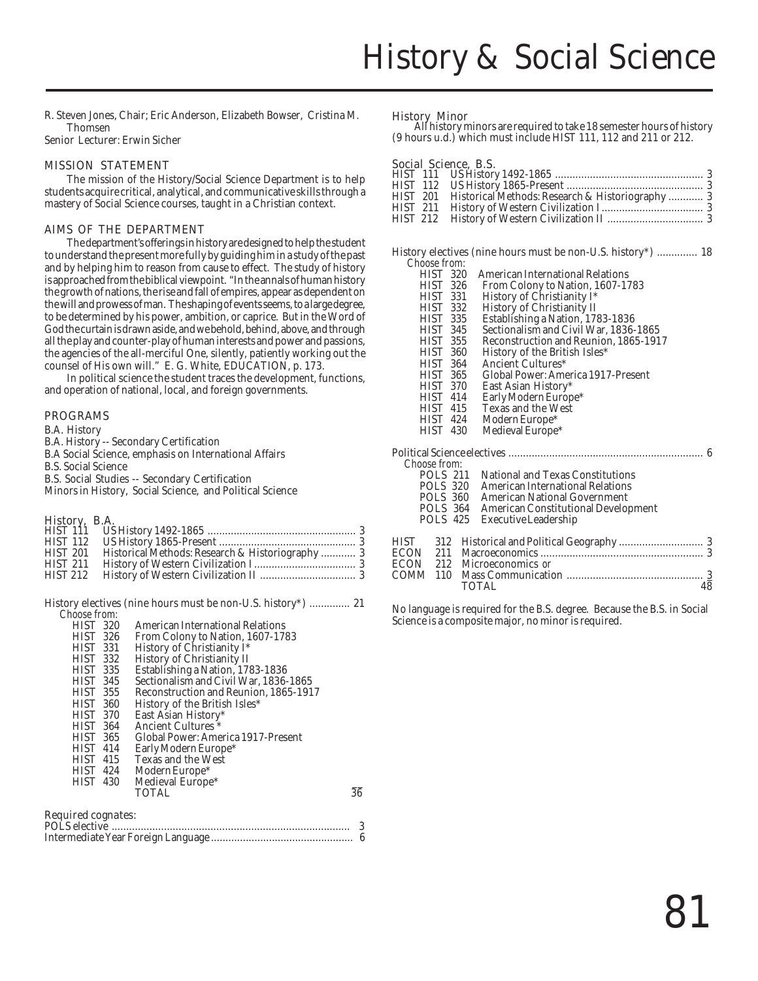R. Steven Jones, Chair; Eric Anderson, Elizabeth Bowser, Cristina M. Thomsen

Senior Lecturer: Erwin Sicher

### MISSION STATEMENT

The mission of the History/Social Science Department is to help students acquire critical, analytical, and communicative skills through a mastery of Social Science courses, taught in a Christian context.

### AIMS OF THE DEPARTMENT

The department's offerings in history are designed to help the student to understand the present more fully by guiding him in a study of the past and by helping him to reason from cause to effect. The study of history is approached from the biblical viewpoint. "In the annals of human history the growth of nations, the rise and fall of empires, appear as dependent on the will and prowess of man. The shaping of events seems, to a large degree, to be determined by his power, ambition, or caprice. But in the Word of God the curtain is drawn aside, and we behold, behind, above, and through all the play and counter-play of human interests and power and passions, the agencies of the all-merciful One, silently, patiently working out the counsel of His own will." E. G. White, EDUCATION, p. 173.

In political science the student traces the development, functions, and operation of national, local, and foreign governments.

### PROGRAMS

B.A. History

- B.A. History -- Secondary Certification
- B.A Social Science, emphasis on International Affairs
- B.S. Social Science

B.S. Social Studies -- Secondary Certification

Minors in History, Social Science, and Political Science

### History, B.A.

| <b>HIST 112</b><br>Historical Methods: Research & Historiography  3<br><b>HIST 201</b><br><b>HIST 211</b> |                 |  |
|-----------------------------------------------------------------------------------------------------------|-----------------|--|
|                                                                                                           |                 |  |
|                                                                                                           |                 |  |
|                                                                                                           |                 |  |
|                                                                                                           | <b>HIST 212</b> |  |

History electives (nine hours must be non-U.S. history\*) .............. 21 *Choose from:*

| <b>HIST 320</b> | American International Relations      |    |
|-----------------|---------------------------------------|----|
| <b>HIST 326</b> | From Colony to Nation, 1607-1783      |    |
| <b>HIST 331</b> | History of Christianity I*            |    |
| <b>HIST 332</b> | History of Christianity II            |    |
| <b>HIST 335</b> | Establishing a Nation, 1783-1836      |    |
| HIST 345        | Sectionalism and Civil War, 1836-1865 |    |
| <b>HIST 355</b> | Reconstruction and Reunion, 1865-1917 |    |
| HIST 360        | History of the British Isles*         |    |
| HIST 370        | East Asian History*                   |    |
| <b>HIST 364</b> | Ancient Cultures <sup>*</sup>         |    |
| HIST 365        | Global Power: America 1917-Present    |    |
| <b>HIST 414</b> | Early Modern Europe*                  |    |
| <b>HIST 415</b> | <b>Texas and the West</b>             |    |
| <b>HIST 424</b> | Modern Europe <sup>*</sup>            |    |
| <b>HIST 430</b> | Medieval Europe*                      |    |
|                 | TOTAL                                 | 36 |
|                 |                                       |    |

### Required cognates:

History Minor All history minors are required to take 18 semester hours of history (9 hours u.d.) which must include HIST 111, 112 and 211 or 212.

### Social Science, B.S.

|                 | HIST 201 Historical Methods: Research & Historiography  3 |  |
|-----------------|-----------------------------------------------------------|--|
| <b>HIST 211</b> |                                                           |  |
|                 |                                                           |  |
|                 |                                                           |  |

History electives (nine hours must be non-U.S. history\*) .............. 18 Choose from:<br>HIST 320<br>HIST 326 American International Relations HIST 326 From Colony to Nation, 1607-1783<br>HIST 331 History of Christianity I\* HIST 331 History of Christianity I\*<br>HIST 332 History of Christianity II<br>HIST 335 Establishing a Nation, 178<br>HIST 345 Sectionalism and Civil Wa History of Christianity II Establishing a Nation, 1783-1836 HIST 345 Sectionalism and Civil War, 1836-1865 HIST 355 Reconstruction and Reunion, 1865-1917<br>HIST 360 History of the British Isles\* HIST 360 History of the British Isles\*<br>HIST 364 Ancient Cultures\* HIST 364 Ancient Cultures\*<br>HIST 365 Global Power: Ame HIST 365 Global Power: America 1917-Present<br>HIST 370 East Asian History\*<br>HIST 414 Early Modern Europe\* East Asian History\* HIST 414 Early Modern Europe\*<br>HIST 415 Texas and the West HIST 415 Texas and the West<br>HIST 424 Modern Europe\* HIST 424 Modern Europe\* Medieval Europe\* Political Science electives ................................................................... 6 *Choose from:* POLS 211 National and Texas Constitutions<br>POLS 320 American International Relations POLS 320 American International Relations<br>POLS 360 American National Government<br>POLS 364 American Constitutional Develop American National Government POLS 364 American Constitutional Development Executive Leadership HIST 312 Historical and Political Geography ............................. 3 ECON 211 Macroeconomics ........................................................ 3 ECON 212 Microeconomics *or* COMM 110 Mass Communication ............................................... 3 TOTAL 48

No language is required for the B.S. degree. Because the B.S. in Social Science is a composite major, no minor is required.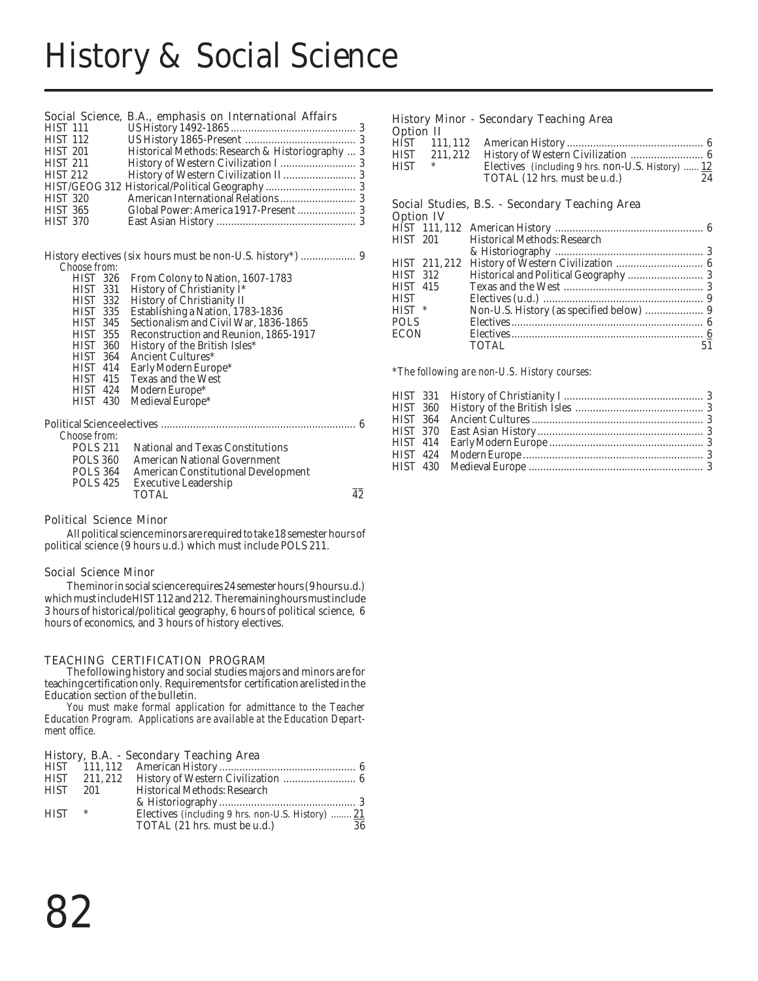## History & Social Science

### Social Science, B.A., emphasis on International Affairs

| <b>HIST 111</b> |                                                  |  |
|-----------------|--------------------------------------------------|--|
| <b>HIST 112</b> |                                                  |  |
| <b>HIST 201</b> | Historical Methods: Research & Historiography  3 |  |
| <b>HIST 211</b> |                                                  |  |
| <b>HIST 212</b> |                                                  |  |
|                 |                                                  |  |
| <b>HIST 320</b> |                                                  |  |
| <b>HIST 365</b> |                                                  |  |
| <b>HIST 370</b> |                                                  |  |
|                 |                                                  |  |

History electives (six hours must be non-U.S. history\*) ................... 9 *Choose from:* From Colony to Nation, 1607-1793

| 1 I I . 2 I<br>020. | Profil Colony to Nation, 1007-1763      |  |
|---------------------|-----------------------------------------|--|
| HIST 331            | History of Christianity I*              |  |
| HIST 332            | History of Christianity II              |  |
| <b>HIST 335</b>     | Establishing a Nation, 1783-1836        |  |
| <b>HIST 345</b>     | Sectionalism and Civil War, 1836-1865   |  |
| HIST 355            | Reconstruction and Reunion, 1865-1917   |  |
| HIST 360            | History of the British Isles*           |  |
| HIST 364            | Ancient Cultures*                       |  |
| <b>HIST 414</b>     | Early Modern Europe*                    |  |
| <b>HIST 415</b>     | <b>Texas and the West</b>               |  |
| HIST 424            | Modern Europe*                          |  |
| HIST 430            | Medieval Europe*                        |  |
|                     |                                         |  |
|                     |                                         |  |
| Choose from:        |                                         |  |
| <b>POLS 211</b>     | <b>National and Texas Constitutions</b> |  |
| POLS 360            | <b>American National Government</b>     |  |
|                     |                                         |  |

| PULO 411        | - National and Texas Constitutions  |    |
|-----------------|-------------------------------------|----|
| <b>POLS 360</b> | <b>American National Government</b> |    |
| <b>POLS 364</b> | American Constitutional Development |    |
| <b>POLS 425</b> | <b>Executive Leadership</b>         |    |
|                 | <b>TOTAL</b>                        | 42 |
|                 |                                     |    |

### Political Science Minor

All political science minors are required to take 18 semester hours of political science (9 hours u.d.) which must include POLS 211.

### Social Science Minor

The minor in social science requires 24 semester hours (9 hours u.d.) which must include HIST 112 and 212. The remaining hours must include 3 hours of historical/political geography, 6 hours of political science, 6 hours of economics, and 3 hours of history electives.

### TEACHING CERTIFICATION PROGRAM

The following history and social studies majors and minors are for teaching certification only. Requirements for certification are listed in the Education section of the bulletin.

*You must make formal application for admittance to the Teacher Education Program. Applications are available at the Education Department office.*

### History, B.A. - Secondary Teaching Area

|             | HIST 211.212 |                                                   |    |
|-------------|--------------|---------------------------------------------------|----|
| <b>HIST</b> | 201          | Historical Methods: Research                      |    |
|             |              |                                                   |    |
| <b>HIST</b> | $\ast$       | Electives (including 9 hrs. non-U.S. History)  21 |    |
|             |              | TOTAL (21 hrs. must be u.d.)                      | 36 |
|             |              |                                                   |    |

### History Minor - Secondary Teaching Area

| Option II |              |                                                   |    |
|-----------|--------------|---------------------------------------------------|----|
|           | HĪST 111.112 |                                                   |    |
| HIST      | 211.212      |                                                   |    |
| HIST      | ∗            | Electives (including 9 hrs. non-U.S. History)  12 |    |
|           |              | TOTAL (12 hrs. must be u.d.)                      | 24 |

### Social Studies, B.S. - Secondary Teaching Area

Option IV

|                 | HIST 201 Historical Methods: Research |    |
|-----------------|---------------------------------------|----|
|                 |                                       |    |
|                 |                                       |    |
| <b>HIST 312</b> |                                       |    |
| <b>HIST 415</b> |                                       |    |
| HIST            |                                       |    |
| HIST *          |                                       |    |
| POLS            |                                       |    |
| ECON            |                                       |    |
|                 | <b>TOTAL</b>                          | 51 |
|                 |                                       |    |

\**The following are non-U.S. History courses:*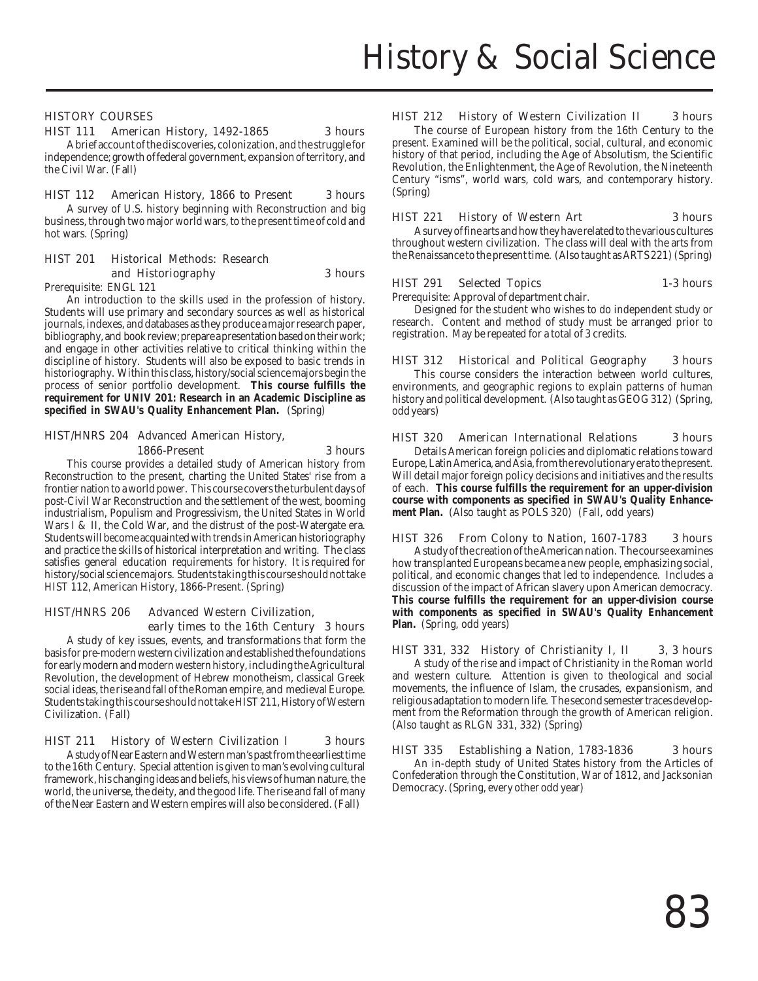### HISTORY COURSES

### HIST 111 American History, 1492-1865 3 hours

A brief account of the discoveries, colonization, and the struggle for independence; growth of federal government, expansion of territory, and the Civil War. (Fall)

### HIST 112 American History, 1866 to Present 3 hours

A survey of U.S. history beginning with Reconstruction and big business, through two major world wars, to the present time of cold and hot wars. (Spring)

### HIST 201 Historical Methods: Research and Historiography 3 hours

Prerequisite: ENGL 121

An introduction to the skills used in the profession of history. Students will use primary and secondary sources as well as historical journals, indexes, and databases as they produce a major research paper, bibliography, and book review; prepare a presentation based on their work; and engage in other activities relative to critical thinking within the discipline of history. Students will also be exposed to basic trends in historiography. Within this class, history/social science majors begin the process of senior portfolio development. **This course fulfills the requirement for UNIV 201: Research in an Academic Discipline as specified in SWAU's Quality Enhancement Plan.** (Spring)

### HIST/HNRS 204 Advanced American History, 1866-Present 3 hours

This course provides a detailed study of American history from Reconstruction to the present, charting the United States' rise from a frontier nation to a world power. This course covers the turbulent days of post-Civil War Reconstruction and the settlement of the west, booming industrialism, Populism and Progressivism, the United States in World Wars I & II, the Cold War, and the distrust of the post-Watergate era. Students will become acquainted with trends in American historiography and practice the skills of historical interpretation and writing. The class satisfies general education requirements for history. It is required for history/social science majors. Students taking this course should not take HIST 112, American History, 1866-Present. (Spring)

### HIST/HNRS 206 Advanced Western Civilization, early times to the 16th Century 3 hours

A study of key issues, events, and transformations that form the basis for pre-modern western civilization and established the foundations for early modern and modern western history, including the Agricultural Revolution, the development of Hebrew monotheism, classical Greek social ideas, the rise and fall of the Roman empire, and medieval Europe. Students taking this course should not take HIST 211, History of Western Civilization. (Fall)

### HIST 211 History of Western Civilization I 3 hours

A study of Near Eastern and Western man's past from the earliest time to the 16th Century. Special attention is given to man's evolving cultural framework, his changing ideas and beliefs, his views of human nature, the world, the universe, the deity, and the good life. The rise and fall of many of the Near Eastern and Western empires will also be considered. (Fall)

### HIST 212 History of Western Civilization II 3 hours

The course of European history from the 16th Century to the present. Examined will be the political, social, cultural, and economic history of that period, including the Age of Absolutism, the Scientific Revolution, the Enlightenment, the Age of Revolution, the Nineteenth Century "isms", world wars, cold wars, and contemporary history. (Spring)

### HIST 221 History of Western Art 3 hours

A survey of fine arts and how they have related to the various cultures throughout western civilization. The class will deal with the arts from the Renaissance to the present time. (Also taught as ARTS 221) (Spring)

### HIST 291 Selected Topics 1-3 hours

Prerequisite: Approval of department chair.

Designed for the student who wishes to do independent study or research. Content and method of study must be arranged prior to registration. May be repeated for a total of 3 credits.

HIST 312 Historical and Political Geography 3 hours This course considers the interaction between world cultures, environments, and geographic regions to explain patterns of human history and political development. (Also taught as GEOG 312) (Spring, odd years)

### HIST 320 American International Relations 3 hours

Details American foreign policies and diplomatic relations toward Europe, Latin America, and Asia, from the revolutionary era to the present. Will detail major foreign policy decisions and initiatives and the results of each. **This course fulfills the requirement for an upper-division course with components as specified in SWAU's Quality Enhancement Plan.** (Also taught as POLS 320) (Fall, odd years)

HIST 326 From Colony to Nation, 1607-1783 3 hours A study of the creation of the American nation. The course examines how transplanted Europeans became a new people, emphasizing social, political, and economic changes that led to independence. Includes a discussion of the impact of African slavery upon American democracy. **This course fulfills the requirement for an upper-division course with components as specified in SWAU's Quality Enhancement Plan.** (Spring, odd years)

### HIST 331, 332 History of Christianity I, II 3, 3 hours

A study of the rise and impact of Christianity in the Roman world and western culture. Attention is given to theological and social movements, the influence of Islam, the crusades, expansionism, and religious adaptation to modern life. The second semester traces development from the Reformation through the growth of American religion. (Also taught as RLGN 331, 332) (Spring)

### HIST 335 Establishing a Nation, 1783-1836 3 hours An in-depth study of United States history from the Articles of Confederation through the Constitution, War of 1812, and Jacksonian Democracy. (Spring, every other odd year)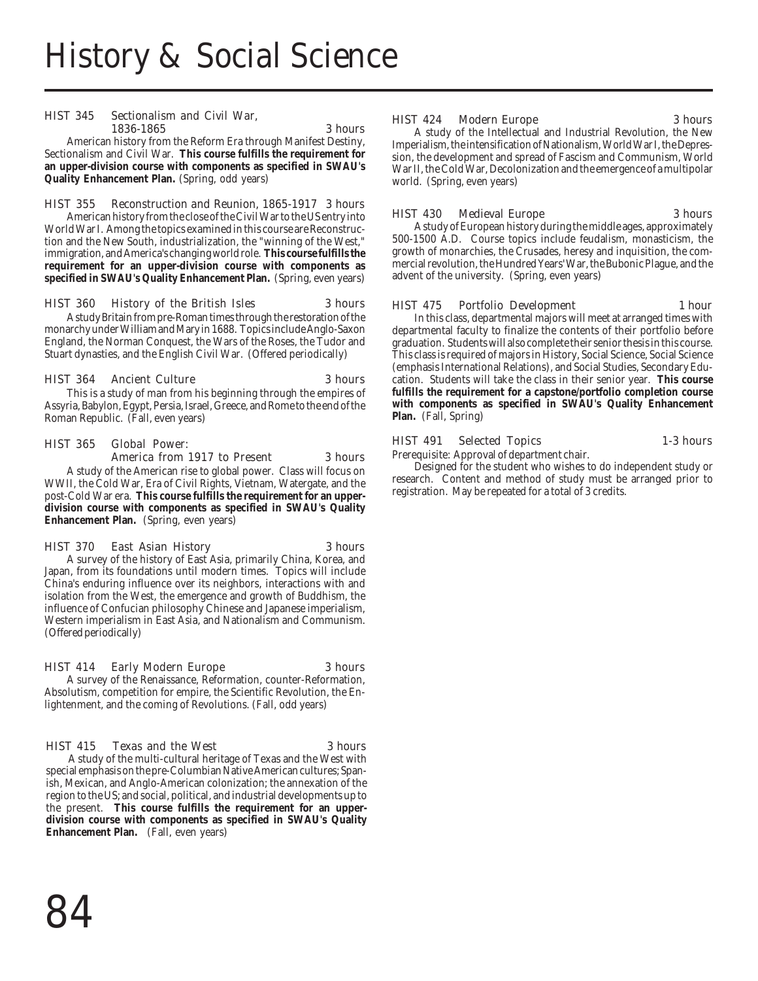### HIST 345 Sectionalism and Civil War, 1836-1865 3 hours

American history from the Reform Era through Manifest Destiny, Sectionalism and Civil War. **This course fulfills the requirement for an upper-division course with components as specified in SWAU's Quality Enhancement Plan.** (Spring, odd years)

### HIST 355 Reconstruction and Reunion, 1865-1917 3 hours

American history from the close of the Civil War to the US entry into World War I. Among the topics examined in this course are Reconstruction and the New South, industrialization, the "winning of the West," immigration, and America's changing world role. **This course fulfills the requirement for an upper-division course with components as specified in SWAU's Quality Enhancement Plan.** (Spring, even years)

### HIST 360 History of the British Isles 3 hours

A study Britain from pre-Roman times through the restoration of the monarchy under William and Mary in 1688. Topics include Anglo-Saxon England, the Norman Conquest, the Wars of the Roses, the Tudor and Stuart dynasties, and the English Civil War. (Offered periodically)

### HIST 364 Ancient Culture 3 hours

This is a study of man from his beginning through the empires of Assyria, Babylon, Egypt, Persia, Israel, Greece, and Rome to the end of the Roman Republic. (Fall, even years)

### HIST 365 Global Power:

### America from 1917 to Present 3 hours

A study of the American rise to global power. Class will focus on WWII, the Cold War, Era of Civil Rights, Vietnam, Watergate, and the post-Cold War era. **This course fulfills the requirement for an upperdivision course with components as specified in SWAU's Quality Enhancement Plan.** (Spring, even years)

### HIST 370 East Asian History 3 hours

A survey of the history of East Asia, primarily China, Korea, and Japan, from its foundations until modern times. Topics will include China's enduring influence over its neighbors, interactions with and isolation from the West, the emergence and growth of Buddhism, the influence of Confucian philosophy Chinese and Japanese imperialism, Western imperialism in East Asia, and Nationalism and Communism. (Offered periodically)

### HIST 414 Early Modern Europe 3 hours

A survey of the Renaissance, Reformation, counter-Reformation, Absolutism, competition for empire, the Scientific Revolution, the Enlightenment, and the coming of Revolutions. (Fall, odd years)

### HIST 415 Texas and the West 3 hours

A study of the multi-cultural heritage of Texas and the West with special emphasis on the pre-Columbian Native American cultures; Spanish, Mexican, and Anglo-American colonization; the annexation of the region to the US; and social, political, and industrial developments up to the present. **This course fulfills the requirement for an upperdivision course with components as specified in SWAU's Quality Enhancement Plan.** (Fall, even years)

### HIST 424 Modern Europe 3 hours

A study of the Intellectual and Industrial Revolution, the New Imperialism, the intensification of Nationalism, World War I, the Depression, the development and spread of Fascism and Communism, World War II, the Cold War, Decolonization and the emergence of a multipolar world. (Spring, even years)

### HIST 430 Medieval Europe 3 hours

A study of European history during the middle ages, approximately 500-1500 A.D. Course topics include feudalism, monasticism, the growth of monarchies, the Crusades, heresy and inquisition, the commercial revolution, the Hundred Years' War, the Bubonic Plague, and the advent of the university. (Spring, even years)

### HIST 475 Portfolio Development 1 hour

In this class, departmental majors will meet at arranged times with departmental faculty to finalize the contents of their portfolio before graduation. Students will also complete their senior thesis in this course. This class is required of majors in History, Social Science, Social Science (emphasis International Relations), and Social Studies, Secondary Education. Students will take the class in their senior year. **This course fulfills the requirement for a capstone/portfolio completion course with components as specified in SWAU's Quality Enhancement Plan.** (Fall, Spring)

### HIST 491 Selected Topics 1-3 hours

Prerequisite: Approval of department chair.

Designed for the student who wishes to do independent study or research. Content and method of study must be arranged prior to registration. May be repeated for a total of 3 credits.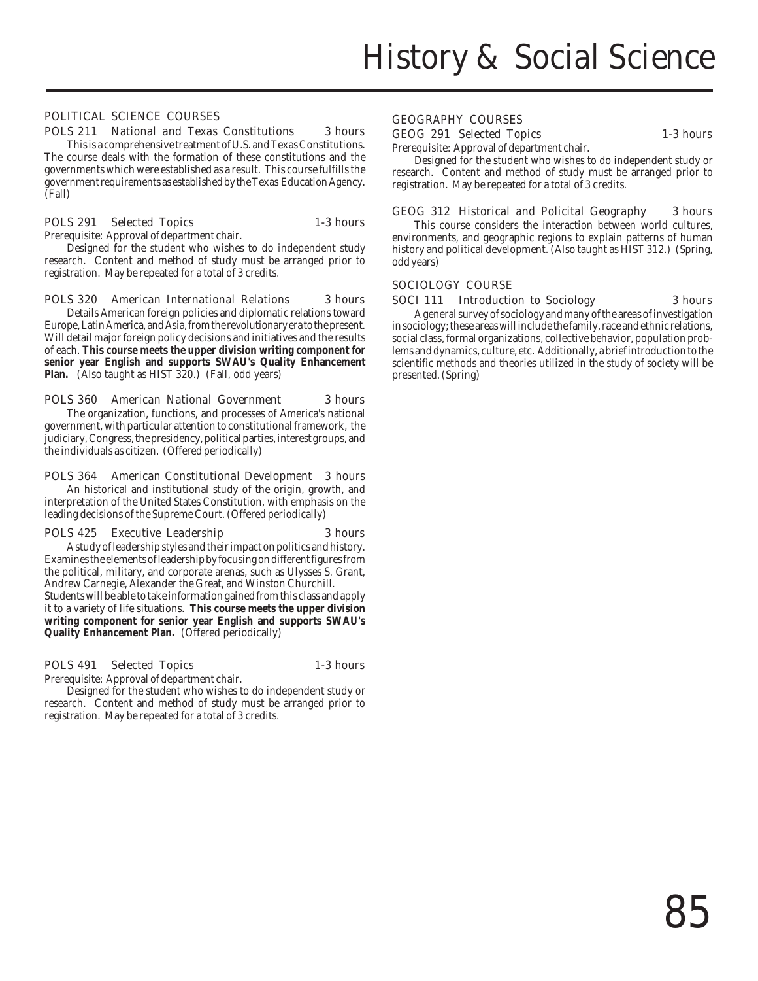### POLITICAL SCIENCE COURSES

### POLS 211 National and Texas Constitutions 3 hours

This is a comprehensive treatment of U.S. and Texas Constitutions. The course deals with the formation of these constitutions and the governments which were established as a result. This course fulfills the government requirements as established by the Texas Education Agency. (Fall)

### POLS 291 Selected Topics 1-3 hours

Prerequisite: Approval of department chair.

Designed for the student who wishes to do independent study research. Content and method of study must be arranged prior to registration. May be repeated for a total of 3 credits.

### POLS 320 American International Relations 3 hours

Details American foreign policies and diplomatic relations toward Europe, Latin America, and Asia, from the revolutionary era to the present. Will detail major foreign policy decisions and initiatives and the results of each. **This course meets the upper division writing component for senior year English and supports SWAU's Quality Enhancement Plan.** (Also taught as HIST 320.) (Fall, odd years)

### POLS 360 American National Government 3 hours

The organization, functions, and processes of America's national government, with particular attention to constitutional framework, the judiciary, Congress, the presidency, political parties, interest groups, and the individuals as citizen. (Offered periodically)

### POLS 364 American Constitutional Development 3 hours

An historical and institutional study of the origin, growth, and interpretation of the United States Constitution, with emphasis on the leading decisions of the Supreme Court. (Offered periodically)

### POLS 425 Executive Leadership 3 hours

A study of leadership styles and their impact on politics and history. Examines the elements of leadership by focusing on different figures from the political, military, and corporate arenas, such as Ulysses S. Grant, Andrew Carnegie, Alexander the Great, and Winston Churchill. Students will be able to take information gained from this class and apply it to a variety of life situations. **This course meets the upper division writing component for senior year English and supports SWAU's Quality Enhancement Plan.** (Offered periodically)

### POLS 491 Selected Topics 1-3 hours

Prerequisite: Approval of department chair.

Designed for the student who wishes to do independent study or research. Content and method of study must be arranged prior to registration. May be repeated for a total of 3 credits.

### GEOGRAPHY COURSES

### GEOG 291 Selected Topics 1-3 hours

Prerequisite: Approval of department chair.

Designed for the student who wishes to do independent study or research. Content and method of study must be arranged prior to registration. May be repeated for a total of 3 credits.

### GEOG 312 Historical and Policital Geography 3 hours

This course considers the interaction between world cultures, environments, and geographic regions to explain patterns of human history and political development. (Also taught as HIST 312.) (Spring, odd years)

### SOCIOLOGY COURSE

### SOCI 111 Introduction to Sociology 3 hours

A general survey of sociology and many of the areas of investigation in sociology; these areas will include the family, race and ethnic relations, social class, formal organizations, collective behavior, population problems and dynamics, culture, etc. Additionally, a brief introduction to the scientific methods and theories utilized in the study of society will be presented. (Spring)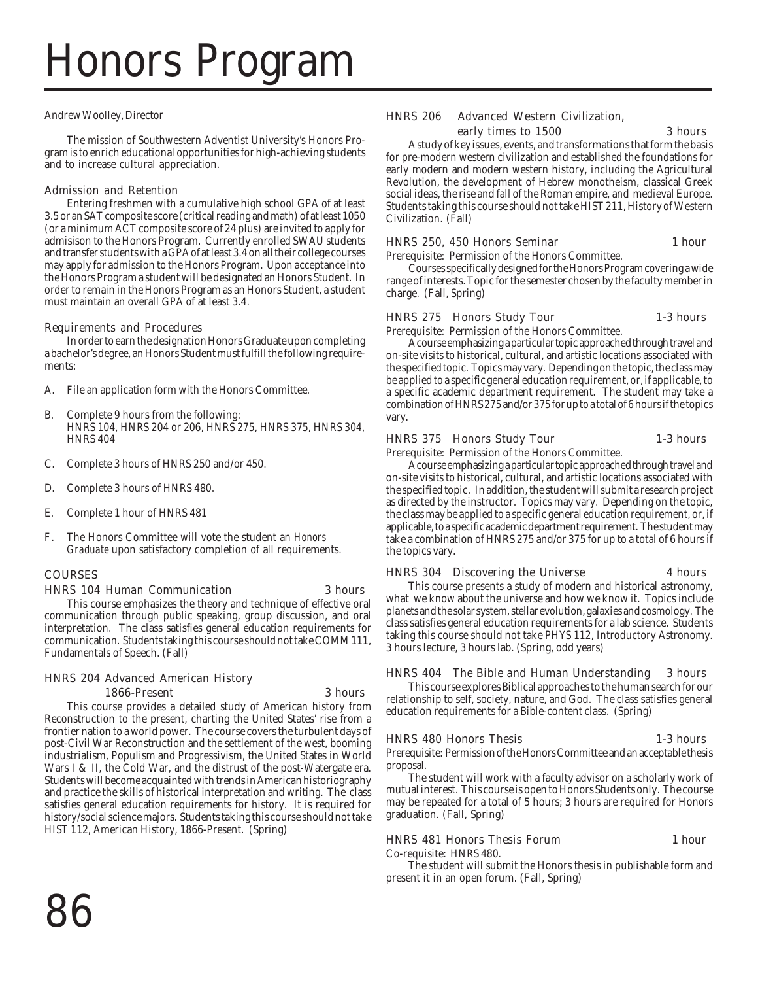# Honors Program

### Andrew Woolley, Director

The mission of Southwestern Adventist University's Honors Program is to enrich educational opportunities for high-achieving students and to increase cultural appreciation.

### Admission and Retention

Entering freshmen with a cumulative high school GPA of at least 3.5 or an SAT composite score (critical reading and math) of at least 1050 (or a minimum ACT composite score of 24 plus) are invited to apply for admisison to the Honors Program. Currently enrolled SWAU students and transfer students with a GPA of at least 3.4 on all their college courses may apply for admission to the Honors Program. Upon acceptance into the Honors Program a student will be designated an Honors Student. In order to remain in the Honors Program as an Honors Student, a student must maintain an overall GPA of at least 3.4.

### Requirements and Procedures

In order to earn the designation Honors Graduate upon completing a bachelor's degree, an Honors Student must fulfill the following requirements:

- A. File an application form with the Honors Committee.
- B. Complete 9 hours from the following: HNRS 104, HNRS 204 or 206, HNRS 275, HNRS 375, HNRS 304, HNRS 404
- C. Complete 3 hours of HNRS 250 and/or 450.
- D. Complete 3 hours of HNRS 480.
- E. Complete 1 hour of HNRS 481
- F. The Honors Committee will vote the student an *Honors Graduate* upon satisfactory completion of all requirements.

### COURSES

### HNRS 104 Human Communication 3 hours

This course emphasizes the theory and technique of effective oral communication through public speaking, group discussion, and oral interpretation. The class satisfies general education requirements for communication. Students taking this course should not take COMM 111, Fundamentals of Speech. (Fall)

### HNRS 204 Advanced American History 1866-Present 3 hours

This course provides a detailed study of American history from Reconstruction to the present, charting the United States' rise from a frontier nation to a world power. The course covers the turbulent days of post-Civil War Reconstruction and the settlement of the west, booming industrialism, Populism and Progressivism, the United States in World Wars I & II, the Cold War, and the distrust of the post-Watergate era. Students will become acquainted with trends in American historiography and practice the skills of historical interpretation and writing. The class satisfies general education requirements for history. It is required for history/social science majors. Students taking this course should not take HIST 112, American History, 1866-Present. (Spring)

### HNRS 206 Advanced Western Civilization,

### early times to 1500 3 hours

A study of key issues, events, and transformations that form the basis for pre-modern western civilization and established the foundations for early modern and modern western history, including the Agricultural Revolution, the development of Hebrew monotheism, classical Greek social ideas, the rise and fall of the Roman empire, and medieval Europe. Students taking this course should not take HIST 211, History of Western Civilization. (Fall)

### HNRS 250, 450 Honors Seminar 1 hour

Prerequisite: Permission of the Honors Committee. Courses specifically designed for the Honors Program covering a wide range of interests. Topic for the semester chosen by the faculty member in charge. (Fall, Spring)

### HNRS 275 Honors Study Tour 1-3 hours

Prerequisite: Permission of the Honors Committee.

A course emphasizing a particular topic approached through travel and on-site visits to historical, cultural, and artistic locations associated with the specified topic. Topics may vary. Depending on the topic, the class may be applied to a specific general education requirement, or, if applicable, to a specific academic department requirement. The student may take a combination of HNRS 275 and/or 375 for up to a total of 6 hours if the topics vary.

### HNRS 375 Honors Study Tour 1-3 hours

Prerequisite: Permission of the Honors Committee.

A course emphasizing a particular topic approached through travel and on-site visits to historical, cultural, and artistic locations associated with the specified topic. In addition, the student will submit a research project as directed by the instructor. Topics may vary. Depending on the topic, the class may be applied to a specific general education requirement, or, if applicable, to a specific academic department requirement. The student may take a combination of HNRS 275 and/or 375 for up to a total of 6 hours if the topics vary.

### HNRS 304 Discovering the Universe 4 hours

This course presents a study of modern and historical astronomy, what we know about the universe and how we know it. Topics include planets and the solar system, stellar evolution, galaxies and cosmology. The class satisfies general education requirements for a lab science. Students taking this course should not take PHYS 112, Introductory Astronomy. 3 hours lecture, 3 hours lab. (Spring, odd years)

### HNRS 404 The Bible and Human Understanding 3 hours

This course explores Biblical approaches to the human search for our relationship to self, society, nature, and God. The class satisfies general education requirements for a Bible-content class. (Spring)

### HNRS 480 Honors Thesis 1-3 hours

Prerequisite: Permission of the Honors Committee and an acceptable thesis proposal.

The student will work with a faculty advisor on a scholarly work of mutual interest. This course is open to Honors Students only. The course may be repeated for a total of 5 hours; 3 hours are required for Honors graduation. (Fall, Spring)

### HNRS 481 Honors Thesis Forum 1 hour

Co-requisite: HNRS 480.

The student will submit the Honors thesis in publishable form and present it in an open forum. (Fall, Spring)

86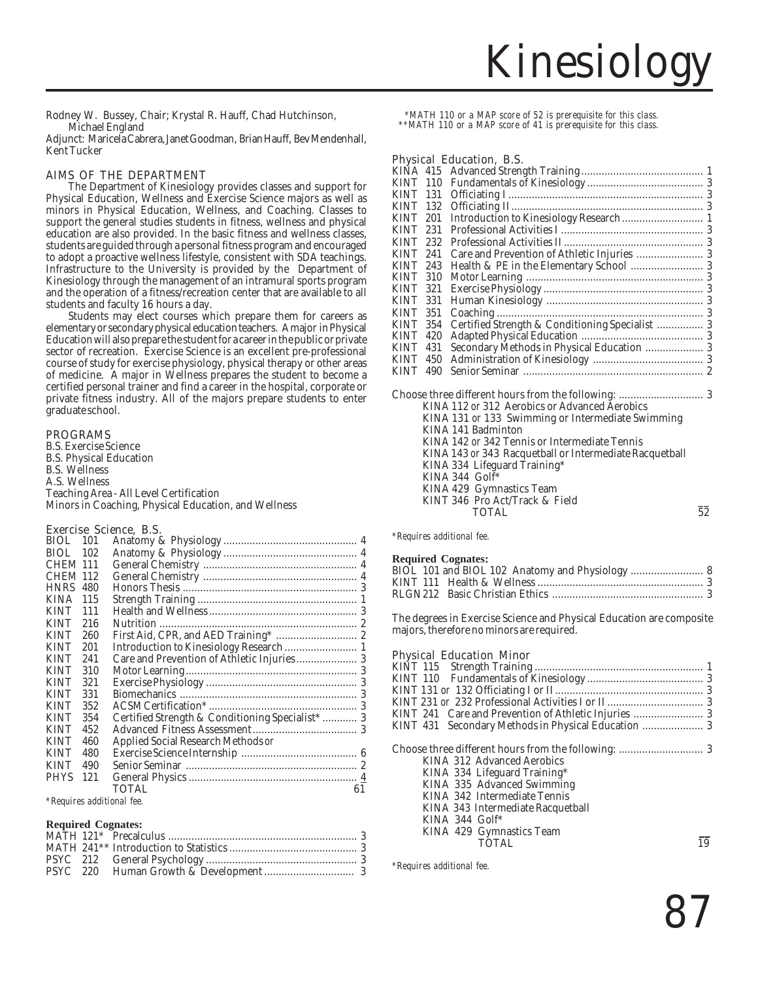Rodney W. Bussey, Chair; Krystal R. Hauff, Chad Hutchinson, Michael England

Adjunct: Maricela Cabrera, Janet Goodman, Brian Hauff, Bev Mendenhall, Kent Tucker

### AIMS OF THE DEPARTMENT

The Department of Kinesiology provides classes and support for Physical Education, Wellness and Exercise Science majors as well as minors in Physical Education, Wellness, and Coaching. Classes to support the general studies students in fitness, wellness and physical education are also provided. In the basic fitness and wellness classes, students are guided through a personal fitness program and encouraged to adopt a proactive wellness lifestyle, consistent with SDA teachings. Infrastructure to the University is provided by the Department of Kinesiology through the management of an intramural sports program and the operation of a fitness/recreation center that are available to all students and faculty 16 hours a day.

Students may elect courses which prepare them for careers as elementary or secondary physical education teachers. A major in Physical Education will also prepare the student for a career in the public or private sector of recreation. Exercise Science is an excellent pre-professional course of study for exercise physiology, physical therapy or other areas of medicine. A major in Wellness prepares the student to become a certified personal trainer and find a career in the hospital, corporate or private fitness industry. All of the majors prepare students to enter graduate school.

### PROGRAMS

B.S. Exercise Science B.S. Physical Education B.S. Wellness A.S. Wellness Teaching Area - All Level Certification Minors in Coaching, Physical Education, and Wellness

### Exercise Science, B.S.

| BIOL.           | 101 |                                                  |    |
|-----------------|-----|--------------------------------------------------|----|
| BIOL.           | 102 |                                                  |    |
| <b>CHEM 111</b> |     |                                                  |    |
| <b>CHEM 112</b> |     |                                                  |    |
| <b>HNRS</b>     | 480 |                                                  |    |
| <b>KINA</b>     | 115 |                                                  |    |
| <b>KINT</b>     | 111 |                                                  |    |
| <b>KINT</b>     | 216 |                                                  |    |
| <b>KINT</b>     | 260 | First Aid, CPR, and AED Training*  2             |    |
| <b>KINT</b>     | 201 |                                                  |    |
| <b>KINT</b>     | 241 |                                                  |    |
| <b>KINT</b>     | 310 |                                                  |    |
| <b>KINT</b>     | 321 |                                                  |    |
| <b>KINT</b>     | 331 |                                                  |    |
| <b>KINT</b>     | 352 |                                                  |    |
| <b>KINT</b>     | 354 | Certified Strength & Conditioning Specialist*  3 |    |
| <b>KINT</b>     | 452 |                                                  |    |
| <b>KINT</b>     | 460 | Applied Social Research Methods or               |    |
| <b>KINT</b>     | 480 |                                                  |    |
| <b>KINT</b>     | 490 |                                                  |    |
| <b>PHYS</b>     | 121 |                                                  |    |
|                 |     | TOTAL                                            | 61 |
|                 |     |                                                  |    |

*\*Requires additional fee.*

### **Required Cognates:**

 *\*MATH 110 or a MAP score of 52 is prerequisite for this class. \*\*MATH 110 or a MAP score of 41 is prerequisite for this class.*

### Physical Education, B.S.

| KINT 110        |     |                                                 |  |
|-----------------|-----|-------------------------------------------------|--|
| <b>KINT 131</b> |     |                                                 |  |
| KINT 132        |     |                                                 |  |
| KINT 201        |     |                                                 |  |
| KINT 231        |     |                                                 |  |
| KINT            | 232 |                                                 |  |
| KINT            | 241 |                                                 |  |
| KINT 243        |     |                                                 |  |
| KINT            | 310 |                                                 |  |
| KINT 321        |     |                                                 |  |
| KINT 331        |     |                                                 |  |
| KINT            | 351 |                                                 |  |
| KINT 354        |     | Certified Strength & Conditioning Specialist  3 |  |
| KINT            | 420 |                                                 |  |
| KINT            | 431 |                                                 |  |
| KINT            | 450 |                                                 |  |
| KINT            | 490 |                                                 |  |
|                 |     | KINA 112 or 312 Aerobics or Advanced Aerobics   |  |

| KINA 112 or 312 Aerobics or Advanced Aerobics           |    |
|---------------------------------------------------------|----|
| KINA 131 or 133 Swimming or Intermediate Swimming       |    |
| KINA 141 Badminton                                      |    |
| KINA 142 or 342 Tennis or Intermediate Tennis           |    |
| KINA 143 or 343 Racquetball or Intermediate Racquetball |    |
| KINA 334 Lifeguard Training*                            |    |
| KINA 344 $Gol\bar{f}^*$                                 |    |
| KINA 429 Gymnastics Team                                |    |
| KINT 346 Pro Act/Track & Field                          |    |
| TOTAL                                                   | 52 |
|                                                         |    |

*\*Requires additional fee.*

### **Required Cognates:**

The degrees in Exercise Science and Physical Education are composite majors, therefore no minors are required.

### Physical Education Minor

| KINT 241 Care and Prevention of Athletic Injuries  3 |  |
|------------------------------------------------------|--|
| KINT 431 Secondary Methods in Physical Education  3  |  |
|                                                      |  |
|                                                      |  |
| KINA 312 Advanced Aerobics                           |  |
| KINA 334 Lifeguard Training*                         |  |
| KINA 335 Advanced Swimming                           |  |
| KINA 342 Intermediate Tennis                         |  |
| KINA 343 Intermediate Racquetball                    |  |
| KINA 344 $G$ olf <sup>*</sup>                        |  |
| KINA 429 Gymnastics Team                             |  |
| <b>TOTAL</b>                                         |  |
|                                                      |  |

*\*Requires additional fee.*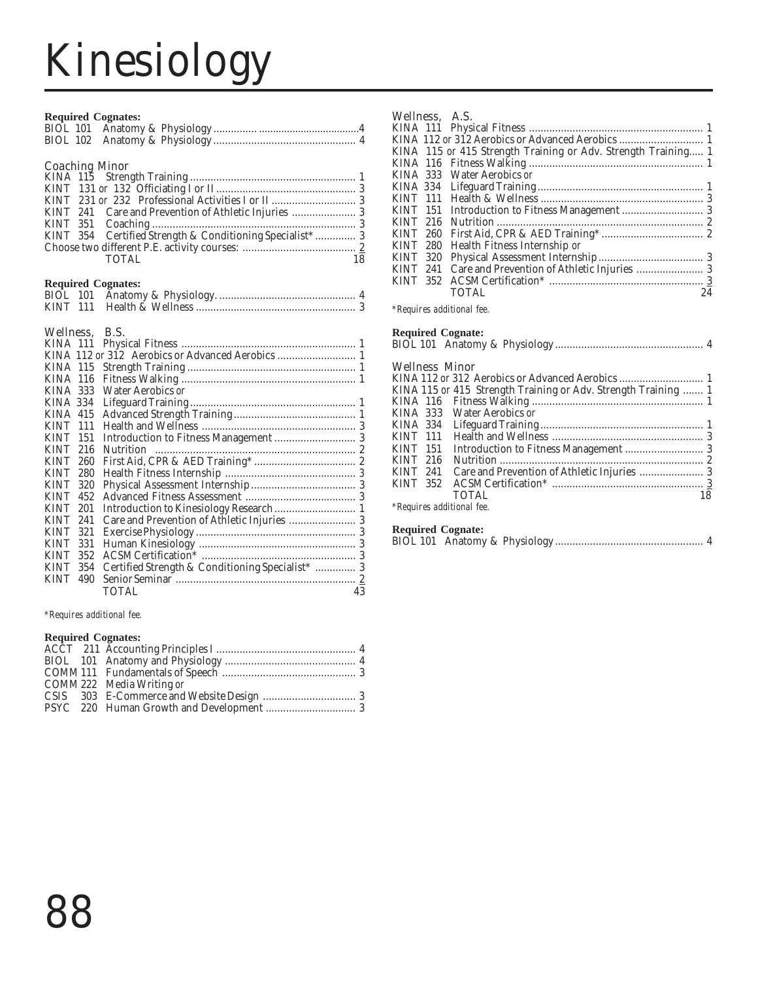# Kinesiology

|                                    |     | <b>Required Cognates:</b>                                |    |
|------------------------------------|-----|----------------------------------------------------------|----|
|                                    |     |                                                          |    |
|                                    |     |                                                          |    |
|                                    |     |                                                          |    |
|                                    |     | <b>Coaching Minor</b>                                    |    |
|                                    |     |                                                          |    |
|                                    |     |                                                          |    |
|                                    |     |                                                          |    |
|                                    |     |                                                          |    |
|                                    |     |                                                          |    |
|                                    |     | KINT 354 Certified Strength & Conditioning Specialist* 3 |    |
|                                    |     |                                                          |    |
|                                    |     | <b>TOTAL</b>                                             | 18 |
|                                    |     | <b>Required Cognates:</b>                                |    |
|                                    |     |                                                          |    |
|                                    |     |                                                          |    |
|                                    |     | Wellness, B.S.                                           |    |
|                                    |     |                                                          |    |
|                                    |     |                                                          |    |
|                                    |     |                                                          |    |
| <b>KINA 115</b><br><b>KINA 116</b> |     |                                                          |    |
| KINA 333                           |     | <b>Water Aerobics or</b>                                 |    |
| KINA 334                           |     |                                                          |    |
| <b>KINA 415</b>                    |     |                                                          |    |
| <b>KINT</b>                        | 111 |                                                          |    |
|                                    |     |                                                          |    |
| <b>KINT</b>                        | 151 |                                                          |    |
| KINT                               | 216 |                                                          |    |
| <b>KINT</b>                        | 260 |                                                          |    |
| <b>KINT</b>                        | 280 |                                                          |    |

### *\*Requires additional fee.*

TOTAL

### **Required Cognates:**

| COMM 222 Media Writing or |  |
|---------------------------|--|
|                           |  |
|                           |  |

KINT 320 Physical Assessment Internship.................................... 3 KINT 452 Advanced Fitness Assessment ...................................... 3 KINT 201 Introduction to Kinesiology Research............................ 1 KINT 241 Care and Prevention of Athletic Injuries ....................... 3 KINT 321 Exercise Physiology ....................................................... 3 KINT 331 Human Kinesiology ...................................................... 3 KINT 352 ACSM Certification\* ..................................................... 3 KINT 354 Certified Strength & Conditioning Specialist\* ............... 3 KINT 490 Senior Seminar .............................................................. 2

### Wellness, A.S.

|          | KINA 115 or 415 Strength Training or Adv. Strength Training 1 |    |
|----------|---------------------------------------------------------------|----|
|          |                                                               |    |
|          | KINA 333 Water Aerobics or                                    |    |
|          |                                                               |    |
|          |                                                               |    |
|          |                                                               |    |
| KINT 216 |                                                               |    |
|          |                                                               |    |
|          | KINT 280 Health Fitness Internship or                         |    |
| KINT 320 |                                                               |    |
| KINT 241 |                                                               |    |
|          |                                                               |    |
|          | <b>TOTAL</b>                                                  | 24 |
|          |                                                               |    |

*\*Requires additional fee.*

### **Required Cognate:**

| <b>Wellness Minor</b>                                                                        |
|----------------------------------------------------------------------------------------------|
| KINA 115 or 415 Strength Training or Adv. Strength Training  1<br>KINA 333 Water Aerobics or |
| KINA 334<br><b>KINT 111</b><br><b>KINT</b><br>151                                            |
| <b>KINT 216</b><br>KINT 241                                                                  |
| <b>KINT 352</b><br>TOTAL<br>18<br>*Requires additional fee.                                  |

### **Required Cognate:**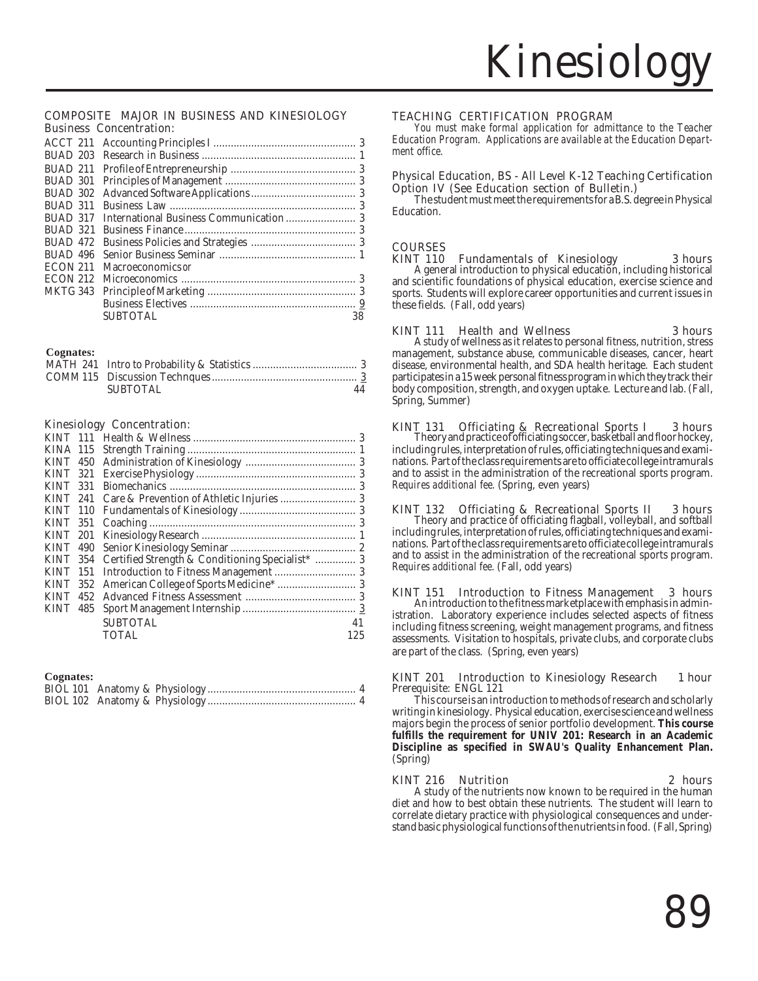### Business Concentration: COMPOSITE MAJOR IN BUSINESS AND KINESIOLOGY

| ACCT 211        |                   |    |
|-----------------|-------------------|----|
| BUAD 203        |                   |    |
| BUAD 211        |                   |    |
| BUAD 301        |                   |    |
| BUAD 302        |                   |    |
| BUAD 311        |                   |    |
| BUAD 317        |                   |    |
| <b>BUAD 321</b> |                   |    |
| <b>BUAD 472</b> |                   |    |
| <b>BUAD 496</b> |                   |    |
| <b>ECON 211</b> | Macroeconomics or |    |
| <b>ECON 212</b> |                   |    |
| <b>MKTG 343</b> |                   |    |
|                 |                   |    |
|                 | SUBTOTAL          | 38 |

### **Cognates:**

| <b>SUBTOTAL</b> | 44 |
|-----------------|----|

### Kinesiology Concentration:

| KINA 115        |     |                                                           |     |
|-----------------|-----|-----------------------------------------------------------|-----|
| <b>KINT</b>     |     |                                                           |     |
| KINT 321        |     |                                                           |     |
| <b>KINT</b>     | 331 |                                                           |     |
| <b>KINT 241</b> |     |                                                           |     |
| <b>KINT 110</b> |     |                                                           |     |
|                 |     |                                                           |     |
|                 |     |                                                           |     |
|                 |     |                                                           |     |
|                 |     | KINT 354 Certified Strength & Conditioning Specialist*  3 |     |
| <b>KINT</b>     | 151 |                                                           |     |
| <b>KINT</b>     | 352 |                                                           |     |
| <b>KINT</b>     | 452 |                                                           |     |
| <b>KINT</b>     | 485 |                                                           |     |
|                 |     | <b>SUBTOTAL</b>                                           | 41  |
|                 |     | <b>TOTAL</b>                                              | 125 |

### **Cognates:**

### TEACHING CERTIFICATION PROGRAM

*You must make formal application for admittance to the Teacher Education Program. Applications are available at the Education Department office.*

## Physical Education, BS - All Level K-12 Teaching Certification

The student must meet the requirements for a B.S. degree in Physical Education.

## **COURSES**<br>KINT 110

T 110 Fundamentals of Kinesiology 3 hours A general introduction to physical education, including historical and scientific foundations of physical education, exercise science and sports. Students will explore career opportunities and current issues in these fields. (Fall, odd years)

### KINT 111 Health and Wellness 3 hours

A study of wellness as it relates to personal fitness, nutrition, stress management, substance abuse, communicable diseases, cancer, heart disease, environmental health, and SDA health heritage. Each student participates in a 15 week personal fitness program in which they track their body composition, strength, and oxygen uptake. Lecture and lab. (Fall, Spring, Summer)

KINT 131 Officiating & Recreational Sports I 3 hours Theory and practice of officiating soccer, basketball and floor hockey, including rules, interpretation of rules, officiating techniques and examinations. Part of the class requirements are to officiate college intramurals and to assist in the administration of the recreational sports program. *Requires additional fee.* (Spring, even years)

KINT 132 Officiating & Recreational Sports II 3 hours Theory and practice of officiating flagball, volleyball, and softball including rules, interpretation of rules, officiating techniques and examinations. Part of the class requirements are to officiate college intramurals and to assist in the administration of the recreational sports program. *Requires additional fee.* (Fall, odd years)

KINT 151 Introduction to Fitness Management 3 hours An introduction to the fitness marketplace with emphasis in administration. Laboratory experience includes selected aspects of fitness including fitness screening, weight management programs, and fitness assessments. Visitation to hospitals, private clubs, and corporate clubs are part of the class. (Spring, even years)

### KINT 201 Introduction to Kinesiology Research 1 hour Prerequisite: ENGL 121

This course is an introduction to methods of research and scholarly writing in kinesiology. Physical education, exercise science and wellness majors begin the process of senior portfolio development. **This course fulfills the requirement for UNIV 201: Research in an Academic Discipline as specified in SWAU's Quality Enhancement Plan.** (Spring)

### KINT 216 Nutrition 2 hours

A study of the nutrients now known to be required in the human diet and how to best obtain these nutrients. The student will learn to correlate dietary practice with physiological consequences and understand basic physiological functions of the nutrients in food. (Fall, Spring)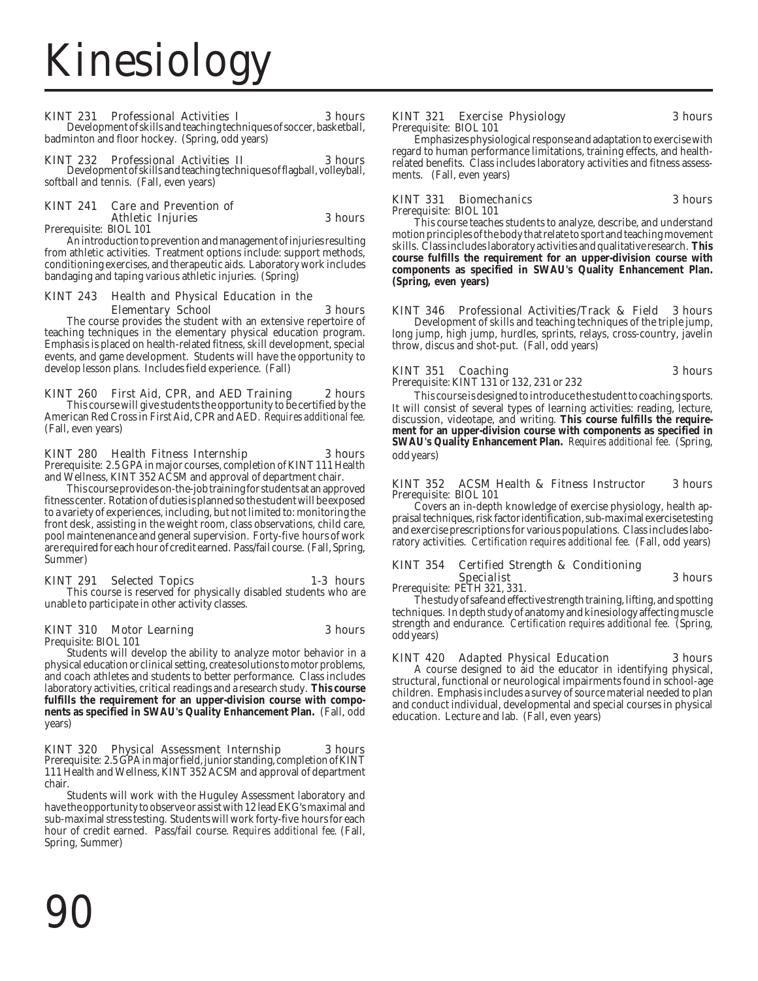### KINT 231 Professional Activities I 3 hours

Development of skills and teaching techniques of soccer, basketball, badminton and floor hockey. (Spring, odd years)

### KINT 232 Professional Activities II 3 hours

Development of skills and teaching techniques of flagball, volleyball, softball and tennis. (Fall, even years)

### KINT 241 Care and Prevention of Athletic Injuries 3 hours<br>Prerequisite: BIOL 101

An introduction to prevention and management of injuries resulting from athletic activities. Treatment options include: support methods, conditioning exercises, and therapeutic aids. Laboratory work includes bandaging and taping various athletic injuries. (Spring)

### KINT 243 Health and Physical Education in the **Elementary School** 3 **hours** The course provides the student with an extensive repertoire of

teaching techniques in the elementary physical education program. Emphasis is placed on health-related fitness, skill development, special events, and game development. Students will have the opportunity to develop lesson plans. Includes field experience. (Fall)

## KINT 260 First Aid, CPR, and AED Training 2 hours This course will give students the opportunity to be certified by the

American Red Cross in First Aid, CPR and AED. *Requires additional fee.* (Fall, even years)

### KINT 280 Health Fitness Internship 3 hours

Prerequisite: 2.5 GPA in major courses, completion of KINT 111 Health and Wellness, KINT 352 ACSM and approval of department chair.

This course provides on-the-job training for students at an approved fitness center. Rotation of duties is planned so the student will be exposed to a variety of experiences, including, but not limited to: monitoring the front desk, assisting in the weight room, class observations, child care, pool maintenenance and general supervision. Forty-five hours of work are required for each hour of credit earned. Pass/fail course. (Fall, Spring, Summer)

## KINT 291 Selected Topics 1-3 hours This course is reserved for physically disabled students who are

unable to participate in other activity classes.

### KINT 310 Motor Learning 3 hours

Prequisite: BIOL 101

Students will develop the ability to analyze motor behavior in a physical education or clinical setting, create solutions to motor problems, and coach athletes and students to better performance. Class includes laboratory activities, critical readings and a research study. **This course fulfills the requirement for an upper-division course with components as specified in SWAU's Quality Enhancement Plan.** (Fall, odd years)

### KINT 320 Physical Assessment Internship 3 hours

Prerequisite: 2.5 GPA in major field, junior standing, completion of KINT 111 Health and Wellness, KINT 352 ACSM and approval of department chair.

Students will work with the Huguley Assessment laboratory and have the opportunity to observe or assist with 12 lead EKG's maximal and sub-maximal stress testing. Students will work forty-five hours for each hour of credit earned. Pass/fail course. *Requires additional fee.* (Fall, Spring, Summer)

### KINT 321 Exercise Physiology 3 hours Prerequisite: BIOL 101

Emphasizes physiological response and adaptation to exercise with regard to human performance limitations, training effects, and healthrelated benefits. Class includes laboratory activities and fitness assessments. (Fall, even years)

### KINT 331 Biomechanics 3 hours Prerequisite: BIOL 101

This course teaches students to analyze, describe, and understand motion principles of the body that relate to sport and teaching movement skills. Class includes laboratory activities and qualitative research. **This course fulfills the requirement for an upper-division course with components as specified in SWAU's Quality Enhancement Plan. (Spring, even years)**

KINT 346 Professional Activities/Track & Field 3 hours Development of skills and teaching techniques of the triple jump, long jump, high jump, hurdles, sprints, relays, cross-country, javelin throw, discus and shot-put. (Fall, odd years)

### KINT 351 Coaching 3 hours

Prerequisite: KINT 131 or 132, 231 or 232

This course is designed to introduce the student to coaching sports. It will consist of several types of learning activities: reading, lecture, discussion, videotape, and writing. **This course fulfills the requirement for an upper-division course with components as specified in SWAU's Quality Enhancement Plan.** *Requires additional fee.* (Spring, odd years)

### KINT 352 ACSM Health & Fitness Instructor 3 hours Prerequisite: BIOL 101

Covers an in-depth knowledge of exercise physiology, health appraisal techniques, risk factor identification, sub-maximal exercise testing and exercise prescriptions for various populations. Class includes laboratory activities. *Certification requires additional fee.* (Fall, odd years)

### KINT 354 Certified Strength & Conditioning Specialist 3 hours Prerequisite: PETH 321, 331.

The study of safe and effective strength training, lifting, and spotting techniques. In depth study of anatomy and kinesiology affecting muscle strength and endurance. *Certification requires additional fee.* (Spring, odd years)

KINT 420 Adapted Physical Education 3 hours A course designed to aid the educator in identifying physical, structural, functional or neurological impairments found in school-age children. Emphasis includes a survey of source material needed to plan and conduct individual, developmental and special courses in physical education. Lecture and lab. (Fall, even years)

90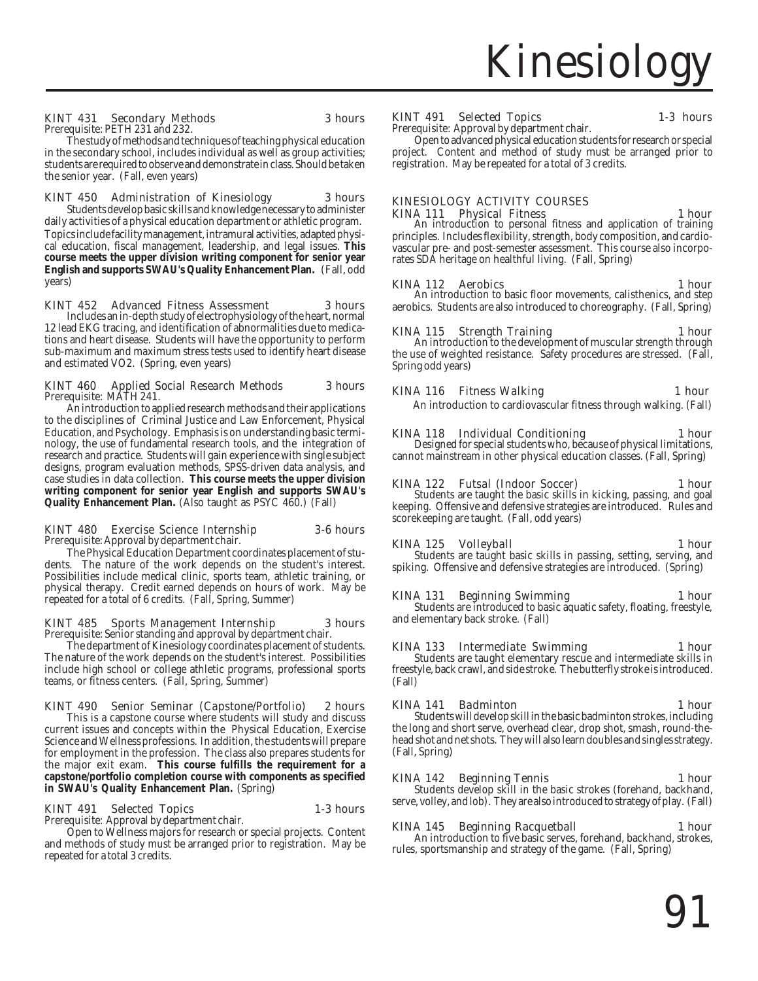### KINT 431 Secondary Methods 3 hours

Prerequisite: PETH 231 and 232. The study of methods and techniques of teaching physical education

in the secondary school, includes individual as well as group activities; students are required to observe and demonstrate in class. Should be taken the senior year. (Fall, even years)

### KINT 450 Administration of Kinesiology 3 hours

Topics include facility management, intramural activities, adapted physical education, fiscal management, leadership, and legal issues. **This course meets the upper division writing component for senior year English and supports SWAU's Quality Enhancement Plan.** (Fall, odd years) Students develop basic skills and knowledge necessary to administer daily activities of a physical education department or athletic program.

### KINT 452 Advanced Fitness Assessment 3 hours

Includes an in-depth study of electrophysiology of the heart, normal 12 lead EKG tracing, and identification of abnormalities due to medications and heart disease. Students will have the opportunity to perform sub-maximum and maximum stress tests used to identify heart disease and estimated VO2. (Spring, even years)

### KINT 460 Applied Social Research Methods 3 hours Prerequisite: MATH 241.

An introduction to applied research methods and their applications to the disciplines of Criminal Justice and Law Enforcement, Physical Education, and Psychology. Emphasis is on understanding basic terminology, the use of fundamental research tools, and the integration of research and practice. Students will gain experience with single subject designs, program evaluation methods, SPSS-driven data analysis, and case studies in data collection. **This course meets the upper division writing component for senior year English and supports SWAU's Quality Enhancement Plan.** (Also taught as PSYC 460.) (Fall)

### KINT 480 Exercise Science Internship 3-6 hours Prerequisite: Approval by department chair.

The Physical Education Department coordinates placement of students. The nature of the work depends on the student's interest. Possibilities include medical clinic, sports team, athletic training, or physical therapy. Credit earned depends on hours of work. May be repeated for a total of 6 credits. (Fall, Spring, Summer)

### KINT 485 Sports Management Internship 3 hours

Prerequisite: Senior standing and approval by department chair.

The department of Kinesiology coordinates placement of students. The nature of the work depends on the student's interest. Possibilities include high school or college athletic programs, professional sports teams, or fitness centers. (Fall, Spring, Summer)

## KINT 490 Senior Seminar (Capstone/Portfolio) 2 hours This is a capstone course where students will study and discuss

current issues and concepts within the Physical Education, Exercise Science and Wellness professions. In addition, the students will prepare for employment in the profession. The class also prepares students for the major exit exam. **This course fulfills the requirement for a capstone/portfolio completion course with components as specified in SWAU's Quality Enhancement Plan.** (Spring) (Spring) Students develop skill in the basic strokes (forehand, backhand, in SWAU's Quality Enhancement Plan. (Spring)

### KINT 491 Selected Topics 1-3 hours

Prerequisite: Approval by department chair.

Open to Wellness majors for research or special projects. Content and methods of study must be arranged prior to registration. May be repeated for a total 3 credits.

### KINT 491 Selected Topics 1-3 hours

Prerequisite: Approval by department chair. Open to advanced physical education students for research or special project. Content and method of study must be arranged prior to registration. May be repeated for a total of 3 credits.

### KINESIOLOGY ACTIVITY COURSES

**KINA 111 Physical Fitness** 1 **hour** An introduction to personal fitness and application of training principles. Includes flexibility, strength, body composition, and cardiovascular pre- and post-semester assessment. This course also incorporates SDA heritage on healthful living. (Fall, Spring)

KINA 112 Aerobics 1 hour An introduction to basic floor movements, calisthenics, and step aerobics. Students are also introduced to choreography. (Fall, Spring)

KINA 115 Strength Training 1 hour<br>An introduction to the development of muscular strength through the use of weighted resistance. Safety procedures are stressed. (Fall, Spring odd years)

### KINA 116 Fitness Walking 1 hour

An introduction to cardiovascular fitness through walking. (Fall)

## KINA 118 Individual Conditioning 1 hour<br>Designed for special students who, because of physical limitations,

cannot mainstream in other physical education classes. (Fall, Spring)

### KINA 122 Futsal (Indoor Soccer) 1 hour

Students are taught the basic skills in kicking, passing, and goal keeping. Offensive and defensive strategies are introduced. Rules and scorekeeping are taught. (Fall, odd years)

KINA 125 Volleyball 1 hour Students are taught basic skills in passing, setting, serving, and spiking. Offensive and defensive strategies are introduced. (Spring)

KINA 131 Beginning Swimming 1 hour Students are introduced to basic aquatic safety, floating, freestyle, and elementary back stroke. (Fall)

## KINA 133 Intermediate Swimming 1 hour<br>Students are taught elementary rescue and intermediate skills in

freestyle, back crawl, and side stroke. The butterfly stroke is introduced. (Fall)

### KINA 141 Badminton 1 hour

Students will develop skill in the basic badminton strokes, including the long and short serve, overhead clear, drop shot, smash, round-thehead shot and net shots. They will also learn doubles and singles strategy. (Fall, Spring)

serve, volley, and lob). They are also introduced to strategy of play. (Fall)

KINA 145 Beginning Racquetball 1 hour An introduction to five basic serves, forehand, backhand, strokes, rules, sportsmanship and strategy of the game. (Fall, Spring)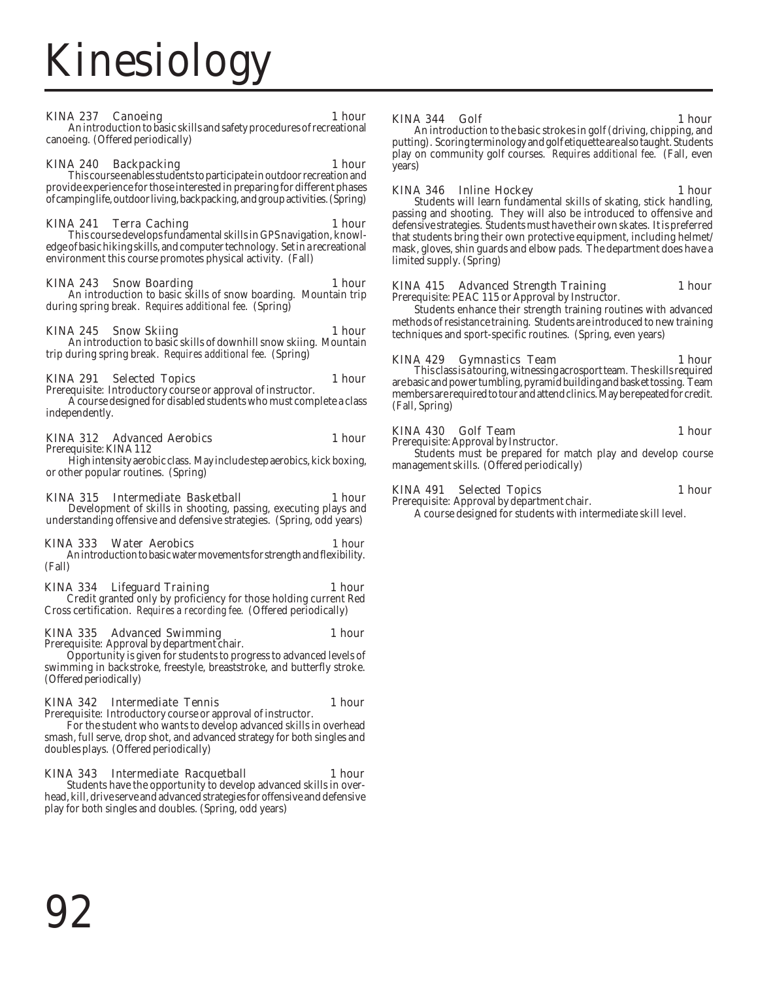### KINA 237 Canoeing 1 hour

An introduction to basic skills and safety procedures of recreational canoeing. (Offered periodically)

KINA 240 Backpacking 1 hour This course enables students to participate in outdoor recreation and provide experience for those interested in preparing for different phases of camping life, outdoor living, backpacking, and group activities. (Spring)

KINA 241 Terra Caching 1 hour This course develops fundamental skills in GPS navigation, knowledge of basic hiking skills, and computer technology. Set in a recreational environment this course promotes physical activity. (Fall)

## KINA 243 Snow Boarding 1 hour An introduction to basic skills of snow boarding. Mountain trip

during spring break. *Requires additional fee*. (Spring)

KINA 245 Snow Skiing 1 hour An introduction to basic skills of downhill snow skiing. Mountain trip during spring break. *Requires additional fee*. (Spring)

### KINA 291 Selected Topics 1 hour

Prerequisite: Introductory course or approval of instructor.

A course designed for disabled students who must complete a class independently.

### KINA 312 Advanced Aerobics 1 hour

Prerequisite: KINA 112

High intensity aerobic class. May include step aerobics, kick boxing, or other popular routines. (Spring)

### KINA 315 Intermediate Basketball 1 hour

Development of skills in shooting, passing, executing plays and understanding offensive and defensive strategies. (Spring, odd years)

### KINA 333 Water Aerobics 1 hour

An introduction to basic water movements for strength and flexibility. (Fall)

KINA 334 Lifeguard Training 1 hour Credit granted only by proficiency for those holding current Red Cross certification. *Requires a recording fee.* (Offered periodically)

### KINA 335 Advanced Swimming 1 hour

Prerequisite: Approval by department chair. Opportunity is given for students to progress to advanced levels of swimming in backstroke, freestyle, breaststroke, and butterfly stroke. (Offered periodically)

### KINA 342 Intermediate Tennis 1 hour Prerequisite: Introductory course or approval of instructor.

For the student who wants to develop advanced skills in overhead smash, full serve, drop shot, and advanced strategy for both singles and doubles plays. (Offered periodically)

## KINA 343 Intermediate Racquetball 1 hour<br>Students have the opportunity to develop advanced skills in over-

head, kill, drive serve and advanced strategies for offensive and defensive play for both singles and doubles. (Spring, odd years)

### KINA 344 Golf 1 hour

An introduction to the basic strokes in golf (driving, chipping, and putting). Scoring terminology and golf etiquette are also taught. Students play on community golf courses. *Requires additional fee*. (Fall, even years)

KINA 346 Inline Hockey 1 hour Students will learn fundamental skills of skating, stick handling, passing and shooting. They will also be introduced to offensive and defensive strategies. Students must have their own skates. It is preferred that students bring their own protective equipment, including helmet/ mask, gloves, shin guards and elbow pads. The department does have a limited supply. (Spring)

### KINA 415 Advanced Strength Training 1 hour Prerequisite: PEAC 115 or Approval by Instructor.

Students enhance their strength training routines with advanced methods of resistance training. Students are introduced to new training techniques and sport-specific routines. (Spring, even years)

### KINA 429 Gymnastics Team 1 hour

This class is a touring, witnessing acrosport team. The skills required are basic and power tumbling, pyramid building and basket tossing. Team members are required to tour and attend clinics. May be repeated for credit. (Fall, Spring)

### KINA 430 Golf Team 1 hour

Prerequisite: Approval by Instructor. Students must be prepared for match play and develop course management skills. (Offered periodically)

### KINA 491 Selected Topics 1 hour

Prerequisite: Approval by department chair. A course designed for students with intermediate skill level.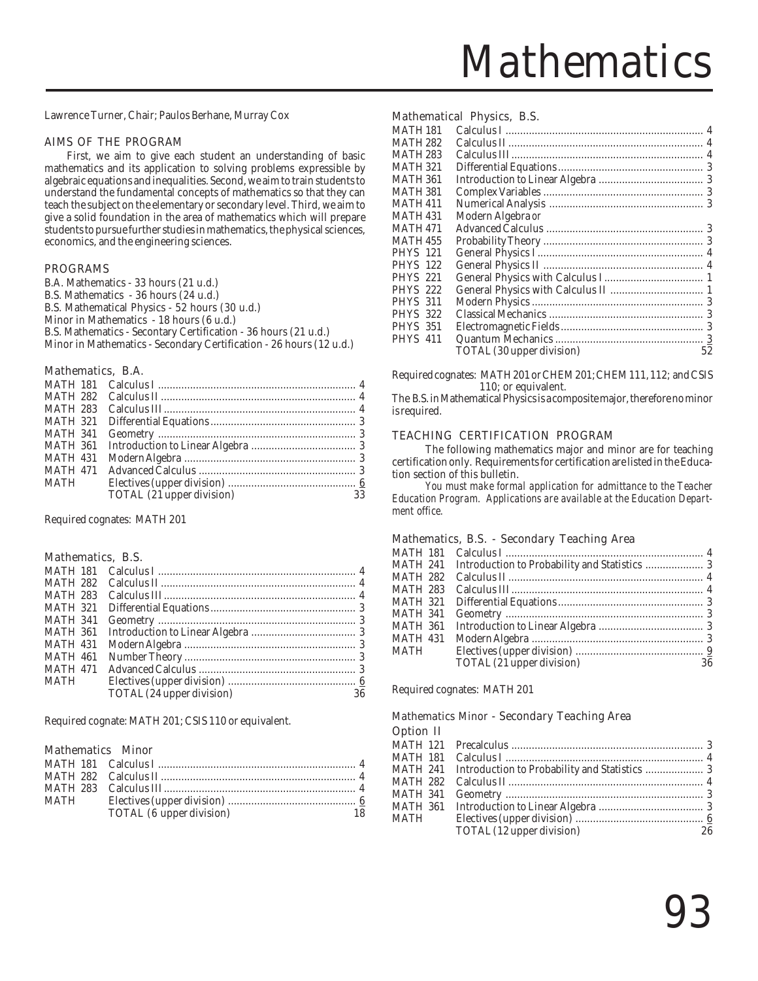## **Mathematics**

Lawrence Turner, Chair; Paulos Berhane, Murray Cox

### AIMS OF THE PROGRAM

First, we aim to give each student an understanding of basic mathematics and its application to solving problems expressible by algebraic equations and inequalities. Second, we aim to train students to understand the fundamental concepts of mathematics so that they can teach the subject on the elementary or secondary level. Third, we aim to give a solid foundation in the area of mathematics which will prepare students to pursue further studies in mathematics, the physical sciences, economics, and the engineering sciences.

### PROGRAMS

B.A. Mathematics - 33 hours (21 u.d.) B.S. Mathematics - 36 hours (24 u.d.) B.S. Mathematical Physics - 52 hours (30 u.d.) Minor in Mathematics - 18 hours (6 u.d.) B.S. Mathematics - Secontary Certification - 36 hours (21 u.d.) Minor in Mathematics - Secondary Certification - 26 hours (12 u.d.)

### Mathematics, B.A.

| <b>MATH 283</b> |                           |    |
|-----------------|---------------------------|----|
| <b>MATH 321</b> |                           |    |
| <b>MATH 341</b> |                           |    |
| MATH 361        |                           |    |
| <b>MATH 431</b> |                           |    |
| <b>MATH 471</b> |                           |    |
| MATH            |                           |    |
|                 | TOTAL (21 upper division) | 33 |

Required cognates: MATH 201

### Mathematics, B.S.

| <b>MATH 181</b> |                           |    |
|-----------------|---------------------------|----|
| <b>MATH 282</b> |                           |    |
| <b>MATH 283</b> |                           |    |
| <b>MATH 321</b> |                           |    |
| <b>MATH 341</b> |                           |    |
| <b>MATH 361</b> |                           |    |
| <b>MATH 431</b> |                           |    |
| <b>MATH 461</b> |                           |    |
| <b>MATH 471</b> |                           |    |
| <b>MATH</b>     |                           |    |
|                 | TOTAL (24 upper division) | 36 |

Required cognate: MATH 201; CSIS 110 or equivalent.

### Mathematics Minor

| MATH |                          |  |
|------|--------------------------|--|
|      | TOTAL (6 upper division) |  |

### Mathematical Physics, B.S.

| <b>MATH 181</b> |                           |    |
|-----------------|---------------------------|----|
| MATH 282        |                           |    |
| MATH 283        |                           |    |
| MATH 321        |                           |    |
| MATH 361        |                           |    |
| MATH 381        |                           |    |
| <b>MATH 411</b> |                           |    |
| MATH 431        | Modern Algebra or         |    |
| <b>MATH 471</b> |                           |    |
| MATH 455        |                           |    |
| <b>PHYS 121</b> |                           |    |
| <b>PHYS</b> 122 |                           |    |
| <b>PHYS 221</b> |                           |    |
| <b>PHYS</b> 222 |                           |    |
| PHYS 311        |                           |    |
| <b>PHYS 322</b> |                           |    |
| <b>PHYS 351</b> |                           |    |
| <b>PHYS 411</b> |                           |    |
|                 | TOTAL (30 upper division) | 52 |
|                 |                           |    |

Required cognates: MATH 201 or CHEM 201; CHEM 111, 112; and CSIS 110; or equivalent.

The B.S. in Mathematical Physics is a composite major, therefore no minor is required.

### TEACHING CERTIFICATION PROGRAM

The following mathematics major and minor are for teaching certification only. Requirements for certification are listed in the Education section of this bulletin.

*You must make formal application for admittance to the Teacher Education Program. Applications are available at the Education Department office.*

### Mathematics, B.S. - Secondary Teaching Area

| <b>MATH 181</b> |                           |    |
|-----------------|---------------------------|----|
| <b>MATH 241</b> |                           |    |
| <b>MATH 282</b> |                           |    |
| <b>MATH 283</b> |                           |    |
| <b>MATH 321</b> |                           |    |
| <b>MATH 341</b> |                           |    |
| <b>MATH 361</b> |                           |    |
| <b>MATH 431</b> |                           |    |
| MATH            |                           |    |
|                 | TOTAL (21 upper division) | 36 |
|                 |                           |    |

Required cognates: MATH 201

### Mathematics Minor - Secondary Teaching Area Option II

| $v$ puon n |                           |      |
|------------|---------------------------|------|
|            |                           |      |
|            |                           |      |
|            |                           |      |
|            |                           |      |
|            |                           |      |
|            |                           |      |
|            |                           |      |
|            | TOTAL (12 upper division) | - 26 |
|            |                           |      |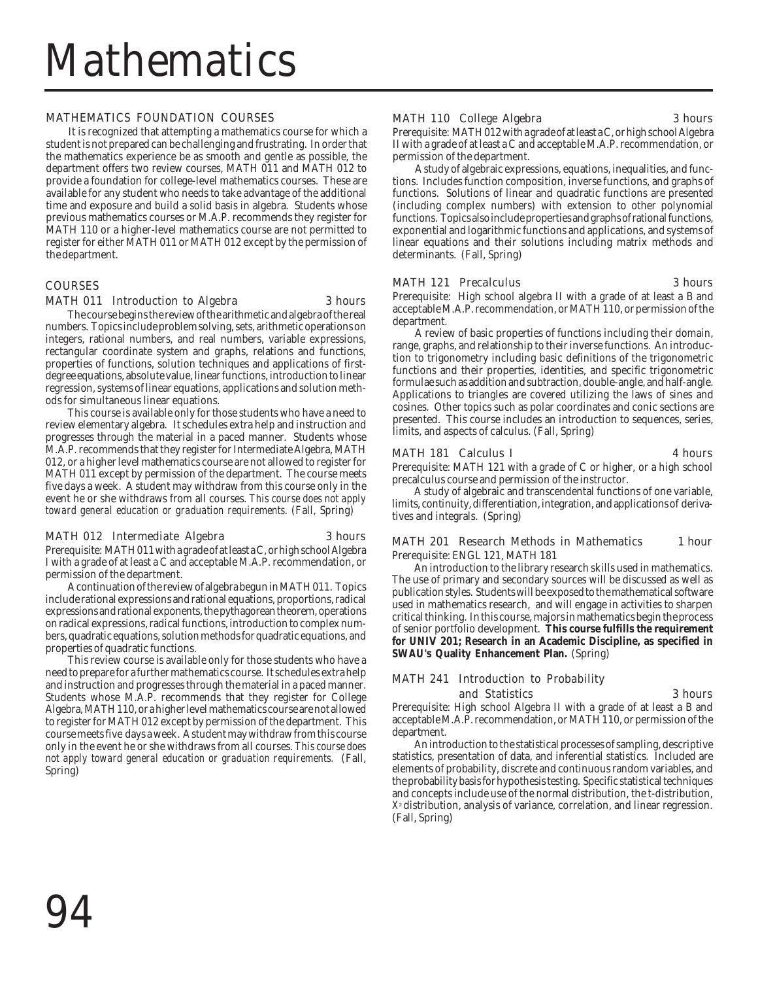### MATHEMATICS FOUNDATION COURSES

It is recognized that attempting a mathematics course for which a student is not prepared can be challenging and frustrating. In order that the mathematics experience be as smooth and gentle as possible, the department offers two review courses, MATH 011 and MATH 012 to provide a foundation for college-level mathematics courses. These are available for any student who needs to take advantage of the additional time and exposure and build a solid basis in algebra. Students whose previous mathematics courses or M.A.P. recommends they register for MATH 110 or a higher-level mathematics course are not permitted to register for either MATH 011 or MATH 012 except by the permission of the department.

### **COURSES**

### MATH 011 Introduction to Algebra 3 hours

The course begins the review of the arithmetic and algebra of the real numbers. Topics include problem solving, sets, arithmetic operations on integers, rational numbers, and real numbers, variable expressions, rectangular coordinate system and graphs, relations and functions, properties of functions, solution techniques and applications of firstdegree equations, absolute value, linear functions, introduction to linear regression, systems of linear equations, applications and solution methods for simultaneous linear equations.

This course is available only for those students who have a need to review elementary algebra. It schedules extra help and instruction and progresses through the material in a paced manner. Students whose M.A.P. recommends that they register for Intermediate Algebra, MATH 012, or a higher level mathematics course are not allowed to register for MATH 011 except by permission of the department. The course meets five days a week. A student may withdraw from this course only in the event he or she withdraws from all courses. *This course does not apply toward general education or graduation requirements.* (Fall, Spring)

### MATH 012 Intermediate Algebra 3 hours

Prerequisite: MATH 011 with a grade of at least a C, or high school Algebra I with a grade of at least a C and acceptable M.A.P. recommendation, or permission of the department.

A continuation of the review of algebra begun in MATH 011. Topics include rational expressions and rational equations, proportions, radical expressions and rational exponents, the pythagorean theorem, operations on radical expressions, radical functions, introduction to complex numbers, quadratic equations, solution methods for quadratic equations, and properties of quadratic functions.

This review course is available only for those students who have a need to prepare for a further mathematics course. It schedules extra help and instruction and progresses through the material in a paced manner. Students whose M.A.P. recommends that they register for College Algebra, MATH 110, or a higher level mathematics course are not allowed to register for MATH 012 except by permission of the department. This course meets five days a week. A student may withdraw from this course only in the event he or she withdraws from all courses. *This course does not apply toward general education or graduation requirements.* (Fall, Spring)

### MATH 110 College Algebra 3 hours

Prerequisite: MATH 012 with a grade of at least a C, or high school Algebra II with a grade of at least a C and acceptable M.A.P. recommendation, or permission of the department.

A study of algebraic expressions, equations, inequalities, and functions. Includes function composition, inverse functions, and graphs of functions. Solutions of linear and quadratic functions are presented (including complex numbers) with extension to other polynomial functions. Topics also include properties and graphs of rational functions, exponential and logarithmic functions and applications, and systems of linear equations and their solutions including matrix methods and determinants. (Fall, Spring)

### MATH 121 Precalculus 3 hours

Prerequisite: High school algebra II with a grade of at least a B and acceptable M.A.P. recommendation, or MATH 110, or permission of the department.

A review of basic properties of functions including their domain, range, graphs, and relationship to their inverse functions. An introduction to trigonometry including basic definitions of the trigonometric functions and their properties, identities, and specific trigonometric formulae such as addition and subtraction, double-angle, and half-angle. Applications to triangles are covered utilizing the laws of sines and cosines. Other topics such as polar coordinates and conic sections are presented. This course includes an introduction to sequences, series, limits, and aspects of calculus. (Fall, Spring)

### MATH 181 Calculus I 4 hours

Prerequisite: MATH 121 with a grade of C or higher, or a high school precalculus course and permission of the instructor.

A study of algebraic and transcendental functions of one variable, limits, continuity, differentiation, integration, and applications of derivatives and integrals. (Spring)

### MATH 201 Research Methods in Mathematics 1 hour Prerequisite: ENGL 121, MATH 181

An introduction to the library research skills used in mathematics. The use of primary and secondary sources will be discussed as well as publication styles. Students will be exposed to the mathematical software used in mathematics research, and will engage in activities to sharpen critical thinking. In this course, majors in mathematics begin the process of senior portfolio development. **This course fulfills the requirement for UNIV 201; Research in an Academic Discipline, as specified in SWAU's Quality Enhancement Plan.** (Spring)

### MATH 241 Introduction to Probability and Statistics 3 hours

Prerequisite: High school Algebra II with a grade of at least a B and acceptable M.A.P. recommendation, or MATH 110, or permission of the department.

An introduction to the statistical processes of sampling, descriptive statistics, presentation of data, and inferential statistics. Included are elements of probability, discrete and continuous random variables, and the probability basis for hypothesis testing. Specific statistical techniques and concepts include use of the normal distribution, the t-distribution, *X*<sup>2</sup> distribution, analysis of variance, correlation, and linear regression. (Fall, Spring)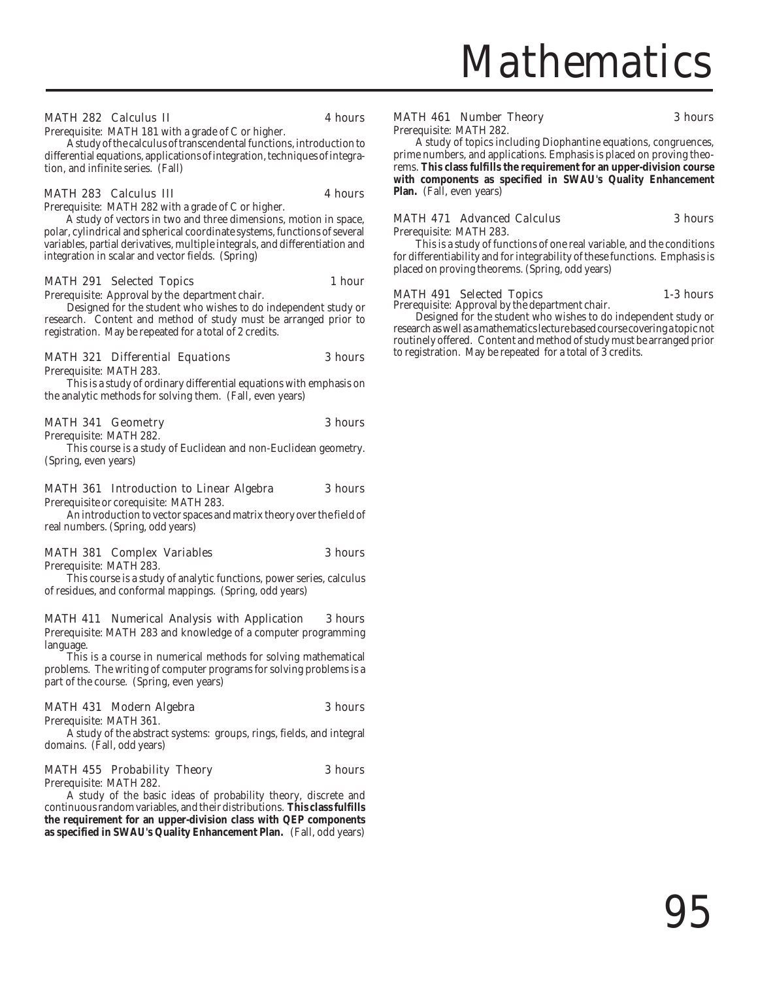## **Mathematics**

### MATH 282 Calculus II 4 hours

Prerequisite: MATH 181 with a grade of C or higher.

A study of the calculus of transcendental functions, introduction to differential equations, applications of integration, techniques of integration, and infinite series. (Fall)

### MATH 283 Calculus III 4 hours

Prerequisite: MATH 282 with a grade of C or higher.

A study of vectors in two and three dimensions, motion in space, polar, cylindrical and spherical coordinate systems, functions of several variables, partial derivatives, multiple integrals, and differentiation and integration in scalar and vector fields. (Spring)

### MATH 291 Selected Topics 1 hour

Prerequisite: Approval by the department chair.

Designed for the student who wishes to do independent study or research. Content and method of study must be arranged prior to registration. May be repeated for a total of 2 credits.

### MATH 321 Differential Equations 3 hours

Prerequisite: MATH 283.

This is a study of ordinary differential equations with emphasis on the analytic methods for solving them. (Fall, even years)

### MATH 341 Geometry 3 hours

Prerequisite: MATH 282.

This course is a study of Euclidean and non-Euclidean geometry. (Spring, even years)

### MATH 361 Introduction to Linear Algebra 3 hours

Prerequisite or corequisite: MATH 283. An introduction to vector spaces and matrix theory over the field of real numbers. (Spring, odd years)

### MATH 381 Complex Variables 3 hours

Prerequisite: MATH 283.

This course is a study of analytic functions, power series, calculus of residues, and conformal mappings. (Spring, odd years)

### MATH 411 Numerical Analysis with Application 3 hours

Prerequisite: MATH 283 and knowledge of a computer programming language.

This is a course in numerical methods for solving mathematical problems. The writing of computer programs for solving problems is a part of the course. (Spring, even years)

### MATH 431 Modern Algebra 3 hours

A study of the abstract systems: groups, rings, fields, and integral domains. (Fall, odd years)

### MATH 455 Probability Theory 3 hours

Prerequisite: MATH 282.

Prerequisite: MATH 361.

A study of the basic ideas of probability theory, discrete and continuous random variables, and their distributions. **This class fulfills the requirement for an upper-division class with QEP components as specified in SWAU's Quality Enhancement Plan.** (Fall, odd years)

### MATH 461 Number Theory 3 hours

Prerequisite: MATH 282.

A study of topics including Diophantine equations, congruences, prime numbers, and applications. Emphasis is placed on proving theorems. **This class fulfills the requirement for an upper-division course with components as specified in SWAU's Quality Enhancement Plan.** (Fall, even years)

### MATH 471 Advanced Calculus 3 hours Prerequisite: MATH 283.

This is a study of functions of one real variable, and the conditions for differentiability and for integrability of these functions. Emphasis is placed on proving theorems. (Spring, odd years)

### MATH 491 Selected Topics 1-3 hours

Prerequisite: Approval by the department chair.

Designed for the student who wishes to do independent study or research as well as a mathematics lecture based course covering a topic not routinely offered. Content and method of study must be arranged prior to registration. May be repeated for a total of 3 credits.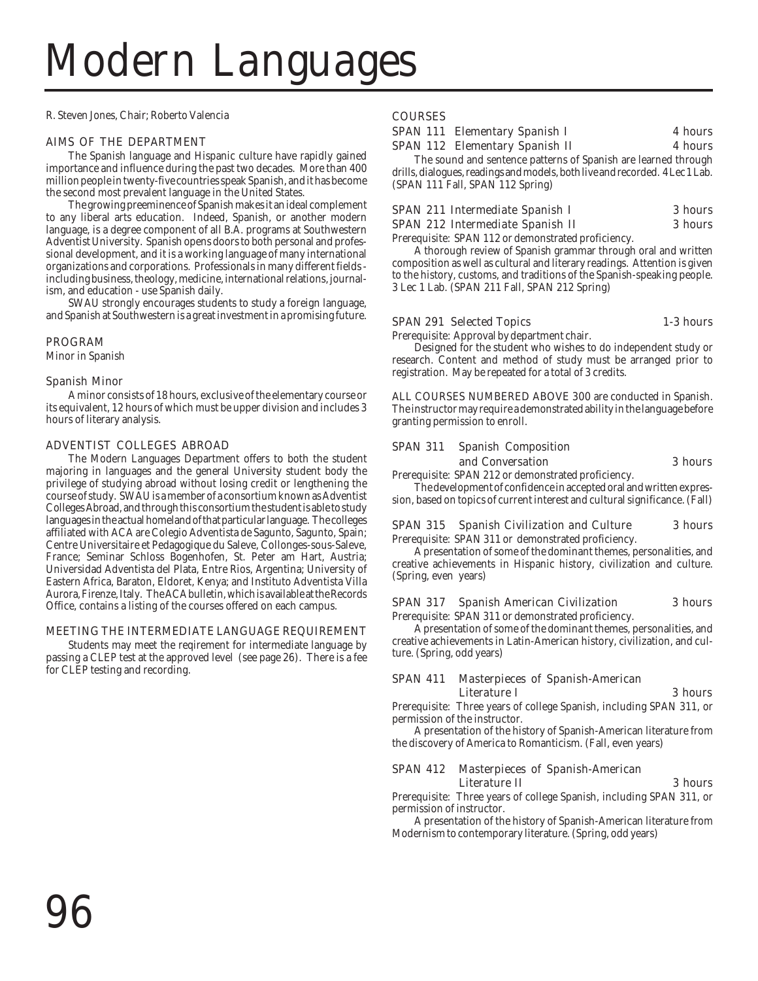# Modern Languages

R. Steven Jones, Chair; Roberto Valencia

### AIMS OF THE DEPARTMENT

The Spanish language and Hispanic culture have rapidly gained importance and influence during the past two decades. More than 400 million people in twenty-five countries speak Spanish, and it has become the second most prevalent language in the United States.

The growing preeminence of Spanish makes it an ideal complement to any liberal arts education. Indeed, Spanish, or another modern language, is a degree component of all B.A. programs at Southwestern Adventist University. Spanish opens doors to both personal and professional development, and it is a working language of many international organizations and corporations. Professionals in many different fields including business, theology, medicine, international relations, journalism, and education - use Spanish daily.

SWAU strongly encourages students to study a foreign language, and Spanish at Southwestern is a great investment in a promising future.

### PROGRAM

Minor in Spanish

### Spanish Minor

A minor consists of 18 hours, exclusive of the elementary course or its equivalent, 12 hours of which must be upper division and includes 3 hours of literary analysis.

### ADVENTIST COLLEGES ABROAD

The Modern Languages Department offers to both the student majoring in languages and the general University student body the privilege of studying abroad without losing credit or lengthening the course of study. SWAU is a member of a consortium known as Adventist Colleges Abroad, and through this consortium the student is able to study languages in the actual homeland of that particular language. The colleges affiliated with ACA are Colegio Adventista de Sagunto, Sagunto, Spain; Centre Universitaire et Pedagogique du Saleve, Collonges-sous-Saleve, France; Seminar Schloss Bogenhofen, St. Peter am Hart, Austria; Universidad Adventista del Plata, Entre Rios, Argentina; University of Eastern Africa, Baraton, Eldoret, Kenya; and Instituto Adventista Villa Aurora, Firenze, Italy. The ACA bulletin, which is available at the Records Office, contains a listing of the courses offered on each campus.

### MEETING THE INTERMEDIATE LANGUAGE REQUIREMENT

Students may meet the reqirement for intermediate language by passing a CLEP test at the approved level (see page 26). There is a fee for CLEP testing and recording.

### **COURSES**

| <b>SPAN 111 Elementary Spanish I</b>  | <b>4 hours</b> |
|---------------------------------------|----------------|
| <b>SPAN 112 Elementary Spanish II</b> | 4 hours        |
|                                       |                |

The sound and sentence patterns of Spanish are learned through drills, dialogues, readings and models, both live and recorded. 4 Lec 1 Lab. (SPAN 111 Fall, SPAN 112 Spring)

|  | SPAN 211 Intermediate Spanish I  |  | 3 hours |
|--|----------------------------------|--|---------|
|  | SPAN 212 Intermediate Spanish II |  | 3 hours |

Prerequisite: SPAN 112 or demonstrated proficiency.

A thorough review of Spanish grammar through oral and written composition as well as cultural and literary readings. Attention is given to the history, customs, and traditions of the Spanish-speaking people. 3 Lec 1 Lab. (SPAN 211 Fall, SPAN 212 Spring)

### SPAN 291 Selected Topics 1-3 hours

Prerequisite: Approval by department chair.

Designed for the student who wishes to do independent study or research. Content and method of study must be arranged prior to registration. May be repeated for a total of 3 credits.

ALL COURSES NUMBERED ABOVE 300 are conducted in Spanish. The instructor may require a demonstrated ability in the language before granting permission to enroll.

### SPAN 311 Spanish Composition and Conversation 3 hours

Prerequisite: SPAN 212 or demonstrated proficiency.

The development of confidence in accepted oral and written expression, based on topics of current interest and cultural significance. (Fall)

### SPAN 315 Spanish Civilization and Culture 3 hours

Prerequisite: SPAN 311 or demonstrated proficiency.

A presentation of some of the dominant themes, personalities, and creative achievements in Hispanic history, civilization and culture. (Spring, even years)

### SPAN 317 Spanish American Civilization 3 hours

Prerequisite: SPAN 311 or demonstrated proficiency.

A presentation of some of the dominant themes, personalities, and creative achievements in Latin-American history, civilization, and culture. (Spring, odd years)

### SPAN 411 Masterpieces of Spanish-American Literature I 3 hours

Prerequisite: Three years of college Spanish, including SPAN 311, or permission of the instructor.

A presentation of the history of Spanish-American literature from the discovery of America to Romanticism. (Fall, even years)

### SPAN 412 Masterpieces of Spanish-American Literature II 3 hours

Prerequisite: Three years of college Spanish, including SPAN 311, or permission of instructor.

A presentation of the history of Spanish-American literature from Modernism to contemporary literature. (Spring, odd years)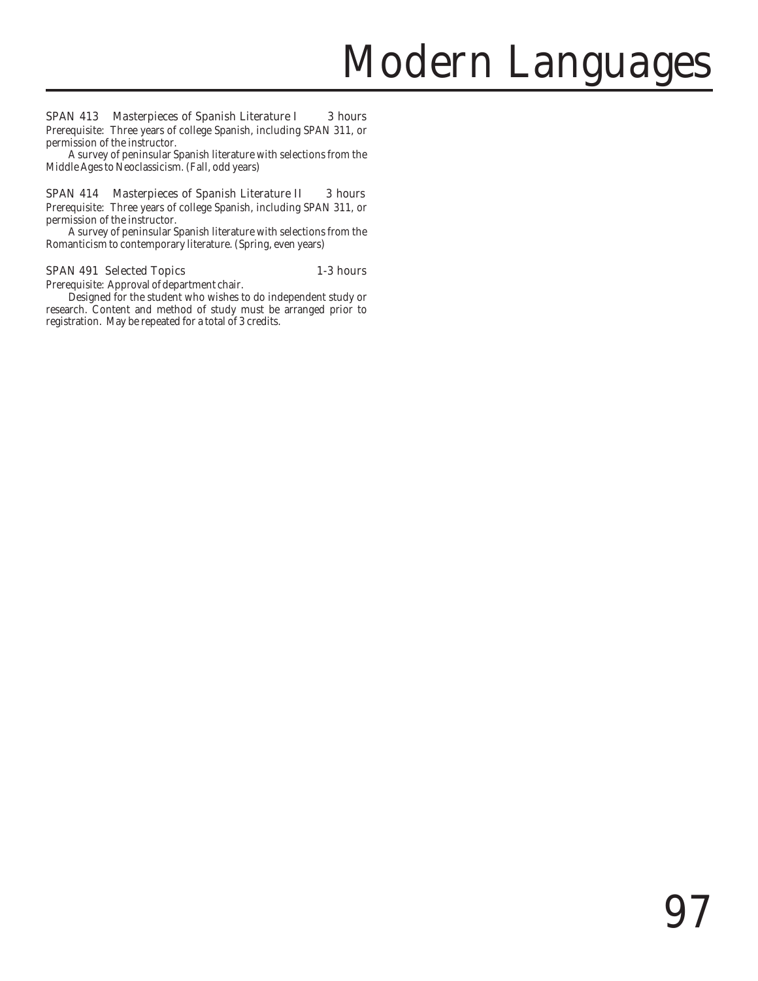### SPAN 413 Masterpieces of Spanish Literature I 3 hours

Prerequisite: Three years of college Spanish, including SPAN 311, or permission of the instructor.

A survey of peninsular Spanish literature with selections from the Middle Ages to Neoclassicism. (Fall, odd years)

### SPAN 414 Masterpieces of Spanish Literature II 3 hours

Prerequisite: Three years of college Spanish, including SPAN 311, or permission of the instructor.

A survey of peninsular Spanish literature with selections from the Romanticism to contemporary literature. (Spring, even years)

### SPAN 491 Selected Topics 1-3 hours

Prerequisite: Approval of department chair.

Designed for the student who wishes to do independent study or research. Content and method of study must be arranged prior to registration. May be repeated for a total of 3 credits.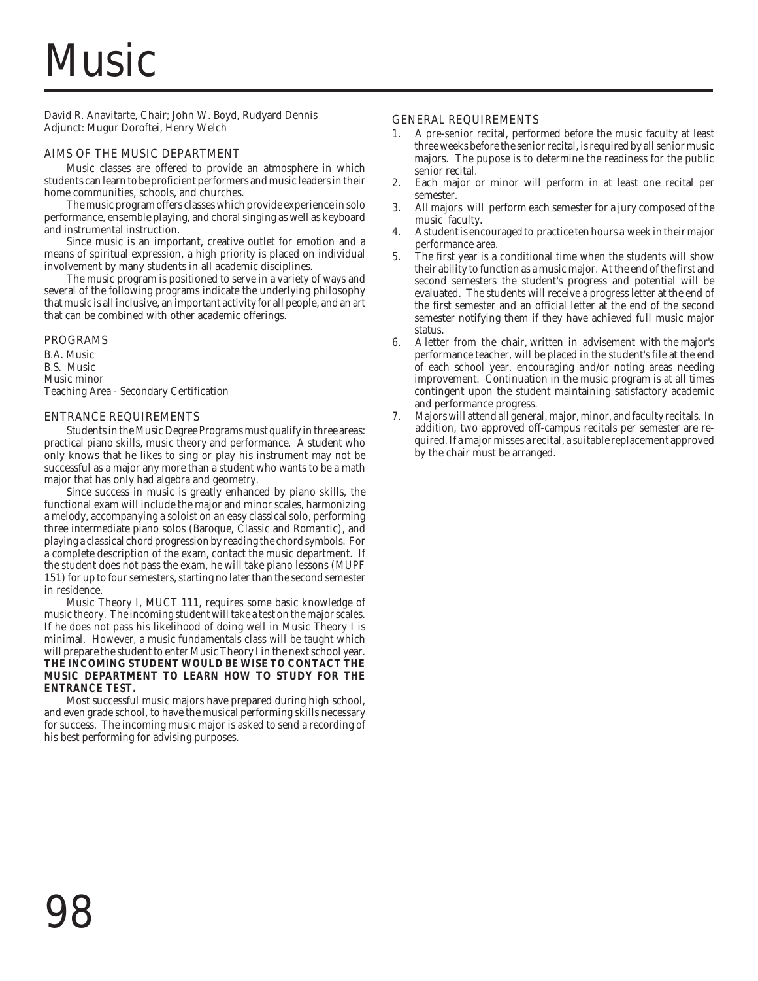# **Music**

David R. Anavitarte, Chair; John W. Boyd, Rudyard Dennis Adjunct: Mugur Doroftei, Henry Welch

### AIMS OF THE MUSIC DEPARTMENT

Music classes are offered to provide an atmosphere in which students can learn to be proficient performers and music leaders in their home communities, schools, and churches.

The music program offers classes which provide experience in solo performance, ensemble playing, and choral singing as well as keyboard and instrumental instruction.

Since music is an important, creative outlet for emotion and a means of spiritual expression, a high priority is placed on individual involvement by many students in all academic disciplines.

The music program is positioned to serve in a variety of ways and several of the following programs indicate the underlying philosophy that music is all inclusive, an important activity for all people, and an art that can be combined with other academic offerings.

### PROGRAMS

B.A. Music B.S. Music Music minor Teaching Area - Secondary Certification

### ENTRANCE REQUIREMENTS

Students in the Music Degree Programs must qualify in three areas: practical piano skills, music theory and performance. A student who only knows that he likes to sing or play his instrument may not be successful as a major any more than a student who wants to be a math major that has only had algebra and geometry.

Since success in music is greatly enhanced by piano skills, the functional exam will include the major and minor scales, harmonizing a melody, accompanying a soloist on an easy classical solo, performing three intermediate piano solos (Baroque, Classic and Romantic), and playing a classical chord progression by reading the chord symbols. For a complete description of the exam, contact the music department. If the student does not pass the exam, he will take piano lessons (MUPF 151) for up to four semesters, starting no later than the second semester in residence.

Music Theory I, MUCT 111, requires some basic knowledge of music theory. The incoming student will take a test on the major scales. If he does not pass his likelihood of doing well in Music Theory I is minimal. However, a music fundamentals class will be taught which will prepare the student to enter Music Theory I in the next school year. **THE INCOMING STUDENT WOULD BE WISE TO CONTACT THE MUSIC DEPARTMENT TO LEARN HOW TO STUDY FOR THE ENTRANCE TEST.**

Most successful music majors have prepared during high school, and even grade school, to have the musical performing skills necessary for success. The incoming music major is asked to send a recording of his best performing for advising purposes.

### GENERAL REQUIREMENTS

- 1. A pre-senior recital, performed before the music faculty at least three weeks before the senior recital, is required by all senior music majors. The pupose is to determine the readiness for the public senior recital.
- 2. Each major or minor will perform in at least one recital per semester.
- 3. All majors will perform each semester for a jury composed of the music faculty.
- 4. A student is encouraged to practice ten hours a week in their major performance area.
- 5. The first year is a conditional time when the students will show their ability to function as a music major. At the end of the first and second semesters the student's progress and potential will be evaluated. The students will receive a progress letter at the end of the first semester and an official letter at the end of the second semester notifying them if they have achieved full music major status.
- 6. A letter from the chair, written in advisement with the major's performance teacher, will be placed in the student's file at the end of each school year, encouraging and/or noting areas needing improvement. Continuation in the music program is at all times contingent upon the student maintaining satisfactory academic and performance progress.
- 7. Majors will attend all general, major, minor, and faculty recitals. In addition, two approved off-campus recitals per semester are required. If a major misses a recital, a suitable replacement approved by the chair must be arranged.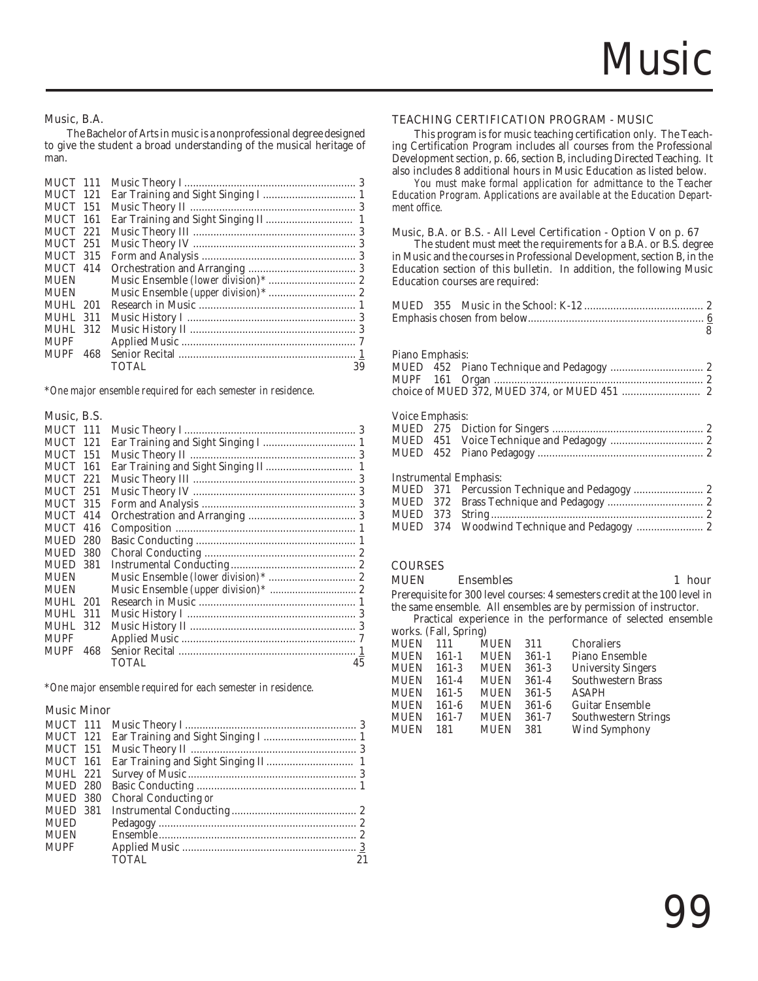### Music, B.A.

The Bachelor of Arts in music is a nonprofessional degree designed to give the student a broad understanding of the musical heritage of man.

| MUCT 111        |     |       |    |
|-----------------|-----|-------|----|
| <b>MUCT 121</b> |     |       |    |
| <b>MUCT</b>     | 151 |       |    |
| <b>MUCT 161</b> |     |       |    |
| MUCT 221        |     |       |    |
| MUCT 251        |     |       |    |
| <b>MUCT 315</b> |     |       |    |
| MUCT 414        |     |       |    |
| <b>MUEN</b>     |     |       |    |
| <b>MUEN</b>     |     |       |    |
| MUHL.           | 201 |       |    |
| MUHL.           | 311 |       |    |
| <b>MUHL 312</b> |     |       |    |
| <b>MUPF</b>     |     |       |    |
| <b>MUPF</b>     | 468 |       |    |
|                 |     | TOTAL | 39 |
|                 |     |       |    |

\**One major ensemble required for each semester in residenc*e.

### Music, B.S.

| MUCT 111        |     |       |    |
|-----------------|-----|-------|----|
| <b>MUCT</b>     | 121 |       |    |
| <b>MUCT</b>     | 151 |       |    |
| <b>MUCT</b>     | 161 |       |    |
| MUCT 221        |     |       |    |
| MUCT 251        |     |       |    |
| <b>MUCT 315</b> |     |       |    |
| MUCT 414        |     |       |    |
| MUCT            | 416 |       |    |
| <b>MUED</b>     | 280 |       |    |
| <b>MUED</b>     | 380 |       |    |
| MUED 381        |     |       |    |
| <b>MUEN</b>     |     |       |    |
| <b>MUEN</b>     |     |       |    |
| MUHL 201        |     |       |    |
| MUHL 311        |     |       |    |
| <b>MUHL 312</b> |     |       |    |
| MUPF            |     |       |    |
| <b>MUPF</b>     | 468 |       |    |
|                 |     | TOTAL | 45 |

\**One major ensemble required for each semester in residence.*

### Music Minor

| MUCT 111        |                      |  |
|-----------------|----------------------|--|
| MUCT 121        |                      |  |
| MUCT 151        |                      |  |
| MUCT 161        |                      |  |
| <b>MUHL 221</b> |                      |  |
| MUED 280        |                      |  |
| MUED 380        | Choral Conducting or |  |
| MUED 381        |                      |  |
| <b>MUED</b>     |                      |  |
| MUEN            |                      |  |
| <b>MUPF</b>     |                      |  |
|                 | <b>TOTAL</b>         |  |

### TEACHING CERTIFICATION PROGRAM - MUSIC

This program is for music teaching certification only. The Teaching Certification Program includes all courses from the Professional Development section, p. 66, section B, including Directed Teaching. It also includes 8 additional hours in Music Education as listed below.

*You must make formal application for admittance to the Teacher Education Program. Applications are available at the Education Department office.*

### Music, B.A. or B.S. - All Level Certification - Option V on p. 67

The student must meet the requirements for a B.A. or B.S. degree in Music and the courses in Professional Development, section B, in the Education section of this bulletin. In addition, the following Music Education courses are required:

|                 |     |                                    | 8 |
|-----------------|-----|------------------------------------|---|
|                 |     |                                    |   |
| Piano Emphasis: |     |                                    |   |
|                 |     |                                    |   |
|                 |     |                                    |   |
|                 |     |                                    |   |
|                 |     |                                    |   |
| Voice Emphasis: |     |                                    |   |
|                 |     |                                    |   |
|                 |     |                                    |   |
|                 |     |                                    |   |
|                 |     |                                    |   |
|                 |     | <b>Instrumental Emphasis:</b>      |   |
|                 |     |                                    |   |
| MUED            | 372 |                                    |   |
| MUED 373        |     |                                    |   |
| MUED            | 374 | Woodwind Technique and Pedagogy  2 |   |
|                 |     |                                    |   |
|                 |     |                                    |   |

### **COURSES**

### MUEN Ensembles 1 hour

Prerequisite for 300 level courses: 4 semesters credit at the 100 level in the same ensemble. All ensembles are by permission of instructor.

Practical experience in the performance of selected ensemble works. (Fall, Spring)

| WOLKS. (Fall, Spillig) |       |             |           |                           |
|------------------------|-------|-------------|-----------|---------------------------|
| <b>MUEN</b>            | 111   | <b>MUEN</b> | 311       | Choraliers                |
| <b>MUEN</b>            | 161-1 | <b>MUEN</b> | $361 - 1$ | Piano Ensemble            |
| <b>MUEN</b>            | 161-3 | <b>MUEN</b> | $361-3$   | <b>University Singers</b> |
| <b>MUEN</b>            | 161-4 | <b>MUEN</b> | $361 - 4$ | Southwestern Brass        |
| <b>MUEN</b>            | 161-5 | <b>MUEN</b> | $361 - 5$ | <b>ASAPH</b>              |
| <b>MUEN</b>            | 161-6 | <b>MUEN</b> | $361-6$   | <b>Guitar Ensemble</b>    |
| <b>MUEN</b>            | 161-7 | <b>MUEN</b> | $361 - 7$ | Southwestern Strings      |
| <b>MUEN</b>            | 181   | <b>MUEN</b> | 381       | Wind Symphony             |
|                        |       |             |           |                           |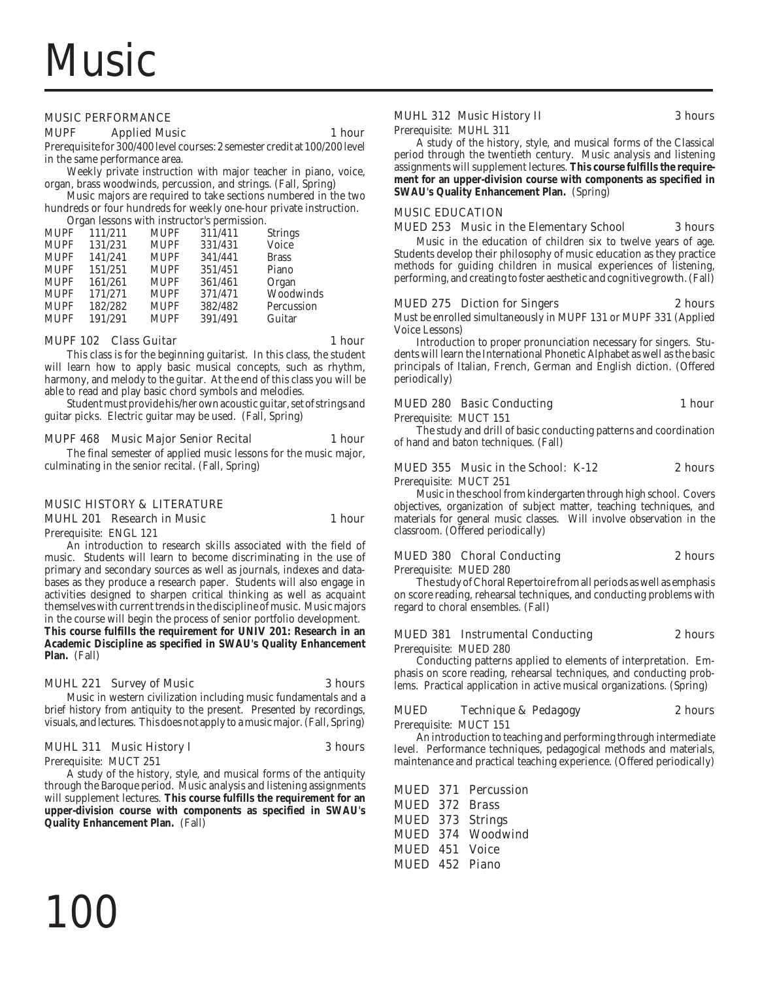### MUSIC PERFORMANCE

### MUPF Applied Music 1 hour

Prerequisite for 300/400 level courses: 2 semester credit at 100/200 level in the same performance area.

Weekly private instruction with major teacher in piano, voice, organ, brass woodwinds, percussion, and strings. (Fall, Spring)

Music majors are required to take sections numbered in the two hundreds or four hundreds for weekly one-hour private instruction.

Organ lessons with instructor's permission.

| <b>MUPF</b> | 111/211 | <b>MUPF</b> | 311/411 | <b>Strings</b> |
|-------------|---------|-------------|---------|----------------|
| <b>MUPF</b> | 131/231 | <b>MUPF</b> | 331/431 | Voice          |
| <b>MUPF</b> | 141/241 | <b>MUPF</b> | 341/441 | <b>Brass</b>   |
| <b>MUPF</b> | 151/251 | <b>MUPF</b> | 351/451 | Piano          |
| <b>MUPF</b> | 161/261 | <b>MUPF</b> | 361/461 | Organ          |
| <b>MUPF</b> | 171/271 | <b>MUPF</b> | 371/471 | Woodwinds      |
| <b>MUPF</b> | 182/282 | <b>MUPF</b> | 382/482 | Percussion     |
| <b>MUPF</b> | 191/291 | <b>MUPF</b> | 391/491 | Guitar         |
|             |         |             |         |                |

### MUPF 102 Class Guitar 1 hour

This class is for the beginning guitarist. In this class, the student will learn how to apply basic musical concepts, such as rhythm, harmony, and melody to the guitar. At the end of this class you will be able to read and play basic chord symbols and melodies.

Student must provide his/her own acoustic guitar, set of strings and guitar picks. Electric guitar may be used. (Fall, Spring)

### MUPF 468 Music Major Senior Recital 1 hour

The final semester of applied music lessons for the music major, culminating in the senior recital. (Fall, Spring)

### MUSIC HISTORY & LITERATURE

MUHL 201 Research in Music 1 hour

Prerequisite: ENGL 121 An introduction to research skills associated with the field of music. Students will learn to become discriminating in the use of primary and secondary sources as well as journals, indexes and databases as they produce a research paper. Students will also engage in activities designed to sharpen critical thinking as well as acquaint themselves with current trends in the discipline of music. Music majors in the course will begin the process of senior portfolio development. **This course fulfills the requirement for UNIV 201: Research in an Academic Discipline as specified in SWAU's Quality Enhancement**

### MUHL 221 Survey of Music 3 hours

Music in western civilization including music fundamentals and a brief history from antiquity to the present. Presented by recordings, visuals, and lectures. This does not apply to a music major. (Fall, Spring)

### MUHL 311 Music History I 3 hours

Prerequisite: MUCT 251

**Plan.** (Fall)

100

A study of the history, style, and musical forms of the antiquity through the Baroque period. Music analysis and listening assignments will supplement lectures. **This course fulfills the requirement for an upper-division course with components as specified in SWAU's Quality Enhancement Plan.** (Fall)

### MUHL 312 Music History II 3 hours

Prerequisite: MUHL 311

A study of the history, style, and musical forms of the Classical period through the twentieth century. Music analysis and listening assignments will supplement lectures. **This course fulfills the requirement for an upper-division course with components as specified in SWAU's Quality Enhancement Plan.** (Spring)

### MUSIC EDUCATION

### MUED 253 Music in the Elementary School 3 hours

Music in the education of children six to twelve years of age. Students develop their philosophy of music education as they practice methods for guiding children in musical experiences of listening, performing, and creating to foster aesthetic and cognitive growth. (Fall)

### MUED 275 Diction for Singers 2 hours

Must be enrolled simultaneously in MUPF 131 or MUPF 331 (Applied Voice Lessons)

Introduction to proper pronunciation necessary for singers. Students will learn the International Phonetic Alphabet as well as the basic principals of Italian, French, German and English diction. (Offered periodically)

### MUED 280 Basic Conducting 1 hour

Prerequisite: MUCT 151

The study and drill of basic conducting patterns and coordination of hand and baton techniques. (Fall)

### MUED 355 Music in the School: K-12 2 hours

Prerequisite: MUCT 251

Music in the school from kindergarten through high school. Covers objectives, organization of subject matter, teaching techniques, and materials for general music classes. Will involve observation in the classroom. (Offered periodically)

### MUED 380 Choral Conducting 2 hours

Prerequisite: MUED 280

The study of Choral Repertoire from all periods as well as emphasis on score reading, rehearsal techniques, and conducting problems with regard to choral ensembles. (Fall)

### MUED 381 Instrumental Conducting 2 hours

Prerequisite: MUED 280

Conducting patterns applied to elements of interpretation. Emphasis on score reading, rehearsal techniques, and conducting problems. Practical application in active musical organizations. (Spring)

### MUED Technique & Pedagogy 2 hours

Prerequisite: MUCT 151

An introduction to teaching and performing through intermediate level. Performance techniques, pedagogical methods and materials, maintenance and practical teaching experience. (Offered periodically)

MUED 371 Percussion MUED 372 Brass MUED 373 Strings MUED 374 Woodwind MUED 451 Voice MUED 452 Piano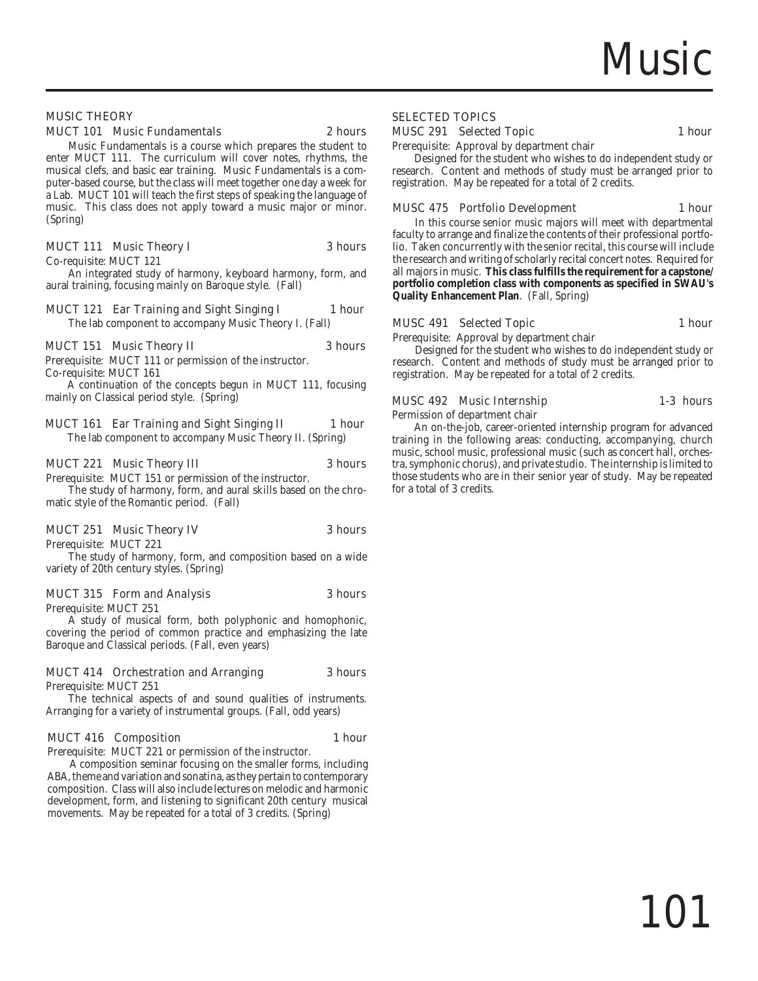

### MUSIC THEORY

### MUCT 101 Music Fundamentals 2 hours

Music Fundamentals is a course which prepares the student to enter MUCT 111. The curriculum will cover notes, rhythms, the musical clefs, and basic ear training. Music Fundamentals is a computer-based course, but the class will meet together one day a week for a Lab. MUCT 101 will teach the first steps of speaking the language of music. This class does not apply toward a music major or minor. (Spring)

### MUCT 111 Music Theory I 3 hours

Co-requisite: MUCT 121

An integrated study of harmony, keyboard harmony, form, and aural training, focusing mainly on Baroque style. (Fall)

### MUCT 121 Ear Training and Sight Singing I 1 hour

The lab component to accompany Music Theory I. (Fall)

### MUCT 151 Music Theory II 3 hours

Prerequisite: MUCT 111 or permission of the instructor. Co-requisite: MUCT 161

A continuation of the concepts begun in MUCT 111, focusing mainly on Classical period style. (Spring)

### MUCT 161 Ear Training and Sight Singing II 1 hour

The lab component to accompany Music Theory II. (Spring)

### MUCT 221 Music Theory III 3 hours

Prerequisite: MUCT 151 or permission of the instructor. The study of harmony, form, and aural skills based on the chromatic style of the Romantic period. (Fall)

### MUCT 251 Music Theory IV 3 hours

Prerequisite: MUCT 221

The study of harmony, form, and composition based on a wide variety of 20th century styles. (Spring)

### MUCT 315 Form and Analysis 3 hours

Prerequisite: MUCT 251

A study of musical form, both polyphonic and homophonic, covering the period of common practice and emphasizing the late Baroque and Classical periods. (Fall, even years)

### MUCT 414 Orchestration and Arranging 3 hours

Prerequisite: MUCT 251

The technical aspects of and sound qualities of instruments. Arranging for a variety of instrumental groups. (Fall, odd years)

### MUCT 416 Composition 1 hour

Prerequisite: MUCT 221 or permission of the instructor.

A composition seminar focusing on the smaller forms, including ABA, theme and variation and sonatina, as they pertain to contemporary composition. Class will also include lectures on melodic and harmonic development, form, and listening to significant 20th century musical movements. May be repeated for a total of 3 credits. (Spring)

### SELECTED TOPICS

### MUSC 291 Selected Topic 1 hour

Prerequisite: Approval by department chair

Designed for the student who wishes to do independent study or research. Content and methods of study must be arranged prior to registration. May be repeated for a total of 2 credits.

### MUSC 475 Portfolio Development 1 hour

In this course senior music majors will meet with departmental faculty to arrange and finalize the contents of their professional portfolio. Taken concurrently with the senior recital, this course will include the research and writing of scholarly recital concert notes. Required for all majors in music. **This class fulfills the requirement for a capstone/ portfolio completion class with components as specified in SWAU's Quality Enhancement Plan**. (Fall, Spring)

### MUSC 491 Selected Topic 1 hour

Permission of department chair

Prerequisite: Approval by department chair Designed for the student who wishes to do independent study or

research. Content and methods of study must be arranged prior to registration. May be repeated for a total of 2 credits.

MUSC 492 Music Internship 1-3 hours

An on-the-job, career-oriented internship program for advanced training in the following areas: conducting, accompanying, church music, school music, professional music (such as concert hall, orchestra, symphonic chorus), and private studio. The internship is limited to those students who are in their senior year of study. May be repeated for a total of 3 credits.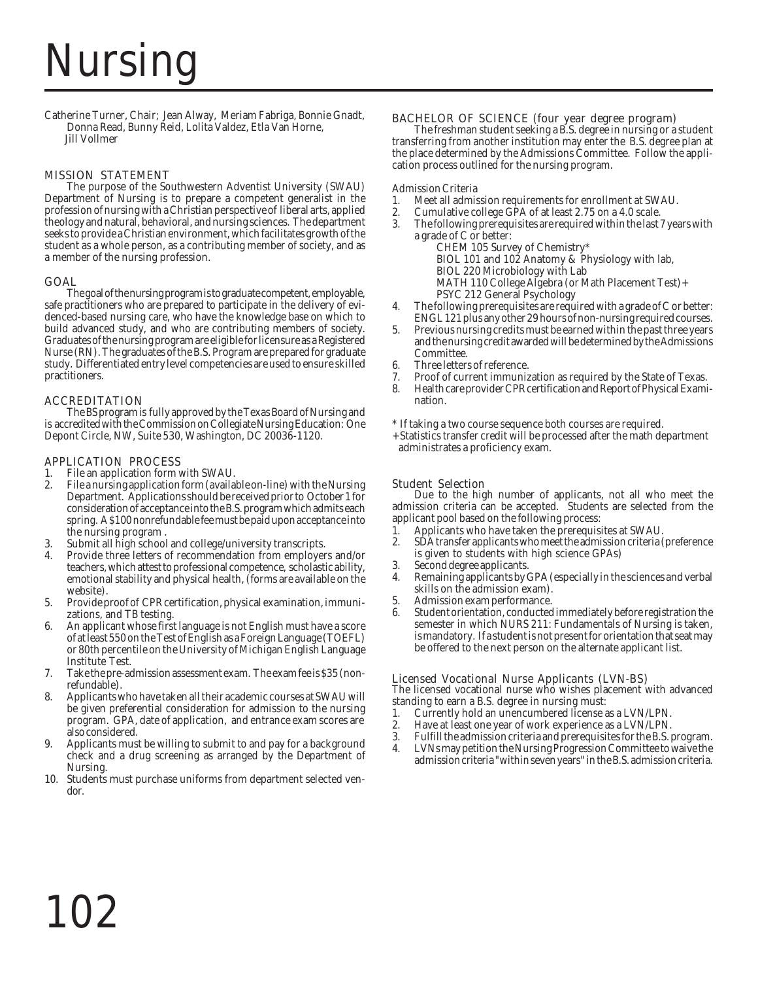# Nursing

Catherine Turner, Chair; Jean Alway, Meriam Fabriga, Bonnie Gnadt, Donna Read, Bunny Reid, Lolita Valdez, Etla Van Horne, Jill Vollmer

### MISSION STATEMENT

The purpose of the Southwestern Adventist University (SWAU) Department of Nursing is to prepare a competent generalist in the profession of nursing with a Christian perspective of liberal arts, applied theology and natural, behavioral, and nursing sciences. The department seeks to provide a Christian environment, which facilitates growth of the student as a whole person, as a contributing member of society, and as a member of the nursing profession.

### GOAL

The goal of the nursing program is to graduate competent, employable, safe practitioners who are prepared to participate in the delivery of evidenced-based nursing care, who have the knowledge base on which to build advanced study, and who are contributing members of society. Graduates of the nursing program are eligible for licensure as a Registered Nurse (RN). The graduates of the B.S. Program are prepared for graduate study. Differentiated entry level competencies are used to ensure skilled practitioners.

### ACCREDITATION

The BS program is fully approved by the Texas Board of Nursing and is accredited with the Commission on Collegiate Nursing Education: One Depont Circle, NW, Suite 530, Washington, DC 20036-1120.

### APPLICATION PROCESS

- 1. File an application form with SWAU.<br>2. File a nursing application form (availa
- 2. File a nursing application form (available on-line) with the Nursing Department. Applications should be received prior to October 1 for consideration of acceptance into the B.S. program which admits each spring. A \$100 nonrefundable fee must be paid upon acceptance into the nursing program .
- 3. Submit all high school and college/university transcripts.
- 4. Provide three letters of recommendation from employers and/or teachers, which attest to professional competence, scholastic ability, emotional stability and physical health, (forms are available on the website).
- 5. Provide proof of CPR certification, physical examination, immunizations, and TB testing.
- 6. An applicant whose first language is not English must have a score of at least 550 on the Test of English as a Foreign Language (TOEFL) or 80th percentile on the University of Michigan English Language Institute Test.
- 7. Take the pre-admission assessment exam. The exam fee is \$35 (nonrefundable).
- 8. Applicants who have taken all their academic courses at SWAU will be given preferential consideration for admission to the nursing program. GPA, date of application, and entrance exam scores are also considered.
- 9. Applicants must be willing to submit to and pay for a background check and a drug screening as arranged by the Department of Nursing.
- 10. Students must purchase uniforms from department selected vendor.

## **BACHELOR OF SCIENCE (four year degree program)** The freshman student seeking a B.S. degree in nursing or a student

transferring from another institution may enter the B.S. degree plan at the place determined by the Admissions Committee. Follow the application process outlined for the nursing program.

### Admission Criteria

- 1. Meet all admission requirements for enrollment at SWAU.<br>2. Cumulative college GPA of at least 2.75 on a 4.0 scale.
- 2. Cumulative college GPA of at least 2.75 on a 4.0 scale.<br>3. The following prerequisites are required within the last?
- 3. The following prerequisites are required within the last 7 years with a grade of C or better:
	- CHEM 105 Survey of Chemistry\*
	- BIOL 101 and 102 Anatomy & Physiology with lab,
	- BIOL 220 Microbiology with Lab
	- MATH 110 College Algebra (or Math Placement Test)+
	- PSYC 212 General Psychology
- 4. The following prerequisites are required with a grade of C or better: ENGL 121 plus any other 29 hours of non-nursing required courses.
- 5. Previous nursing credits must be earned within the past three years and the nursing credit awarded will be determined by the Admissions Committee.
- 6. Three letters of reference.
- 7. Proof of current immunization as required by the State of Texas.<br>8. Health care provider CPR certification and Report of Physical Exami
- 8. Health care provider CPR certification and Report of Physical Examination.
- \* If taking a two course sequence both courses are required.
- + Statistics transfer credit will be processed after the math department administrates a proficiency exam.

### Student Selection

Due to the high number of applicants, not all who meet the admission criteria can be accepted. Students are selected from the applicant pool based on the following process:<br>1. Applicants who have taken the prerequis

- 1. Applicants who have taken the prerequisites at SWAU.<br>2. SDA transfer applicants who meet the admission criteria (
- 2. SDA transfer applicants who meet the admission criteria (preference is given to students with high science GPAs)
- 3. Second degree applicants.
- 4. Remaining applicants by GPA (especially in the sciences and verbal skills on the admission exam).
- 5. Admission exam performance.
- 6. Student orientation, conducted immediately before registration the semester in which NURS 211: Fundamentals of Nursing is taken, is mandatory. If a student is not present for orientation that seat may be offered to the next person on the alternate applicant list.

### Licensed Vocational Nurse Applicants (LVN-BS)

The licensed vocational nurse who wishes placement with advanced standing to earn a B.S. degree in nursing must:

- 1. Currently hold an unencumbered license as a LVN/LPN.<br>2. Have at least one vear of work experience as a LVN/LPN.
- 2. Have at least one year of work experience as a LVN/LPN.<br>3. Fulfill the admission criteria and prerequisites for the B.S.
- 3. Fulfill the admission criteria and prerequisites for the B.S. program.
- LVNs may petition the Nursing Progression Committee to waive the admission criteria "within seven years" in the B.S. admission criteria.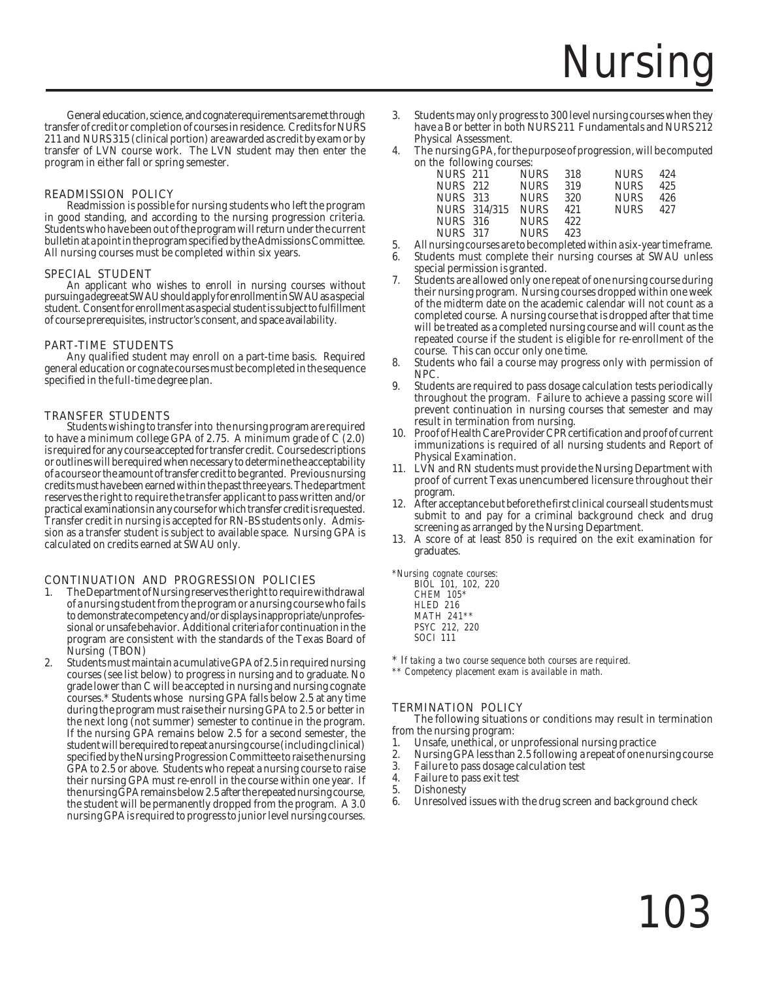# Nursi

General education, science, and cognate requirements are met through transfer of credit or completion of courses in residence. Credits for NURS 211 and NURS 315 (clinical portion) are awarded as credit by exam or by transfer of LVN course work. The LVN student may then enter the program in either fall or spring semester.

### READMISSION POLICY

Readmission is possible for nursing students who left the program in good standing, and according to the nursing progression criteria. Students who have been out of the program will return under the current bulletin at a point in the program specified by the Admissions Committee. All nursing courses must be completed within six years.

### SPECIAL STUDENT

An applicant who wishes to enroll in nursing courses without pursuing a degree at SWAU should apply for enrollment in SWAU as a special student. Consent for enrollment as a special student is subject to fulfillment of course prerequisites, instructor's consent, and space availability.

### PART-TIME STUDENTS

Any qualified student may enroll on a part-time basis. Required general education or cognate courses must be completed in the sequence specified in the full-time degree plan.

### TRANSFER STUDENTS

Students wishing to transfer into the nursing program are required to have a minimum college GPA of 2.75. A minimum grade of C (2.0) is required for any course accepted for transfer credit. Course descriptions or outlines will be required when necessary to determine the acceptability of a course or the amount of transfer credit to be granted. Previous nursing credits must have been earned within the past three years. The department reserves the right to require the transfer applicant to pass written and/or practical examinations in any course for which transfer credit is requested. Transfer credit in nursing is accepted for RN-BS students only. Admission as a transfer student is subject to available space. Nursing GPA is calculated on credits earned at SWAU only.

### CONTINUATION AND PROGRESSION POLICIES

- 1. The Department of Nursing reserves the right to require withdrawal of a nursing student from the program or a nursing course who fails to demonstrate competency and/or displays inappropriate/unprofessional or unsafe behavior. Additional criteria for continuation in the program are consistent with the standards of the Texas Board of Nursing (TBON)
- 2. Students must maintain a cumulative GPA of 2.5 in required nursing courses (see list below) to progress in nursing and to graduate. No grade lower than C will be accepted in nursing and nursing cognate courses.\* Students whose nursing GPA falls below 2.5 at any time during the program must raise their nursing GPA to 2.5 or better in the next long (not summer) semester to continue in the program. If the nursing GPA remains below 2.5 for a second semester, the student will be required to repeat a nursing course (including clinical) specified by the Nursing Progression Committee to raise the nursing GPA to 2.5 or above. Students who repeat a nursing course to raise their nursing GPA must re-enroll in the course within one year. If the nursing GPA remains below 2.5 after the repeated nursing course, the student will be permanently dropped from the program. A 3.0 nursing GPA is required to progress to junior level nursing courses.
- 3. Students may only progress to 300 level nursing courses when they have a B or better in both NURS 211 Fundamentals and NURS 212 Physical Assessment.
- 4. The nursing GPA, for the purpose of progression, will be computed on the following courses:

| NURS 211        |                   | NURS        | -318 | <b>NURS</b> | 42.4 |
|-----------------|-------------------|-------------|------|-------------|------|
|                 | NURS 212 NURS 319 |             |      | NURS        | 425  |
| NURS 313        |                   | NURS 320    |      | NURS -      | 426  |
|                 | NURS 314/315      | <b>NURS</b> | 421  | NURS -      | 427  |
| <b>NURS</b> 316 |                   | NURS        | 422  |             |      |
| NURS 317        |                   | <b>NURS</b> | 423  |             |      |
|                 |                   |             |      |             |      |

- 
- 5. All nursing courses are to be completed within a six-year time frame.<br>6. Students, must, complete, their, nursing, courses, at SWAU unless Students must complete their nursing courses at SWAU unless special permission is granted.
- Students are allowed only one repeat of one nursing course during their nursing program. Nursing courses dropped within one week of the midterm date on the academic calendar will not count as a completed course. A nursing course that is dropped after that time will be treated as a completed nursing course and will count as the repeated course if the student is eligible for re-enrollment of the course. This can occur only one time.
- 8. Students who fail a course may progress only with permission of NPC.
- 9. Students are required to pass dosage calculation tests periodically throughout the program. Failure to achieve a passing score will prevent continuation in nursing courses that semester and may result in termination from nursing.
- 10. Proof of Health Care Provider CPR certification and proof of current immunizations is required of all nursing students and Report of Physical Examination.
- 11. LVN and RN students must provide the Nursing Department with proof of current Texas unencumbered licensure throughout their program.
- 12. After acceptance but before the first clinical course all students must submit to and pay for a criminal background check and drug screening as arranged by the Nursing Department.
- 13. A score of at least 850 is required on the exit examination for graduates.

*\*Nursing cognate courses:*

*BIOL 101, 102, 220 CHEM 105\* HLED 216 MATH 241\*\* PSYC 212, 220 SOCI 111*

\* *If taking a two course sequence both courses are required.*

*\*\* Competency placement exam is available in math.*

### TERMINATION POLICY

The following situations or conditions may result in termination from the nursing program:

- 1. Unsafe, unethical, or unprofessional nursing practice<br>2. Nursing GPA less than 2.5 following a repeat of one nu
- 2. Nursing GPA less than 2.5 following a repeat of one nursing course<br>3. Failure to pass dosage calculation test
- 3. Failure to pass dosage calculation test
- 4. Failure to pass exit test
- 5. Dishonesty
- Unresolved issues with the drug screen and background check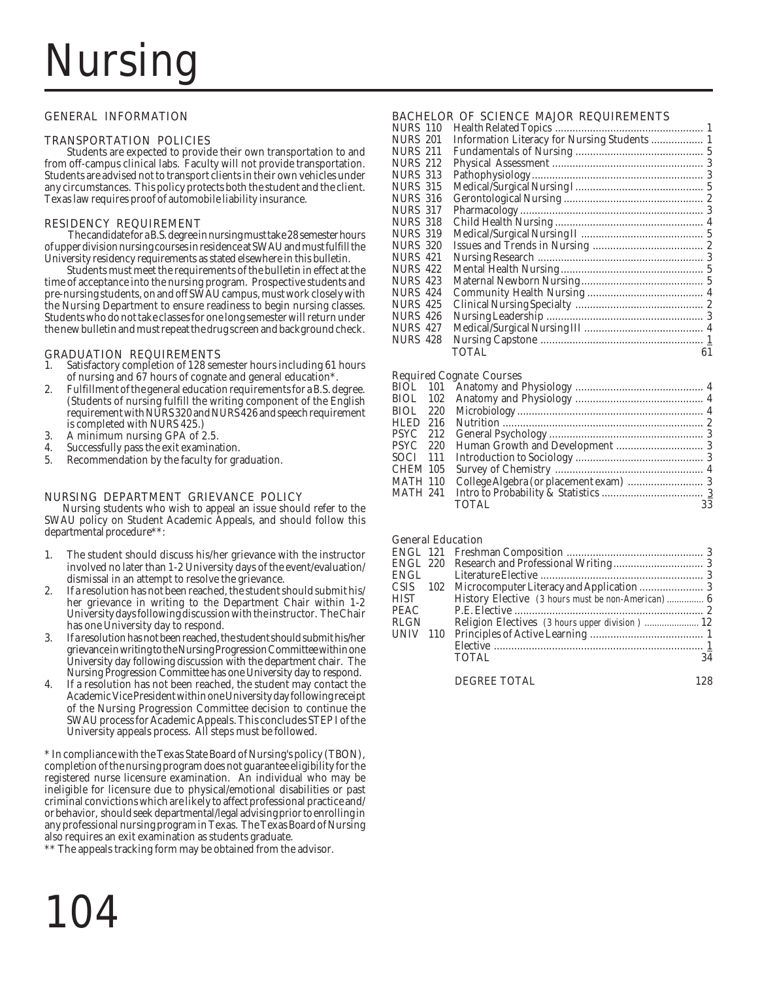# Nursii

### GENERAL INFORMATION

### TRANSPORTATION POLICIES

Students are expected to provide their own transportation to and from off-campus clinical labs. Faculty will not provide transportation. Students are advised not to transport clients in their own vehicles under any circumstances. This policy protects both the student and the client. Texas law requires proof of automobile liability insurance.

### RESIDENCY REQUIREMENT

 The candidate for a B.S. degree in nursing must take 28 semester hours of upper division nursing courses in residence at SWAU and must fulfill the University residency requirements as stated elsewhere in this bulletin.

Students must meet the requirements of the bulletin in effect at the time of acceptance into the nursing program. Prospective students and pre-nursing students, on and off SWAU campus, must work closely with the Nursing Department to ensure readiness to begin nursing classes. Students who do not take classes for one long semester will return under the new bulletin and must repeat the drug screen and background check.

## **GRADUATION REQUIREMENTS**<br>1. Satisfactory completion of 128 sen

- Satisfactory completion of 128 semester hours including 61 hours of nursing and 67 hours of cognate and general education\*.
- 2. Fulfillment of the general education requirements for a B.S. degree. (Students of nursing fulfill the writing component of the English requirement with NURS 320 and NURS 426 and speech requirement is completed with NURS 425.)
- 3. A minimum nursing GPA of 2.5.<br>4. Successfully pass the exit examina
- Successfully pass the exit examination.
- 5. Recommendation by the faculty for graduation.

### NURSING DEPARTMENT GRIEVANCE POLICY

Nursing students who wish to appeal an issue should refer to the SWAU policy on Student Academic Appeals, and should follow this departmental procedure\*\*:

- 1. The student should discuss his/her grievance with the instructor involved no later than 1-2 University days of the event/evaluation/ dismissal in an attempt to resolve the grievance.
- 2. If a resolution has not been reached, the student should submit his/ her grievance in writing to the Department Chair within 1-2 University days following discussion with the instructor. The Chair has one University day to respond.
- 3. If a resolution has not been reached, the student should submit his/her grievance in writing to the Nursing Progression Committee within one University day following discussion with the department chair. The Nursing Progression Committee has one University day to respond.
- If a resolution has not been reached, the student may contact the Academic Vice President within one University day following receipt of the Nursing Progression Committee decision to continue the SWAU process for Academic Appeals. This concludes STEP I of the University appeals process. All steps must be followed.

\* In compliance with the Texas State Board of Nursing's policy (TBON), completion of the nursing program does not guarantee eligibility for the registered nurse licensure examination. An individual who may be ineligible for licensure due to physical/emotional disabilities or past criminal convictions which are likely to affect professional practice and/ or behavior, should seek departmental/legal advising prior to enrolling in any professional nursing program in Texas. The Texas Board of Nursing also requires an exit examination as students graduate.

\*\* The appeals tracking form may be obtained from the advisor.



### BACHELOR OF SCIENCE MAJOR REQUIREMENTS

| <b>NURS 110</b> |                                              |    |
|-----------------|----------------------------------------------|----|
| <b>NURS 201</b> | Information Literacy for Nursing Students  1 |    |
| <b>NURS 211</b> |                                              |    |
| <b>NURS 212</b> |                                              |    |
| <b>NURS 313</b> |                                              |    |
| <b>NURS 315</b> |                                              |    |
| <b>NURS 316</b> |                                              |    |
| <b>NURS 317</b> |                                              |    |
| <b>NURS 318</b> |                                              |    |
| <b>NURS 319</b> |                                              |    |
| <b>NURS 320</b> |                                              |    |
| <b>NURS 421</b> |                                              |    |
| NURS 422        |                                              |    |
| <b>NURS 423</b> |                                              |    |
| <b>NURS 424</b> |                                              |    |
| <b>NURS 425</b> |                                              |    |
| <b>NURS 426</b> |                                              |    |
| NURS 427        |                                              |    |
| <b>NURS 428</b> |                                              |    |
|                 | <b>TOTAL</b>                                 | 61 |
|                 |                                              |    |

### Required Cognate Courses

|          | wequn eu cognate courses |    |
|----------|--------------------------|----|
|          |                          |    |
|          |                          |    |
| BIOL 220 |                          |    |
| HLED 216 |                          |    |
| PSYC 212 |                          |    |
| PSYC 220 |                          |    |
| SOCI 111 |                          |    |
| CHEM 105 |                          |    |
| MATH 110 |                          |    |
| MATH 241 |                          |    |
|          | <b>TOTAL</b>             | 33 |
|          |                          |    |

### General Education

| <b>ENGL 220</b> |     |                                                 |    |
|-----------------|-----|-------------------------------------------------|----|
| <b>ENGL</b>     |     |                                                 |    |
| CSIS            | 102 |                                                 |    |
| <b>HIST</b>     |     |                                                 |    |
| <b>PEAC</b>     |     |                                                 |    |
| <b>RLGN</b>     |     | Religion Electives (3 hours upper division)  12 |    |
| <b>UNIV</b>     | 110 |                                                 |    |
|                 |     |                                                 |    |
|                 |     | TOTAL.                                          | 34 |
|                 |     |                                                 |    |

DEGREE TOTAL 128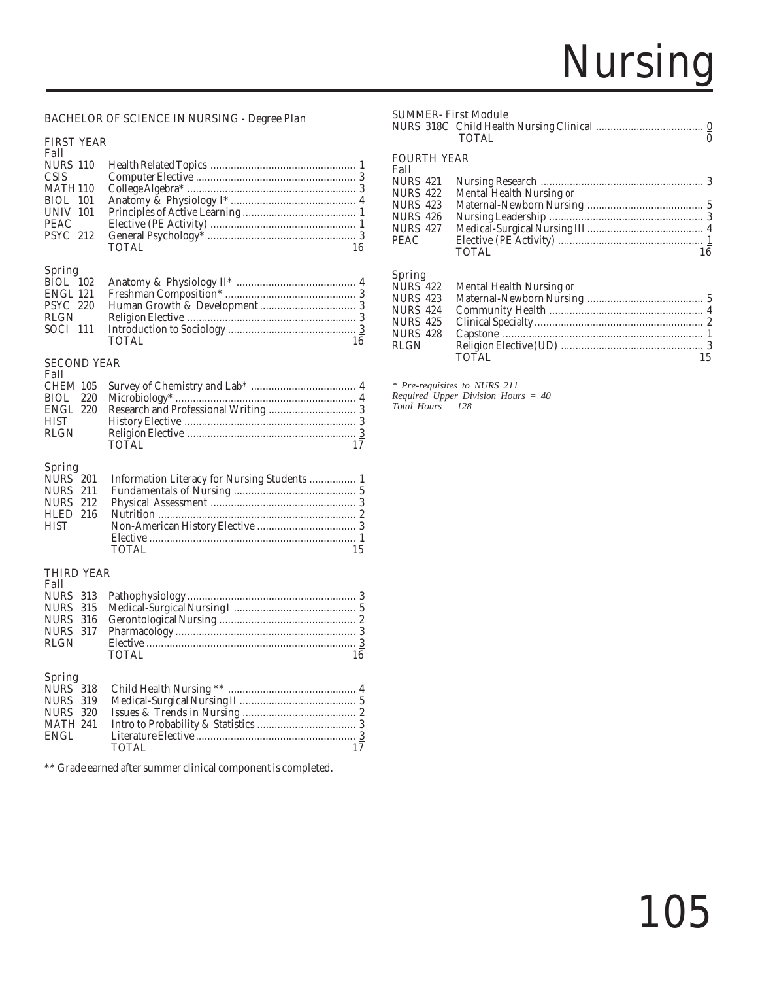# Nursing

### BACHELOR OF SCIENCE IN NURSING - Degree Plan

### FIRST YEAR

| Fall              |       |    |
|-------------------|-------|----|
|                   |       |    |
| CSIS <sup>-</sup> |       |    |
| <b>MATH 110</b>   |       |    |
| BIOL 101          |       |    |
| UNIV 101          |       |    |
| PEAC              |       |    |
|                   |       |    |
|                   | TOTAL | 16 |
|                   |       |    |

### Spring

| RLGN |       |    |
|------|-------|----|
|      |       |    |
|      | TOTAL | 16 |
|      |       |    |

### SECOND YEAR

| Fall        |        |    |
|-------------|--------|----|
|             |        |    |
|             |        |    |
|             |        |    |
| <b>HIST</b> |        |    |
| RLGN        |        |    |
|             | TOTAL. | 17 |
|             |        |    |

### Spring

| <b>HIST</b> |       |    |
|-------------|-------|----|
|             |       |    |
|             | TOTAL | 15 |

### THIRD YEAR

| Fall          |       |    |
|---------------|-------|----|
|               |       |    |
|               |       |    |
|               |       |    |
|               |       |    |
|               |       |    |
|               | TOTAL | 16 |
|               |       |    |
| <b>Spring</b> |       |    |

| TOTAL | 17 |
|-------|----|
|       |    |

\*\* Grade earned after summer clinical component is completed.

### SUMMER- First Module

|                    | <b>TOTAL</b>             |    |
|--------------------|--------------------------|----|
| <b>FOURTH YEAR</b> |                          |    |
| Fall               |                          |    |
| NURS 421           |                          |    |
| NURS 422           | Mental Health Nursing or |    |
| NURS 423           |                          |    |
| NURS 426           |                          |    |
| NURS 427           |                          |    |
| PEAC               |                          |    |
|                    | <b>TOTAL</b>             | 16 |

### Spring

| <b>NURS</b> 422 | Mental Health Nursing or |    |
|-----------------|--------------------------|----|
| NURS 423        |                          |    |
| NURS 424        |                          |    |
| NURS 425        |                          |    |
| NURS 428        |                          |    |
| RLGN            |                          |    |
|                 | TOTAL                    | 15 |
|                 |                          |    |

*\* Pre-requisites to NURS 211 Required Upper Division Hours = 40 Total Hours = 128*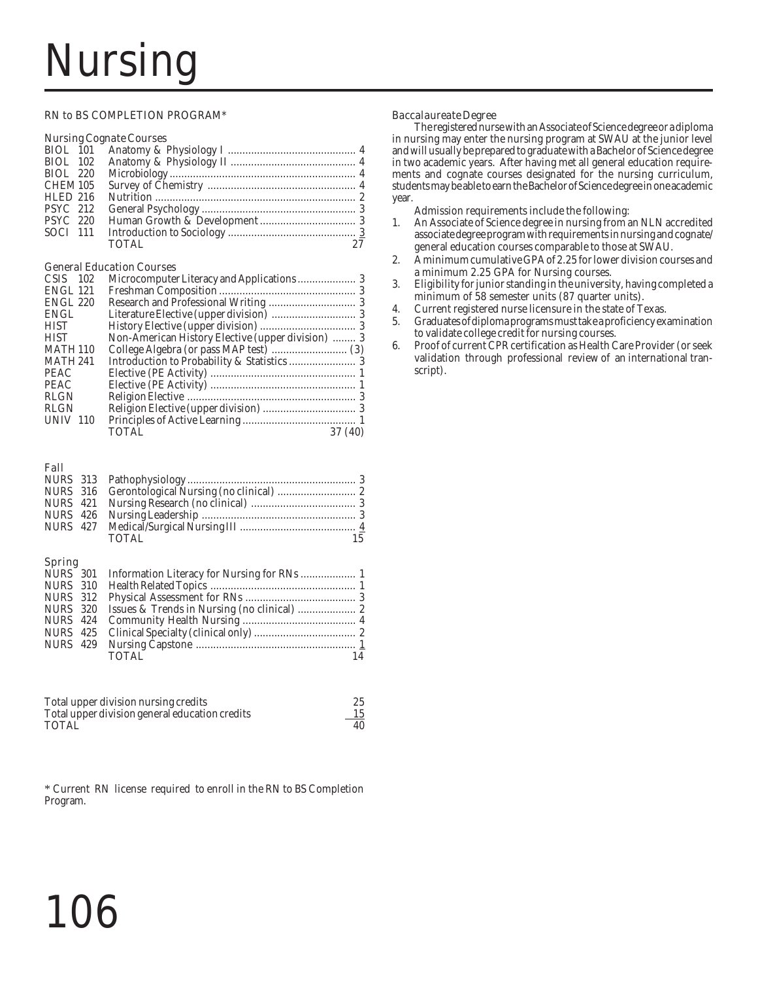# Nursin

### RN to BS COMPLETION PROGRAM\*

### Nursing Cognate Courses

| BIOL 102        |              |    |
|-----------------|--------------|----|
| BIOL 220        |              |    |
| CHEM 105        |              |    |
| <b>HLED 216</b> |              |    |
| <b>PSYC</b> 212 |              |    |
| <b>PSYC</b> 220 |              |    |
| SOCI 111        |              |    |
|                 | <b>TOTAL</b> | 27 |
|                 |              |    |

### General Education Courses

| $CSIS$ 102      |                                                   |         |
|-----------------|---------------------------------------------------|---------|
| ENGL 121        |                                                   |         |
| <b>ENGL 220</b> |                                                   |         |
| <b>ENGL</b>     |                                                   |         |
| <b>HIST</b>     |                                                   |         |
| <b>HIST</b>     | Non-American History Elective (upper division)  3 |         |
| <b>MATH 110</b> |                                                   |         |
| <b>MATH 241</b> |                                                   |         |
| <b>PEAC</b>     |                                                   |         |
| <b>PEAC</b>     |                                                   |         |
| <b>RLGN</b>     |                                                   |         |
| <b>RLGN</b>     |                                                   |         |
| <b>UNIV 110</b> |                                                   |         |
|                 | TOTAL                                             | 37 (40) |
|                 |                                                   |         |

### Fall

|  | TOTAL | 15 |
|--|-------|----|

### Spring

| TOTAL. | 14 |
|--------|----|
|        |    |

| Total upper division nursing credits           | 25 |
|------------------------------------------------|----|
| Total upper division general education credits | 15 |
| <b>TOTAL</b>                                   | 40 |

\* Current RN license required to enroll in the RN to BS Completion Program.

### Baccalaureate Degree

The registered nurse with an Associate of Science degree or a diploma in nursing may enter the nursing program at SWAU at the junior level and will usually be prepared to graduate with a Bachelor of Science degree in two academic years. After having met all general education requirements and cognate courses designated for the nursing curriculum, students may be able to earn the Bachelor of Science degree in one academic year.

Admission requirements include the following:

- 1. An Associate of Science degree in nursing from an NLN accredited associate degree program with requirements in nursing and cognate/ general education courses comparable to those at SWAU.
- 2. A minimum cumulative GPA of 2.25 for lower division courses and a minimum 2.25 GPA for Nursing courses.
- 3. Eligibility for junior standing in the university, having completed a minimum of 58 semester units (87 quarter units).
- 4. Current registered nurse licensure in the state of Texas.
- 5. Graduates of diploma programs must take a proficiency examination to validate college credit for nursing courses.
- 6. Proof of current CPR certification as Health Care Provider (or seek validation through professional review of an international transcript).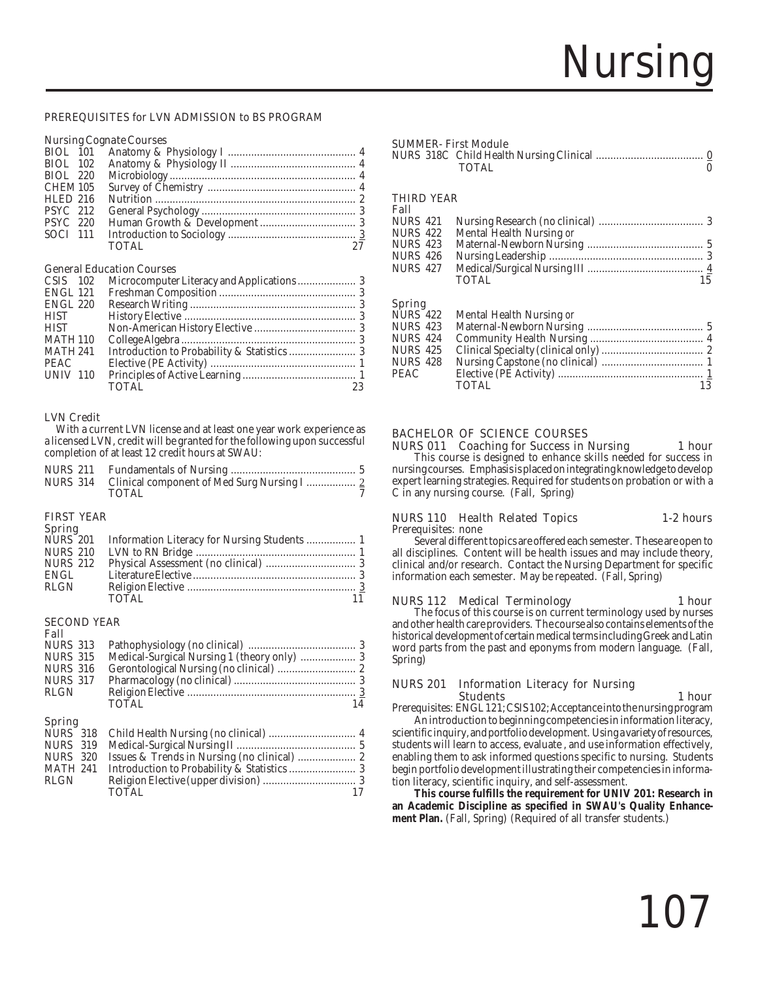### PREREQUISITES for LVN ADMISSION to BS PROGRAM

### Nursing Cognate Courses

| BIOL 220        |              |    |
|-----------------|--------------|----|
| CHEM 105        |              |    |
| <b>HLED 216</b> |              |    |
| <b>PSYC</b> 212 |              |    |
| <b>PSYC</b> 220 |              |    |
| SOCI 111        |              |    |
|                 | <b>TOTAL</b> | 27 |
|                 |              |    |

### General Education Courses

| $CSIS$ 102      |                    |
|-----------------|--------------------|
| <b>ENGL 121</b> |                    |
| <b>ENGL 220</b> |                    |
| <b>HIST</b>     |                    |
| <b>HIST</b>     |                    |
| <b>MATH 110</b> |                    |
| <b>MATH 241</b> |                    |
| PEAC            |                    |
| <b>UNIV 110</b> |                    |
|                 | <b>TOTAL</b><br>23 |

### LVN Credit

 With a current LVN license and at least one year work experience as a licensed LVN, credit will be granted for the following upon successful completion of at least 12 credit hours at SWAU:

| NURS 314 Clinical component of Med Surg Nursing I  2 |  |
|------------------------------------------------------|--|
| <b>TOTAL</b>                                         |  |

### FIRST YEAR

| NURS 201<br>Information Literacy for Nursing Students  1 |  |
|----------------------------------------------------------|--|
|                                                          |  |
|                                                          |  |
|                                                          |  |
|                                                          |  |
| TOTAL.                                                   |  |
|                                                          |  |

### SECOND YEAR

**Fall**<br>NURS 313 NURS 313 Pathophysiology (no clinical) ..................................... 3 NURS 315 Medical-Surgical Nursing 1 (theory only) ................... 3 NURS 316 Gerontological Nursing (no clinical) ........................... 2 NURS 317 Pharmacology (no clinical) .......................................... 3 RLGN Religion Elective .......................................................... 3 TOTAL 14

### Spring

| RLGN |       |    |
|------|-------|----|
|      | TOTAL | 17 |

### SUMMER- First Module

|  | <b>TOTAL</b> |  |
|--|--------------|--|

### THIRD YEAR Fall

| r an     |                          |    |
|----------|--------------------------|----|
| NURS 421 |                          |    |
| NURS 422 | Mental Health Nursing or |    |
| NURS 423 |                          |    |
| NURS 426 |                          |    |
| NURS 427 |                          |    |
|          | <b>TOTAL</b>             | 15 |
|          |                          |    |
|          |                          |    |

### Spring

| NURS 422 | Mental Health Nursing or |    |
|----------|--------------------------|----|
| NURS 423 |                          |    |
| NURS 424 |                          |    |
| NURS 425 |                          |    |
| NURS 428 |                          |    |
| PEAC     |                          |    |
|          | <b>TOTAL</b>             | 13 |
|          |                          |    |

### BACHELOR OF SCIENCE COURSES

NURS 011 Coaching for Success in Nursing 1 hour<br>This course is designed to enhance skills needed for success in nursing courses. Emphasis is placed on integrating knowledge to develop expert learning strategies. Required for students on probation or with a C in any nursing course. (Fall, Spring)

### NURS 110 Health Related Topics 1-2 hours

Prerequisites: none

Several different topics are offered each semester. These are open to all disciplines. Content will be health issues and may include theory, clinical and/or research. Contact the Nursing Department for specific information each semester. May be repeated. (Fall, Spring)

NURS 112 Medical Terminology 1 hour The focus of this course is on current terminology used by nurses and other health care providers. The course also contains elements of the historical development of certain medical terms including Greek and Latin word parts from the past and eponyms from modern language. (Fall, Spring)

### NURS 201 Information Literacy for Nursing Students 1 hour

Prerequisites: ENGL 121; CSIS 102; Acceptance into the nursing program

An introduction to beginning competencies in information literacy, scientific inquiry, and portfolio development. Using a variety of resources, students will learn to access, evaluate , and use information effectively, enabling them to ask informed questions specific to nursing. Students begin portfolio development illustrating their competencies in information literacy, scientific inquiry, and self-assessment.

**This course fulfills the requirement for UNIV 201: Research in an Academic Discipline as specified in SWAU's Quality Enhancement Plan.** (Fall, Spring) (Required of all transfer students.)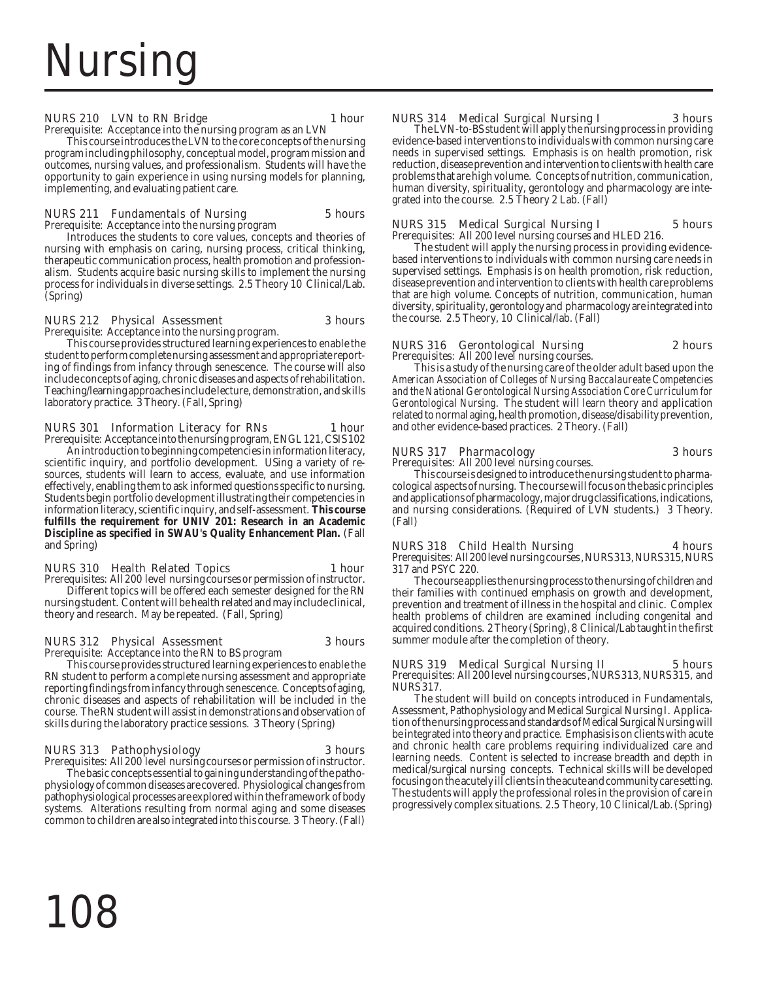### NURS 210 LVN to RN Bridge 1 hour

Prerequisite: Acceptance into the nursing program as an LVN

This course introduces the LVN to the core concepts of the nursing program including philosophy, conceptual model, program mission and outcomes, nursing values, and professionalism. Students will have the opportunity to gain experience in using nursing models for planning, implementing, and evaluating patient care.

### NURS 211 Fundamentals of Nursing 5 hours

Prerequisite: Acceptance into the nursing program

Introduces the students to core values, concepts and theories of nursing with emphasis on caring, nursing process, critical thinking, therapeutic communication process, health promotion and professionalism. Students acquire basic nursing skills to implement the nursing process for individuals in diverse settings. 2.5 Theory 10 Clinical/Lab. (Spring)

### NURS 212 Physical Assessment 3 hours

Prerequisite: Acceptance into the nursing program.

This course provides structured learning experiences to enable the student to perform complete nursing assessment and appropriate reporting of findings from infancy through senescence. The course will also include concepts of aging, chronic diseases and aspects of rehabilitation. Teaching/learning approaches include lecture, demonstration, and skills laboratory practice. 3 Theory. (Fall, Spring)

NURS 301 Information Literacy for RNs 1 hour Prerequisite: Acceptance into the nursing program, ENGL 121, CSIS 102 An introduction to beginning competencies in information literacy, scientific inquiry, and portfolio development. USing a variety of resources, students will learn to access, evaluate, and use information effectively, enabling them to ask informed questions specific to nursing. Students begin portfolio development illustrating their competencies in information literacy, scientific inquiry, and self-assessment. **This course fulfills the requirement for UNIV 201: Research in an Academic Discipline as specified in SWAU's Quality Enhancement Plan.** (Fall and Spring)

### NURS 310 Health Related Topics 1 hour

Prerequisites: All 200 level nursing courses or permission of instructor. Different topics will be offered each semester designed for the RN nursing student. Content will be health related and may include clinical, theory and research. May be repeated. (Fall, Spring)

### NURS 312 Physical Assessment 3 hours

Prerequisite: Acceptance into the RN to BS program

This course provides structured learning experiences to enable the RN student to perform a complete nursing assessment and appropriate reporting findings from infancy through senescence. Concepts of aging, chronic diseases and aspects of rehabilitation will be included in the course. The RN student will assist in demonstrations and observation of skills during the laboratory practice sessions. 3 Theory (Spring)

### NURS 313 Pathophysiology 3 hours

Prerequisites: All 200 level nursing courses or permission of instructor. The basic concepts essential to gaining understanding of the pathophysiology of common diseases are covered. Physiological changes from pathophysiological processes are explored within the framework of body systems. Alterations resulting from normal aging and some diseases common to children are also integrated into this course. 3 Theory. (Fall)

NURS 314 Medical Surgical Nursing I 3 hours The LVN-to-BS student will apply the nursing process in providing evidence-based interventions to individuals with common nursing care needs in supervised settings. Emphasis is on health promotion, risk reduction, disease prevention and intervention to clients with health care problems that are high volume. Concepts of nutrition, communication, human diversity, spirituality, gerontology and pharmacology are integrated into the course. 2.5 Theory 2 Lab. (Fall)

### NURS 315 Medical Surgical Nursing I 5 hours

Prerequisites: All 200 level nursing courses and HLED 216. The student will apply the nursing process in providing evidencebased interventions to individuals with common nursing care needs in supervised settings. Emphasis is on health promotion, risk reduction, disease prevention and intervention to clients with health care problems that are high volume. Concepts of nutrition, communication, human diversity, spirituality, gerontology and pharmacology are integrated into the course. 2.5 Theory, 10 Clinical/lab. (Fall)

### NURS 316 Gerontological Nursing 2 hours

Prerequisites: All 200 level nursing courses. This is a study of the nursing care of the older adult based upon the *American Association of Colleges of Nursing Baccalaureate Competencies and the National Gerontological Nursing Association Core Curriculum for Gerontological Nursing*. The student will learn theory and application related to normal aging, health promotion, disease/disability prevention, and other evidence-based practices. 2 Theory. (Fall)

### NURS 317 Pharmacology 3 hours

Prerequisites: All 200 level nursing courses. This course is designed to introduce the nursing student to pharmacological aspects of nursing. The course will focus on the basic principles and applications of pharmacology, major drug classifications, indications, and nursing considerations. (Required of LVN students.) 3 Theory. (Fall)

### NURS 318 Child Health Nursing 4 hours

Prerequisites: All 200 level nursing courses , NURS 313, NURS 315, NURS 317 and PSYC 220.

The course applies the nursing process to the nursing of children and their families with continued emphasis on growth and development, prevention and treatment of illness in the hospital and clinic. Complex health problems of children are examined including congenital and acquired conditions. 2 Theory (Spring), 8 Clinical/Lab taught in the first summer module after the completion of theory.

NURS 319 Medical Surgical Nursing II 5 hours Prerequisites: All 200 level nursing courses, NURS 313, NURS 315, and NURS 317.

The student will build on concepts introduced in Fundamentals, Assessment, Pathophysiology and Medical Surgical Nursing I. Application of the nursing process and standards of Medical Surgical Nursing will be integrated into theory and practice. Emphasis is on clients with acute and chronic health care problems requiring individualized care and learning needs. Content is selected to increase breadth and depth in medical/surgical nursing concepts. Technical skills will be developed focusing on the acutely ill clients in the acute and community care setting. The students will apply the professional roles in the provision of care in progressively complex situations. 2.5 Theory, 10 Clinical/Lab. (Spring)

108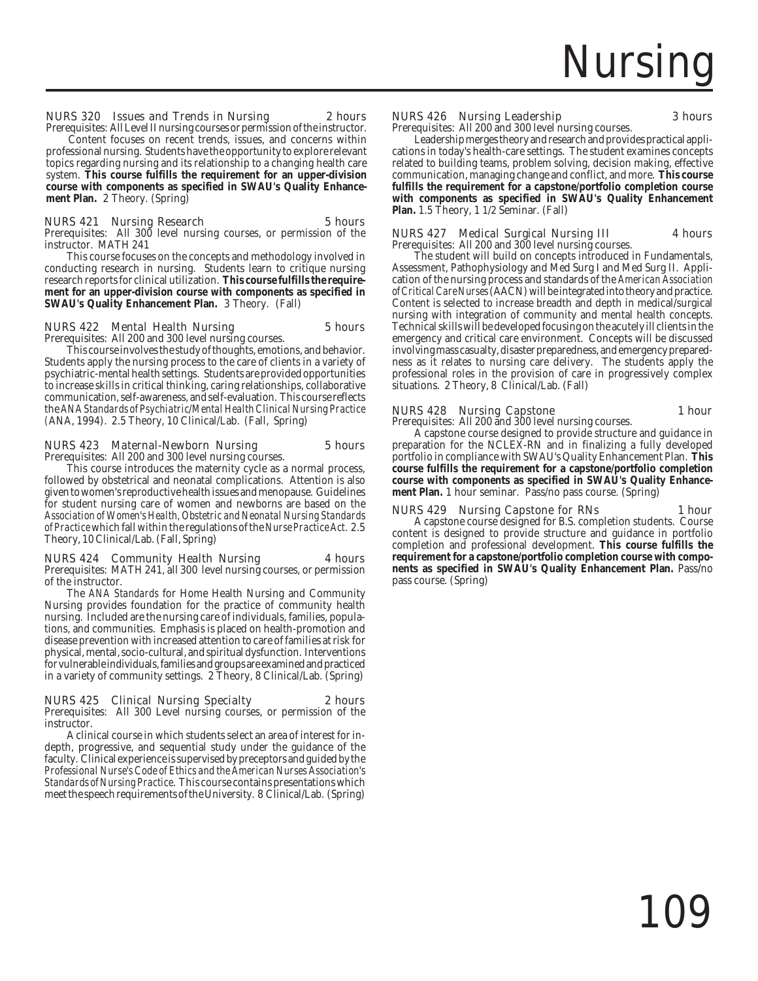### NURS 320 Issues and Trends in Nursing 2 hours

Prerequisites: All Level II nursing courses or permission of the instructor.

Content focuses on recent trends, issues, and concerns within professional nursing. Students have the opportunity to explore relevant topics regarding nursing and its relationship to a changing health care system. **This course fulfills the requirement for an upper-division course with components as specified in SWAU's Quality Enhancement Plan.** 2 Theory. (Spring)

### NURS 421 Nursing Research 5 hours

Prerequisites: All 300 level nursing courses, or permission of the instructor. MATH 241

This course focuses on the concepts and methodology involved in conducting research in nursing. Students learn to critique nursing research reports for clinical utilization. **This course fulfills the requirement for an upper-division course with components as specified in SWAU's Quality Enhancement Plan.** 3 Theory. (Fall)

#### NURS 422 Mental Health Nursing 5 hours Prerequisites: All 200 and 300 level nursing courses.

This course involves the study of thoughts, emotions, and behavior. Students apply the nursing process to the care of clients in a variety of psychiatric-mental health settings. Students are provided opportunities to increase skills in critical thinking, caring relationships, collaborative communication, self-awareness, and self-evaluation. This course reflects the *ANA Standards of Psychiatric/Mental Health Clinical Nursing Practice (*ANA, 1994). 2.5 Theory, 10 Clinical/Lab. (Fall, Spring)

### NURS 423 Maternal-Newborn Nursing 5 hours

Prerequisites: All 200 and 300 level nursing courses.

This course introduces the maternity cycle as a normal process, followed by obstetrical and neonatal complications. Attention is also given to women's reproductive health issues and menopause. Guidelines for student nursing care of women and newborns are based on the *Association of Women's Health, Obstetric and Neonatal Nursing Standards of Practice* which fall within the regulations of the *Nurse Practice Act.* 2.5 Theory, 10 Clinical/Lab. (Fall, Spring)

### NURS 424 Community Health Nursing 4 hours

Prerequisites: MATH 241, all 300 level nursing courses, or permission of the instructor.

The *ANA Standards* for Home Health Nursing and Community Nursing provides foundation for the practice of community health nursing. Included are the nursing care of individuals, families, populations, and communities. Emphasis is placed on health-promotion and disease prevention with increased attention to care of families at risk for physical, mental, socio-cultural, and spiritual dysfunction. Interventions for vulnerable individuals, families and groups are examined and practiced in a variety of community settings. 2 Theory, 8 Clinical/Lab. (Spring)

### NURS 425 Clinical Nursing Specialty 2 hours

Prerequisites: All 300 Level nursing courses, or permission of the instructor.

A clinical course in which students select an area of interest for indepth, progressive, and sequential study under the guidance of the faculty. Clinical experience is supervised by preceptors and guided by the *Professional Nurse's Code of Ethics and the American Nurses Association's Standards of Nursing Practice*. This course contains presentations which meet the speech requirements of the University. 8 Clinical/Lab. (Spring)

### NURS 426 Nursing Leadership 3 hours

Prerequisites: All 200 and 300 level nursing courses.

Leadership merges theory and research and provides practical applications in today's health-care settings. The student examines concepts related to building teams, problem solving, decision making, effective communication, managing change and conflict, and more. **This course fulfills the requirement for a capstone/portfolio completion course with components as specified in SWAU's Quality Enhancement Plan.** 1.5 Theory, 1 1/2 Seminar. (Fall)

### NURS 427 Medical Surgical Nursing III 4 hours Prerequisites: All 200 and 300 level nursing courses.

The student will build on concepts introduced in Fundamentals, Assessment, Pathophysiology and Med Surg I and Med Surg II. Application of the nursing process and standards of the *American Association of Critical Care Nurses* (AACN) will be integrated into theory and practice. Content is selected to increase breadth and depth in medical/surgical nursing with integration of community and mental health concepts. Technical skills will be developed focusing on the acutely ill clients in the emergency and critical care environment. Concepts will be discussed involving mass casualty, disaster preparedness, and emergency preparedness as it relates to nursing care delivery. The students apply the professional roles in the provision of care in progressively complex situations. 2 Theory, 8 Clinical/Lab. (Fall)

### NURS 428 Nursing Capstone 1 hour

Prerequisites: All 200 and 300 level nursing courses. A capstone course designed to provide structure and guidance in preparation for the NCLEX-RN and in finalizing a fully developed portfolio in compliance with SWAU's Quality Enhancement Plan. **This course fulfills the requirement for a capstone/portfolio completion course with components as specified in SWAU's Quality Enhance-**

**ment Plan.** 1 hour seminar. Pass/no pass course. (Spring)

NURS 429 Nursing Capstone for RNs 1 hour A capstone course designed for B.S. completion students. Course content is designed to provide structure and guidance in portfolio completion and professional development. **This course fulfills the requirement for a capstone/portfolio completion course with components as specified in SWAU's Quality Enhancement Plan.** Pass/no pass course. (Spring)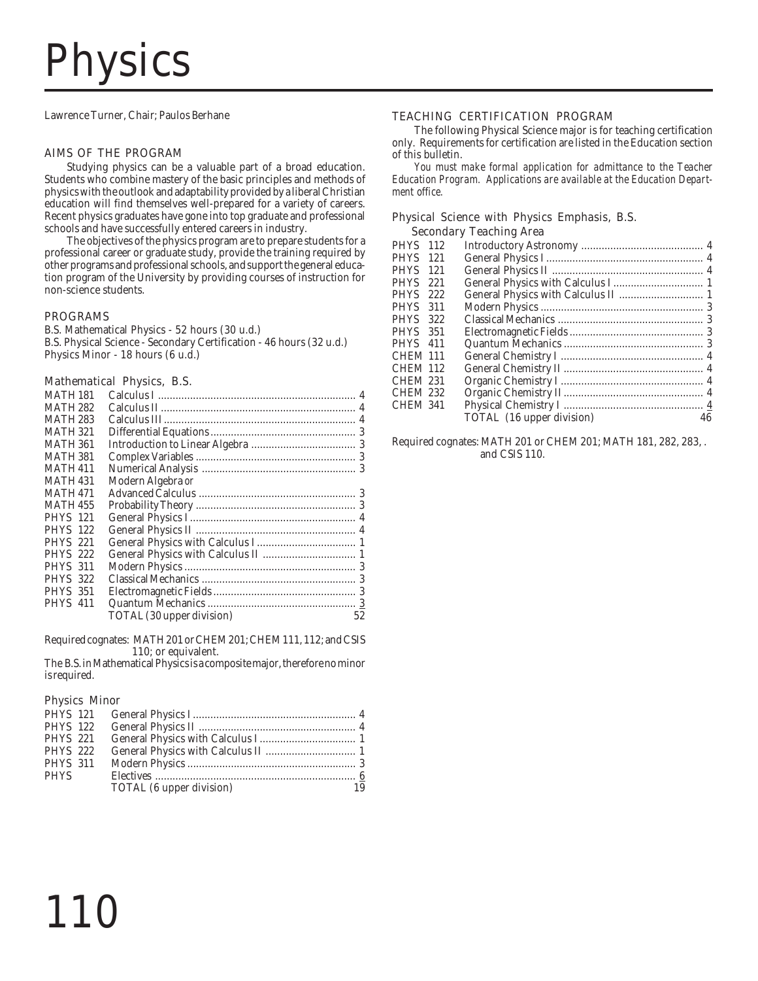# Physics

Lawrence Turner, Chair; Paulos Berhane

### AIMS OF THE PROGRAM

Studying physics can be a valuable part of a broad education. Students who combine mastery of the basic principles and methods of physics with the outlook and adaptability provided by a liberal Christian education will find themselves well-prepared for a variety of careers. Recent physics graduates have gone into top graduate and professional schools and have successfully entered careers in industry.

The objectives of the physics program are to prepare students for a professional career or graduate study, provide the training required by other programs and professional schools, and support the general education program of the University by providing courses of instruction for non-science students.

### PROGRAMS

B.S. Mathematical Physics - 52 hours (30 u.d.) B.S. Physical Science - Secondary Certification - 46 hours (32 u.d.) Physics Minor - 18 hours (6 u.d.)

### Mathematical Physics, B.S.

| <b>MATH 181</b> |                           |    |
|-----------------|---------------------------|----|
| <b>MATH 282</b> |                           |    |
| MATH 283        |                           |    |
| <b>MATH 321</b> |                           |    |
| <b>MATH 361</b> |                           |    |
| MATH 381        |                           |    |
| <b>MATH 411</b> |                           |    |
| <b>MATH 431</b> | Modern Algebra or         |    |
| <b>MATH 471</b> |                           |    |
| <b>MATH 455</b> |                           |    |
| <b>PHYS</b> 121 |                           |    |
| <b>PHYS</b> 122 |                           |    |
| <b>PHYS</b> 221 |                           |    |
| <b>PHYS</b> 222 |                           |    |
| <b>PHYS 311</b> |                           |    |
| <b>PHYS 322</b> |                           |    |
| <b>PHYS</b> 351 |                           |    |
| <b>PHYS</b> 411 |                           |    |
|                 | TOTAL (30 upper division) | 52 |
|                 |                           |    |

Required cognates: MATH 201 or CHEM 201; CHEM 111, 112; and CSIS 110; or equivalent.

The B.S. in Mathematical Physics is a composite major, therefore no minor is required.

### Physics Minor

110

| <b>PHYS</b> 122 |                          |    |
|-----------------|--------------------------|----|
| <b>PHYS 221</b> |                          |    |
| <b>PHYS 222</b> |                          |    |
| <b>PHYS 311</b> |                          |    |
| <b>PHYS</b>     |                          |    |
|                 | TOTAL (6 upper division) | 19 |
|                 |                          |    |

### TEACHING CERTIFICATION PROGRAM

The following Physical Science major is for teaching certification only. Requirements for certification are listed in the Education section of this bulletin.

*You must make formal application for admittance to the Teacher Education Program. Applications are available at the Education Department office.*

### Physical Science with Physics Emphasis, B.S. Secondary Teaching Area

| <b>PHYS</b> 112 |     |                           |    |
|-----------------|-----|---------------------------|----|
| <b>PHYS</b>     | 121 |                           |    |
| <b>PHYS</b>     | 121 |                           |    |
| <b>PHYS</b>     | 221 |                           |    |
| <b>PHYS</b>     | 222 |                           |    |
| <b>PHYS</b>     | 311 |                           |    |
| <b>PHYS</b>     | 322 |                           |    |
| <b>PHYS</b>     | 351 |                           |    |
| <b>PHYS</b> 411 |     |                           |    |
| CHEM 111        |     |                           |    |
| <b>CHEM 112</b> |     |                           |    |
| <b>CHEM 231</b> |     |                           |    |
| <b>CHEM 232</b> |     |                           |    |
| <b>CHEM 341</b> |     |                           |    |
|                 |     | TOTAL (16 upper division) | 46 |
|                 |     |                           |    |

Required cognates: MATH 201 or CHEM 201; MATH 181, 282, 283, . and CSIS 110.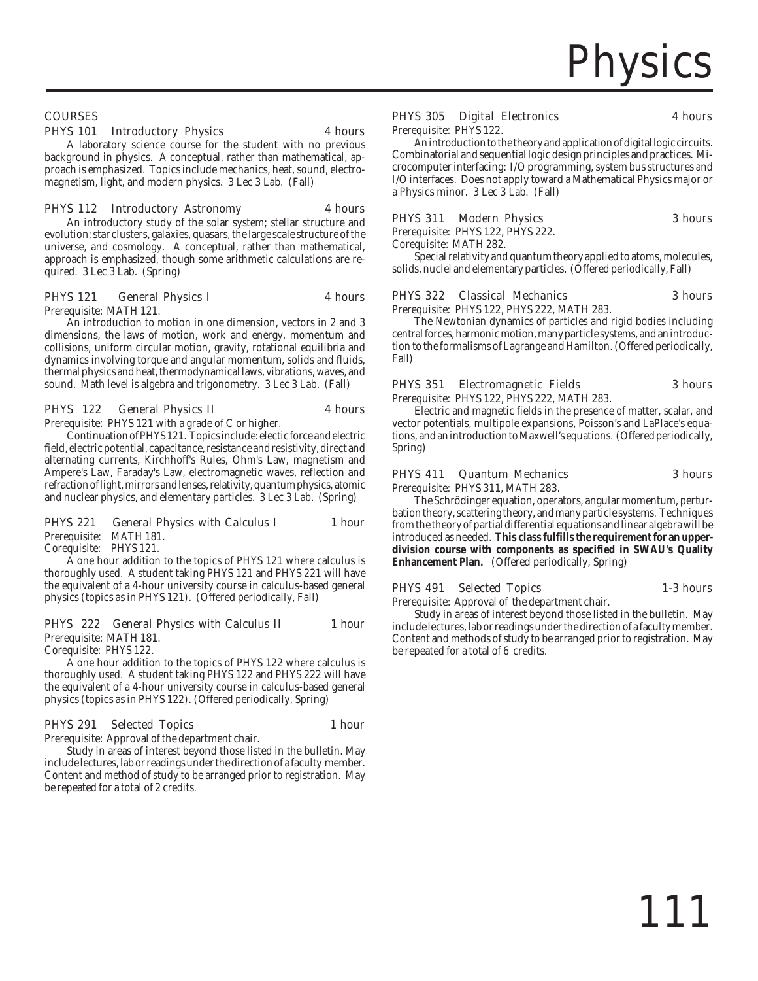### COURSES

### PHYS 101 Introductory Physics 4 hours

A laboratory science course for the student with no previous background in physics. A conceptual, rather than mathematical, approach is emphasized. Topics include mechanics, heat, sound, electromagnetism, light, and modern physics. 3 Lec 3 Lab. (Fall)

### PHYS 112 Introductory Astronomy 4 hours

An introductory study of the solar system; stellar structure and evolution; star clusters, galaxies, quasars, the large scale structure of the universe, and cosmology. A conceptual, rather than mathematical, approach is emphasized, though some arithmetic calculations are required. 3 Lec 3 Lab. (Spring)

### PHYS 121 General Physics I 4 hours

Prerequisite: MATH 121.

An introduction to motion in one dimension, vectors in 2 and 3 dimensions, the laws of motion, work and energy, momentum and collisions, uniform circular motion, gravity, rotational equilibria and dynamics involving torque and angular momentum, solids and fluids, thermal physics and heat, thermodynamical laws, vibrations, waves, and sound. Math level is algebra and trigonometry. 3 Lec 3 Lab. (Fall)

### PHYS 122 General Physics II 4 hours

Prerequisite: PHYS 121 with a grade of C or higher.

Continuation of PHYS 121. Topics include: electic force and electric field, electric potential, capacitance, resistance and resistivity, direct and alternating currents, Kirchhoff's Rules, Ohm's Law, magnetism and Ampere's Law, Faraday's Law, electromagnetic waves, reflection and refraction of light, mirrors and lenses, relativity, quantum physics, atomic and nuclear physics, and elementary particles. 3 Lec 3 Lab. (Spring)

### PHYS 221 General Physics with Calculus I 1 hour

Prerequisite: MATH 181. Corequisite: PHYS 121.

A one hour addition to the topics of PHYS 121 where calculus is thoroughly used. A student taking PHYS 121 and PHYS 221 will have the equivalent of a 4-hour university course in calculus-based general physics (topics as in PHYS 121). (Offered periodically, Fall)

### PHYS 222 General Physics with Calculus II 1 hour

Prerequisite: MATH 181.

Corequisite: PHYS 122.

A one hour addition to the topics of PHYS 122 where calculus is thoroughly used. A student taking PHYS 122 and PHYS 222 will have the equivalent of a 4-hour university course in calculus-based general physics (topics as in PHYS 122). (Offered periodically, Spring)

### PHYS 291 Selected Topics 1 hour

Prerequisite: Approval of the department chair.

Study in areas of interest beyond those listed in the bulletin. May include lectures, lab or readings under the direction of a faculty member. Content and method of study to be arranged prior to registration. May be repeated for a total of 2 credits.

### PHYS 305 Digital Electronics 4 hours

Prerequisite: PHYS 122.

An introduction to the theory and application of digital logic circuits. Combinatorial and sequential logic design principles and practices. Microcomputer interfacing: I/O programming, system bus structures and I/O interfaces. Does not apply toward a Mathematical Physics major or a Physics minor. 3 Lec 3 Lab. (Fall)

### PHYS 311 Modern Physics 3 hours

Prerequisite: PHYS 122, PHYS 222.

Corequisite: MATH 282.

Special relativity and quantum theory applied to atoms, molecules, solids, nuclei and elementary particles. (Offered periodically, Fall)

### PHYS 322 Classical Mechanics 3 hours

Prerequisite: PHYS 122, PHYS 222, MATH 283.

The Newtonian dynamics of particles and rigid bodies including central forces, harmonic motion, many particle systems, and an introduction to the formalisms of Lagrange and Hamilton. (Offered periodically, Fall)

### PHYS 351 Electromagnetic Fields 3 hours Prerequisite: PHYS 122, PHYS 222, MATH 283.

Electric and magnetic fields in the presence of matter, scalar, and vector potentials, multipole expansions, Poisson's and LaPlace's equations, and an introduction to Maxwell's equations. (Offered periodically, Spring)

### PHYS 411 Quantum Mechanics 3 hours

Prerequisite: PHYS 311, MATH 283.

The Schrödinger equation, operators, angular momentum, perturbation theory, scattering theory, and many particle systems. Techniques from the theory of partial differential equations and linear algebra will be introduced as needed. **This class fulfills the requirement for an upperdivision course with components as specified in SWAU's Quality Enhancement Plan.** (Offered periodically, Spring)

### PHYS 491 Selected Topics 1-3 hours

Prerequisite: Approval of the department chair.

Study in areas of interest beyond those listed in the bulletin. May include lectures, lab or readings under the direction of a faculty member. Content and methods of study to be arranged prior to registration. May be repeated for a total of 6 credits.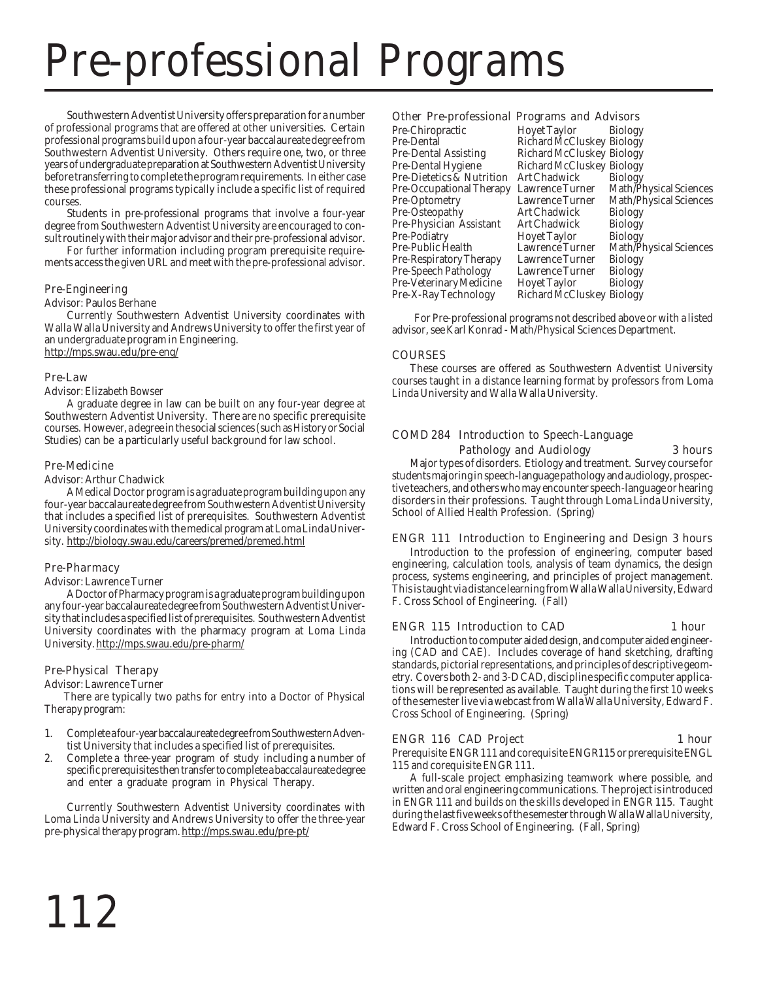# Pre-professional Programs

Southwestern Adventist University offers preparation for a number of professional programs that are offered at other universities. Certain professional programs build upon a four-year baccalaureate degree from Southwestern Adventist University. Others require one, two, or three years of undergraduate preparation at Southwestern Adventist University before transferring to complete the program requirements. In either case these professional programs typically include a specific list of required courses.

Students in pre-professional programs that involve a four-year degree from Southwestern Adventist University are encouraged to consult routinely with their major advisor and their pre-professional advisor.

For further information including program prerequisite requirements access the given URL and meet with the pre-professional advisor.

### Pre-Engineering

Advisor: Paulos Berhane

Currently Southwestern Adventist University coordinates with Walla Walla University and Andrews University to offer the first year of an undergraduate program in Engineering. http://mps.swau.edu/pre-eng/

### Pre-Law

### Advisor: Elizabeth Bowser

A graduate degree in law can be built on any four-year degree at Southwestern Adventist University. There are no specific prerequisite courses. However, a degree in the social sciences (such as History or Social Studies) can be a particularly useful background for law school.

### Pre-Medicine

Advisor: Arthur Chadwick

A Medical Doctor program is a graduate program building upon any four-year baccalaureate degree from Southwestern Adventist University that includes a specified list of prerequisites. Southwestern Adventist University coordinates with the medical program at Loma Linda University. http://biology.swau.edu/careers/premed/premed.html

### Pre-Pharmacy

Advisor: Lawrence Turner

A Doctor of Pharmacy program is a graduate program building upon any four-year baccalaureate degree from Southwestern Adventist University that includes a specified list of prerequisites. Southwestern Adventist University coordinates with the pharmacy program at Loma Linda University. http://mps.swau.edu/pre-pharm/

### Pre-Physical Therapy

Advisor: Lawrence Turner

There are typically two paths for entry into a Doctor of Physical Therapy program:

- 1. Complete a four-year baccalaureate degree from Southwestern Adventist University that includes a specified list of prerequisites.
- 2. Complete a three-year program of study including a number of specific prerequisites then transfer to complete a baccalaureate degree and enter a graduate program in Physical Therapy.

Currently Southwestern Adventist University coordinates with Loma Linda University and Andrews University to offer the three-year pre-physical therapy program. http://mps.swau.edu/pre-pt/

### Other Pre-professional Programs and Advisors

| Pre-Chiropractic          | Hoyet Taylor              | <b>Biology</b>         |
|---------------------------|---------------------------|------------------------|
| Pre-Dental                | Richard McCluskey Biology |                        |
| Pre-Dental Assisting      | Richard McCluskey Biology |                        |
| Pre-Dental Hygiene        | Richard McCluskey Biology |                        |
| Pre-Dietetics & Nutrition | <b>Art Chadwick</b>       | <b>Biology</b>         |
| Pre-Occupational Therapy  | Lawrence Turner           | Math/Physical Sciences |
| Pre-Optometry             | Lawrence Turner           | Math/Physical Sciences |
| Pre-Osteopathy            | Art Chadwick              | <b>Biology</b>         |
| Pre-Physician Assistant   | <b>Art Chadwick</b>       | <b>Biology</b>         |
| Pre-Podiatry              | Hoyet Taylor              | <b>Biology</b>         |
| Pre-Public Health         | Lawrence Turner           | Math/Physical Sciences |
| Pre-Respiratory Therapy   | Lawrence Turner           | <b>Biology</b>         |
| Pre-Speech Pathology      | Lawrence Turner           | <b>Biology</b>         |
| Pre-Veterinary Medicine   | Hoyet Taylor              | <b>Biology</b>         |
| Pre-X-Ray Technology      | Richard McCluskey Biology |                        |
|                           |                           |                        |

For Pre-professional programs not described above or with a listed advisor, see Karl Konrad - Math/Physical Sciences Department.

### COURSES

These courses are offered as Southwestern Adventist University courses taught in a distance learning format by professors from Loma Linda University and Walla Walla University.

### COMD 284 Introduction to Speech-Language Pathology and Audiology 3 hours

Major types of disorders. Etiology and treatment. Survey course for students majoring in speech-language pathology and audiology, prospective teachers, and others who may encounter speech-language or hearing disorders in their professions. Taught through Loma Linda University, School of Allied Health Profession. (Spring)

### ENGR 111 Introduction to Engineering and Design 3 hours

Introduction to the profession of engineering, computer based engineering, calculation tools, analysis of team dynamics, the design process, systems engineering, and principles of project management. This is taught via distance learning from Walla Walla University, Edward F. Cross School of Engineering. (Fall)

### ENGR 115 Introduction to CAD 1 hour

Introduction to computer aided design, and computer aided engineering (CAD and CAE). Includes coverage of hand sketching, drafting standards, pictorial representations, and principles of descriptive geometry. Covers both 2- and 3-D CAD, discipline specific computer applications will be represented as available. Taught during the first 10 weeks of the semester live via webcast from Walla Walla University, Edward F. Cross School of Engineering. (Spring)

### ENGR 116 CAD Project 1 hour

Prerequisite ENGR 111 and corequisite ENGR115 or prerequisite ENGL 115 and corequisite ENGR 111.

A full-scale project emphasizing teamwork where possible, and written and oral engineering communications. The project is introduced in ENGR 111 and builds on the skills developed in ENGR 115. Taught during the last five weeks of the semester through Walla Walla University, Edward F. Cross School of Engineering. (Fall, Spring)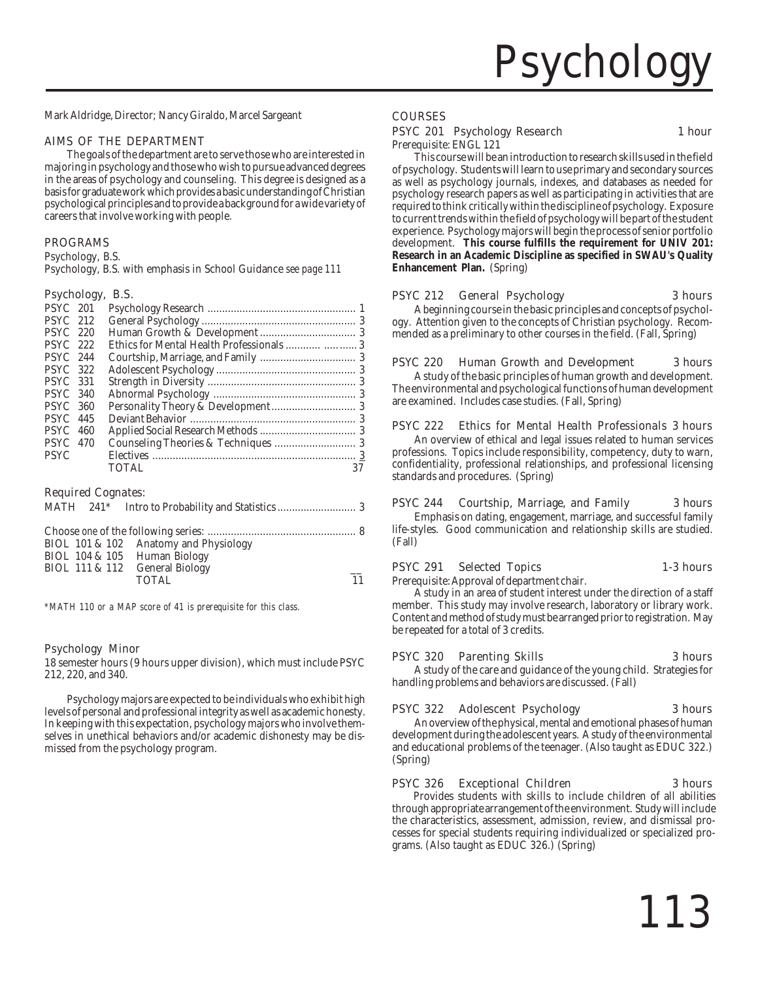

Mark Aldridge, Director; Nancy Giraldo, Marcel Sargeant

### AIMS OF THE DEPARTMENT

The goals of the department are to serve those who are interested in majoring in psychology and those who wish to pursue advanced degrees in the areas of psychology and counseling. This degree is designed as a basis for graduate work which provides a basic understanding of Christian psychological principles and to provide a background for a wide variety of careers that involve working with people.

### PROGRAMS

Psychology, B.S.

Psychology, B.S. with emphasis in School Guidance *see page 111*

### Psychology, B.S.

| <b>PSYC</b> 201 |      |                                            |    |
|-----------------|------|--------------------------------------------|----|
| <b>PSYC</b> 212 |      |                                            |    |
| <b>PSYC</b> 220 |      |                                            |    |
| <b>PSYC</b> 222 |      | Ethics for Mental Health Professionals   3 |    |
| <b>PSYC</b> 244 |      |                                            |    |
| <b>PSYC</b> 322 |      |                                            |    |
| <b>PSYC</b> 331 |      |                                            |    |
| <b>PSYC</b> 340 |      |                                            |    |
| <b>PSYC</b> 360 |      |                                            |    |
| <b>PSYC</b> 445 |      |                                            |    |
| <b>PSYC</b>     | -460 |                                            |    |
| <b>PSYC</b> 470 |      |                                            |    |
| <b>PSYC</b>     |      |                                            |    |
|                 |      | <b>TOTAL</b>                               | 37 |
|                 |      |                                            |    |

### Required Cognates:

|  | BIOL 101 & 102 Anatomy and Physiology |                 |
|--|---------------------------------------|-----------------|
|  | BIOL 104 & 105 Human Biology          |                 |
|  | BIOL 111 & 112 General Biology        |                 |
|  | TOTAL.                                | $\overline{11}$ |

*\*MATH 110 or a MAP score of 41 is prerequisite for this class.*

### Psychology Minor

18 semester hours (9 hours upper division), which must include PSYC 212, 220, and 340.

Psychology majors are expected to be individuals who exhibit high levels of personal and professional integrity as well as academic honesty. In keeping with this expectation, psychology majors who involve themselves in unethical behaviors and/or academic dishonesty may be dismissed from the psychology program.

### COURSES

### PSYC 201 Psychology Research 1 hour

Prerequisite: ENGL 121

This course will be an introduction to research skills used in the field of psychology. Students will learn to use primary and secondary sources as well as psychology journals, indexes, and databases as needed for psychology research papers as well as participating in activities that are required to think critically within the discipline of psychology. Exposure to current trends within the field of psychology will be part of the student experience. Psychology majors will begin the process of senior portfolio development. **This course fulfills the requirement for UNIV 201: Research in an Academic Discipline as specified in SWAU's Quality Enhancement Plan.** (Spring)

### PSYC 212 General Psychology 3 hours

A beginning course in the basic principles and concepts of psychology. Attention given to the concepts of Christian psychology. Recommended as a preliminary to other courses in the field. (Fall, Spring)

### PSYC 220 Human Growth and Development 3 hours

A study of the basic principles of human growth and development. The environmental and psychological functions of human development are examined. Includes case studies. (Fall, Spring)

### PSYC 222 Ethics for Mental Health Professionals 3 hours

An overview of ethical and legal issues related to human services professions. Topics include responsibility, competency, duty to warn, confidentiality, professional relationships, and professional licensing standards and procedures. (Spring)

### PSYC 244 Courtship, Marriage, and Family 3 hours

Emphasis on dating, engagement, marriage, and successful family life-styles. Good communication and relationship skills are studied. (Fall)

### PSYC 291 Selected Topics 1-3 hours

Prerequisite: Approval of department chair.

A study in an area of student interest under the direction of a staff member. This study may involve research, laboratory or library work. Content and method of study must be arranged prior to registration. May be repeated for a total of 3 credits.

### PSYC 320 Parenting Skills 3 hours

A study of the care and guidance of the young child. Strategies for handling problems and behaviors are discussed. (Fall)

### PSYC 322 Adolescent Psychology 3 hours

An overview of the physical, mental and emotional phases of human development during the adolescent years. A study of the environmental and educational problems of the teenager. (Also taught as EDUC 322.) (Spring)

### PSYC 326 Exceptional Children 3 hours

Provides students with skills to include children of all abilities through appropriate arrangement of the environment. Study will include the characteristics, assessment, admission, review, and dismissal processes for special students requiring individualized or specialized programs. (Also taught as EDUC 326.) (Spring)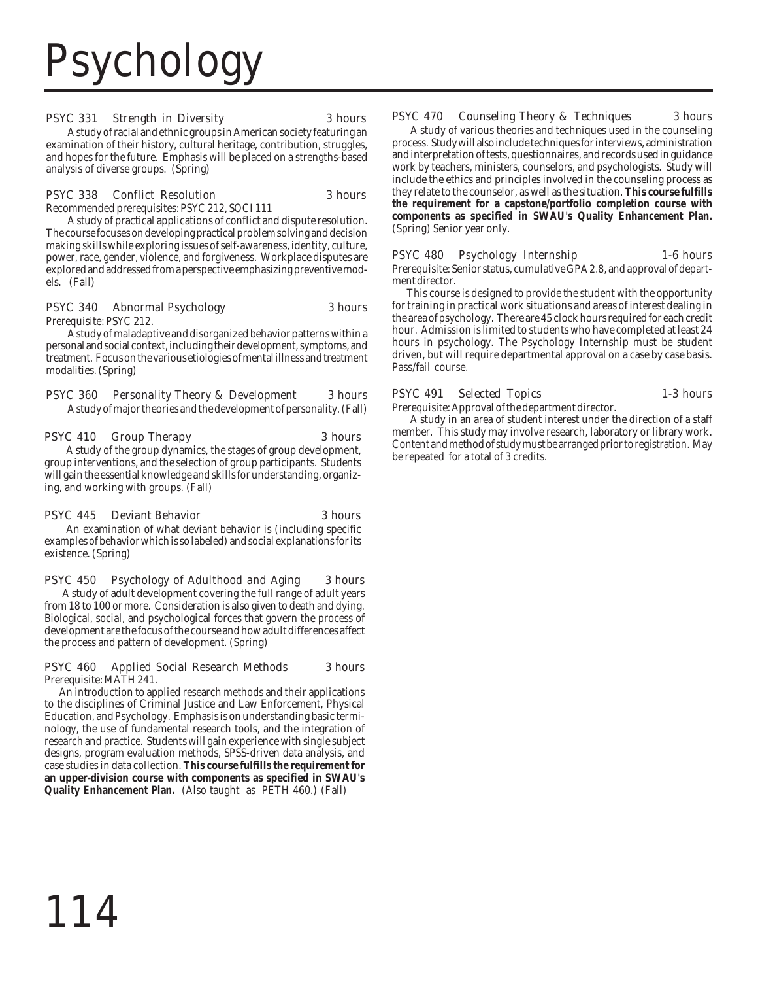# Psychology

### PSYC 331 Strength in Diversity 3 hours

A study of racial and ethnic groups in American society featuring an examination of their history, cultural heritage, contribution, struggles, and hopes for the future. Emphasis will be placed on a strengths-based analysis of diverse groups. (Spring)

### PSYC 338 Conflict Resolution 3 hours

Recommended prerequisites: PSYC 212, SOCI 111

A study of practical applications of conflict and dispute resolution. The course focuses on developing practical problem solving and decision making skills while exploring issues of self-awareness, identity, culture, power, race, gender, violence, and forgiveness. Workplace disputes are explored and addressed from a perspective emphasizing preventive models. (Fall)

### PSYC 340 Abnormal Psychology 3 hours

Prerequisite: PSYC 212.

A study of maladaptive and disorganized behavior patterns within a personal and social context, including their development, symptoms, and treatment. Focus on the various etiologies of mental illness and treatment modalities. (Spring)

### PSYC 360 Personality Theory & Development 3 hours

A study of major theories and the development of personality. (Fall)

### PSYC 410 Group Therapy 3 hours

A study of the group dynamics, the stages of group development, group interventions, and the selection of group participants. Students will gain the essential knowledge and skills for understanding, organizing, and working with groups. (Fall)

### PSYC 445 Deviant Behavior 3 hours

An examination of what deviant behavior is (including specific examples of behavior which is so labeled) and social explanations for its existence. (Spring)

PSYC 450 Psychology of Adulthood and Aging 3 hours A study of adult development covering the full range of adult years from 18 to 100 or more. Consideration is also given to death and dying. Biological, social, and psychological forces that govern the process of development are the focus of the course and how adult differences affect the process and pattern of development. (Spring)

### PSYC 460 Applied Social Research Methods 3 hours Prerequisite: MATH 241.

 An introduction to applied research methods and their applications to the disciplines of Criminal Justice and Law Enforcement, Physical Education, and Psychology. Emphasis is on understanding basic terminology, the use of fundamental research tools, and the integration of research and practice. Students will gain experience with single subject designs, program evaluation methods, SPSS-driven data analysis, and case studies in data collection. **This course fulfills the requirement for an upper-division course with components as specified in SWAU's Quality Enhancement Plan.** (Also taught as PETH 460.) (Fall)

### PSYC 470 Counseling Theory & Techniques 3 hours

 A study of various theories and techniques used in the counseling process. Study will also include techniques for interviews, administration and interpretation of tests, questionnaires, and records used in guidance work by teachers, ministers, counselors, and psychologists. Study will include the ethics and principles involved in the counseling process as they relate to the counselor, as well as the situation. **This course fulfills the requirement for a capstone/portfolio completion course with components as specified in SWAU's Quality Enhancement Plan.** (Spring) Senior year only.

### PSYC 480 Psychology Internship 1-6 hours

Prerequisite: Senior status, cumulative GPA 2.8, and approval of department director.

 This course is designed to provide the student with the opportunity for training in practical work situations and areas of interest dealing in the area of psychology. There are 45 clock hours required for each credit hour. Admission is limited to students who have completed at least 24 hours in psychology. The Psychology Internship must be student driven, but will require departmental approval on a case by case basis. Pass/fail course.

### PSYC 491 Selected Topics 1-3 hours

Prerequisite: Approval of the department director.

 A study in an area of student interest under the direction of a staff member. This study may involve research, laboratory or library work. Content and method of study must be arranged prior to registration. May be repeated for a total of 3 credits.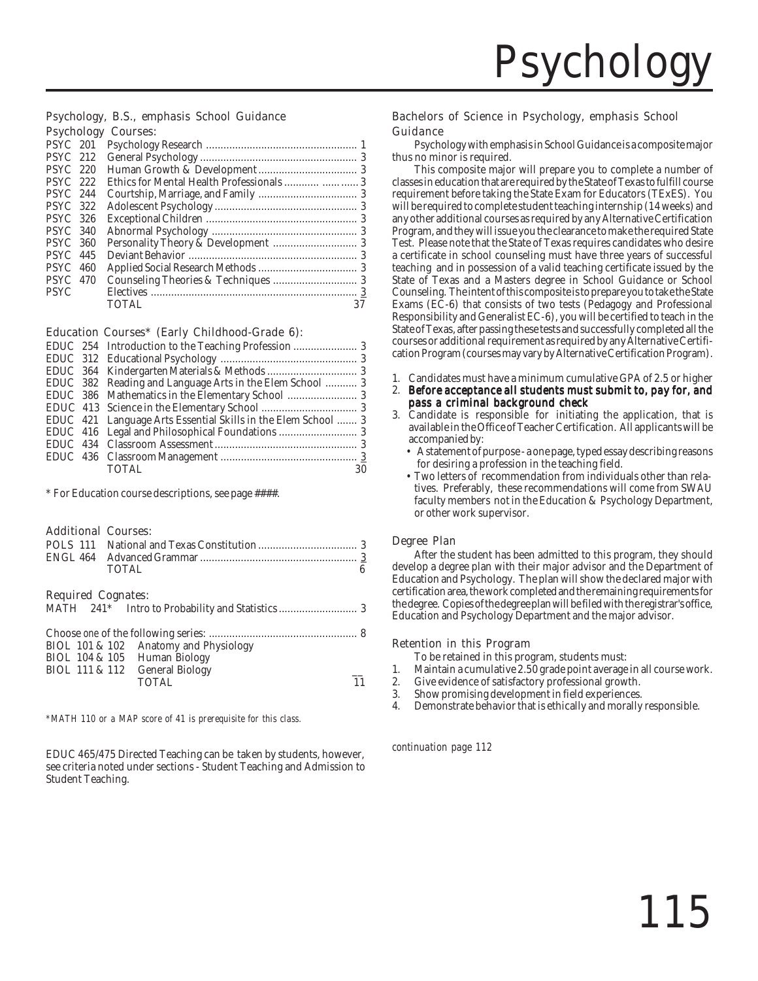### Psychology, B.S., emphasis School Guidance Psychology Courses:

| 19,01010        | ~~~~~~~ |    |
|-----------------|---------|----|
| <b>PSYC</b> 201 |         |    |
| <b>PSYC</b> 212 |         |    |
| <b>PSYC</b> 220 |         |    |
| <b>PSYC</b> 222 |         |    |
| <b>PSYC</b> 244 |         |    |
| <b>PSYC</b> 322 |         |    |
| <b>PSYC</b> 326 |         |    |
| <b>PSYC 340</b> |         |    |
| <b>PSYC 360</b> |         |    |
| <b>PSYC</b> 445 |         |    |
| <b>PSYC</b> 460 |         |    |
| <b>PSYC</b> 470 |         |    |
| <b>PSYC</b>     |         |    |
|                 | TOTAL   | 37 |
|                 |         |    |

### Education Courses\* (Early Childhood-Grade 6):

|  | EDUC 382 Reading and Language Arts in the Elem School  3      |    |
|--|---------------------------------------------------------------|----|
|  |                                                               |    |
|  |                                                               |    |
|  | EDUC 421 Language Arts Essential Skills in the Elem School  3 |    |
|  |                                                               |    |
|  |                                                               |    |
|  |                                                               |    |
|  | <b>TOTAL</b>                                                  | 30 |
|  |                                                               |    |

\* For Education course descriptions, see page ####.

### Additional Courses:

|  | TOTAL |  |
|--|-------|--|

### Required Cognates:

|  | BIOL 101 & 102 Anatomy and Physiology<br>BIOL 104 & 105 Human Biology |    |
|--|-----------------------------------------------------------------------|----|
|  | BIOL 111 & 112 General Biology<br>TOTAL.                              | 11 |

*\*MATH 110 or a MAP score of 41 is prerequisite for this class.*

EDUC 465/475 Directed Teaching can be taken by students, however, see criteria noted under sections - Student Teaching and Admission to Student Teaching.

### Bachelors of Science in Psychology, emphasis School Guidance

Psychology with emphasis in School Guidance is a composite major thus no minor is required.

This composite major will prepare you to complete a number of classes in education that are required by the State of Texas to fulfill course requirement before taking the State Exam for Educators (TExES). You will be required to complete student teaching internship (14 weeks) and any other additional courses as required by any Alternative Certification Program, and they will issue you the clearance to make the required State Test. Please note that the State of Texas requires candidates who desire a certificate in school counseling must have three years of successful teaching and in possession of a valid teaching certificate issued by the State of Texas and a Masters degree in School Guidance or School Counseling. The intent of this composite is to prepare you to take the State Exams (EC-6) that consists of two tests (Pedagogy and Professional Responsibility and Generalist EC-6), you will be certified to teach in the State of Texas, after passing these tests and successfully completed all the courses or additional requirement as required by any Alternative Certification Program (courses may vary by Alternative Certification Program).

- 1. Candidates must have a minimum cumulative GPA of 2.5 or higher
- 2. Before acceptance all students must submit to, pay for, and pass a criminal background check
- 3. Candidate is responsible for initiating the application, that is available in the Office of Teacher Certification. All applicants will be accompanied by:
	- A statement of purpose a one page, typed essay describing reasons for desiring a profession in the teaching field.
	- Two letters of recommendation from individuals other than relatives. Preferably, these recommendations will come from SWAU faculty members not in the Education & Psychology Department, or other work supervisor.

### Degree Plan

After the student has been admitted to this program, they should develop a degree plan with their major advisor and the Department of Education and Psychology. The plan will show the declared major with certification area, the work completed and the remaining requirements for the degree. Copies of the degree plan will be filed with the registrar's office, Education and Psychology Department and the major advisor.

### Retention in this Program

To be retained in this program, students must:

- Maintain a cumulative 2.50 grade point average in all course work.
- 2. Give evidence of satisfactory professional growth.<br>3. Show promising development in field experiences.
- 3. Show promising development in field experiences.
- Demonstrate behavior that is ethically and morally responsible.

*continuation page 112*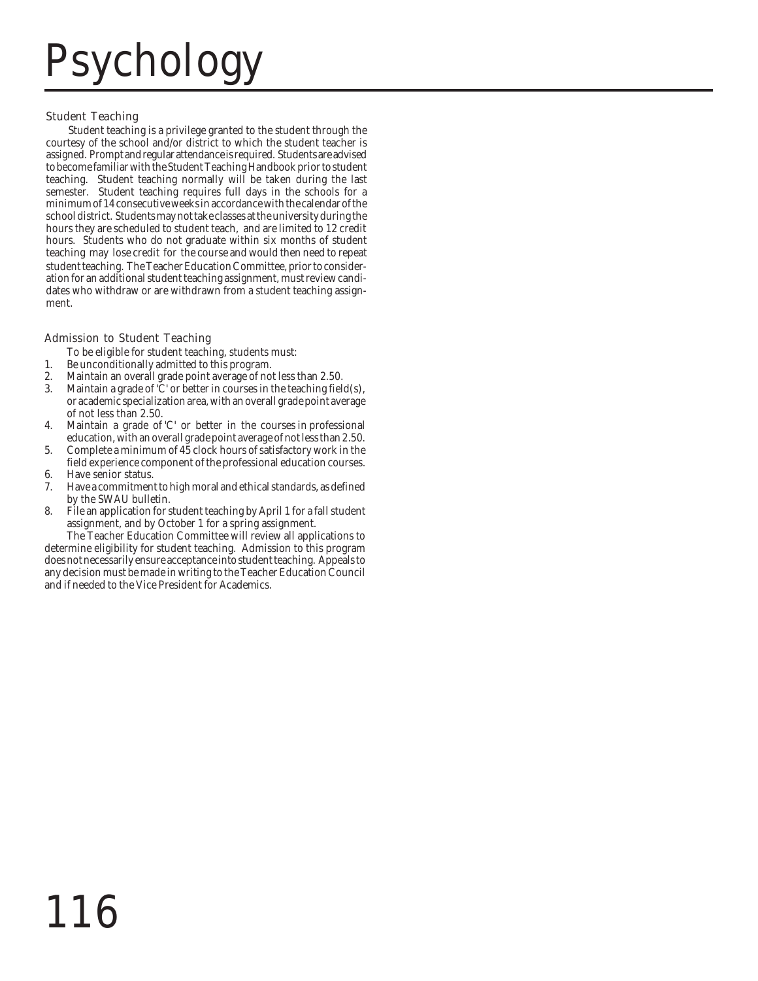# Psychology

### Student Teaching

student teaching. The Teacher Education Committee, prior to consideration for an additional student teaching assignment, must review candidates who withdraw or are withdrawn from a student teaching assignment. Student teaching is a privilege granted to the student through the courtesy of the school and/or district to which the student teacher is assigned. Prompt and regular attendance is required. Students are advised to become familiar with the Student Teaching Handbook prior to student teaching. Student teaching normally will be taken during the last semester. Student teaching requires full days in the schools for a minimum of 14 consecutive weeks in accordance with the calendar of the school district. Students may not take classes at the university during the hours they are scheduled to student teach, and are limited to 12 credit hours. Students who do not graduate within six months of student teaching may lose credit for the course and would then need to repeat

### Admission to Student Teaching

To be eligible for student teaching, students must:

- 1. Be unconditionally admitted to this program.
- 2. Maintain an overall grade point average of not less than 2.50.
- 3. Maintain a grade of 'C' or better in courses in the teaching field(s), or academic specialization area, with an overall grade point average of not less than 2.50.
- 4. Maintain a grade of 'C' or better in the courses in professional education, with an overall grade point average of not less than 2.50.
- 5. Complete a minimum of 45 clock hours of satisfactory work in the field experience component of the professional education courses.
- 6. Have senior status.
- 7. Have a commitment to high moral and ethical standards, as defined by the SWAU bulletin.
- 8. File an application for student teaching by April 1 for a fall student assignment, and by October 1 for a spring assignment.

The Teacher Education Committee will review all applications to determine eligibility for student teaching. Admission to this program does not necessarily ensure acceptance into student teaching. Appeals to any decision must be made in writing to the Teacher Education Council and if needed to the Vice President for Academics.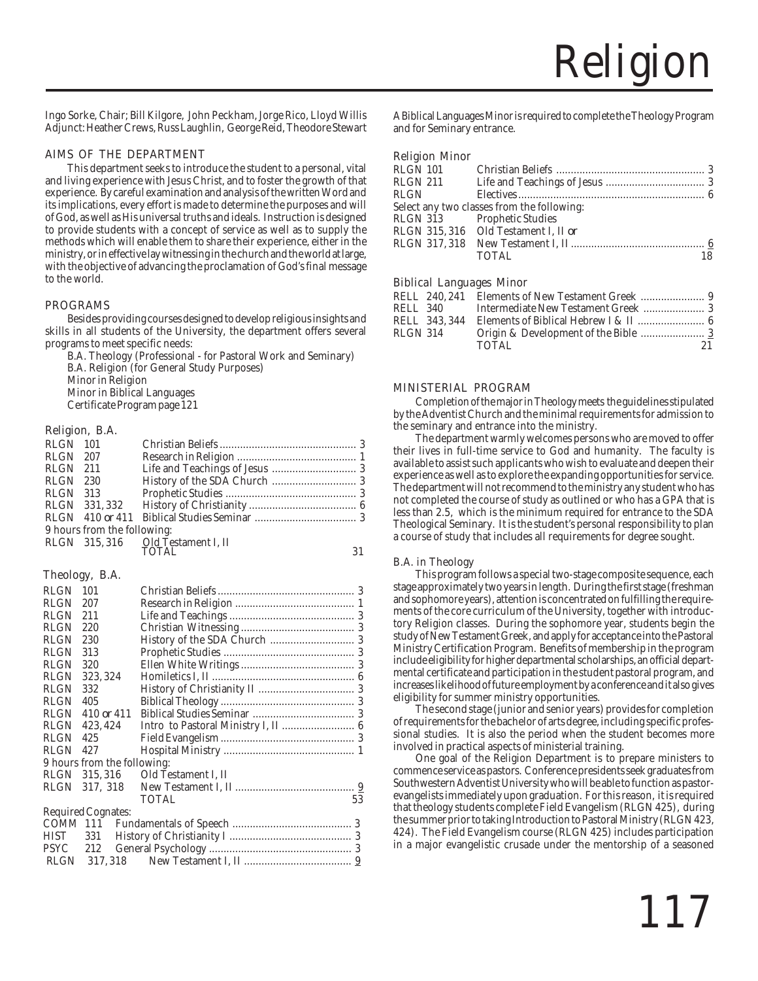Ingo Sorke, Chair; Bill Kilgore, John Peckham, Jorge Rico, Lloyd Willis Adjunct: Heather Crews, Russ Laughlin, George Reid, Theodore Stewart

### AIMS OF THE DEPARTMENT

This department seeks to introduce the student to a personal, vital and living experience with Jesus Christ, and to foster the growth of that experience. By careful examination and analysis of the written Word and its implications, every effort is made to determine the purposes and will of God, as well as His universal truths and ideals. Instruction is designed to provide students with a concept of service as well as to supply the methods which will enable them to share their experience, either in the ministry, or in effective lay witnessing in the church and the world at large, with the objective of advancing the proclamation of God's final message to the world.

### PROGRAMS

Besides providing courses designed to develop religious insights and skills in all students of the University, the department offers several programs to meet specific needs:

B.A. Theology (Professional - for Pastoral Work and Seminary) B.A. Religion (for General Study Purposes) Minor in Religion Minor in Biblical Languages Certificate Program page 121

### Religion, B.A.

| <b>RLGN</b> 101 |                             |                                           |  |
|-----------------|-----------------------------|-------------------------------------------|--|
| RLGN 207        |                             |                                           |  |
| $RLGN$ 211      |                             |                                           |  |
| RLGN 230        |                             |                                           |  |
| <b>RLGN</b> 313 |                             |                                           |  |
|                 | RLGN 331,332                |                                           |  |
|                 |                             |                                           |  |
|                 | 9 hours from the following: |                                           |  |
|                 |                             | RLGN 315,316 Old Testament I, II<br>TOTAL |  |
|                 |                             |                                           |  |
|                 |                             |                                           |  |

### Theology, B.A.

| <b>RLGN</b> | 101                         |                                     |
|-------------|-----------------------------|-------------------------------------|
| <b>RLGN</b> | 207                         |                                     |
| <b>RLGN</b> | 211                         |                                     |
| <b>RLGN</b> | 220                         |                                     |
| <b>RLGN</b> | 230                         |                                     |
| <b>RLGN</b> | 313                         |                                     |
| <b>RLGN</b> | 320                         |                                     |
| <b>RLGN</b> | 323.324                     |                                     |
| <b>RLGN</b> | 332                         |                                     |
| <b>RLGN</b> | 405                         |                                     |
| <b>RLGN</b> | 410 or 411                  |                                     |
| <b>RLGN</b> | 423, 424                    | Intro to Pastoral Ministry I, II  6 |
| <b>RLGN</b> | 425                         |                                     |
| RLGN        | 427                         |                                     |
|             | 9 hours from the following: |                                     |
| RLGN        | 315.316                     | Old Testament I, II                 |
| RLGN        | 317, 318                    |                                     |
|             |                             | <b>TOTAL</b><br>53                  |
|             | Required Cognates:          |                                     |
| COMM 111    |                             |                                     |
| <b>HIST</b> | 331                         |                                     |
|             |                             |                                     |
| <b>RLGN</b> | 317, 318                    |                                     |

A Biblical Languages Minor is required to complete the Theology Program and for Seminary entrance.

### Religion Minor

| RLGN 101    |                                            |    |
|-------------|--------------------------------------------|----|
| RLGN 211    |                                            |    |
| <b>RLGN</b> |                                            |    |
|             | Select any two classes from the following: |    |
|             | RLGN 313 Prophetic Studies                 |    |
|             | RLGN 315,316 Old Testament I, II or        |    |
|             |                                            |    |
|             | TOTAL                                      | 18 |
|             |                                            |    |

### Biblical Languages Minor

|          | RELL 340 |       |     |
|----------|----------|-------|-----|
|          |          |       |     |
| RLGN 314 |          |       |     |
|          |          | TOTAL | 21. |
|          |          |       |     |

### MINISTERIAL PROGRAM

Completion of the major in Theology meets the guidelines stipulated by the Adventist Church and the minimal requirements for admission to the seminary and entrance into the ministry.

The department warmly welcomes persons who are moved to offer their lives in full-time service to God and humanity. The faculty is available to assist such applicants who wish to evaluate and deepen their experience as well as to explore the expanding opportunities for service. The department will not recommend to the ministry any student who has not completed the course of study as outlined or who has a GPA that is less than 2.5, which is the minimum required for entrance to the SDA Theological Seminary. It is the student's personal responsibility to plan a course of study that includes all requirements for degree sought.

### B.A. in Theology

This program follows a special two-stage composite sequence, each stage approximately two years in length. During the first stage (freshman and sophomore years), attention is concentrated on fulfilling the requirements of the core curriculum of the University, together with introductory Religion classes. During the sophomore year, students begin the study of New Testament Greek, and apply for acceptance into the Pastoral Ministry Certification Program. Benefits of membership in the program include eligibility for higher departmental scholarships, an official departmental certificate and participation in the student pastoral program, and increases likelihood of future employment by a conference and it also gives eligibility for summer ministry opportunities.

The second stage (junior and senior years) provides for completion of requirements for the bachelor of arts degree, including specific professional studies. It is also the period when the student becomes more involved in practical aspects of ministerial training.

One goal of the Religion Department is to prepare ministers to commence service as pastors. Conference presidents seek graduates from Southwestern Adventist University who will be able to function as pastorevangelists immediately upon graduation. For this reason, it is required that theology students complete Field Evangelism (RLGN 425), during the summer prior to taking Introduction to Pastoral Ministry (RLGN 423, 424). The Field Evangelism course (RLGN 425) includes participation in a major evangelistic crusade under the mentorship of a seasoned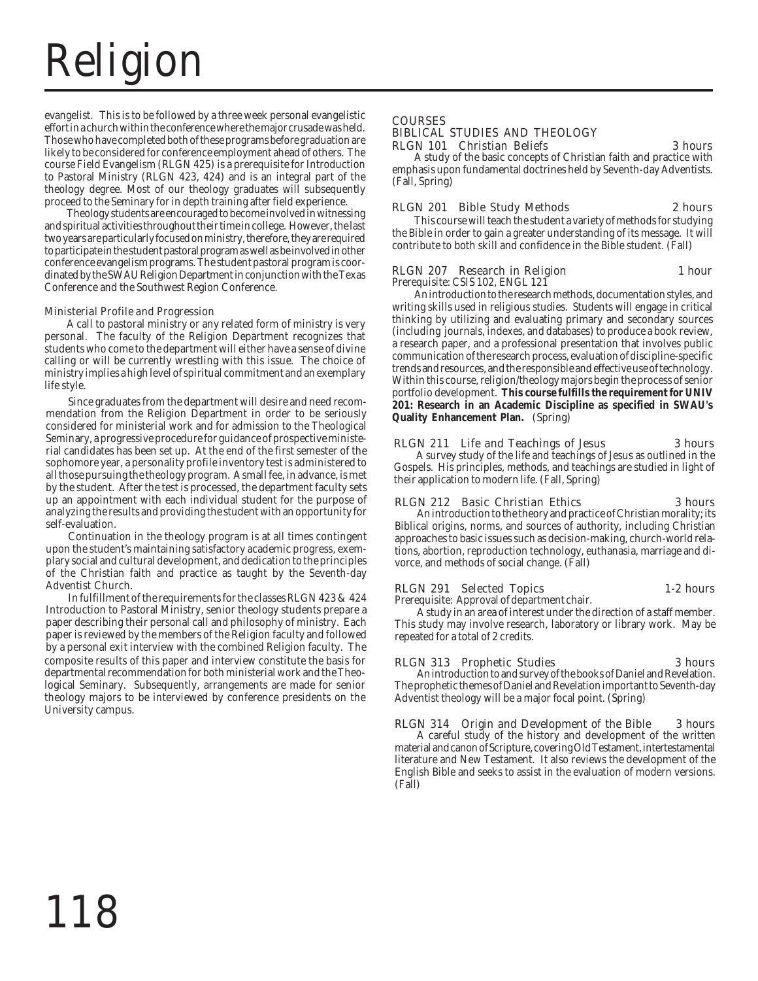# Religion

evangelist. This is to be followed by a three week personal evangelistic effort in a church within the conference where the major crusade was held. Those who have completed both of these programs before graduation are likely to be considered for conference employment ahead of others. The course Field Evangelism (RLGN 425) is a prerequisite for Introduction to Pastoral Ministry (RLGN 423, 424) and is an integral part of the theology degree. Most of our theology graduates will subsequently proceed to the Seminary for in depth training after field experience.

Theology students are encouraged to become involved in witnessing and spiritual activities throughout their time in college. However, the last two years are particularly focused on ministry, therefore, they are required to participate in the student pastoral program as well as be involved in other conference evangelism programs. The student pastoral program is coordinated by the SWAU Religion Department in conjunction with the Texas Conference and the Southwest Region Conference.

### Ministerial Profile and Progression

A call to pastoral ministry or any related form of ministry is very personal. The faculty of the Religion Department recognizes that students who come to the department will either have a sense of divine calling or will be currently wrestling with this issue. The choice of ministry implies a high level of spiritual commitment and an exemplary life style.

Since graduates from the department will desire and need recommendation from the Religion Department in order to be seriously considered for ministerial work and for admission to the Theological Seminary, a progressive procedure for guidance of prospective ministerial candidates has been set up. At the end of the first semester of the sophomore year, a personality profile inventory test is administered to all those pursuing the theology program. A small fee, in advance, is met by the student. After the test is processed, the department faculty sets up an appointment with each individual student for the purpose of analyzing the results and providing the student with an opportunity for self-evaluation.

Continuation in the theology program is at all times contingent upon the student's maintaining satisfactory academic progress, exemplary social and cultural development, and dedication to the principles of the Christian faith and practice as taught by the Seventh-day Adventist Church.

In fulfillment of the requirements for the classes RLGN 423 & 424 Introduction to Pastoral Ministry, senior theology students prepare a paper describing their personal call and philosophy of ministry. Each paper is reviewed by the members of the Religion faculty and followed by a personal exit interview with the combined Religion faculty. The composite results of this paper and interview constitute the basis for departmental recommendation for both ministerial work and the Theological Seminary. Subsequently, arrangements are made for senior theology majors to be interviewed by conference presidents on the University campus.

### COURSES BIBLICAL STUDIES AND THEOLOGY RLGN 101 Christian Beliefs 3 hours

A study of the basic concepts of Christian faith and practice with emphasis upon fundamental doctrines held by Seventh-day Adventists. (Fall, Spring)

### RLGN 201 Bible Study Methods 2 hours

This course will teach the student a variety of methods for studying the Bible in order to gain a greater understanding of its message. It will contribute to both skill and confidence in the Bible student. (Fall)

### RLGN 207 Research in Religion 1 hour

Prerequisite: CSIS 102, ENGL 121

An introduction to the research methods, documentation styles, and writing skills used in religious studies. Students will engage in critical thinking by utilizing and evaluating primary and secondary sources (including journals, indexes, and databases) to produce a book review, a research paper, and a professional presentation that involves public communication of the research process, evaluation of discipline-specific trends and resources, and the responsible and effective use of technology. Within this course, religion/theology majors begin the process of senior portfolio development. **This course fulfills the requirement for UNIV 201: Research in an Academic Discipline as specified in SWAU's Quality Enhancement Plan.** (Spring)

### RLGN 211 Life and Teachings of Jesus 3 hours

A survey study of the life and teachings of Jesus as outlined in the Gospels. His principles, methods, and teachings are studied in light of their application to modern life. (Fall, Spring)

### RLGN 212 Basic Christian Ethics 3 hours

An introduction to the theory and practice of Christian morality; its Biblical origins, norms, and sources of authority, including Christian approaches to basic issues such as decision-making, church-world relations, abortion, reproduction technology, euthanasia, marriage and divorce, and methods of social change. (Fall)

### RLGN 291 Selected Topics 1-2 hours

Prerequisite: Approval of department chair.

A study in an area of interest under the direction of a staff member. This study may involve research, laboratory or library work. May be repeated for a total of 2 credits.

### RLGN 313 Prophetic Studies 3 hours

An introduction to and survey of the books of Daniel and Revelation. The prophetic themes of Daniel and Revelation important to Seventh-day Adventist theology will be a major focal point. (Spring)

RLGN 314 Origin and Development of the Bible 3 hours A careful study of the history and development of the written material and canon of Scripture, covering Old Testament, intertestamental literature and New Testament. It also reviews the development of the

English Bible and seeks to assist in the evaluation of modern versions. (Fall)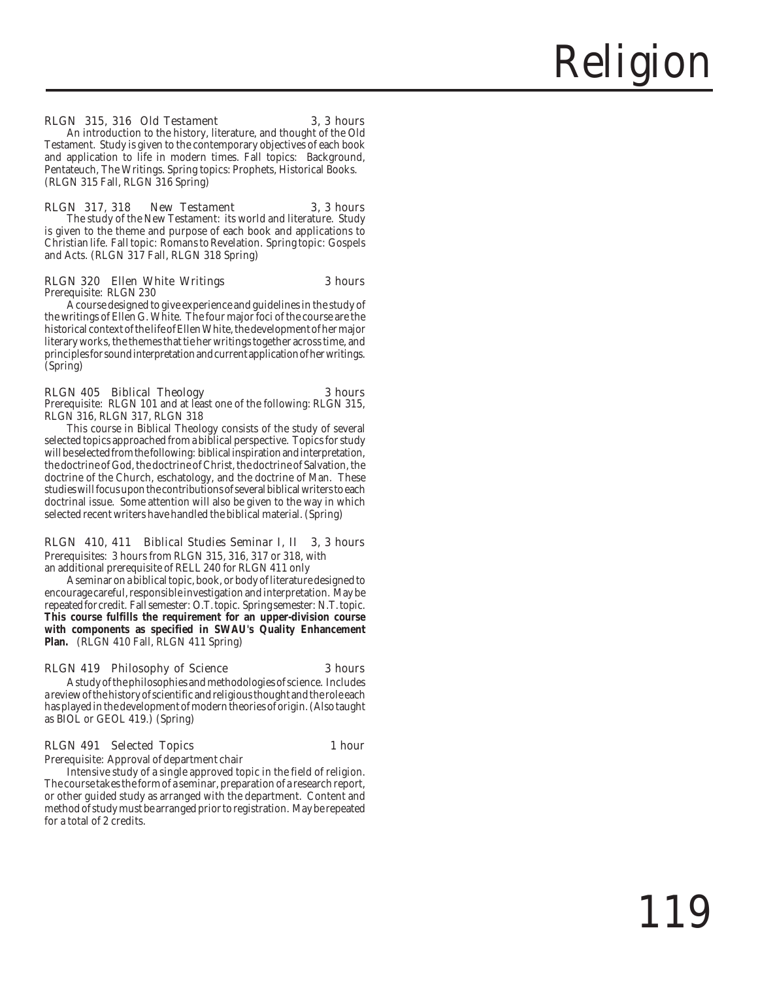### RLGN 315, 316 Old Testament 3, 3 hours

An introduction to the history, literature, and thought of the Old Testament. Study is given to the contemporary objectives of each book and application to life in modern times. Fall topics: Background, Pentateuch, The Writings. Spring topics: Prophets, Historical Books. (RLGN 315 Fall, RLGN 316 Spring)

### RLGN 317, 318 New Testament 3, 3 hours The study of the New Testament: its world and literature. Study is given to the theme and purpose of each book and applications to Christian life. Fall topic: Romans to Revelation. Spring topic: Gospels and Acts. (RLGN 317 Fall, RLGN 318 Spring)

### RLGN 320 Ellen White Writings 3 hours Prerequisite: RLGN 230

A course designed to give experience and guidelines in the study of the writings of Ellen G. White. The four major foci of the course are the historical context of the life of Ellen White, the development of her major literary works, the themes that tie her writings together across time, and principles for sound interpretation and current application of her writings. (Spring)

### RLGN 405 Biblical Theology 3 hours Prerequisite: RLGN 101 and at least one of the following: RLGN 315, RLGN 316, RLGN 317, RLGN 318

This course in Biblical Theology consists of the study of several selected topics approached from a biblical perspective. Topics for study will be selected from the following: biblical inspiration and interpretation, the doctrine of God, the doctrine of Christ, the doctrine of Salvation, the doctrine of the Church, eschatology, and the doctrine of Man. These studies will focus upon the contributions of several biblical writers to each doctrinal issue. Some attention will also be given to the way in which selected recent writers have handled the biblical material. (Spring)

### RLGN 410, 411 Biblical Studies Seminar I, II 3, 3 hours Prerequisites: 3 hours from RLGN 315, 316, 317 or 318, with

an additional prerequisite of RELL 240 for RLGN 411 only

A seminar on a biblical topic, book, or body of literature designed to encourage careful, responsible investigation and interpretation. May be repeated for credit. Fall semester: O.T. topic. Spring semester: N.T. topic. **This course fulfills the requirement for an upper-division course with components as specified in SWAU's Quality Enhancement Plan.** (RLGN 410 Fall, RLGN 411 Spring)

### RLGN 419 Philosophy of Science 3 hours

A study of the philosophies and methodologies of science. Includes a review of the history of scientific and religious thought and the role each has played in the development of modern theories of origin. (Also taught as BIOL or GEOL 419.) (Spring)

### RLGN 491 Selected Topics 1 hour

Prerequisite: Approval of department chair

Intensive study of a single approved topic in the field of religion. The course takes the form of a seminar, preparation of a research report, or other guided study as arranged with the department. Content and method of study must be arranged prior to registration. May be repeated for a total of 2 credits.

Religion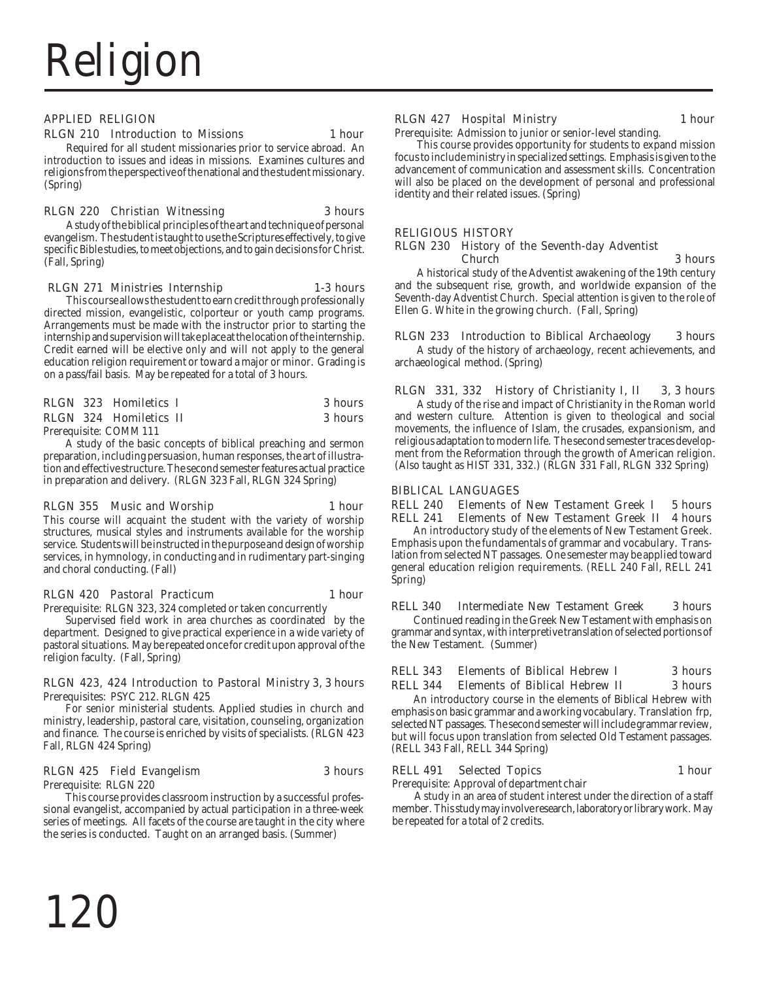### APPLIED RELIGION

### RLGN 210 Introduction to Missions 1 hour

Required for all student missionaries prior to service abroad. An introduction to issues and ideas in missions. Examines cultures and religions from the perspective of the national and the student missionary. (Spring)

### RLGN 220 Christian Witnessing 3 hours

A study of the biblical principles of the art and technique of personal evangelism. The student is taught to use the Scriptures effectively, to give specific Bible studies, to meet objections, and to gain decisions for Christ. (Fall, Spring)

### RLGN 271 Ministries Internship 1-3 hours

This course allows the student to earn credit through professionally directed mission, evangelistic, colporteur or youth camp programs. Arrangements must be made with the instructor prior to starting the internship and supervision will take place at the location of the internship. Credit earned will be elective only and will not apply to the general education religion requirement or toward a major or minor. Grading is on a pass/fail basis. May be repeated for a total of 3 hours.

### RLGN 323 Homiletics I 3 hours RLGN 324 Homiletics II 3 hours

Prerequisite: COMM 111

A study of the basic concepts of biblical preaching and sermon preparation, including persuasion, human responses, the art of illustration and effective structure. The second semester features actual practice in preparation and delivery. (RLGN 323 Fall, RLGN 324 Spring)

### RLGN 355 Music and Worship 1 hour

This course will acquaint the student with the variety of worship structures, musical styles and instruments available for the worship service. Students will be instructed in the purpose and design of worship services, in hymnology, in conducting and in rudimentary part-singing and choral conducting. (Fall)

### RLGN 420 Pastoral Practicum 1 hour

Prerequisite: RLGN 323, 324 completed or taken concurrently

Supervised field work in area churches as coordinated by the department. Designed to give practical experience in a wide variety of pastoral situations. May be repeated once for credit upon approval of the religion faculty. (Fall, Spring)

### RLGN 423, 424 Introduction to Pastoral Ministry 3, 3 hours Prerequisites: PSYC 212. RLGN 425

For senior ministerial students. Applied studies in church and ministry, leadership, pastoral care, visitation, counseling, organization and finance. The course is enriched by visits of specialists. (RLGN 423 Fall, RLGN 424 Spring)

### RLGN 425 Field Evangelism 3 hours

Prerequisite: RLGN 220

This course provides classroom instruction by a successful professional evangelist, accompanied by actual participation in a three-week series of meetings. All facets of the course are taught in the city where the series is conducted. Taught on an arranged basis. (Summer)

### RLGN 427 Hospital Ministry 1 hour

Prerequisite: Admission to junior or senior-level standing.

This course provides opportunity for students to expand mission focus to include ministry in specialized settings. Emphasis is given to the advancement of communication and assessment skills. Concentration will also be placed on the development of personal and professional identity and their related issues. (Spring)

### RELIGIOUS HISTORY

### RLGN 230 History of the Seventh-day Adventist Church 3 hours

A historical study of the Adventist awakening of the 19th century and the subsequent rise, growth, and worldwide expansion of the Seventh-day Adventist Church. Special attention is given to the role of Ellen G. White in the growing church. (Fall, Spring)

### RLGN 233 Introduction to Biblical Archaeology 3 hours

A study of the history of archaeology, recent achievements, and archaeological method. (Spring)

### RLGN 331, 332 History of Christianity I, II 3, 3 hours

A study of the rise and impact of Christianity in the Roman world and western culture. Attention is given to theological and social movements, the influence of Islam, the crusades, expansionism, and religious adaptation to modern life. The second semester traces development from the Reformation through the growth of American religion. (Also taught as HIST 331, 332.) (RLGN 331 Fall, RLGN 332 Spring)

### BIBLICAL LANGUAGES

RELL 240 Elements of New Testament Greek I 5 hours RELL 241 Elements of New Testament Greek II 4 hours

An introductory study of the elements of New Testament Greek. Emphasis upon the fundamentals of grammar and vocabulary. Translation from selected NT passages. One semester may be applied toward general education religion requirements. (RELL 240 Fall, RELL 241 Spring)

### RELL 340 Intermediate New Testament Greek 3 hours Continued reading in the Greek New Testament with emphasis on grammar and syntax, with interpretive translation of selected portions of the New Testament. (Summer)

### RELL 343 Elements of Biblical Hebrew I 3 hours RELL 344 Elements of Biblical Hebrew II 3 hours

An introductory course in the elements of Biblical Hebrew with emphasis on basic grammar and a working vocabulary. Translation frp, selected NT passages. The second semester will include grammar review, but will focus upon translation from selected Old Testament passages. (RELL 343 Fall, RELL 344 Spring)

### RELL 491 Selected Topics 1 hour

Prerequisite: Approval of department chair

A study in an area of student interest under the direction of a staff member. This study may involve research, laboratory or library work. May be repeated for a total of 2 credits.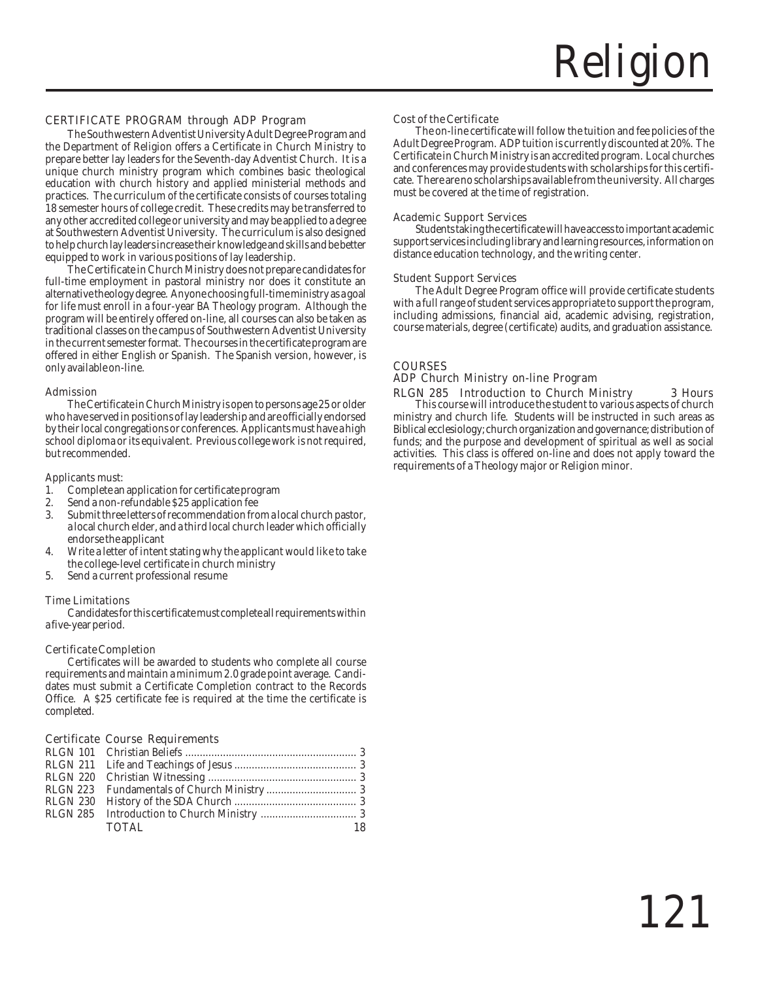### CERTIFICATE PROGRAM through ADP Program

The Southwestern Adventist University Adult Degree Program and the Department of Religion offers a Certificate in Church Ministry to prepare better lay leaders for the Seventh-day Adventist Church. It is a unique church ministry program which combines basic theological education with church history and applied ministerial methods and practices. The curriculum of the certificate consists of courses totaling 18 semester hours of college credit. These credits may be transferred to any other accredited college or university and may be applied to a degree at Southwestern Adventist University. The curriculum is also designed to help church lay leaders increase their knowledge and skills and be better equipped to work in various positions of lay leadership.

The Certificate in Church Ministry does not prepare candidates for full-time employment in pastoral ministry nor does it constitute an alternative theology degree. Anyone choosing full-time ministry as a goal for life must enroll in a four-year BA Theology program. Although the program will be entirely offered on-line, all courses can also be taken as traditional classes on the campus of Southwestern Adventist University in the current semester format. The courses in the certificate program are offered in either English or Spanish. The Spanish version, however, is only available on-line.

### Admission

The Certificate in Church Ministry is open to persons age 25 or older who have served in positions of lay leadership and are officially endorsed by their local congregations or conferences. Applicants must have a high school diploma or its equivalent. Previous college work is not required, but recommended.

Applicants must:

- 1. Complete an application for certificate program<br>2. Send a non-refundable \$25 application fee
- 2. Send a non-refundable \$25 application fee<br>3. Submit three letters of recommendation fro
- 3. Submit three letters of recommendation from a local church pastor, a local church elder, and a third local church leader which officially endorse the applicant
- 4. Write a letter of intent stating why the applicant would like to take the college-level certificate in church ministry
- 5. Send a current professional resume

### Time Limitations

Candidates for this certificate must complete all requirements within a five-year period.

### Certificate Completion

Certificates will be awarded to students who complete all course requirements and maintain a minimum 2.0 grade point average. Candidates must submit a Certificate Completion contract to the Records Office. A \$25 certificate fee is required at the time the certificate is completed.

### Certificate Course Requirements

| TOTAL | -18 |
|-------|-----|

### Cost of the Certificate

The on-line certificate will follow the tuition and fee policies of the Adult Degree Program. ADP tuition is currently discounted at 20%. The Certificate in Church Ministry is an accredited program. Local churches and conferences may provide students with scholarships for this certificate. There are no scholarships available from the university. All charges must be covered at the time of registration.

### Academic Support Services

Students taking the certificate will have access to important academic support services including library and learning resources, information on distance education technology, and the writing center.

### Student Support Services

The Adult Degree Program office will provide certificate students with a full range of student services appropriate to support the program, including admissions, financial aid, academic advising, registration, course materials, degree (certificate) audits, and graduation assistance.

### COURSES

### ADP Church Ministry on-line Program

RLGN 285 Introduction to Church Ministry 3 Hours This course will introduce the student to various aspects of church ministry and church life. Students will be instructed in such areas as Biblical ecclesiology; church organization and governance; distribution of funds; and the purpose and development of spiritual as well as social activities. This class is offered on-line and does not apply toward the requirements of a Theology major or Religion minor.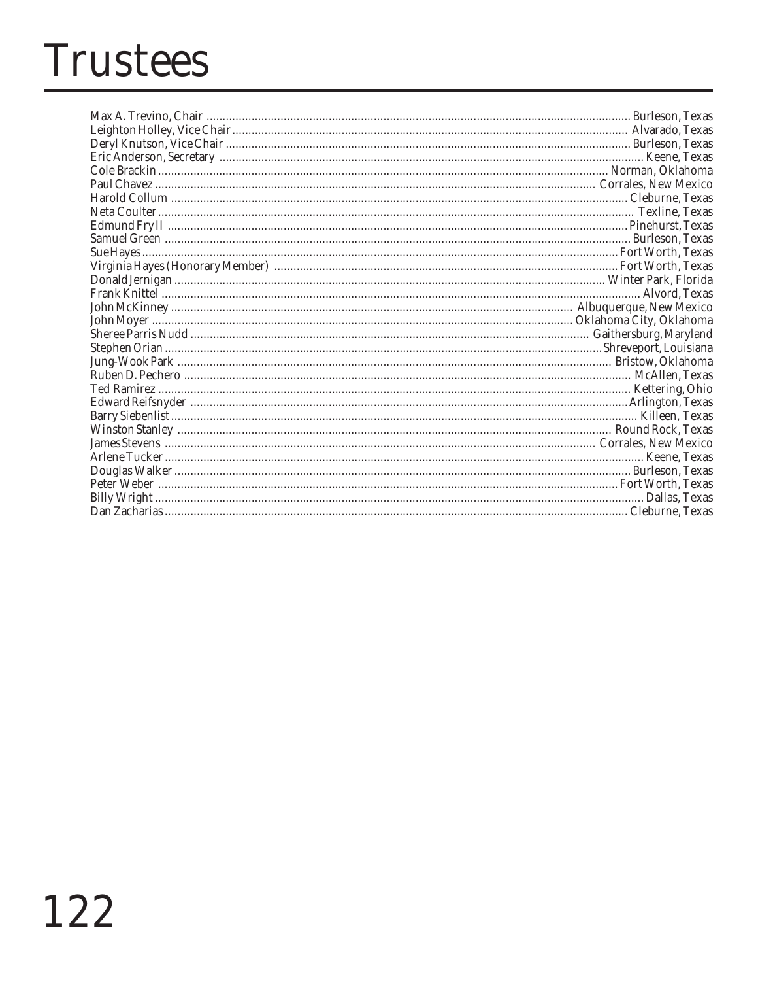## **Trustees**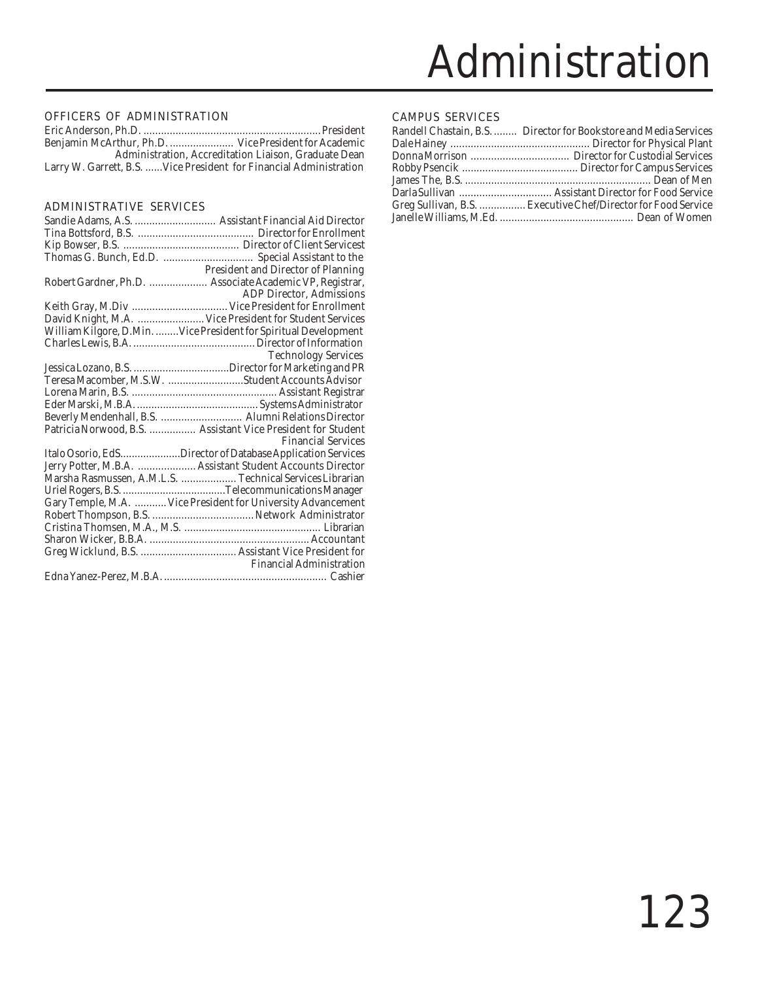### OFFICERS OF ADMINISTRATION

|                                                                     | Administration. Accreditation Liaison. Graduate Dean |
|---------------------------------------------------------------------|------------------------------------------------------|
| Larry W. Garrett, B.S.  Vice President for Financial Administration |                                                      |

### ADMINISTRATIVE SERVICES

| <b>President and Director of Planning</b>                         |
|-------------------------------------------------------------------|
| Robert Gardner, Ph.D.  Associate Academic VP, Registrar,          |
| <b>ADP Director, Admissions</b>                                   |
|                                                                   |
| David Knight, M.A.  Vice President for Student Services           |
| William Kilgore, D.Min.  Vice President for Spiritual Development |
|                                                                   |
| <b>Technology Services</b>                                        |
|                                                                   |
| Teresa Macomber, M.S.W. Student Accounts Advisor                  |
|                                                                   |
|                                                                   |
| Beverly Mendenhall, B.S.  Alumni Relations Director               |
| Patricia Norwood, B.S.  Assistant Vice President for Student      |
| <b>Financial Services</b>                                         |
| Italo Osorio, EdSDirector of Database Application Services        |
| Jerry Potter, M.B.A.  Assistant Student Accounts Director         |
| Marsha Rasmussen, A.M.L.S.  Technical Services Librarian          |
|                                                                   |
| Gary Temple, M.A.  Vice President for University Advancement      |
|                                                                   |
|                                                                   |
|                                                                   |
|                                                                   |
| <b>Financial Administration</b>                                   |
|                                                                   |
|                                                                   |

### CAMPUS SERVICES

| Randell Chastain, B.S.  Director for Bookstore and Media Services |
|-------------------------------------------------------------------|
|                                                                   |
|                                                                   |
|                                                                   |
|                                                                   |
|                                                                   |
| Greg Sullivan, B.S.  Executive Chef/Director for Food Service     |
|                                                                   |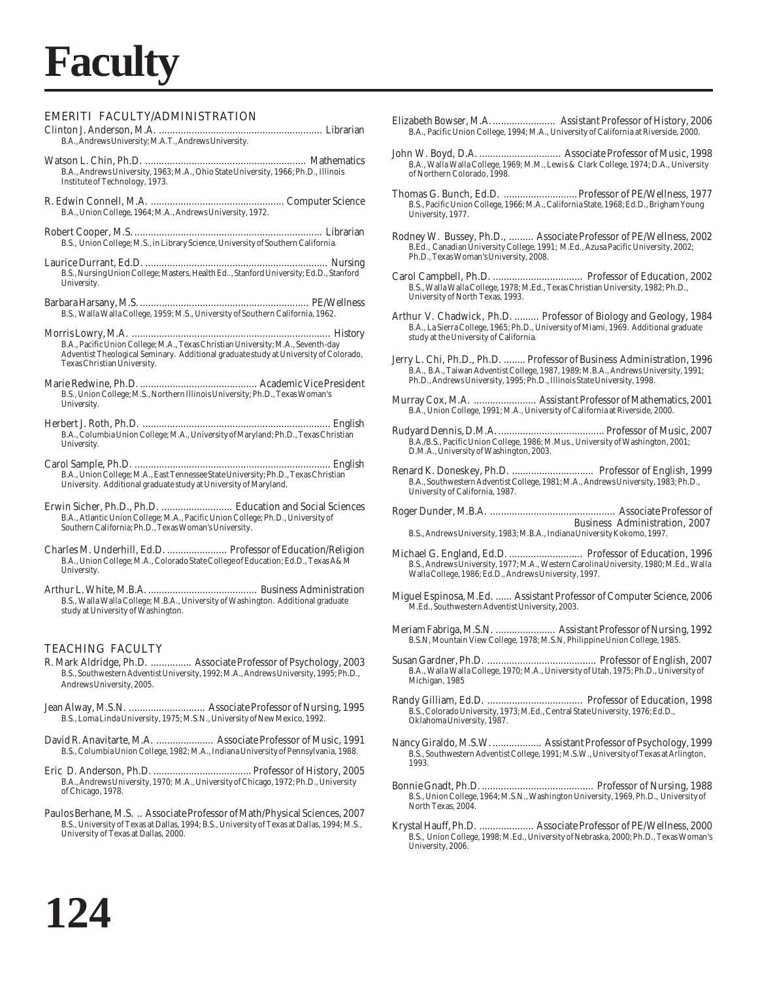## **Faculty**

### EMERITI FACULTY/ADMINISTRATION

- Clinton J. Anderson, M.A. ............................................................ Librarian B.A., Andrews University; M.A.T., Andrews University.
- Watson L. Chin, Ph.D. ........................................................... Mathematics B.A., Andrews University, 1963; M.A., Ohio State University, 1966; Ph.D., Illinois Institute of Technology, 1973.
- R. Edwin Connell, M.A. ................................................. Computer Science B.A., Union College, 1964; M.A., Andrews University, 1972.
- Robert Cooper, M.S. ..................................................................... Librarian B.S., Union College; M.S., in Library Science, University of Southern California.
- Laurice Durrant, Ed.D. ................................................................... Nursing B.S., Nursing Union College; Masters, Health Ed.., Stanford University; Ed.D., Stanford University.
- Barbara Harsany, M.S. .............................................................. PE/Wellness B.S., Walla Walla College, 1959; M.S., University of Southern California, 1962.
- Morris Lowry, M.A. ......................................................................... History B.A., Pacific Union College; M.A., Texas Christian University; M.A., Seventh-day Adventist Theological Seminary. Additional graduate study at University of Colorado, Texas Christian University.
- Marie Redwine, Ph.D. ........................................... Academic Vice President B.S., Union College; M.S., Northern Illinois University; Ph.D., Texas Woman's University.
- Herbert J. Roth, Ph.D. ..................................................................... English B.A., Columbia Union College; M.A., University of Maryland; Ph.D., Texas Christian University.
- Carol Sample, Ph.D. ........................................................................ English B.A., Union College; M.A., East Tennessee State University; Ph.D., Texas Christian University. Additional graduate study at University of Maryland.
- Erwin Sicher, Ph.D., Ph.D. .......................... Education and Social Sciences B.A., Atlantic Union College; M.A., Pacific Union College; Ph.D., University of Southern California; Ph.D., Texas Woman's University.
- Charles M. Underhill, Ed.D. ...................... Professor of Education/Religion B.A., Union College; M.A., Colorado State College of Education; Ed.D., Texas A&M University.
- Arthur L. White, M.B.A. ........................................ Business Administration B.S., Walla Walla College; M.B.A., University of Washington. Additional graduate study at University of Washington.

### TEACHING FACULTY

- R. Mark Aldridge, Ph.D. ............... Associate Professor of Psychology, 2003 B.S., Southwestern Adventist University, 1992; M.A., Andrews University, 1995; Ph.D., Andrews University, 2005.
- Jean Alway, M.S.N. ............................ Associate Professor of Nursing, 1995 B.S., Loma Linda University, 1975; M.S.N., University of New Mexico, 1992.
- David R. Anavitarte, M.A. ..................... Associate Professor of Music, 1991 B.S., Columbia Union College, 1982; M.A., Indiana University of Pennsylvania, 1988.
- Eric D. Anderson, Ph.D. .................................... Professor of History, 2005 B.A., Andrews University, 1970; M.A., University of Chicago, 1972; Ph.D., University of Chicago, 1978.
- Paulos Berhane, M.S. .. Associate Professor of Math/Physical Sciences, 2007 B.S., University of Texas at Dallas, 1994; B.S., University of Texas at Dallas, 1994; M.S., University of Texas at Dallas, 2000.
- Elizabeth Bowser, M.A........................ Assistant Professor of History, 2006 B.A., Pacific Union College, 1994; M.A., University of California at Riverside, 2000.
- John W. Boyd, D.A. .............................. Associate Professor of Music, 1998 B.A., Walla Walla College, 1969; M.M., Lewis & Clark College, 1974; D.A., University of Northern Colorado, 1998.
- Thomas G. Bunch, Ed.D. ...........................Professor of PE/Wellness, 1977 B.S., Pacific Union College, 1966; M.A., California State, 1968; Ed.D., Brigham Young University, 1977.
- Rodney W. Bussey, Ph.D., ......... Associate Professor of PE/Wellness, 2002 B.Ed., Canadian University College, 1991; M.Ed., Azusa Pacific University, 2002; Ph.D., Texas Woman's University, 2008.
- Carol Campbell, Ph.D. ................................. Professor of Education, 2002 B.S., Walla Walla College, 1978; M.Ed., Texas Christian University, 1982; Ph.D., University of North Texas, 1993.
- Arthur V. Chadwick, Ph.D. ......... Professor of Biology and Geology, 1984 B.A., La Sierra College, 1965; Ph.D., University of Miami, 1969. Additional graduate study at the University of California.
- Jerry L. Chi, Ph.D., Ph.D. ........ Professor of Business Administration, 1996 B.A., B.A., Taiwan Adventist College, 1987, 1989; M.B.A., Andrews University, 1991; Ph.D., Andrews University, 1995; Ph.D., Illinois State University, 1998.
- Murray Cox, M.A. ....................... Assistant Professor of Mathematics, 2001 B.A., Union College, 1991; M.A., University of California at Riverside, 2000.
- Rudyard Dennis, D.M.A........................................ Professor of Music, 2007 B.A./B.S., Pacific Union College, 1986; M.Mus., University of Washington, 2001; D.M.A., University of Washington, 2003.
- Renard K. Doneskey, Ph.D. .............................. Professor of English, 1999 B.A., Southwestern Adventist College, 1981; M.A., Andrews University, 1983; Ph.D., University of California, 1987.
- Roger Dunder, M.B.A. .............................................. Associate Professor of Business Administration, 2007 B.S., Andrews University, 1983; M.B.A., Indiana University Kokomo, 1997.
- Michael G. England, Ed.D. ........................... Professor of Education, 1996 B.S., Andrews University, 1977; M.A., Western Carolina University, 1980; M.Ed., Walla Walla College, 1986; Ed.D., Andrews University, 1997.
- Miguel Espinosa, M.Ed. ...... Assistant Professor of Computer Science, 2006 M.Ed., Southwestern Adventist University, 2003.
- Meriam Fabriga, M.S.N. ...................... Assistant Professor of Nursing, 1992 B.S.N, Mountain View College, 1978; M.S.N, Philippine Union College, 1985.
- Susan Gardner, Ph.D. ........................................ Professor of English, 2007 B.A., Walla Walla College, 1970; M.A., University of Utah, 1975; Ph.D., University of Michigan, 1985
- Randy Gilliam, Ed.D. ................................... Professor of Education, 1998 B.S., Colorado University, 1973; M.Ed., Central State University, 1976; Ed.D., Oklahoma University, 1987.
- Nancy Giraldo, M.S.W................... Assistant Professor of Psychology, 1999 B.S., Southwestern Adventist College, 1991; M.S.W., University of Texas at Arlington, 1993.
- Bonnie Gnadt, Ph.D. ......................................... Professor of Nursing, 1988 B.S., Union College, 1964; M.S.N., Washington University, 1969, Ph.D., University of North Texas, 2004.
- Krystal Hauff, Ph.D. .................... Associate Professor of PE/Wellness, 2000 B.S., Union College, 1998; M.Ed., University of Nebraska, 2000; Ph.D., Texas Woman's University, 2006.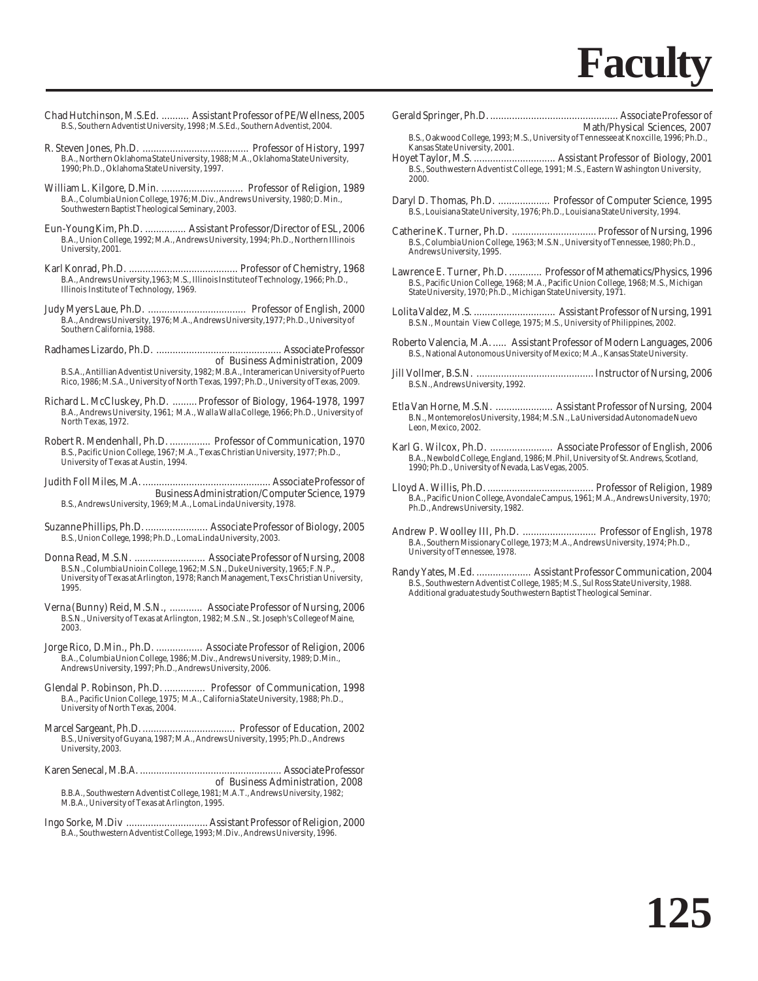- Chad Hutchinson, M.S.Ed. .......... Assistant Professor of PE/Wellness, 2005 B.S., Southern Adventist University, 1998 ; M.S.Ed., Southern Adventist, 2004.
- R. Steven Jones, Ph.D. ....................................... Professor of History, 1997 B.A., Northern Oklahoma State University, 1988; M.A., Oklahoma State University, 1990; Ph.D., Oklahoma State University, 1997.
- William L. Kilgore, D.Min. .............................. Professor of Religion, 1989 B.A., Columbia Union College, 1976; M.Div., Andrews University, 1980; D. Min., Southwestern Baptist Theological Seminary, 2003.
- Eun-Young Kim, Ph.D. ............... Assistant Professor/Director of ESL, 2006 B.A., Union College, 1992; M.A., Andrews University, 1994; Ph.D., Northern Illinois University, 2001.
- Karl Konrad, Ph.D. ........................................ Professor of Chemistry, 1968 B.A., Andrews University,1963; M.S., Illinois Institute of Technology, 1966; Ph.D., Illinois Institute of Technology, 1969.
- Judy Myers Laue, Ph.D. .................................... Professor of English, 2000 B.A., Andrews University, 1976; M.A., Andrews University,1977; Ph.D., University of Southern California, 1988.
- Radhames Lizardo, Ph.D. .............................................. Associate Professor of Business Administration, 2009 B.S.A., Antillian Adventist University, 1982; M.B.A., Interamerican University of Puerto Rico, 1986; M.S.A., University of North Texas, 1997; Ph.D., University of Texas, 2009.
- Richard L. McCluskey, Ph.D. ......... Professor of Biology, 1964-1978, 1997 B.A., Andrews University, 1961; M.A., Walla Walla College, 1966; Ph.D., University of North Texas, 1972.
- Robert R. Mendenhall, Ph.D. ............... Professor of Communication, 1970 B.S., Pacific Union College, 1967; M.A., Texas Christian University, 1977; Ph.D., University of Texas at Austin, 1994.
- Judith Foll Miles, M.A. ............................................... Associate Professor of Business Administration/Computer Science, 1979 B.S., Andrews University, 1969; M.A., Loma Linda University, 1978.
- Suzanne Phillips, Ph.D........................ Associate Professor of Biology, 2005 B.S., Union College, 1998; Ph.D., Loma Linda University, 2003.
- Donna Read, M.S.N. .......................... Associate Professor of Nursing, 2008 B.S.N., Columbia Unioin College, 1962; M.S.N., Duke University, 1965; F.N.P. University of Texas at Arlington, 1978; Ranch Management, Texs Christian University, 1995.
- Verna (Bunny) Reid, M.S.N., ............ Associate Professor of Nursing, 2006 B.S.N., University of Texas at Arlington, 1982; M.S.N., St. Joseph's College of Maine, 2003.
- Jorge Rico, D.Min., Ph.D. ................. Associate Professor of Religion, 2006 B.A., Columbia Union College, 1986; M.Div., Andrews University, 1989; D.Min., Andrews University, 1997; Ph.D., Andrews University, 2006.
- Glendal P. Robinson, Ph.D. ............... Professor of Communication, 1998 B.A., Pacific Union College, 1975; M.A., California State University, 1988; Ph.D., University of North Texas, 2004.
- Marcel Sargeant, Ph.D. .................................. Professor of Education, 2002 B.S., University of Guyana, 1987; M.A., Andrews University, 1995; Ph.D., Andrews University, 2003.
- Karen Senecal, M.B.A. .................................................... Associate Professor of Business Administration, 2008 B.B.A., Southwestern Adventist College, 1981; M.A.T., Andrews University, 1982; M.B.A., University of Texas at Arlington, 1995.
- Ingo Sorke, M.Div .............................. Assistant Professor of Religion, 2000 B.A., Southwestern Adventist College, 1993; M.Div., Andrews University, 1996.
- Gerald Springer, Ph.D. ............................................... Associate Professor of Math/Physical Sciences, 2007 B.S., Oakwood College, 1993; M.S., University of Tennessee at Knoxcille, 1996; Ph.D., Kansas State University, 2001.
- Hoyet Taylor, M.S. .............................. Assistant Professor of Biology, 2001 B.S., Southwestern Adventist College, 1991; M.S., Eastern Washington University, 2000.
- Daryl D. Thomas, Ph.D. ................... Professor of Computer Science, 1995 B.S., Louisiana State University, 1976; Ph.D., Louisiana State University, 1994.
- Catherine K. Turner, Ph.D. ............................... Professor of Nursing, 1996 B.S., Columbia Union College, 1963; M.S.N., University of Tennessee, 1980; Ph.D., Andrews University, 1995.
- Lawrence E. Turner, Ph.D. ............ Professor of Mathematics/Physics, 1996 B.S., Pacific Union College, 1968; M.A., Pacific Union College, 1968; M.S., Michigan State University, 1970; Ph.D., Michigan State University, 1971.
- Lolita Valdez, M.S. .............................. Assistant Professor of Nursing, 1991 B.S.N., Mountain View College, 1975; M.S., University of Philippines, 2002.
- Roberto Valencia, M.A...... Assistant Professor of Modern Languages, 2006 B.S., National Autonomous University of Mexico; M.A., Kansas State University.
- Jill Vollmer, B.S.N. ........................................... Instructor of Nursing, 2006 B.S.N., Andrews University, 1992.
- Etla Van Horne, M.S.N. ..................... Assistant Professor of Nursing, 2004 B.N., Montemorelos University, 1984; M.S.N., La Universidad Autonoma de Nuevo Leon, Mexico, 2002.
- Karl G. Wilcox, Ph.D. ....................... Associate Professor of English, 2006 B.A., Newbold College, England, 1986; M.Phil, University of St. Andrews, Scotland, 1990; Ph.D., University of Nevada, Las Vegas, 2005.
- Lloyd A. Willis, Ph.D. ....................................... Professor of Religion, 1989 B.A., Pacific Union College, Avondale Campus, 1961; M.A., Andrews University, 1970; Ph.D., Andrews University, 1982.
- Andrew P. Woolley III, Ph.D. ........................... Professor of English, 1978 B.A., Southern Missionary College, 1973; M.A., Andrews University, 1974; Ph.D., University of Tennessee, 1978.
- Randy Yates, M.Ed. .................... Assistant Professor Communication, 2004 B.S., Southwestern Adventist College, 1985; M.S., Sul Ross State University, 1988. Additional graduate study Southwestern Baptist Theological Seminar.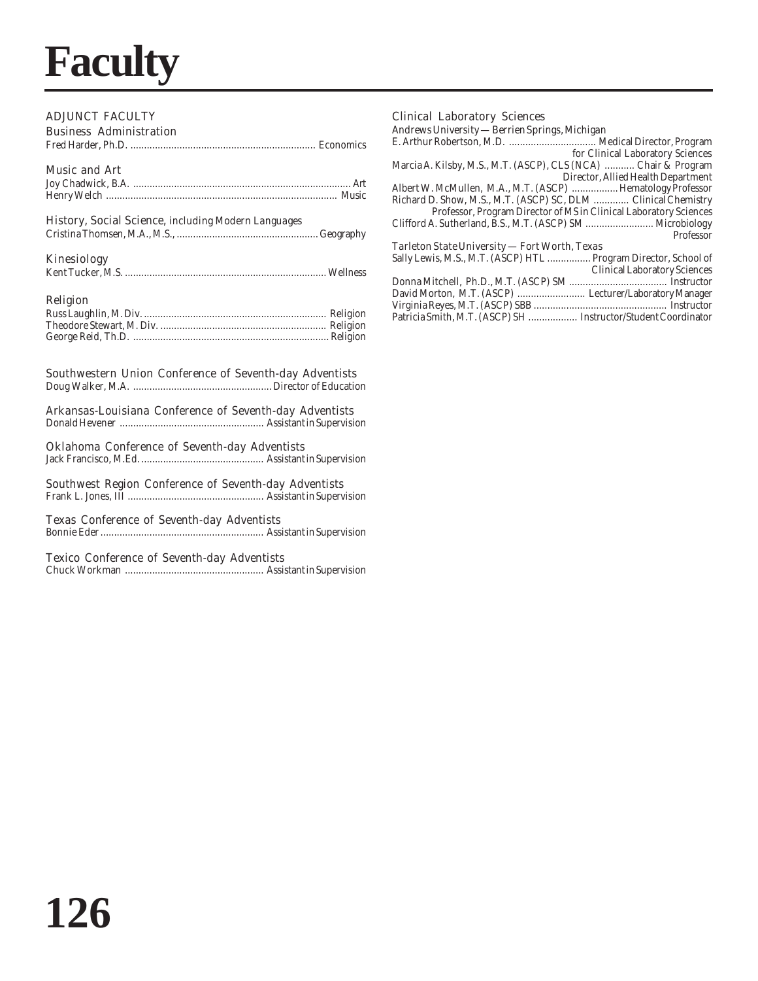## **Faculty**

### ADJUNCT FACULTY

| <b>Business Administration</b> |  |
|--------------------------------|--|
|                                |  |
| <b>Music and Art</b>           |  |

### History, Social Science, including Modern Languages

Cristina Thomsen, M.A., M.S., ....................................................Geography

### Kinesiology

| . |  |
|---|--|
|   |  |
|   |  |

### Religion

### Southwestern Union Conference of Seventh-day Adventists

Doug Walker, M.A. ................................................... Director of Education

### Arkansas-Louisiana Conference of Seventh-day Adventists

Donald Hevener ..................................................... Assistant in Supervision

### Oklahoma Conference of Seventh-day Adventists

Jack Francisco, M.Ed. ............................................. Assistant in Supervision

### Southwest Region Conference of Seventh-day Adventists

Frank L. Jones, III .................................................. Assistant in Supervision

### Texas Conference of Seventh-day Adventists

Bonnie Eder ............................................................ Assistant in Supervision

### Texico Conference of Seventh-day Adventists

Chuck Workman ................................................... Assistant in Supervision

### Clinical Laboratory Sciences Andrews University — Berrien Springs, Michigan

Virginia Reyes, M.T. (ASCP) SBB ................................................. Instructor Patricia Smith, M.T. (ASCP) SH .................. Instructor/Student Coordinator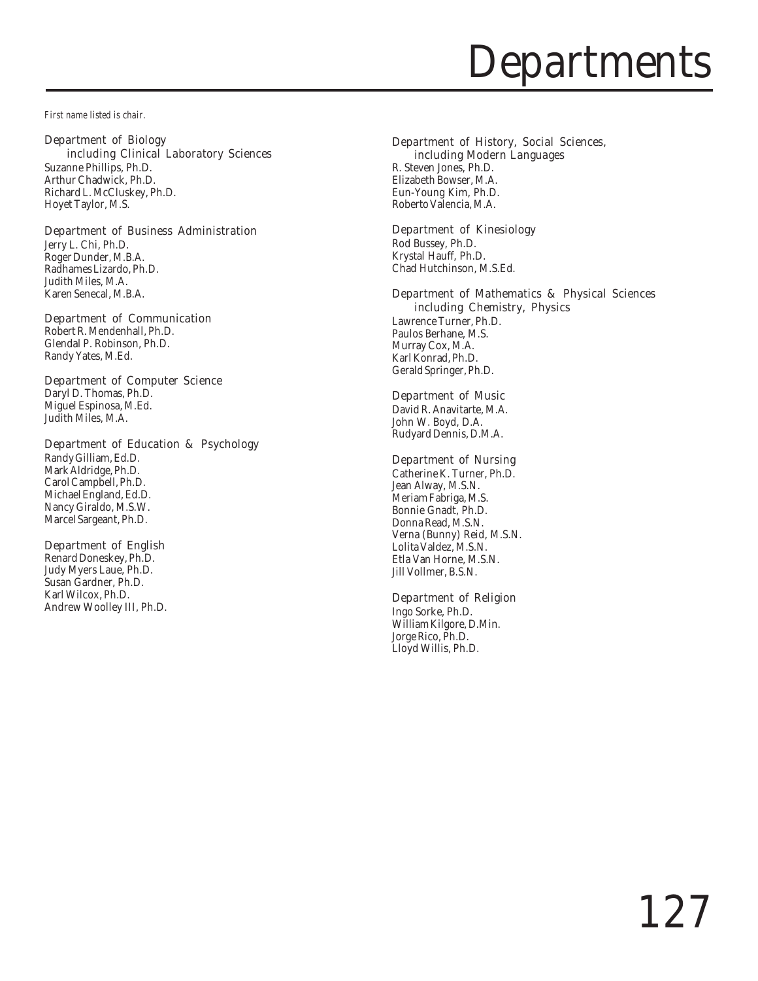## **Departments**

*First name listed is chair.*

### Department of Biology

including Clinical Laboratory Sciences Suzanne Phillips, Ph.D. Arthur Chadwick, Ph.D. Richard L. McCluskey, Ph.D. Hoyet Taylor, M.S.

### Department of Business Administration

Jerry L. Chi, Ph.D. Roger Dunder, M.B.A. Radhames Lizardo, Ph.D. Judith Miles, M.A. Karen Senecal, M.B.A.

### Department of Communication

Robert R. Mendenhall, Ph.D. Glendal P. Robinson, Ph.D. Randy Yates, M.Ed.

### Department of Computer Science

Daryl D. Thomas, Ph.D. Miguel Espinosa, M.Ed. Judith Miles, M.A.

### Department of Education & Psychology

Randy Gilliam, Ed.D. Mark Aldridge, Ph.D. Carol Campbell, Ph.D. Michael England, Ed.D. Nancy Giraldo, M.S.W. Marcel Sargeant, Ph.D.

### Department of English

Renard Doneskey, Ph.D. Judy Myers Laue, Ph.D. Susan Gardner, Ph.D. Karl Wilcox, Ph.D. Andrew Woolley III, Ph.D.

### Department of History, Social Sciences,

 including Modern Languages R. Steven Jones, Ph.D. Elizabeth Bowser, M.A. Eun-Young Kim, Ph.D. Roberto Valencia, M.A.

### Department of Kinesiology

Rod Bussey, Ph.D. Krystal Hauff, Ph.D. Chad Hutchinson, M.S.Ed.

### Department of Mathematics & Physical Sciences including Chemistry, Physics

Lawrence Turner, Ph.D. Paulos Berhane, M.S. Murray Cox, M.A. Karl Konrad, Ph.D. Gerald Springer, Ph.D.

### Department of Music

David R. Anavitarte, M.A. John W. Boyd, D.A. Rudyard Dennis, D.M.A.

### Department of Nursing

Catherine K. Turner, Ph.D. Jean Alway, M.S.N. Meriam Fabriga, M.S. Bonnie Gnadt, Ph.D. Donna Read, M.S.N. Verna (Bunny) Reid, M.S.N. Lolita Valdez, M.S.N. Etla Van Horne, M.S.N. Jill Vollmer, B.S.N.

### Department of Religion

Ingo Sorke, Ph.D. William Kilgore, D.Min. Jorge Rico, Ph.D. Lloyd Willis, Ph.D.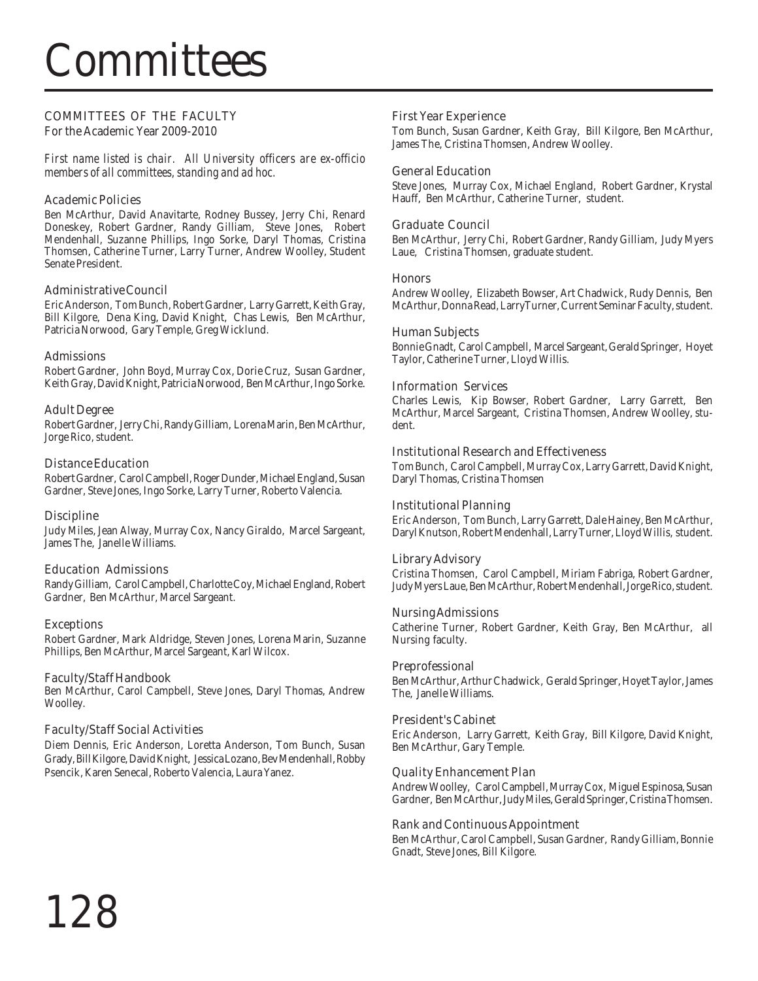## **Committees**

### COMMITTEES OF THE FACULTY

For the Academic Year 2009-2010

*First name listed is chair. All University officers are ex-officio members of all committees, standing and ad hoc.*

### Academic Policies

Ben McArthur, David Anavitarte, Rodney Bussey, Jerry Chi, Renard Doneskey, Robert Gardner, Randy Gilliam, Steve Jones, Robert Mendenhall, Suzanne Phillips, Ingo Sorke, Daryl Thomas, Cristina Thomsen, Catherine Turner, Larry Turner, Andrew Woolley, Student Senate President.

### Administrative Council

Eric Anderson, Tom Bunch, Robert Gardner, Larry Garrett, Keith Gray, Bill Kilgore, Dena King, David Knight, Chas Lewis, Ben McArthur, Patricia Norwood, Gary Temple, Greg Wicklund.

### Admissions

Robert Gardner, John Boyd, Murray Cox, Dorie Cruz, Susan Gardner, Keith Gray, David Knight, Patricia Norwood, Ben McArthur, Ingo Sorke.

### Adult Degree

Robert Gardner, Jerry Chi, Randy Gilliam, Lorena Marin, Ben McArthur, Jorge Rico, student.

### Distance Education

Robert Gardner, Carol Campbell, Roger Dunder, Michael England, Susan Gardner, Steve Jones, Ingo Sorke, Larry Turner, Roberto Valencia.

### **Discipline**

Judy Miles, Jean Alway, Murray Cox, Nancy Giraldo, Marcel Sargeant, James The, Janelle Williams.

### Education Admissions

Randy Gilliam, Carol Campbell, Charlotte Coy, Michael England, Robert Gardner, Ben McArthur, Marcel Sargeant.

### Exceptions

Robert Gardner, Mark Aldridge, Steven Jones, Lorena Marin, Suzanne Phillips, Ben McArthur, Marcel Sargeant, Karl Wilcox.

### Faculty/Staff Handbook

Ben McArthur, Carol Campbell, Steve Jones, Daryl Thomas, Andrew Woolley.

### Faculty/Staff Social Activities

Diem Dennis, Eric Anderson, Loretta Anderson, Tom Bunch, Susan Grady, Bill Kilgore, David Knight, Jessica Lozano, Bev Mendenhall, Robby Psencik, Karen Senecal, Roberto Valencia, Laura Yanez.

### First Year Experience

Tom Bunch, Susan Gardner, Keith Gray, Bill Kilgore, Ben McArthur, James The, Cristina Thomsen, Andrew Woolley.

### General Education

Steve Jones, Murray Cox, Michael England, Robert Gardner, Krystal Hauff, Ben McArthur, Catherine Turner, student.

### Graduate Council

Ben McArthur, Jerry Chi, Robert Gardner, Randy Gilliam, Judy Myers Laue, Cristina Thomsen, graduate student.

### Honors

Andrew Woolley, Elizabeth Bowser, Art Chadwick, Rudy Dennis, Ben McArthur, Donna Read, LarryTurner, Current Seminar Faculty, student.

### Human Subjects

Bonnie Gnadt, Carol Campbell, Marcel Sargeant, Gerald Springer, Hoyet Taylor, Catherine Turner, Lloyd Willis.

### Information Services

Charles Lewis, Kip Bowser, Robert Gardner, Larry Garrett, Ben McArthur, Marcel Sargeant, Cristina Thomsen, Andrew Woolley, student.

### Institutional Research and Effectiveness

Tom Bunch, Carol Campbell, Murray Cox, Larry Garrett, David Knight, Daryl Thomas, Cristina Thomsen

### Institutional Planning

Eric Anderson, Tom Bunch, Larry Garrett, Dale Hainey, Ben McArthur, Daryl Knutson, Robert Mendenhall, Larry Turner, Lloyd Willis, student.

### Library Advisory

Cristina Thomsen, Carol Campbell, Miriam Fabriga, Robert Gardner, Judy Myers Laue, Ben McArthur, Robert Mendenhall, Jorge Rico, student.

### Nursing Admissions

Catherine Turner, Robert Gardner, Keith Gray, Ben McArthur, all Nursing faculty.

### Preprofessional

Ben McArthur, Arthur Chadwick, Gerald Springer, Hoyet Taylor, James The, Janelle Williams.

### President's Cabinet

Eric Anderson, Larry Garrett, Keith Gray, Bill Kilgore, David Knight, Ben McArthur, Gary Temple.

### Quality Enhancement Plan

Andrew Woolley, Carol Campbell, Murray Cox, Miguel Espinosa, Susan Gardner, Ben McArthur, Judy Miles, Gerald Springer, Cristina Thomsen.

### Rank and Continuous Appointment

Ben McArthur, Carol Campbell, Susan Gardner, Randy Gilliam, Bonnie Gnadt, Steve Jones, Bill Kilgore.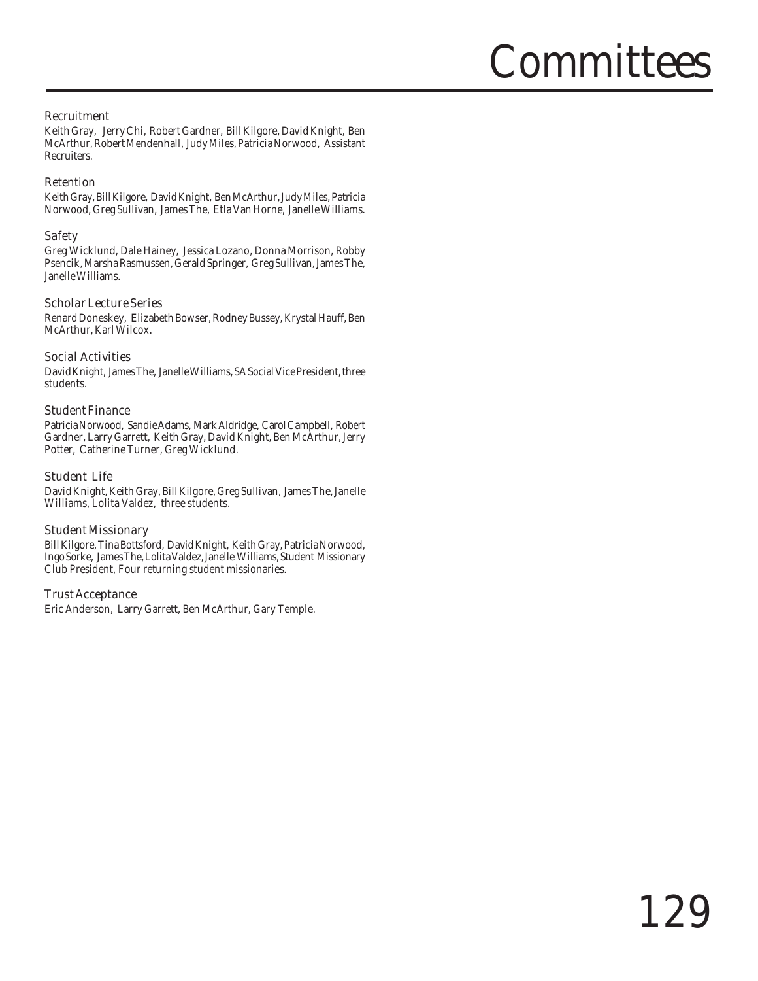## Committees

### Recruitment

Keith Gray, Jerry Chi, Robert Gardner, Bill Kilgore, David Knight, Ben McArthur, Robert Mendenhall, Judy Miles, Patricia Norwood, Assistant Recruiters.

### Retention

Keith Gray, Bill Kilgore, David Knight, Ben McArthur, Judy Miles, Patricia Norwood, Greg Sullivan, James The, Etla Van Horne, Janelle Williams.

### Safety

Greg Wicklund, Dale Hainey, Jessica Lozano, Donna Morrison, Robby Psencik, Marsha Rasmussen, Gerald Springer, Greg Sullivan, James The, Janelle Williams.

### Scholar Lecture Series

Renard Doneskey, Elizabeth Bowser, Rodney Bussey, Krystal Hauff, Ben McArthur, Karl Wilcox.

### Social Activities

David Knight, James The, Janelle Williams, SA Social Vice President, three students.

### Student Finance

Patricia Norwood, Sandie Adams, Mark Aldridge, Carol Campbell, Robert Gardner, Larry Garrett, Keith Gray, David Knight, Ben McArthur, Jerry Potter, Catherine Turner, Greg Wicklund.

### Student Life

David Knight, Keith Gray, Bill Kilgore, Greg Sullivan, James The, Janelle Williams, Lolita Valdez, three students.

### Student Missionary

Bill Kilgore, Tina Bottsford, David Knight, Keith Gray, Patricia Norwood, Ingo Sorke, James The, Lolita Valdez, Janelle Williams, Student Missionary Club President, Four returning student missionaries.

### Trust Acceptance

Eric Anderson, Larry Garrett, Ben McArthur, Gary Temple.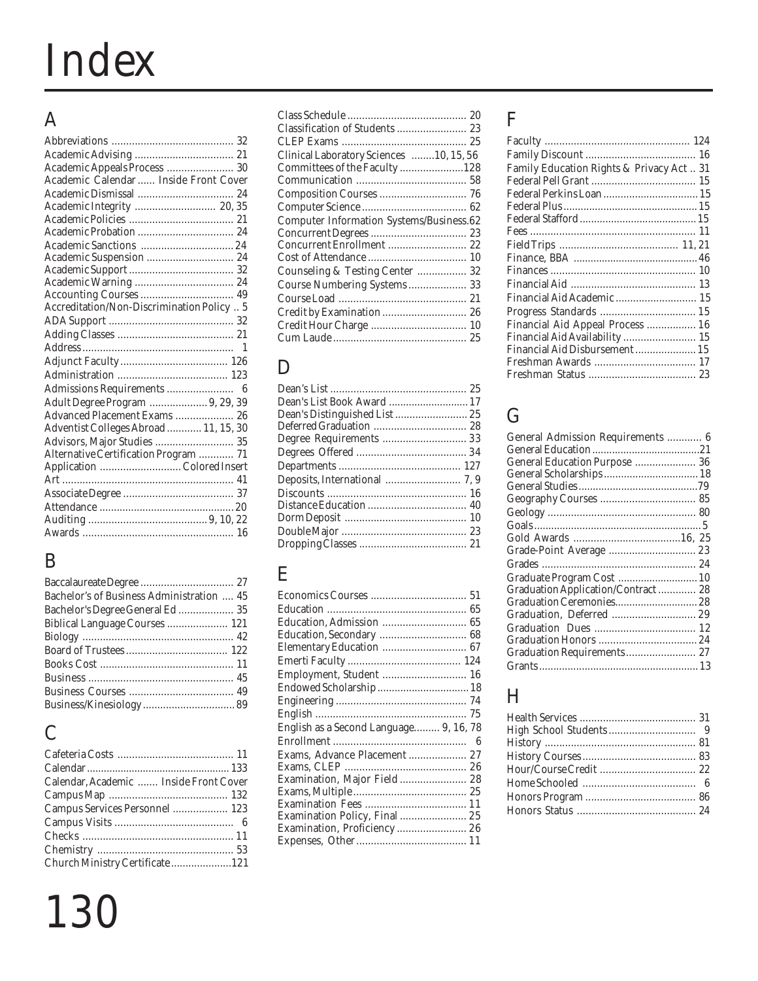# Index

## A

| Academic Appeals Process  30               |   |
|--------------------------------------------|---|
| Academic Calendar  Inside Front Cover      |   |
|                                            |   |
| Academic Integrity  20,35                  |   |
|                                            |   |
|                                            |   |
|                                            |   |
| Academic Suspension  24                    |   |
|                                            |   |
|                                            |   |
|                                            |   |
| Accreditation/Non-Discrimination Policy  5 |   |
|                                            |   |
|                                            |   |
|                                            | 1 |
|                                            |   |
|                                            |   |
|                                            |   |
| Adult Degree Program  9, 29, 39            |   |
| Advanced Placement Exams  26               |   |
| Adventist Colleges Abroad  11, 15, 30      |   |
| Advisors, Major Studies  35                |   |
| Alternative Certification Program  71      |   |
| Application Colored Insert                 |   |
|                                            |   |
|                                            |   |
|                                            |   |
|                                            |   |
|                                            |   |
|                                            |   |

## B

| Bachelor's of Business Administration  45 |  |
|-------------------------------------------|--|
| Bachelor's Degree General Ed  35          |  |
| Biblical Language Courses  121            |  |
|                                           |  |
|                                           |  |
|                                           |  |
|                                           |  |
|                                           |  |
|                                           |  |
|                                           |  |

## C

| Calendar, Academic  Inside Front Cover |  |
|----------------------------------------|--|
|                                        |  |
| Campus Services Personnel  123         |  |
|                                        |  |
|                                        |  |
|                                        |  |
| Church Ministry Certificate121         |  |
|                                        |  |

## 130

| Clinical Laboratory Sciences 10, 15, 56         |  |
|-------------------------------------------------|--|
| Committees of the Faculty 128                   |  |
|                                                 |  |
|                                                 |  |
|                                                 |  |
| <b>Computer Information Systems/Business.62</b> |  |
|                                                 |  |
| Concurrent Enrollment  22                       |  |
|                                                 |  |
| Counseling & Testing Center  32                 |  |
| Course Numbering Systems 33                     |  |
|                                                 |  |
| Credit by Examination  26                       |  |
|                                                 |  |
|                                                 |  |
|                                                 |  |

## D

| Dean's List Book Award  17    |  |
|-------------------------------|--|
| Dean's Distinguished List  25 |  |
|                               |  |
| Degree Requirements  33       |  |
|                               |  |
|                               |  |
|                               |  |
|                               |  |
|                               |  |
|                               |  |
|                               |  |
|                               |  |
|                               |  |

### E

| Education, Admission  65               |  |
|----------------------------------------|--|
| Education, Secondary  68               |  |
| Elementary Education  67               |  |
|                                        |  |
| Employment, Student  16                |  |
| Endowed Scholarship  18                |  |
|                                        |  |
|                                        |  |
| English as a Second Language 9, 16, 78 |  |
|                                        |  |
| Exams, Advance Placement  27           |  |
|                                        |  |
| Examination, Major Field 28            |  |
|                                        |  |
|                                        |  |
| Examination Policy, Final  25          |  |
| Examination, Proficiency  26           |  |
|                                        |  |
|                                        |  |

## F

| Family Education Rights & Privacy Act 31 |
|------------------------------------------|
|                                          |
|                                          |
|                                          |
|                                          |
|                                          |
|                                          |
|                                          |
|                                          |
|                                          |
| Financial Aid Academic 15                |
|                                          |
| Financial Aid Appeal Process  16         |
| Financial Aid Availability  15           |
| Financial Aid Disbursement  15           |
| 17                                       |
|                                          |
|                                          |

## G

| General Admission Requirements  6  |  |
|------------------------------------|--|
|                                    |  |
|                                    |  |
| General Education Purpose  36      |  |
| General Scholarships  18           |  |
|                                    |  |
|                                    |  |
|                                    |  |
|                                    |  |
|                                    |  |
| Grade-Point Average  23            |  |
|                                    |  |
| Graduate Program Cost  10          |  |
| Graduation Application/Contract 28 |  |
|                                    |  |
| Graduation, Deferred  29           |  |
|                                    |  |
|                                    |  |
|                                    |  |
|                                    |  |
|                                    |  |

## H